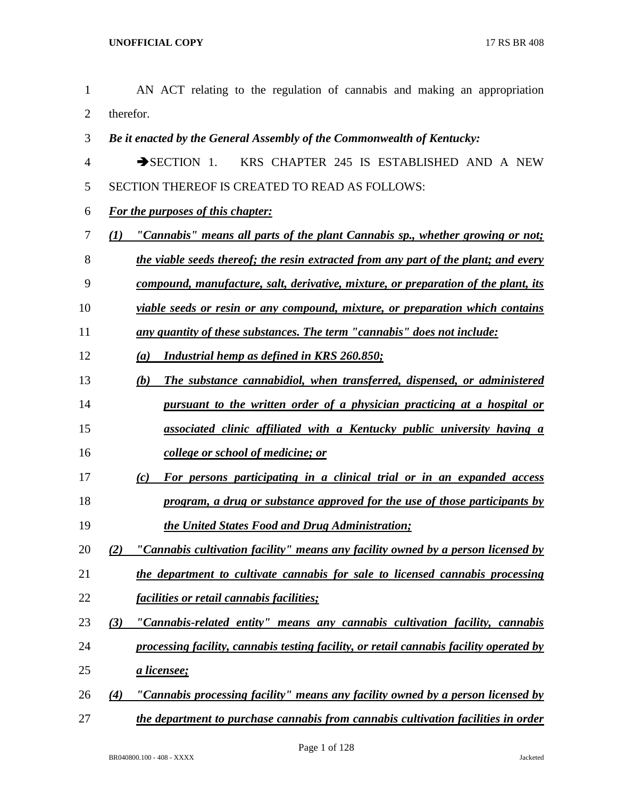| $\mathbf{1}$   | AN ACT relating to the regulation of cannabis and making an appropriation                     |
|----------------|-----------------------------------------------------------------------------------------------|
| $\overline{2}$ | therefor.                                                                                     |
| 3              | Be it enacted by the General Assembly of the Commonwealth of Kentucky:                        |
| $\overline{4}$ | KRS CHAPTER 245 IS ESTABLISHED AND A NEW<br>$\rightarrow$ SECTION 1.                          |
| 5              | SECTION THEREOF IS CREATED TO READ AS FOLLOWS:                                                |
| 6              | <b>For the purposes of this chapter:</b>                                                      |
| 7              | "Cannabis" means all parts of the plant Cannabis sp., whether growing or not;<br>$\bf(1)$     |
| 8              | the viable seeds thereof; the resin extracted from any part of the plant; and every           |
| 9              | compound, manufacture, salt, derivative, mixture, or preparation of the plant, its            |
| 10             | viable seeds or resin or any compound, mixture, or preparation which contains                 |
| 11             | any quantity of these substances. The term "cannabis" does not include:                       |
| 12             | <b>Industrial hemp as defined in KRS 260.850;</b><br>(a)                                      |
| 13             | The substance cannabidiol, when transferred, dispensed, or administered<br>(b)                |
| 14             | pursuant to the written order of a physician practicing at a hospital or                      |
| 15             | associated clinic affiliated with a Kentucky public university having a                       |
| 16             | college or school of medicine; or                                                             |
| 17             | For persons participating in a clinical trial or in an expanded access<br>(c)                 |
| 18             | program, a drug or substance approved for the use of those participants by                    |
| 19             | the United States Food and Drug Administration;                                               |
| 20             | "Cannabis cultivation facility" means any facility owned by a person licensed by              |
| 21             | the department to cultivate cannabis for sale to licensed cannabis processing                 |
| 22             | <u>facilities or retail cannabis facilities;</u>                                              |
| 23             | "Cannabis-related entity" means any cannabis cultivation facility, cannabis<br>(3)            |
| 24             | processing facility, cannabis testing facility, or retail cannabis facility operated by       |
| 25             | <u>a licensee;</u>                                                                            |
| 26             | <u>"Cannabis processing facility" means any facility owned by a person licensed by</u><br>(4) |
| 27             | the department to purchase cannabis from cannabis cultivation facilities in order             |
|                | Page 1 of 128<br>Jacketed                                                                     |
|                | BR040800.100 - 408 - XXXX                                                                     |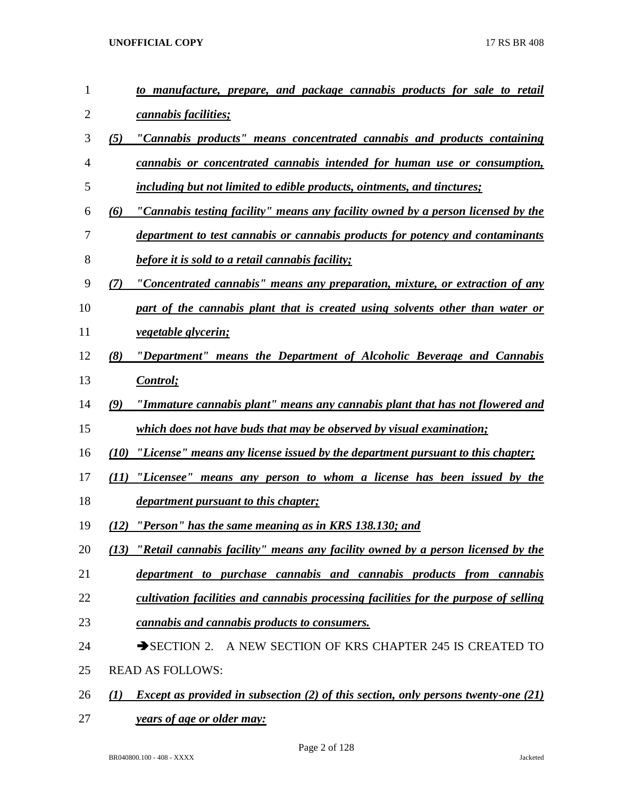| 1              |      | to manufacture, prepare, and package cannabis products for sale to retail                 |
|----------------|------|-------------------------------------------------------------------------------------------|
| $\overline{2}$ |      | cannabis facilities;                                                                      |
| 3              | (5)  | "Cannabis products" means concentrated cannabis and products containing                   |
| $\overline{4}$ |      | cannabis or concentrated cannabis intended for human use or consumption,                  |
| 5              |      | including but not limited to edible products, ointments, and tinctures;                   |
| 6              | (6)  | "Cannabis testing facility" means any facility owned by a person licensed by the          |
| 7              |      | department to test cannabis or cannabis products for potency and contaminants             |
| 8              |      | before it is sold to a retail cannabis facility;                                          |
| 9              | (7)  | "Concentrated cannabis" means any preparation, mixture, or extraction of any              |
| 10             |      | part of the cannabis plant that is created using solvents other than water or             |
| 11             |      | <i>vegetable glycerin;</i>                                                                |
| 12             | (8)  | "Department" means the Department of Alcoholic Beverage and Cannabis                      |
| 13             |      | <b>Control</b> ;                                                                          |
| 14             | (9)  | "Immature cannabis plant" means any cannabis plant that has not flowered and              |
| 15             |      | <i>which does not have buds that may be observed by visual examination;</i>               |
| 16             | (10) | "License" means any license issued by the department pursuant to this chapter;            |
| 17             | (11) | "Licensee" means any person to whom a license has been issued by the                      |
| 18             |      | <i>department pursuant to this chapter;</i>                                               |
| 19             |      | (12) "Person" has the same meaning as in KRS 138.130; and                                 |
| 20             |      | (13) "Retail cannabis facility" means any facility owned by a person licensed by the      |
| 21             |      | department to purchase cannabis and cannabis products from cannabis                       |
| 22             |      | cultivation facilities and cannabis processing facilities for the purpose of selling      |
| 23             |      | cannabis and cannabis products to consumers.                                              |
| 24             |      | SECTION 2. A NEW SECTION OF KRS CHAPTER 245 IS CREATED TO                                 |
| 25             |      | <b>READ AS FOLLOWS:</b>                                                                   |
| 26             | (I)  | <i>Except as provided in subsection (2) of this section, only persons twenty-one (21)</i> |
| 27             |      | <u>years of age or older may:</u>                                                         |

Page 2 of 128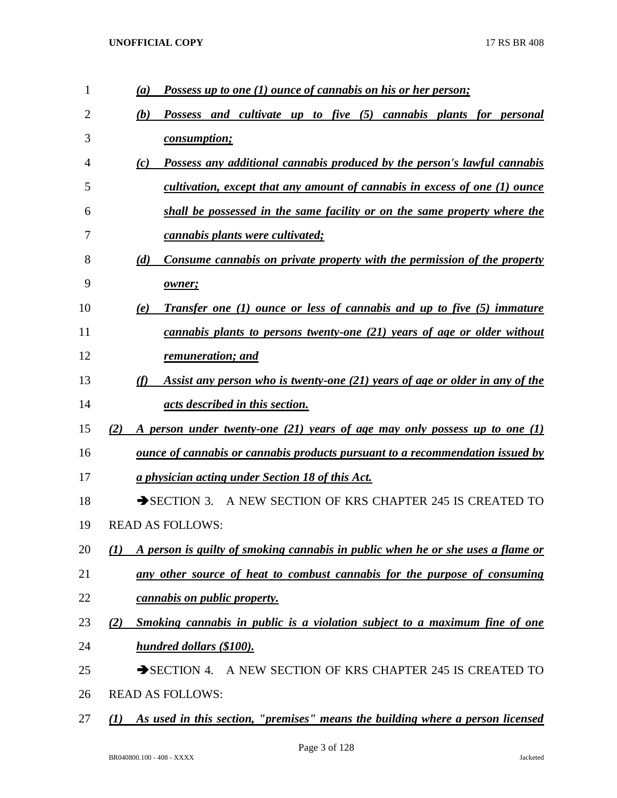| $\mathbf{1}$ | Possess up to one (1) ounce of cannabis on his or her person;<br>(a)                   |
|--------------|----------------------------------------------------------------------------------------|
| 2            | Possess and cultivate up to five (5) cannabis plants for personal<br>(b)               |
| 3            | <i>consumption;</i>                                                                    |
| 4            | Possess any additional cannabis produced by the person's lawful cannabis<br>(c)        |
| 5            | cultivation, except that any amount of cannabis in excess of one (1) ounce             |
| 6            | shall be possessed in the same facility or on the same property where the              |
| 7            | cannabis plants were cultivated;                                                       |
| 8            | Consume cannabis on private property with the permission of the property<br>(d)        |
| 9            | owner;                                                                                 |
| 10           | <b>Transfer one (1) ounce or less of cannabis and up to five (5) immature</b><br>(e)   |
| 11           | cannabis plants to persons twenty-one (21) years of age or older without               |
| 12           | remuneration; and                                                                      |
| 13           | Assist any person who is twenty-one (21) years of age or older in any of the<br>(f)    |
| 14           | acts described in this section.                                                        |
| 15           | A person under twenty-one (21) years of age may only possess up to one (1)<br>(2)      |
| 16           | <u>ounce of cannabis or cannabis products pursuant to a recommendation issued by</u>   |
| 17           | a physician acting under Section 18 of this Act.                                       |
| 18           | SECTION 3. A NEW SECTION OF KRS CHAPTER 245 IS CREATED TO                              |
| 19           | <b>READ AS FOLLOWS:</b>                                                                |
| 20           | A person is guilty of smoking cannabis in public when he or she uses a flame or<br>(I) |
| 21           | any other source of heat to combust cannabis for the purpose of consuming              |
| 22           | cannabis on public property.                                                           |
| 23           | Smoking cannabis in public is a violation subject to a maximum fine of one<br>(2)      |
| 24           | hundred dollars (\$100).                                                               |
| 25           | SECTION 4. A NEW SECTION OF KRS CHAPTER 245 IS CREATED TO                              |
| 26           | <b>READ AS FOLLOWS:</b>                                                                |
| 27           | As used in this section, "premises" means the building where a person licensed<br>(I)  |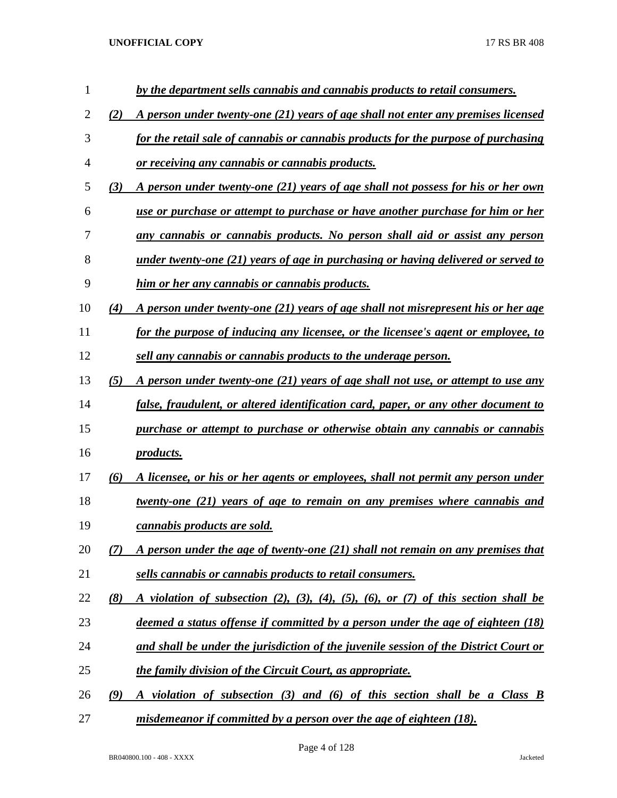| $\mathbf{1}$ |     | by the department sells cannabis and cannabis products to retail consumers.              |
|--------------|-----|------------------------------------------------------------------------------------------|
| 2            | (2) | A person under twenty-one (21) years of age shall not enter any premises licensed        |
| 3            |     | for the retail sale of cannabis or cannabis products for the purpose of purchasing       |
| 4            |     | <u>or receiving any cannabis or cannabis products.</u>                                   |
| 5            | (3) | A person under twenty-one (21) years of age shall not possess for his or her own         |
| 6            |     | use or purchase or attempt to purchase or have another purchase for him or her           |
| 7            |     | any cannabis or cannabis products. No person shall aid or assist any person              |
| 8            |     | under twenty-one (21) years of age in purchasing or having delivered or served to        |
| 9            |     | <u>him or her any cannabis or cannabis products.</u>                                     |
| 10           | (4) | <u>A person under twenty-one (21) years of age shall not misrepresent his or her age</u> |
| 11           |     | for the purpose of inducing any licensee, or the licensee's agent or employee, to        |
| 12           |     | sell any cannabis or cannabis products to the underage person.                           |
| 13           | (5) | A person under twenty-one (21) years of age shall not use, or attempt to use any         |
| 14           |     | false, fraudulent, or altered identification card, paper, or any other document to       |
| 15           |     | purchase or attempt to purchase or otherwise obtain any cannabis or cannabis             |
| 16           |     | <i>products.</i>                                                                         |
| 17           | (6) | A licensee, or his or her agents or employees, shall not permit any person under         |
| 18           |     | <u>twenty-one (21) years of age to remain on any premises where cannabis and</u>         |
| 19           |     | cannabis products are sold.                                                              |
| 20           | (7) | A person under the age of twenty-one (21) shall not remain on any premises that          |
| 21           |     | sells cannabis or cannabis products to retail consumers.                                 |
| 22           | (8) | A violation of subsection (2), (3), (4), (5), (6), or (7) of this section shall be       |
| 23           |     | deemed a status offense if committed by a person under the age of eighteen (18)          |
| 24           |     | and shall be under the jurisdiction of the juvenile session of the District Court or     |
| 25           |     | <i>the family division of the Circuit Court, as appropriate.</i>                         |
| 26           | (9) | A violation of subsection (3) and (6) of this section shall be a Class B                 |
| 27           |     | misdemeanor if committed by a person over the age of eighteen (18).                      |

Page 4 of 128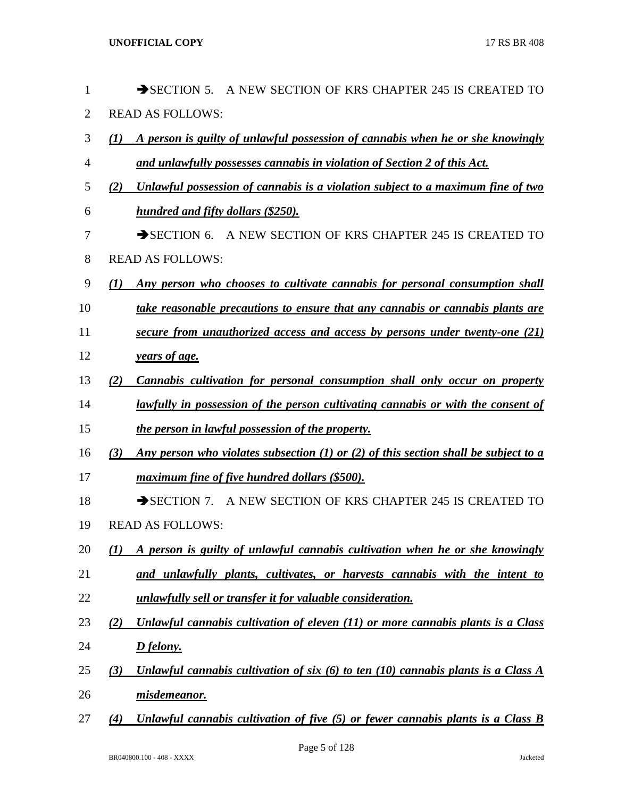| $\mathbf{1}$   |     | $\rightarrow$ SECTION 5.<br>A NEW SECTION OF KRS CHAPTER 245 IS CREATED TO          |
|----------------|-----|-------------------------------------------------------------------------------------|
| $\overline{2}$ |     | <b>READ AS FOLLOWS:</b>                                                             |
| 3              | (1) | A person is guilty of unlawful possession of cannabis when he or she knowingly      |
| 4              |     | and unlawfully possesses cannabis in violation of Section 2 of this Act.            |
| 5              | (2) | Unlawful possession of cannabis is a violation subject to a maximum fine of two     |
| 6              |     | hundred and fifty dollars (\$250).                                                  |
| 7              |     | SECTION 6. A NEW SECTION OF KRS CHAPTER 245 IS CREATED TO                           |
| 8              |     | <b>READ AS FOLLOWS:</b>                                                             |
| 9              | (1) | Any person who chooses to cultivate cannabis for personal consumption shall         |
| 10             |     | take reasonable precautions to ensure that any cannabis or cannabis plants are      |
| 11             |     | secure from unauthorized access and access by persons under twenty-one (21)         |
| 12             |     | years of age.                                                                       |
| 13             | (2) | Cannabis cultivation for personal consumption shall only occur on property          |
| 14             |     | lawfully in possession of the person cultivating cannabis or with the consent of    |
| 15             |     | the person in lawful possession of the property.                                    |
| 16             | (3) | Any person who violates subsection (1) or (2) of this section shall be subject to a |
| 17             |     | maximum fine of five hundred dollars (\$500).                                       |
| 18             |     | SECTION 7. A NEW SECTION OF KRS CHAPTER 245 IS CREATED TO                           |
| 19             |     | <b>READ AS FOLLOWS:</b>                                                             |
| 20             | (I) | A person is guilty of unlawful cannabis cultivation when he or she knowingly        |
| 21             |     | and unlawfully plants, cultivates, or harvests cannabis with the intent to          |
| 22             |     | unlawfully sell or transfer it for valuable consideration.                          |
| 23             | (2) | Unlawful cannabis cultivation of eleven (11) or more cannabis plants is a Class     |
| 24             |     | D felony.                                                                           |
| 25             | (3) | Unlawful cannabis cultivation of six (6) to ten (10) cannabis plants is a Class $A$ |
| 26             |     | misdemeanor.                                                                        |
| 27             | (4) | Unlawful cannabis cultivation of five (5) or fewer cannabis plants is a Class B     |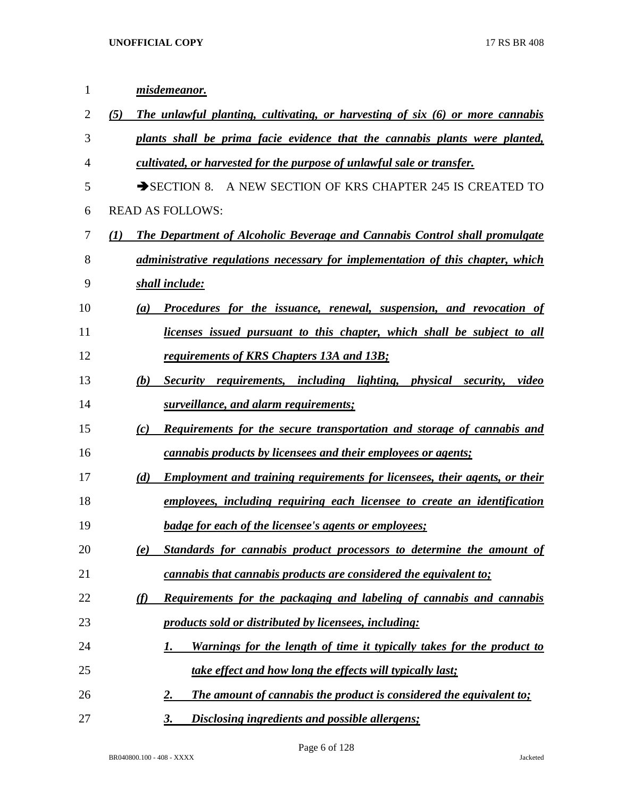| $\mathbf 1$    | misdemeanor.                                                                          |
|----------------|---------------------------------------------------------------------------------------|
| $\overline{2}$ | The unlawful planting, cultivating, or harvesting of six (6) or more cannabis<br>(5)  |
| 3              | plants shall be prima facie evidence that the cannabis plants were planted,           |
| $\overline{4}$ | cultivated, or harvested for the purpose of unlawful sale or transfer.                |
| 5              | SECTION 8. A NEW SECTION OF KRS CHAPTER 245 IS CREATED TO                             |
| 6              | <b>READ AS FOLLOWS:</b>                                                               |
| 7              | The Department of Alcoholic Beverage and Cannabis Control shall promulgate<br>(I)     |
| 8              | <i>administrative regulations necessary for implementation of this chapter, which</i> |
| 9              | shall include:                                                                        |
| 10             | Procedures for the issuance, renewal, suspension, and revocation of<br>(a)            |
| 11             | licenses issued pursuant to this chapter, which shall be subject to all               |
| 12             | requirements of KRS Chapters 13A and 13B;                                             |
| 13             | Security requirements, including lighting, physical security, video<br>(b)            |
| 14             | surveillance, and alarm requirements;                                                 |
| 15             | <b>Requirements for the secure transportation and storage of cannabis and</b><br>(c)  |
| 16             | <i>cannabis products by licensees and their employees or agents;</i>                  |
| 17             | Employment and training requirements for licensees, their agents, or their<br>(d)     |
| 18             | employees, including requiring each licensee to create an identification              |
| 19             | badge for each of the licensee's agents or employees;                                 |
| 20             | Standards for cannabis product processors to determine the amount of<br>(e)           |
| 21             | cannabis that cannabis products are considered the equivalent to;                     |
| 22             | Requirements for the packaging and labeling of cannabis and cannabis<br><u>(f)</u>    |
| 23             | products sold or distributed by licensees, including:                                 |
| 24             | <u>Warnings for the length of time it typically takes for the product to</u><br>1.    |
| 25             | take effect and how long the effects will typically last;                             |
| 26             | The amount of cannabis the product is considered the equivalent to;<br><u>2.</u>      |
| 27             | 3.<br><b>Disclosing ingredients and possible allergens;</b>                           |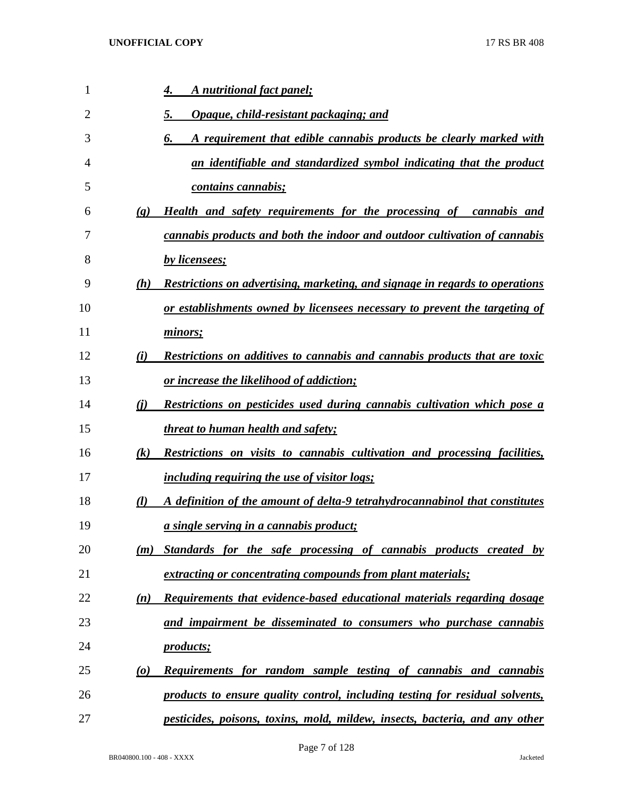| 1  | A nutritional fact panel;<br>4.                                                              |                                                                                  |
|----|----------------------------------------------------------------------------------------------|----------------------------------------------------------------------------------|
| 2  | Opaque, child-resistant packaging; and<br>5.                                                 |                                                                                  |
| 3  | 6.                                                                                           | A requirement that edible cannabis products be clearly marked with               |
| 4  |                                                                                              | an identifiable and standardized symbol indicating that the product              |
| 5  | <i>contains cannabis;</i>                                                                    |                                                                                  |
| 6  | $\left( \mathbf{g} \right)$                                                                  | Health and safety requirements for the processing of cannabis and                |
| 7  | cannabis products and both the indoor and outdoor cultivation of cannabis                    |                                                                                  |
| 8  | by licensees;                                                                                |                                                                                  |
| 9  | (h)                                                                                          | Restrictions on advertising, marketing, and signage in regards to operations     |
| 10 |                                                                                              | or establishments owned by licensees necessary to prevent the targeting of       |
| 11 | minors;                                                                                      |                                                                                  |
| 12 | (i)                                                                                          | Restrictions on additives to cannabis and cannabis products that are toxic       |
| 13 | <u>or increase the likelihood of addiction;</u>                                              |                                                                                  |
| 14 | (i)                                                                                          | <b>Restrictions on pesticides used during cannabis cultivation which pose a</b>  |
| 15 | <i>threat to human health and safety;</i>                                                    |                                                                                  |
| 16 | (k)                                                                                          | <b>Restrictions on visits to cannabis cultivation and processing facilities,</b> |
| 17 | <i>including requiring the use of visitor logs;</i>                                          |                                                                                  |
| 18 | A definition of the amount of delta-9 tetrahydrocannabinol that constitutes<br>$\mathcal{U}$ |                                                                                  |
| 19 | <i>a single serving in a cannabis product;</i>                                               |                                                                                  |
|    | 20<br>(m)                                                                                    | Standards for the safe processing of cannabis products created by                |
|    | 21<br>extracting or concentrating compounds from plant materials;                            |                                                                                  |
|    | 22<br>(n)                                                                                    | Requirements that evidence-based educational materials regarding dosage          |
|    | 23<br>and impairment be disseminated to consumers who purchase cannabis                      |                                                                                  |
|    | 24<br><i>products</i> ;                                                                      |                                                                                  |
|    | 25<br>$\boldsymbol{\omega}$                                                                  | <b>Requirements for random sample testing of cannabis and cannabis</b>           |
|    | 26<br>products to ensure quality control, including testing for residual solvents,           |                                                                                  |
|    | 27                                                                                           | pesticides, poisons, toxins, mold, mildew, insects, bacteria, and any other      |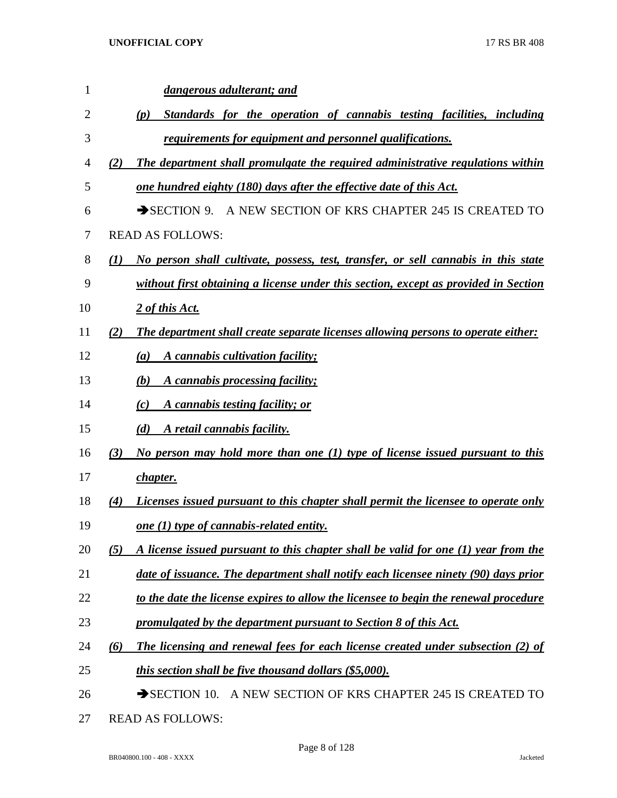| 1  |     | dangerous adulterant; and                                                            |
|----|-----|--------------------------------------------------------------------------------------|
| 2  |     | Standards for the operation of cannabis testing facilities, including<br>(p)         |
| 3  |     | requirements for equipment and personnel qualifications.                             |
| 4  | (2) | The department shall promulgate the required administrative regulations within       |
| 5  |     | one hundred eighty (180) days after the effective date of this Act.                  |
| 6  |     | A NEW SECTION OF KRS CHAPTER 245 IS CREATED TO<br>$\rightarrow$ SECTION 9.           |
| 7  |     | <b>READ AS FOLLOWS:</b>                                                              |
| 8  | (1) | No person shall cultivate, possess, test, transfer, or sell cannabis in this state   |
| 9  |     | without first obtaining a license under this section, except as provided in Section  |
| 10 |     | 2 of this Act.                                                                       |
| 11 | (2) | The department shall create separate licenses allowing persons to operate either:    |
| 12 |     | A cannabis cultivation facility;<br>(a)                                              |
| 13 |     | A cannabis processing facility;<br>(b)                                               |
| 14 |     | A cannabis testing facility; or<br>(c)                                               |
| 15 |     | A retail cannabis facility.<br>(d)                                                   |
| 16 | (3) | No person may hold more than one $(1)$ type of license issued pursuant to this       |
| 17 |     | <i>chapter.</i>                                                                      |
| 18 | (4) | Licenses issued pursuant to this chapter shall permit the licensee to operate only   |
| 19 |     | one $(1)$ type of cannabis-related entity.                                           |
| 20 | (5) | A license issued pursuant to this chapter shall be valid for one (1) year from the   |
| 21 |     | date of issuance. The department shall notify each licensee ninety (90) days prior   |
| 22 |     | to the date the license expires to allow the licensee to begin the renewal procedure |
| 23 |     | promulgated by the department pursuant to Section 8 of this Act.                     |
| 24 | (6) | The licensing and renewal fees for each license created under subsection (2) of      |
| 25 |     | this section shall be five thousand dollars (\$5,000).                               |
| 26 |     | A NEW SECTION OF KRS CHAPTER 245 IS CREATED TO<br>$\rightarrow$ SECTION 10.          |

READ AS FOLLOWS:

Page 8 of 128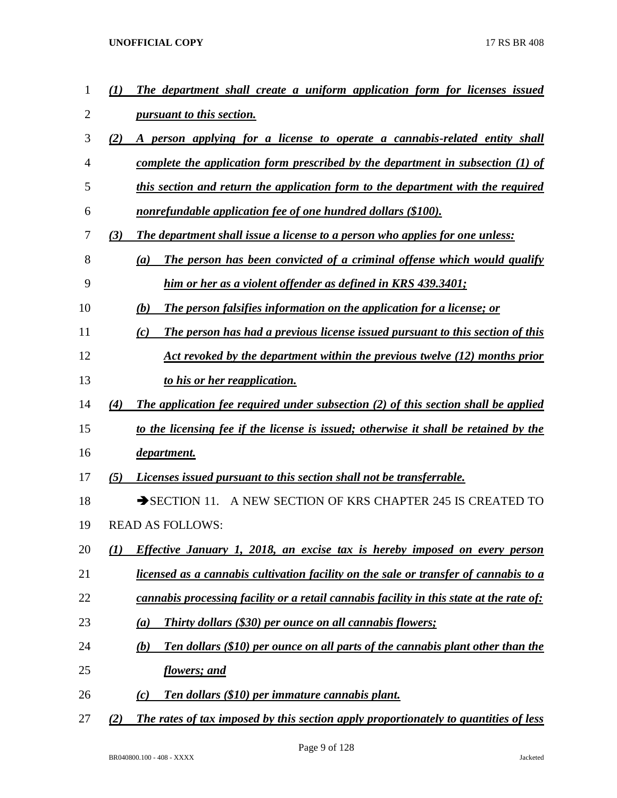| 1              | $\boldsymbol{\mathcal{L}}$ | The department shall create a uniform application form for licenses issued                   |
|----------------|----------------------------|----------------------------------------------------------------------------------------------|
| $\overline{2}$ |                            | <i>pursuant to this section.</i>                                                             |
| 3              | (2)                        | A person applying for a license to operate a cannabis-related entity shall                   |
| 4              |                            | complete the application form prescribed by the department in subsection $(1)$ of            |
| 5              |                            | this section and return the application form to the department with the required             |
| 6              |                            | nonrefundable application fee of one hundred dollars (\$100).                                |
| 7              | (3)                        | The department shall issue a license to a person who applies for one unless:                 |
| 8              |                            | The person has been convicted of a criminal offense which would qualify<br>(a)               |
| 9              |                            | him or her as a violent offender as defined in KRS 439.3401;                                 |
| 10             |                            | The person falsifies information on the application for a license; or<br>(b)                 |
| 11             |                            | The person has had a previous license issued pursuant to this section of this<br>(c)         |
| 12             |                            | Act revoked by the department within the previous twelve (12) months prior                   |
| 13             |                            | to his or her reapplication.                                                                 |
| 14             | (4)                        | <b>The application fee required under subsection (2) of this section shall be applied</b>    |
| 15             |                            | to the licensing fee if the license is issued; otherwise it shall be retained by the         |
| 16             |                            | department.                                                                                  |
| 17             | (5)                        | <i>Licenses issued pursuant to this section shall not be transferrable.</i>                  |
| 18             |                            | $\rightarrow$ SECTION 11. A NEW SECTION OF KRS CHAPTER 245 IS CREATED TO                     |
| 19             |                            | <b>READ AS FOLLOWS:</b>                                                                      |
| 20             | (1)                        | Effective January 1, 2018, an excise tax is hereby imposed on every person                   |
| 21             |                            | licensed as a cannabis cultivation facility on the sale or transfer of cannabis to a         |
| 22             |                            | cannabis processing facility or a retail cannabis facility in this state at the rate of:     |
| 23             |                            | <b>Thirty dollars (\$30) per ounce on all cannabis flowers;</b><br>(a)                       |
| 24             |                            | <b>Ten dollars (\$10) per ounce on all parts of the cannabis plant other than the</b><br>(b) |
| 25             |                            | <u>flowers; and</u>                                                                          |
| 26             |                            | Ten dollars (\$10) per immature cannabis plant.<br>(c)                                       |
| 27             | (2)                        | The rates of tax imposed by this section apply proportionately to quantities of less         |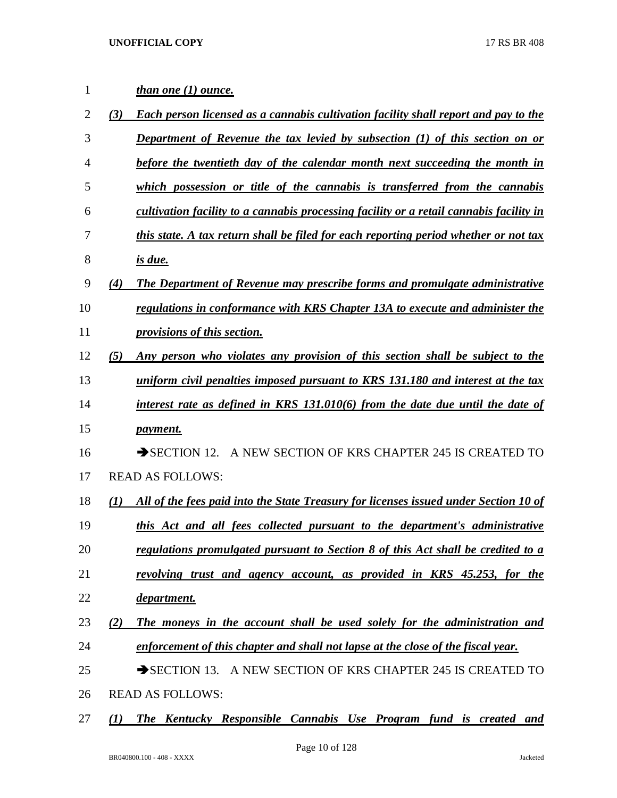| $\mathbf{1}$   | <i>than one (1) ounce.</i>                                                                  |
|----------------|---------------------------------------------------------------------------------------------|
| $\overline{2}$ | Each person licensed as a cannabis cultivation facility shall report and pay to the<br>(3)  |
| 3              | <b>Department of Revenue the tax levied by subsection (1) of this section on or</b>         |
| 4              | before the twentieth day of the calendar month next succeeding the month in                 |
| 5              | which possession or title of the cannabis is transferred from the cannabis                  |
| 6              | cultivation facility to a cannabis processing facility or a retail cannabis facility in     |
| 7              | this state. A tax return shall be filed for each reporting period whether or not tax        |
| 8              | <u>is due.</u>                                                                              |
| 9              | The Department of Revenue may prescribe forms and promulgate administrative<br>(4)          |
| 10             | regulations in conformance with KRS Chapter 13A to execute and administer the               |
| 11             | provisions of this section.                                                                 |
| 12             | Any person who violates any provision of this section shall be subject to the<br>(5)        |
| 13             | uniform civil penalties imposed pursuant to KRS 131.180 and interest at the tax             |
| 14             | interest rate as defined in KRS 131.010(6) from the date due until the date of              |
| 15             | <i>payment.</i>                                                                             |
| 16             | SECTION 12. A NEW SECTION OF KRS CHAPTER 245 IS CREATED TO                                  |
| 17             | <b>READ AS FOLLOWS:</b>                                                                     |
| 18             | All of the fees paid into the State Treasury for licenses issued under Section 10 of<br>(I) |
| 19             | this Act and all fees collected pursuant to the department's administrative                 |
| 20             | regulations promulgated pursuant to Section 8 of this Act shall be credited to a            |
| 21             | revolving trust and agency account, as provided in KRS 45.253, for the                      |
| 22             | department.                                                                                 |
| 23             | The moneys in the account shall be used solely for the administration and<br>(2)            |
| 24             | enforcement of this chapter and shall not lapse at the close of the fiscal year.            |
| 25             | SECTION 13. A NEW SECTION OF KRS CHAPTER 245 IS CREATED TO                                  |
| 26             | <b>READ AS FOLLOWS:</b>                                                                     |

*(1) The Kentucky Responsible Cannabis Use Program fund is created and*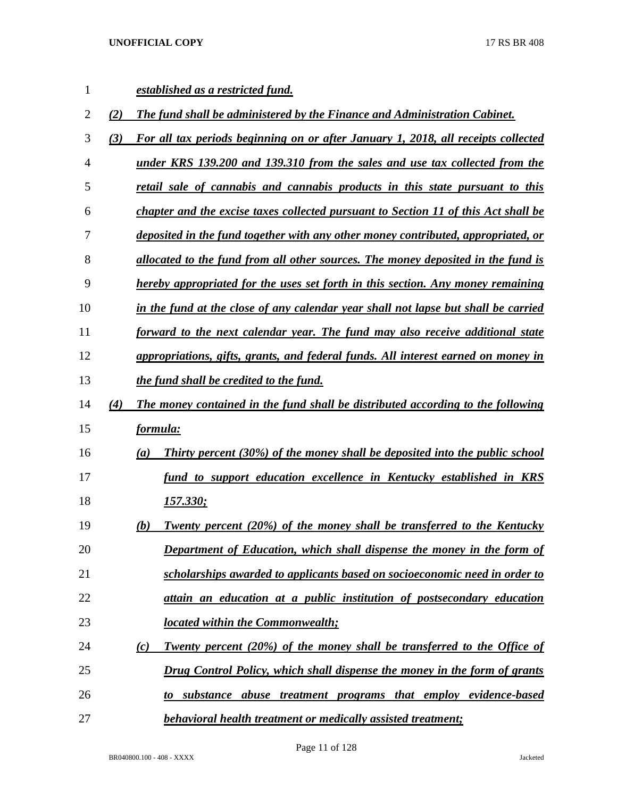| 1  |     | established as a restricted fund.                                                               |
|----|-----|-------------------------------------------------------------------------------------------------|
| 2  | (2) | The fund shall be administered by the Finance and Administration Cabinet.                       |
| 3  | (3) | For all tax periods beginning on or after January 1, 2018, all receipts collected               |
| 4  |     | under KRS 139.200 and 139.310 from the sales and use tax collected from the                     |
| 5  |     | retail sale of cannabis and cannabis products in this state pursuant to this                    |
| 6  |     | chapter and the excise taxes collected pursuant to Section 11 of this Act shall be              |
| 7  |     | deposited in the fund together with any other money contributed, appropriated, or               |
| 8  |     | allocated to the fund from all other sources. The money deposited in the fund is                |
| 9  |     | hereby appropriated for the uses set forth in this section. Any money remaining                 |
| 10 |     | in the fund at the close of any calendar year shall not lapse but shall be carried              |
| 11 |     | forward to the next calendar year. The fund may also receive additional state                   |
| 12 |     | appropriations, gifts, grants, and federal funds. All interest earned on money in               |
| 13 |     | the fund shall be credited to the fund.                                                         |
| 14 | (4) | The money contained in the fund shall be distributed according to the following                 |
| 15 |     | formula:                                                                                        |
| 16 |     | Thirty percent (30%) of the money shall be deposited into the public school<br>$\left(a\right)$ |
| 17 |     | fund to support education excellence in Kentucky established in KRS                             |
| 18 |     | <u>157.330;</u>                                                                                 |
| 19 |     | <b>Twenty percent (20%) of the money shall be transferred to the Kentucky</b><br>(b)            |
| 20 |     | <b>Department of Education, which shall dispense the money in the form of</b>                   |
| 21 |     | scholarships awarded to applicants based on socioeconomic need in order to                      |
| 22 |     | attain an education at a public institution of postsecondary education                          |
| 23 |     | <b>located within the Commonwealth;</b>                                                         |
| 24 |     | Twenty percent (20%) of the money shall be transferred to the Office of<br>(c)                  |
| 25 |     | Drug Control Policy, which shall dispense the money in the form of grants                       |
| 26 |     | substance abuse treatment programs that employ evidence-based                                   |
| 27 |     | behavioral health treatment or medically assisted treatment;                                    |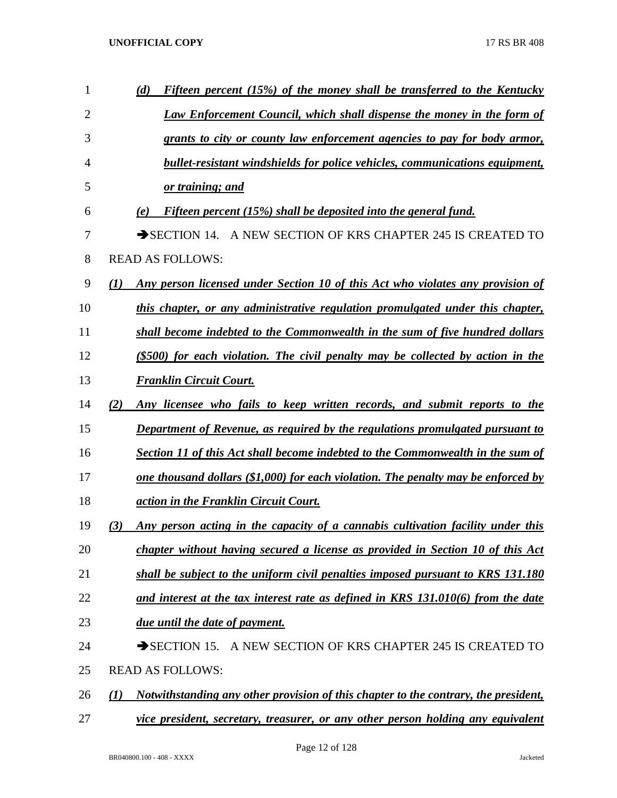| $\mathbf{1}$   | Fifteen percent (15%) of the money shall be transferred to the Kentucky<br>(d)             |
|----------------|--------------------------------------------------------------------------------------------|
| $\overline{2}$ | <b>Law Enforcement Council, which shall dispense the money in the form of</b>              |
| 3              | grants to city or county law enforcement agencies to pay for body armor,                   |
| 4              | <b>bullet-resistant windshields for police vehicles, communications equipment,</b>         |
| 5              | or training; and                                                                           |
| 6              | Fifteen percent (15%) shall be deposited into the general fund.<br>(e)                     |
| 7              | SECTION 14. A NEW SECTION OF KRS CHAPTER 245 IS CREATED TO                                 |
| 8              | <b>READ AS FOLLOWS:</b>                                                                    |
| 9              | Any person licensed under Section 10 of this Act who violates any provision of<br>(1)      |
| 10             | this chapter, or any administrative regulation promulgated under this chapter,             |
| 11             | shall become indebted to the Commonwealth in the sum of five hundred dollars               |
| 12             | (\$500) for each violation. The civil penalty may be collected by action in the            |
| 13             | <b>Franklin Circuit Court.</b>                                                             |
| 14             | Any licensee who fails to keep written records, and submit reports to the<br>(2)           |
| 15             | <b>Department of Revenue, as required by the regulations promulgated pursuant to</b>       |
| 16             | <b>Section 11 of this Act shall become indebted to the Commonwealth in the sum of</b>      |
| 17             | <u>one thousand dollars (\$1,000) for each violation. The penalty may be enforced by</u>   |
| 18             | action in the Franklin Circuit Court.                                                      |
| 19             | Any person acting in the capacity of a cannabis cultivation facility under this<br>(3)     |
| 20             | chapter without having secured a license as provided in Section 10 of this Act             |
| 21             | shall be subject to the uniform civil penalties imposed pursuant to KRS 131.180            |
| 22             | and interest at the tax interest rate as defined in KRS 131.010(6) from the date           |
| 23             | due until the date of payment.                                                             |
| 24             | SECTION 15. A NEW SECTION OF KRS CHAPTER 245 IS CREATED TO                                 |
| 25             | <b>READ AS FOLLOWS:</b>                                                                    |
| 26             | Notwithstanding any other provision of this chapter to the contrary, the president,<br>(I) |
| 27             | vice president, secretary, treasurer, or any other person holding any equivalent           |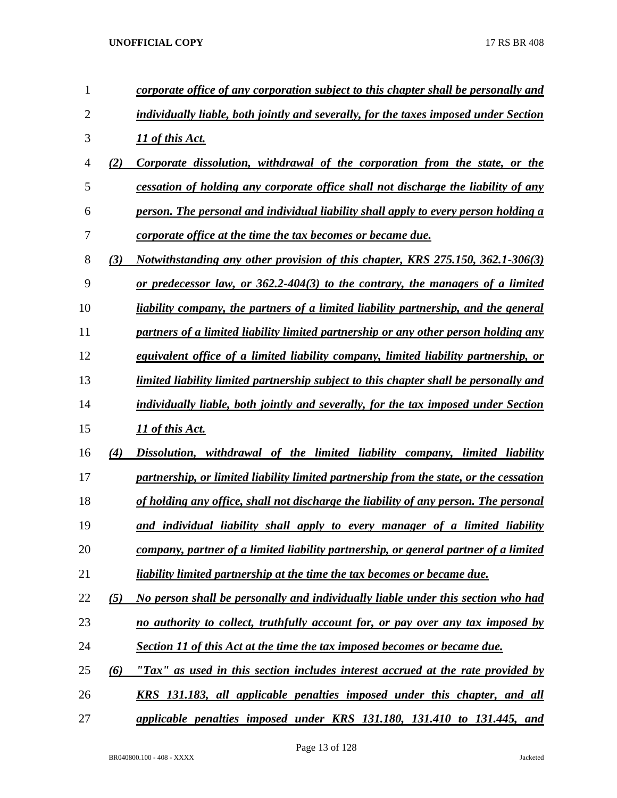| 1              |          | corporate office of any corporation subject to this chapter shall be personally and        |
|----------------|----------|--------------------------------------------------------------------------------------------|
| $\overline{2}$ |          | individually liable, both jointly and severally, for the taxes imposed under Section       |
| 3              |          | 11 of this Act.                                                                            |
| 4              | (2)      | Corporate dissolution, withdrawal of the corporation from the state, or the                |
| 5              |          | cessation of holding any corporate office shall not discharge the liability of any         |
| 6              |          | person. The personal and individual liability shall apply to every person holding a        |
| 7              |          | corporate office at the time the tax becomes or became due.                                |
| 8              | (3)      | Notwithstanding any other provision of this chapter, KRS 275.150, 362.1-306(3)             |
| 9              |          | or predecessor law, or $362.2 - 404(3)$ to the contrary, the managers of a limited         |
| 10             |          | <u>liability company, the partners of a limited liability partnership, and the general</u> |
| 11             |          | partners of a limited liability limited partnership or any other person holding any        |
| 12             |          | equivalent office of a limited liability company, limited liability partnership, or        |
| 13             |          | limited liability limited partnership subject to this chapter shall be personally and      |
| 14             |          | individually liable, both jointly and severally, for the tax imposed under Section         |
| 15             |          | 11 of this Act.                                                                            |
| 16             | (4)      | Dissolution, withdrawal of the limited liability company, limited liability                |
| 17             |          | partnership, or limited liability limited partnership from the state, or the cessation     |
| 18             |          | of holding any office, shall not discharge the liability of any person. The personal       |
| 19             |          | and individual liability shall apply to every manager of a limited liability               |
| 20             |          | company, partner of a limited liability partnership, or general partner of a limited       |
| 21             |          | liability limited partnership at the time the tax becomes or became due.                   |
| 22             | (5)      | No person shall be personally and individually liable under this section who had           |
| 23             |          | no authority to collect, truthfully account for, or pay over any tax imposed by            |
| 24             |          | <b>Section 11 of this Act at the time the tax imposed becomes or became due.</b>           |
| 25             | $\omega$ | "Tax" as used in this section includes interest accrued at the rate provided by            |
| 26             |          | <u>KRS 131.183, all applicable penalties imposed under this chapter, and all</u>           |
| 27             |          | applicable penalties imposed under KRS 131.180, 131.410 to 131.445, and                    |

Page 13 of 128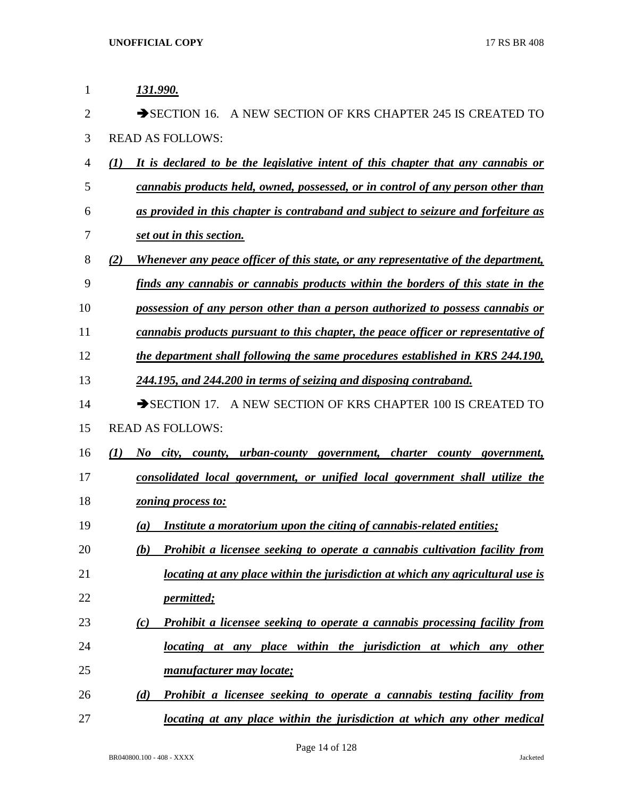| 1              | 131.990.                                                                                  |
|----------------|-------------------------------------------------------------------------------------------|
| $\overline{2}$ | $\rightarrow$ SECTION 16.<br>A NEW SECTION OF KRS CHAPTER 245 IS CREATED TO               |
| 3              | <b>READ AS FOLLOWS:</b>                                                                   |
| $\overline{4}$ | It is declared to be the legislative intent of this chapter that any cannabis or<br>(I)   |
| 5              | cannabis products held, owned, possessed, or in control of any person other than          |
| 6              | as provided in this chapter is contraband and subject to seizure and forfeiture as        |
| 7              | set out in this section.                                                                  |
| 8              | Whenever any peace officer of this state, or any representative of the department,<br>(2) |
| 9              | finds any cannabis or cannabis products within the borders of this state in the           |
| 10             | possession of any person other than a person authorized to possess cannabis or            |
| 11             | cannabis products pursuant to this chapter, the peace officer or representative of        |
| 12             | the department shall following the same procedures established in KRS 244.190,            |
| 13             | 244.195, and 244.200 in terms of seizing and disposing contraband.                        |
| 14             | SECTION 17. A NEW SECTION OF KRS CHAPTER 100 IS CREATED TO                                |
| 15             | <b>READ AS FOLLOWS:</b>                                                                   |
| 16             | No city, county, urban-county government, charter county government,<br>(I)               |
| 17             | consolidated local government, or unified local government shall utilize the              |
| 18             | zoning process to:                                                                        |
| 19             | Institute a moratorium upon the citing of cannabis-related entities;<br>(a)               |
| 20             | <b>Prohibit a licensee seeking to operate a cannabis cultivation facility from</b><br>(b) |
| 21             | locating at any place within the jurisdiction at which any agricultural use is            |
| 22             | <i>permitted</i> ;                                                                        |
| 23             | Prohibit a licensee seeking to operate a cannabis processing facility from<br>(c)         |
| 24             | locating at any place within the jurisdiction at which any other                          |
| 25             | manufacturer may locate;                                                                  |
| 26             | Prohibit a licensee seeking to operate a cannabis testing facility from<br>(d)            |
| 27             | locating at any place within the jurisdiction at which any other medical                  |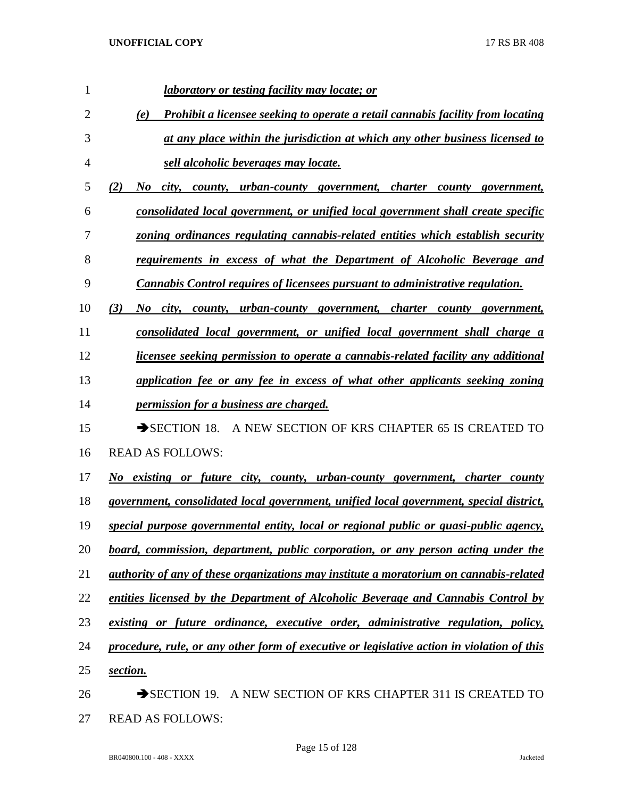| $\mathbf{1}$   | laboratory or testing facility may locate; or                                                 |
|----------------|-----------------------------------------------------------------------------------------------|
| $\overline{2}$ | <b>Prohibit a licensee seeking to operate a retail cannabis facility from locating</b><br>(e) |
| 3              | at any place within the jurisdiction at which any other business licensed to                  |
| $\overline{4}$ | sell alcoholic beverages may locate.                                                          |
| 5              | city, county, urban-county government, charter county government,<br>(2)<br>$\bm{N}$ o        |
| 6              | consolidated local government, or unified local government shall create specific              |
| 7              | zoning ordinances regulating cannabis-related entities which establish security               |
| 8              | requirements in excess of what the Department of Alcoholic Beverage and                       |
| 9              | <b>Cannabis Control requires of licensees pursuant to administrative regulation.</b>          |
| 10             | (3)<br>No city, county, urban-county government, charter county government,                   |
| 11             | consolidated local government, or unified local government shall charge a                     |
| 12             | licensee seeking permission to operate a cannabis-related facility any additional             |
| 13             | application fee or any fee in excess of what other applicants seeking zoning                  |
| 14             | <i>permission for a business are charged.</i>                                                 |
| 15             | SECTION 18. A NEW SECTION OF KRS CHAPTER 65 IS CREATED TO                                     |
| 16             | <b>READ AS FOLLOWS:</b>                                                                       |
| 17             | No existing or future city, county, urban-county government, charter county                   |
| 18             | government, consolidated local government, unified local government, special district,        |
| 19             | special purpose governmental entity, local or regional public or quasi-public agency,         |
| 20             | board, commission, department, public corporation, or any person acting under the             |
| 21             | authority of any of these organizations may institute a moratorium on cannabis-related        |
| 22             | entities licensed by the Department of Alcoholic Beverage and Cannabis Control by             |
| 23             | existing or future ordinance, executive order, administrative regulation, policy,             |
| 24             | procedure, rule, or any other form of executive or legislative action in violation of this    |
| 25             | section.                                                                                      |
| 26             | $\rightarrow$ SECTION 19.<br>A NEW SECTION OF KRS CHAPTER 311 IS CREATED TO                   |

READ AS FOLLOWS: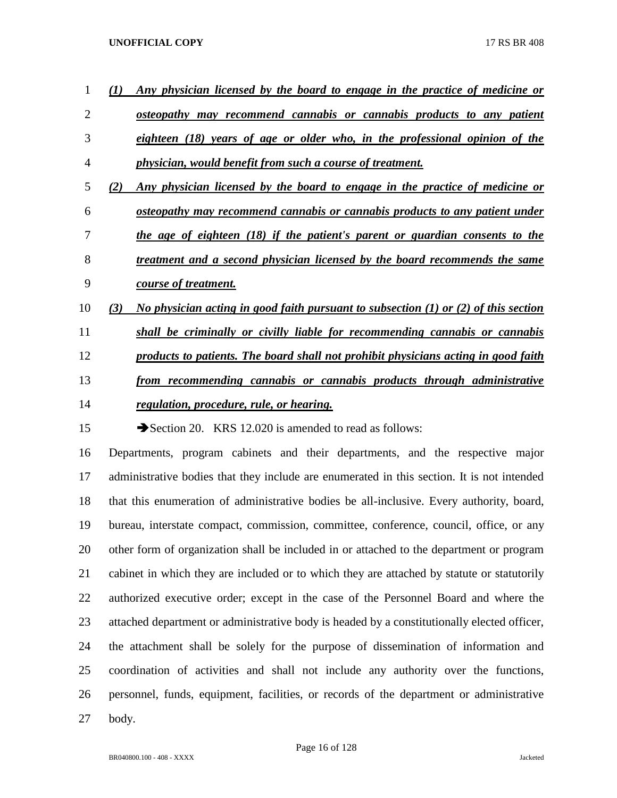

 other form of organization shall be included in or attached to the department or program 21 cabinet in which they are included or to which they are attached by statute or statutorily authorized executive order; except in the case of the Personnel Board and where the 23 attached department or administrative body is headed by a constitutionally elected officer, the attachment shall be solely for the purpose of dissemination of information and coordination of activities and shall not include any authority over the functions, personnel, funds, equipment, facilities, or records of the department or administrative

body.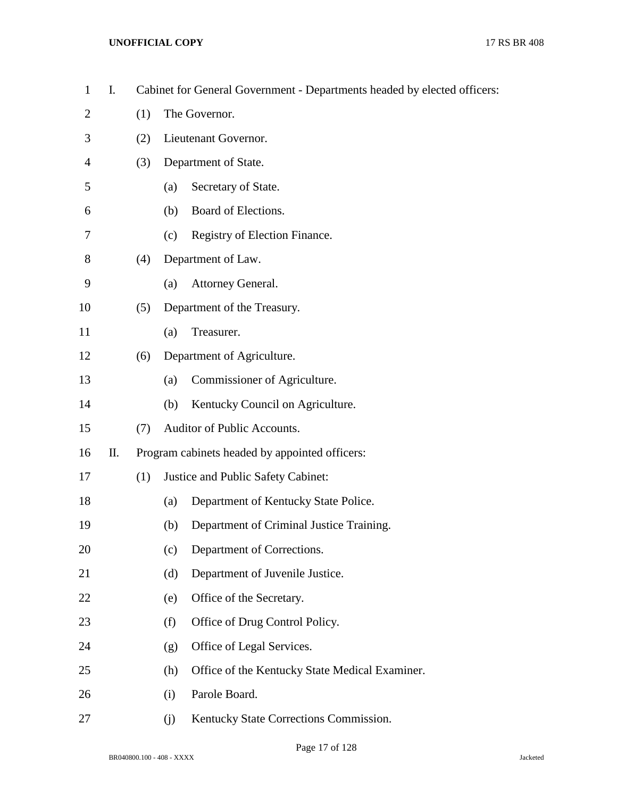| $\mathbf{1}$   | I. |     | Cabinet for General Government - Departments headed by elected officers: |  |  |  |  |  |
|----------------|----|-----|--------------------------------------------------------------------------|--|--|--|--|--|
| $\overline{2}$ |    | (1) | The Governor.                                                            |  |  |  |  |  |
| 3              |    | (2) | Lieutenant Governor.                                                     |  |  |  |  |  |
| $\overline{4}$ |    | (3) | Department of State.                                                     |  |  |  |  |  |
| 5              |    |     | Secretary of State.<br>(a)                                               |  |  |  |  |  |
| 6              |    |     | Board of Elections.<br>(b)                                               |  |  |  |  |  |
| 7              |    |     | Registry of Election Finance.<br>(c)                                     |  |  |  |  |  |
| 8              |    | (4) | Department of Law.                                                       |  |  |  |  |  |
| 9              |    |     | Attorney General.<br>(a)                                                 |  |  |  |  |  |
| 10             |    | (5) | Department of the Treasury.                                              |  |  |  |  |  |
| 11             |    |     | Treasurer.<br>(a)                                                        |  |  |  |  |  |
| 12             |    | (6) | Department of Agriculture.                                               |  |  |  |  |  |
| 13             |    |     | Commissioner of Agriculture.<br>(a)                                      |  |  |  |  |  |
| 14             |    |     | Kentucky Council on Agriculture.<br>(b)                                  |  |  |  |  |  |
| 15             |    | (7) | Auditor of Public Accounts.                                              |  |  |  |  |  |
| 16             | П. |     | Program cabinets headed by appointed officers:                           |  |  |  |  |  |
| 17             |    | (1) | Justice and Public Safety Cabinet:                                       |  |  |  |  |  |
| 18             |    |     | Department of Kentucky State Police.<br>(a)                              |  |  |  |  |  |
| 19             |    |     | Department of Criminal Justice Training.<br>(b)                          |  |  |  |  |  |
| 20             |    |     | Department of Corrections.<br>(c)                                        |  |  |  |  |  |
| 21             |    |     | Department of Juvenile Justice.<br>(d)                                   |  |  |  |  |  |
| 22             |    |     | Office of the Secretary.<br>(e)                                          |  |  |  |  |  |
| 23             |    |     | Office of Drug Control Policy.<br>(f)                                    |  |  |  |  |  |
| 24             |    |     | Office of Legal Services.<br>(g)                                         |  |  |  |  |  |
| 25             |    |     | Office of the Kentucky State Medical Examiner.<br>(h)                    |  |  |  |  |  |
| 26             |    |     | Parole Board.<br>(i)                                                     |  |  |  |  |  |
| 27             |    |     | Kentucky State Corrections Commission.<br>(j)                            |  |  |  |  |  |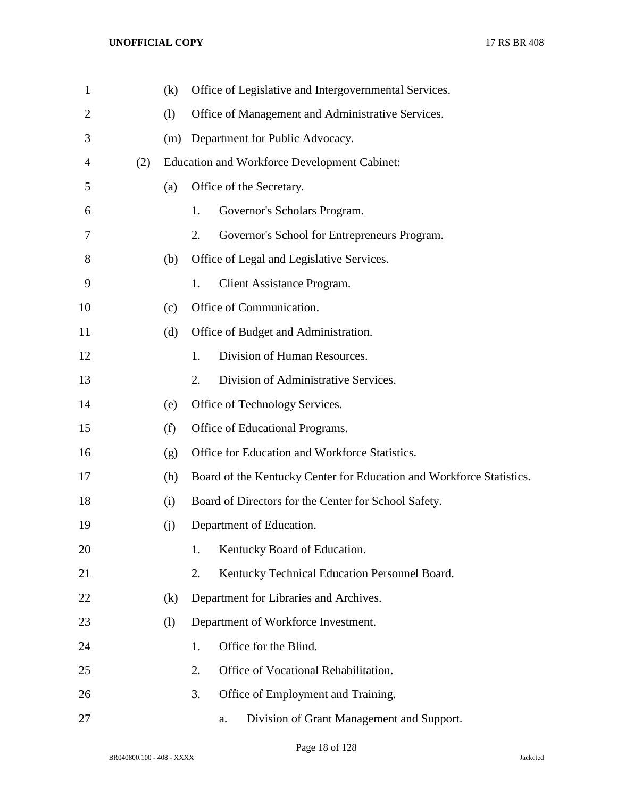| $\mathbf{1}$ |     | (k) |    |                                 | Office of Legislative and Intergovernmental Services.                |  |  |  |  |  |
|--------------|-----|-----|----|---------------------------------|----------------------------------------------------------------------|--|--|--|--|--|
| 2            |     | (1) |    |                                 | Office of Management and Administrative Services.                    |  |  |  |  |  |
| 3            |     | (m) |    | Department for Public Advocacy. |                                                                      |  |  |  |  |  |
| 4            | (2) |     |    |                                 | <b>Education and Workforce Development Cabinet:</b>                  |  |  |  |  |  |
| 5            |     | (a) |    |                                 | Office of the Secretary.                                             |  |  |  |  |  |
| 6            |     |     | 1. |                                 | Governor's Scholars Program.                                         |  |  |  |  |  |
| 7            |     |     | 2. |                                 | Governor's School for Entrepreneurs Program.                         |  |  |  |  |  |
| 8            |     | (b) |    |                                 | Office of Legal and Legislative Services.                            |  |  |  |  |  |
| 9            |     |     | 1. |                                 | <b>Client Assistance Program.</b>                                    |  |  |  |  |  |
| 10           |     | (c) |    |                                 | Office of Communication.                                             |  |  |  |  |  |
| 11           |     | (d) |    |                                 | Office of Budget and Administration.                                 |  |  |  |  |  |
| 12           |     |     | 1. |                                 | Division of Human Resources.                                         |  |  |  |  |  |
| 13           |     |     | 2. |                                 | Division of Administrative Services.                                 |  |  |  |  |  |
| 14           |     | (e) |    |                                 | Office of Technology Services.                                       |  |  |  |  |  |
| 15           |     | (f) |    |                                 | Office of Educational Programs.                                      |  |  |  |  |  |
| 16           |     | (g) |    |                                 | Office for Education and Workforce Statistics.                       |  |  |  |  |  |
| 17           |     | (h) |    |                                 | Board of the Kentucky Center for Education and Workforce Statistics. |  |  |  |  |  |
| 18           |     | (i) |    |                                 | Board of Directors for the Center for School Safety.                 |  |  |  |  |  |
| 19           |     | (j) |    |                                 | Department of Education.                                             |  |  |  |  |  |
| 20           |     |     | 1. |                                 | Kentucky Board of Education.                                         |  |  |  |  |  |
| 21           |     |     | 2. |                                 | Kentucky Technical Education Personnel Board.                        |  |  |  |  |  |
| 22           |     | (k) |    |                                 | Department for Libraries and Archives.                               |  |  |  |  |  |
| 23           |     | (1) |    |                                 | Department of Workforce Investment.                                  |  |  |  |  |  |
| 24           |     |     | 1. |                                 | Office for the Blind.                                                |  |  |  |  |  |
| 25           |     |     | 2. |                                 | Office of Vocational Rehabilitation.                                 |  |  |  |  |  |
| 26           |     |     | 3. |                                 | Office of Employment and Training.                                   |  |  |  |  |  |
| 27           |     |     |    |                                 | Division of Grant Management and Support.<br>a.                      |  |  |  |  |  |

Page 18 of 128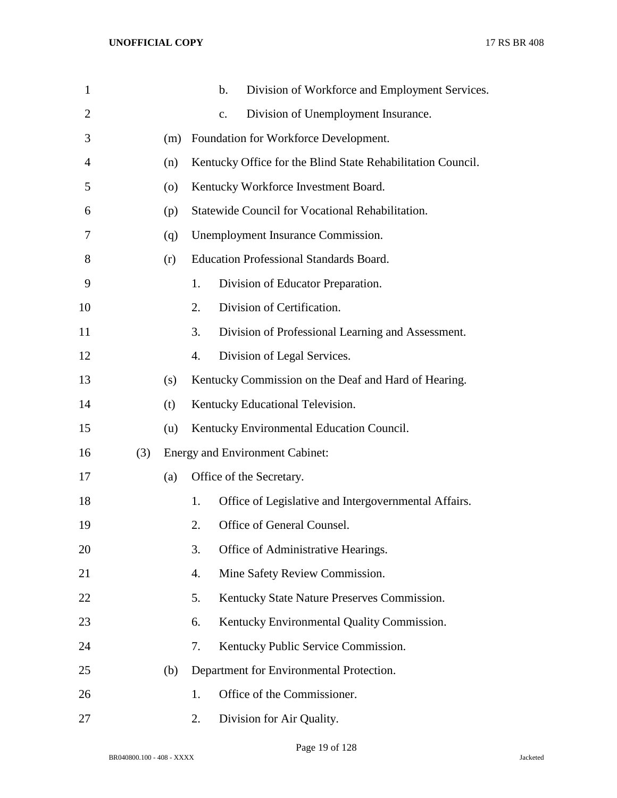| $\mathbf{1}$   |     |     |    | b.             | Division of Workforce and Employment Services.              |
|----------------|-----|-----|----|----------------|-------------------------------------------------------------|
| $\overline{2}$ |     |     |    | $\mathbf{c}$ . | Division of Unemployment Insurance.                         |
| 3              |     | (m) |    |                | Foundation for Workforce Development.                       |
| 4              |     | (n) |    |                | Kentucky Office for the Blind State Rehabilitation Council. |
| 5              |     | (0) |    |                | Kentucky Workforce Investment Board.                        |
| 6              |     | (p) |    |                | Statewide Council for Vocational Rehabilitation.            |
| 7              |     | (q) |    |                | Unemployment Insurance Commission.                          |
| 8              |     | (r) |    |                | <b>Education Professional Standards Board.</b>              |
| 9              |     |     | 1. |                | Division of Educator Preparation.                           |
| 10             |     |     | 2. |                | Division of Certification.                                  |
| 11             |     |     | 3. |                | Division of Professional Learning and Assessment.           |
| 12             |     |     | 4. |                | Division of Legal Services.                                 |
| 13             |     | (s) |    |                | Kentucky Commission on the Deaf and Hard of Hearing.        |
| 14             |     | (t) |    |                | Kentucky Educational Television.                            |
| 15             |     | (u) |    |                | Kentucky Environmental Education Council.                   |
| 16             | (3) |     |    |                | <b>Energy and Environment Cabinet:</b>                      |
| 17             |     | (a) |    |                | Office of the Secretary.                                    |
| 18             |     |     | 1. |                | Office of Legislative and Intergovernmental Affairs.        |
| 19             |     |     | 2. |                | Office of General Counsel.                                  |
| 20             |     |     | 3. |                | Office of Administrative Hearings.                          |
| 21             |     |     | 4. |                | Mine Safety Review Commission.                              |
| 22             |     |     | 5. |                | Kentucky State Nature Preserves Commission.                 |
| 23             |     |     | 6. |                | Kentucky Environmental Quality Commission.                  |
| 24             |     |     | 7. |                | Kentucky Public Service Commission.                         |
| 25             |     | (b) |    |                | Department for Environmental Protection.                    |
| 26             |     |     | 1. |                | Office of the Commissioner.                                 |
| 27             |     |     | 2. |                | Division for Air Quality.                                   |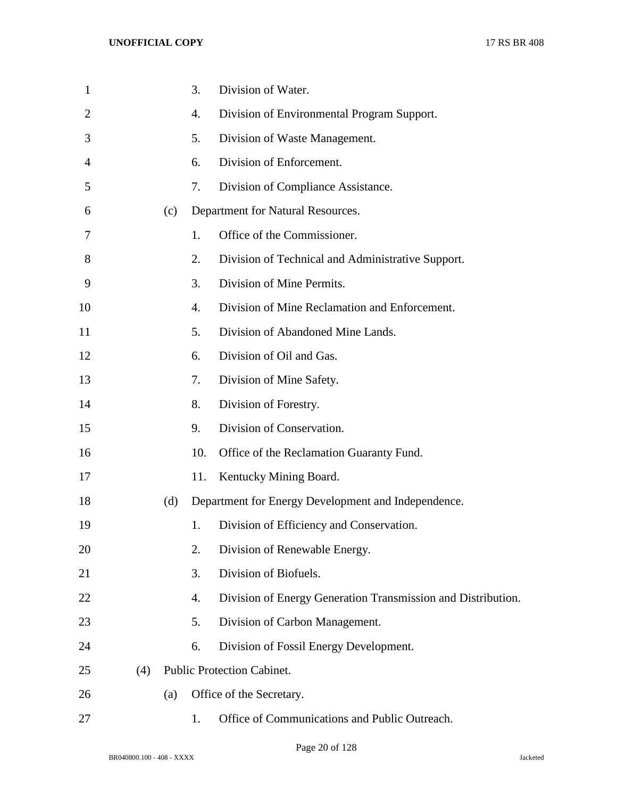| $\mathbf{1}$   |     |     | 3.               | Division of Water.                                           |
|----------------|-----|-----|------------------|--------------------------------------------------------------|
| $\overline{2}$ |     |     | 4.               | Division of Environmental Program Support.                   |
| 3              |     |     | 5.               | Division of Waste Management.                                |
| 4              |     |     | 6.               | Division of Enforcement.                                     |
| 5              |     |     | 7.               | Division of Compliance Assistance.                           |
| 6              |     | (c) |                  | Department for Natural Resources.                            |
| 7              |     |     | 1.               | Office of the Commissioner.                                  |
| 8              |     |     | 2.               | Division of Technical and Administrative Support.            |
| 9              |     |     | 3.               | Division of Mine Permits.                                    |
| 10             |     |     | $\overline{4}$ . | Division of Mine Reclamation and Enforcement.                |
| 11             |     |     | 5.               | Division of Abandoned Mine Lands.                            |
| 12             |     |     | 6.               | Division of Oil and Gas.                                     |
| 13             |     |     | 7.               | Division of Mine Safety.                                     |
| 14             |     |     | 8.               | Division of Forestry.                                        |
| 15             |     |     | 9.               | Division of Conservation.                                    |
| 16             |     |     | 10.              | Office of the Reclamation Guaranty Fund.                     |
| 17             |     |     | 11.              | Kentucky Mining Board.                                       |
| 18             |     | (d) |                  | Department for Energy Development and Independence.          |
| 19             |     |     | 1.               | Division of Efficiency and Conservation.                     |
| 20             |     |     | 2.               | Division of Renewable Energy.                                |
| 21             |     |     | 3.               | Division of Biofuels.                                        |
| 22             |     |     | 4.               | Division of Energy Generation Transmission and Distribution. |
| 23             |     |     | 5.               | Division of Carbon Management.                               |
| 24             |     |     | 6.               | Division of Fossil Energy Development.                       |
| 25             | (4) |     |                  | Public Protection Cabinet.                                   |
| 26             |     | (a) |                  | Office of the Secretary.                                     |
| 27             |     |     | 1.               | Office of Communications and Public Outreach.                |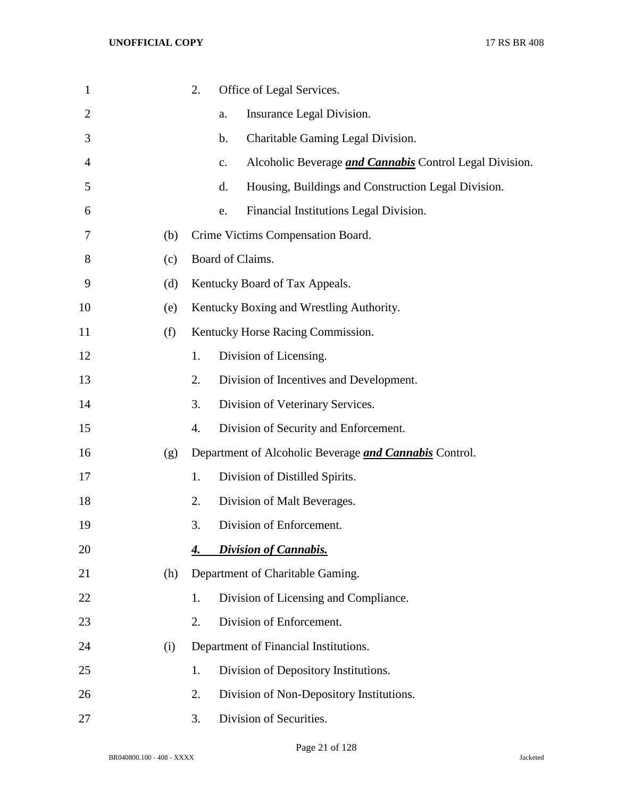| $\mathbf{1}$ |     | 2. | Office of Legal Services.                                            |
|--------------|-----|----|----------------------------------------------------------------------|
| 2            |     |    | Insurance Legal Division.<br>a.                                      |
| 3            |     |    | Charitable Gaming Legal Division.<br>b.                              |
| 4            |     |    | Alcoholic Beverage <i>and Cannabis</i> Control Legal Division.<br>c. |
| 5            |     |    | d.<br>Housing, Buildings and Construction Legal Division.            |
| 6            |     |    | Financial Institutions Legal Division.<br>e.                         |
| 7            | (b) |    | Crime Victims Compensation Board.                                    |
| 8            | (c) |    | Board of Claims.                                                     |
| 9            | (d) |    | Kentucky Board of Tax Appeals.                                       |
| 10           | (e) |    | Kentucky Boxing and Wrestling Authority.                             |
| 11           | (f) |    | Kentucky Horse Racing Commission.                                    |
| 12           |     | 1. | Division of Licensing.                                               |
| 13           |     | 2. | Division of Incentives and Development.                              |
| 14           |     | 3. | Division of Veterinary Services.                                     |
| 15           |     | 4. | Division of Security and Enforcement.                                |
| 16           | (g) |    | Department of Alcoholic Beverage <i>and Cannabis</i> Control.        |
| 17           |     | 1. | Division of Distilled Spirits.                                       |
| 18           |     | 2. | Division of Malt Beverages.                                          |
| 19           |     | 3. | Division of Enforcement.                                             |
| 20           |     | 4. | <b>Division of Cannabis.</b>                                         |
| 21           | (h) |    | Department of Charitable Gaming.                                     |
| 22           |     | 1. | Division of Licensing and Compliance.                                |
| 23           |     | 2. | Division of Enforcement.                                             |
| 24           | (i) |    | Department of Financial Institutions.                                |
| 25           |     | 1. | Division of Depository Institutions.                                 |
| 26           |     | 2. | Division of Non-Depository Institutions.                             |
| 27           |     | 3. | Division of Securities.                                              |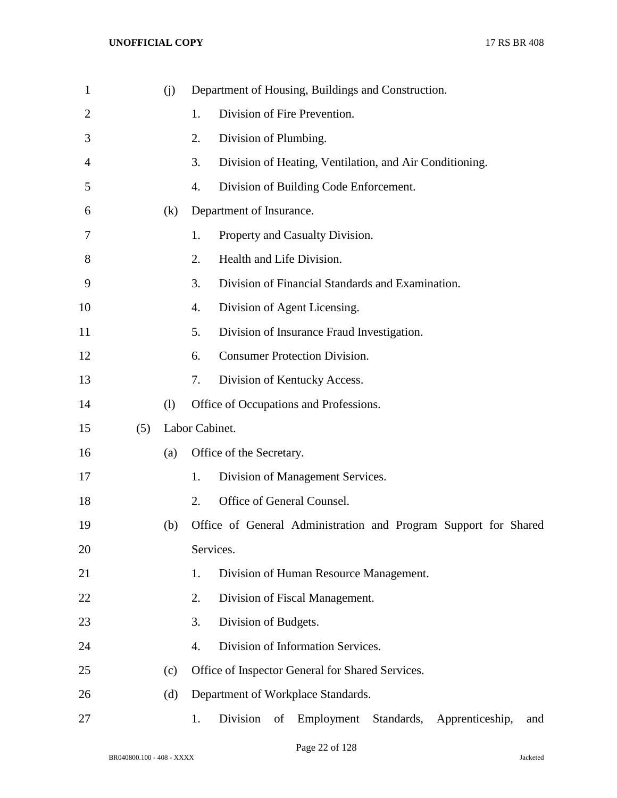| 1              |     | (j) |                | Department of Housing, Buildings and Construction.                   |
|----------------|-----|-----|----------------|----------------------------------------------------------------------|
| $\overline{2}$ |     |     | 1.             | Division of Fire Prevention.                                         |
| 3              |     |     | 2.             | Division of Plumbing.                                                |
| 4              |     |     | 3.             | Division of Heating, Ventilation, and Air Conditioning.              |
| 5              |     |     | 4.             | Division of Building Code Enforcement.                               |
| 6              |     | (k) |                | Department of Insurance.                                             |
| 7              |     |     | 1.             | Property and Casualty Division.                                      |
| 8              |     |     | 2.             | Health and Life Division.                                            |
| 9              |     |     | 3.             | Division of Financial Standards and Examination.                     |
| 10             |     |     | 4.             | Division of Agent Licensing.                                         |
| 11             |     |     | 5.             | Division of Insurance Fraud Investigation.                           |
| 12             |     |     | 6.             | <b>Consumer Protection Division.</b>                                 |
| 13             |     |     | 7.             | Division of Kentucky Access.                                         |
| 14             |     | (1) |                | Office of Occupations and Professions.                               |
| 15             | (5) |     | Labor Cabinet. |                                                                      |
| 16             |     | (a) |                | Office of the Secretary.                                             |
| 17             |     |     | 1.             | Division of Management Services.                                     |
| 18             |     |     | 2.             | Office of General Counsel.                                           |
| 19             |     | (b) |                | Office of General Administration and Program Support for Shared      |
| 20             |     |     | Services.      |                                                                      |
| 21             |     |     | 1.             | Division of Human Resource Management.                               |
| 22             |     |     | 2.             | Division of Fiscal Management.                                       |
| 23             |     |     | 3.             | Division of Budgets.                                                 |
| 24             |     |     | 4.             | Division of Information Services.                                    |
| 25             |     | (c) |                | Office of Inspector General for Shared Services.                     |
| 26             |     | (d) |                | Department of Workplace Standards.                                   |
| 27             |     |     | 1.             | Employment<br>Standards,<br>Division<br>Apprenticeship,<br>of<br>and |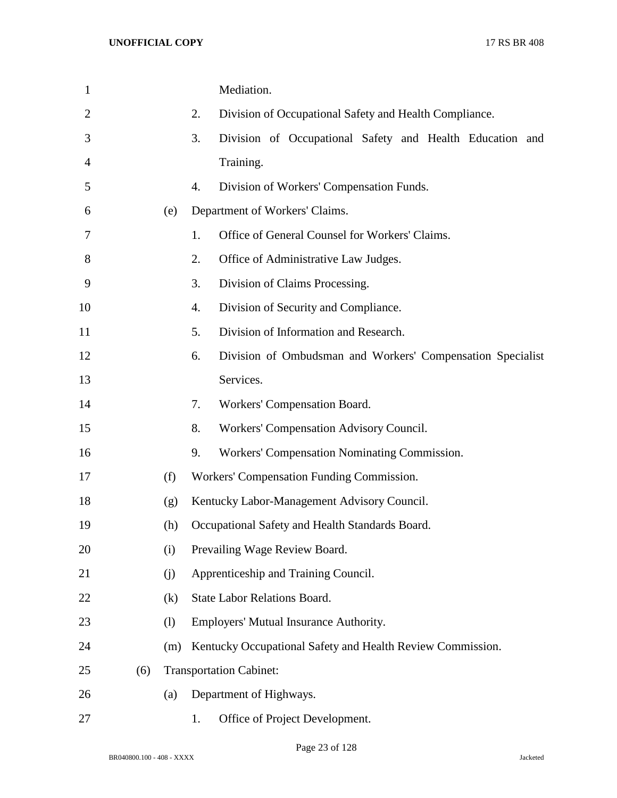| $\mathbf{1}$ |     |     | Mediation.                                                       |
|--------------|-----|-----|------------------------------------------------------------------|
| 2            |     |     | 2.<br>Division of Occupational Safety and Health Compliance.     |
| 3            |     |     | 3.<br>Division of Occupational Safety and Health Education and   |
| 4            |     |     | Training.                                                        |
| 5            |     |     | 4.<br>Division of Workers' Compensation Funds.                   |
| 6            |     | (e) | Department of Workers' Claims.                                   |
| 7            |     |     | Office of General Counsel for Workers' Claims.<br>1.             |
| 8            |     |     | 2.<br>Office of Administrative Law Judges.                       |
| 9            |     |     | 3.<br>Division of Claims Processing.                             |
| 10           |     |     | 4.<br>Division of Security and Compliance.                       |
| 11           |     |     | 5.<br>Division of Information and Research.                      |
| 12           |     |     | 6.<br>Division of Ombudsman and Workers' Compensation Specialist |
| 13           |     |     | Services.                                                        |
| 14           |     |     | Workers' Compensation Board.<br>7.                               |
| 15           |     |     | 8.<br>Workers' Compensation Advisory Council.                    |
| 16           |     |     | 9.<br>Workers' Compensation Nominating Commission.               |
| 17           |     | (f) | Workers' Compensation Funding Commission.                        |
| 18           |     | (g) | Kentucky Labor-Management Advisory Council.                      |
| 19           |     | (h) | Occupational Safety and Health Standards Board.                  |
| 20           |     | (i) | Prevailing Wage Review Board.                                    |
| 21           |     | (j) | Apprenticeship and Training Council.                             |
| 22           |     | (k) | State Labor Relations Board.                                     |
| 23           |     | (1) | Employers' Mutual Insurance Authority.                           |
| 24           |     | (m) | Kentucky Occupational Safety and Health Review Commission.       |
| 25           | (6) |     | <b>Transportation Cabinet:</b>                                   |
| 26           |     | (a) | Department of Highways.                                          |
| 27           |     |     | Office of Project Development.<br>1.                             |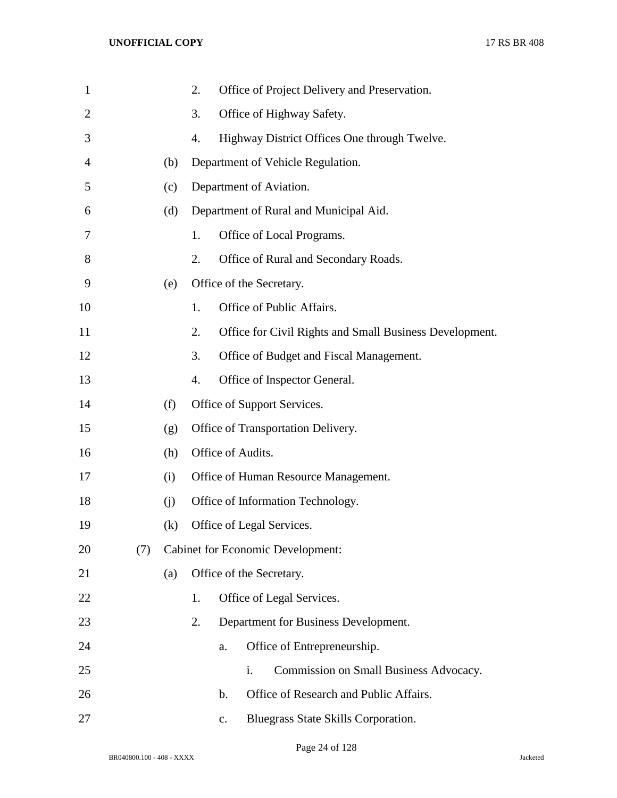| $\mathbf{1}$   |     |     | 2.                                       |                           | Office of Project Delivery and Preservation.            |  |
|----------------|-----|-----|------------------------------------------|---------------------------|---------------------------------------------------------|--|
| $\overline{2}$ |     |     | 3.                                       |                           | Office of Highway Safety.                               |  |
| 3              |     |     | 4.                                       |                           | Highway District Offices One through Twelve.            |  |
| 4              |     | (b) |                                          |                           | Department of Vehicle Regulation.                       |  |
| 5              |     | (c) |                                          | Department of Aviation.   |                                                         |  |
| 6              |     | (d) |                                          |                           | Department of Rural and Municipal Aid.                  |  |
| 7              |     |     | 1.                                       |                           | Office of Local Programs.                               |  |
| 8              |     |     | 2.                                       |                           | Office of Rural and Secondary Roads.                    |  |
| 9              |     | (e) |                                          | Office of the Secretary.  |                                                         |  |
| 10             |     |     | 1.                                       |                           | Office of Public Affairs.                               |  |
| 11             |     |     | 2.                                       |                           | Office for Civil Rights and Small Business Development. |  |
| 12             |     |     | 3.                                       |                           | Office of Budget and Fiscal Management.                 |  |
| 13             |     |     | 4.                                       |                           | Office of Inspector General.                            |  |
| 14             |     | (f) |                                          |                           | Office of Support Services.                             |  |
| 15             |     | (g) |                                          |                           | Office of Transportation Delivery.                      |  |
| 16             |     | (h) | Office of Audits.                        |                           |                                                         |  |
| 17             |     | (i) | Office of Human Resource Management.     |                           |                                                         |  |
| 18             |     | (i) | Office of Information Technology.        |                           |                                                         |  |
| 19             |     | (k) |                                          | Office of Legal Services. |                                                         |  |
| 20             | (7) |     | <b>Cabinet for Economic Development:</b> |                           |                                                         |  |
| 21             |     | (a) |                                          | Office of the Secretary.  |                                                         |  |
| 22             |     |     | 1.                                       |                           | Office of Legal Services.                               |  |
| 23             |     |     | 2.                                       |                           | Department for Business Development.                    |  |
| 24             |     |     |                                          | a.                        | Office of Entrepreneurship.                             |  |
| 25             |     |     |                                          | i.                        | Commission on Small Business Advocacy.                  |  |
| 26             |     |     |                                          | b.                        | Office of Research and Public Affairs.                  |  |
| 27             |     |     |                                          | c.                        | Bluegrass State Skills Corporation.                     |  |

Page 24 of 128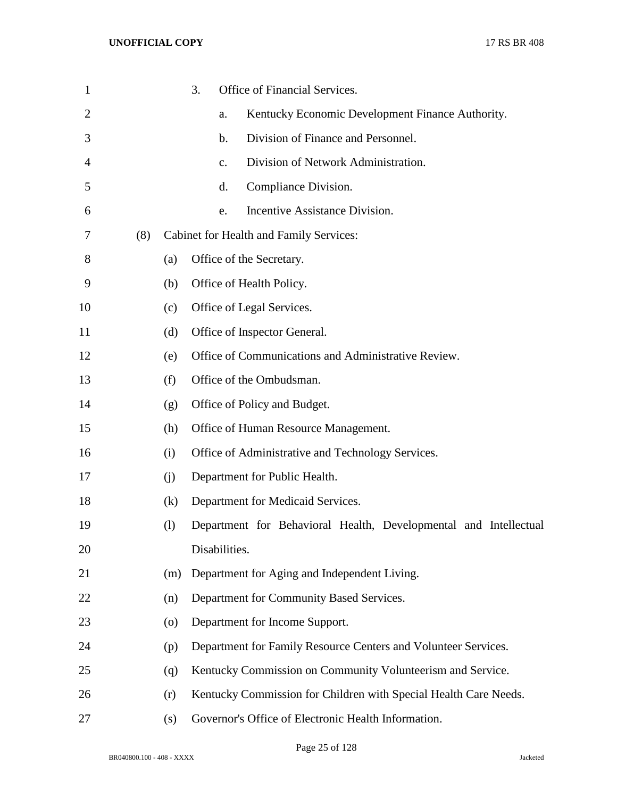| $\mathbf{1}$ |     |                    | 3. |               | Office of Financial Services.                                    |
|--------------|-----|--------------------|----|---------------|------------------------------------------------------------------|
| 2            |     |                    |    | a.            | Kentucky Economic Development Finance Authority.                 |
| 3            |     |                    |    | b.            | Division of Finance and Personnel.                               |
| 4            |     |                    |    | c.            | Division of Network Administration.                              |
| 5            |     |                    |    | d.            | Compliance Division.                                             |
| 6            |     |                    |    | e.            | Incentive Assistance Division.                                   |
| 7            | (8) |                    |    |               | Cabinet for Health and Family Services:                          |
| 8            |     | (a)                |    |               | Office of the Secretary.                                         |
| 9            |     | (b)                |    |               | Office of Health Policy.                                         |
| 10           |     | (c)                |    |               | Office of Legal Services.                                        |
| 11           |     | (d)                |    |               | Office of Inspector General.                                     |
| 12           |     | (e)                |    |               | Office of Communications and Administrative Review.              |
| 13           |     | (f)                |    |               | Office of the Ombudsman.                                         |
| 14           |     | (g)                |    |               | Office of Policy and Budget.                                     |
| 15           |     | (h)                |    |               | Office of Human Resource Management.                             |
| 16           |     | (i)                |    |               | Office of Administrative and Technology Services.                |
| 17           |     | (j)                |    |               | Department for Public Health.                                    |
| 18           |     | (k)                |    |               | Department for Medicaid Services.                                |
| 19           |     | (1)                |    |               | Department for Behavioral Health, Developmental and Intellectual |
| 20           |     |                    |    | Disabilities. |                                                                  |
| 21           |     | (m)                |    |               | Department for Aging and Independent Living.                     |
| 22           |     | (n)                |    |               | Department for Community Based Services.                         |
| 23           |     | $\left( 0 \right)$ |    |               | Department for Income Support.                                   |
| 24           |     | (p)                |    |               | Department for Family Resource Centers and Volunteer Services.   |
| 25           |     | (q)                |    |               | Kentucky Commission on Community Volunteerism and Service.       |
| 26           |     | (r)                |    |               | Kentucky Commission for Children with Special Health Care Needs. |
| 27           |     | (s)                |    |               | Governor's Office of Electronic Health Information.              |

Page 25 of 128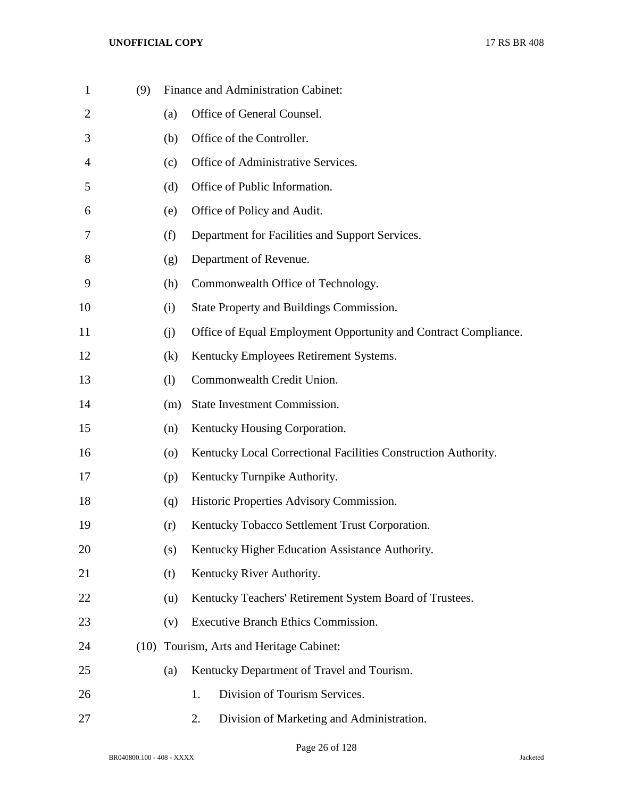| $\mathbf{1}$   | (9)  |                    | Finance and Administration Cabinet:                             |
|----------------|------|--------------------|-----------------------------------------------------------------|
| $\overline{2}$ |      | (a)                | Office of General Counsel.                                      |
| 3              |      | (b)                | Office of the Controller.                                       |
| 4              |      | (c)                | Office of Administrative Services.                              |
| 5              |      | (d)                | Office of Public Information.                                   |
| 6              |      | (e)                | Office of Policy and Audit.                                     |
| 7              |      | (f)                | Department for Facilities and Support Services.                 |
| 8              |      | (g)                | Department of Revenue.                                          |
| 9              |      | (h)                | Commonwealth Office of Technology.                              |
| 10             |      | (i)                | State Property and Buildings Commission.                        |
| 11             |      | (i)                | Office of Equal Employment Opportunity and Contract Compliance. |
| 12             |      | (k)                | Kentucky Employees Retirement Systems.                          |
| 13             |      | (1)                | Commonwealth Credit Union.                                      |
| 14             |      | (m)                | State Investment Commission.                                    |
| 15             |      | (n)                | Kentucky Housing Corporation.                                   |
| 16             |      | $\left( 0 \right)$ | Kentucky Local Correctional Facilities Construction Authority.  |
| 17             |      | (p)                | Kentucky Turnpike Authority.                                    |
| 18             |      | (q)                | Historic Properties Advisory Commission.                        |
| 19             |      | (r)                | Kentucky Tobacco Settlement Trust Corporation.                  |
| 20             |      | (s)                | Kentucky Higher Education Assistance Authority.                 |
| 21             |      | (t)                | Kentucky River Authority.                                       |
| 22             |      | (u)                | Kentucky Teachers' Retirement System Board of Trustees.         |
| 23             |      | (v)                | Executive Branch Ethics Commission.                             |
| 24             | (10) |                    | Tourism, Arts and Heritage Cabinet:                             |
| 25             |      | (a)                | Kentucky Department of Travel and Tourism.                      |
| 26             |      |                    | Division of Tourism Services.<br>1.                             |
| 27             |      |                    | Division of Marketing and Administration.<br>2.                 |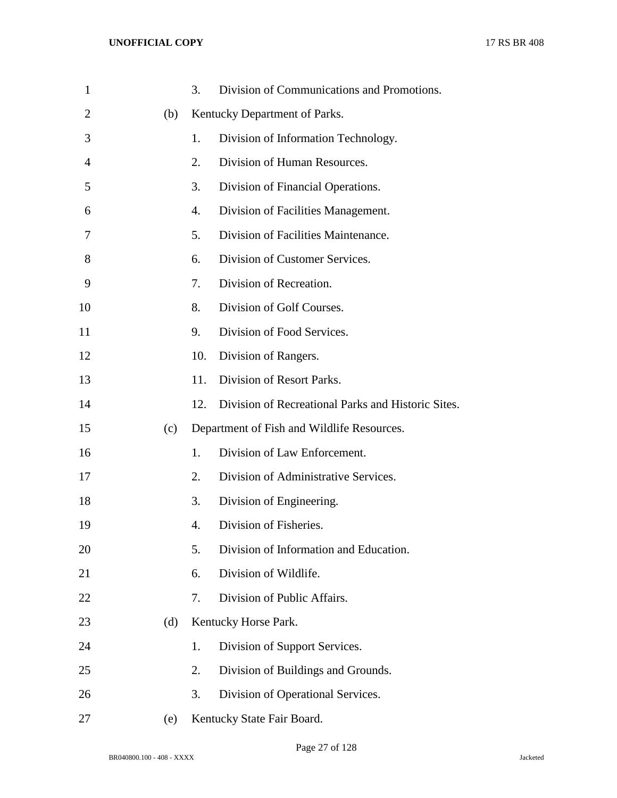| $\mathbf{1}$   |     | 3.  | Division of Communications and Promotions.         |
|----------------|-----|-----|----------------------------------------------------|
| $\overline{2}$ | (b) |     | Kentucky Department of Parks.                      |
| 3              |     | 1.  | Division of Information Technology.                |
| 4              |     | 2.  | Division of Human Resources.                       |
| 5              |     | 3.  | Division of Financial Operations.                  |
| 6              |     | 4.  | Division of Facilities Management.                 |
| 7              |     | 5.  | Division of Facilities Maintenance.                |
| 8              |     | 6.  | Division of Customer Services.                     |
| 9              |     | 7.  | Division of Recreation.                            |
| 10             |     | 8.  | Division of Golf Courses.                          |
| 11             |     | 9.  | Division of Food Services.                         |
| 12             |     | 10. | Division of Rangers.                               |
| 13             |     | 11. | Division of Resort Parks.                          |
| 14             |     | 12. | Division of Recreational Parks and Historic Sites. |
| 15             | (c) |     | Department of Fish and Wildlife Resources.         |
| 16             |     | 1.  | Division of Law Enforcement.                       |
| 17             |     | 2.  | Division of Administrative Services.               |
| 18             |     | 3.  | Division of Engineering.                           |
| 19             |     | 4.  | Division of Fisheries.                             |
| 20             |     | 5.  | Division of Information and Education.             |
| 21             |     | 6.  | Division of Wildlife.                              |
| 22             |     | 7.  | Division of Public Affairs.                        |
| 23             | (d) |     | Kentucky Horse Park.                               |
| 24             |     | 1.  | Division of Support Services.                      |
| 25             |     | 2.  | Division of Buildings and Grounds.                 |
| 26             |     | 3.  | Division of Operational Services.                  |
| 27             | (e) |     | Kentucky State Fair Board.                         |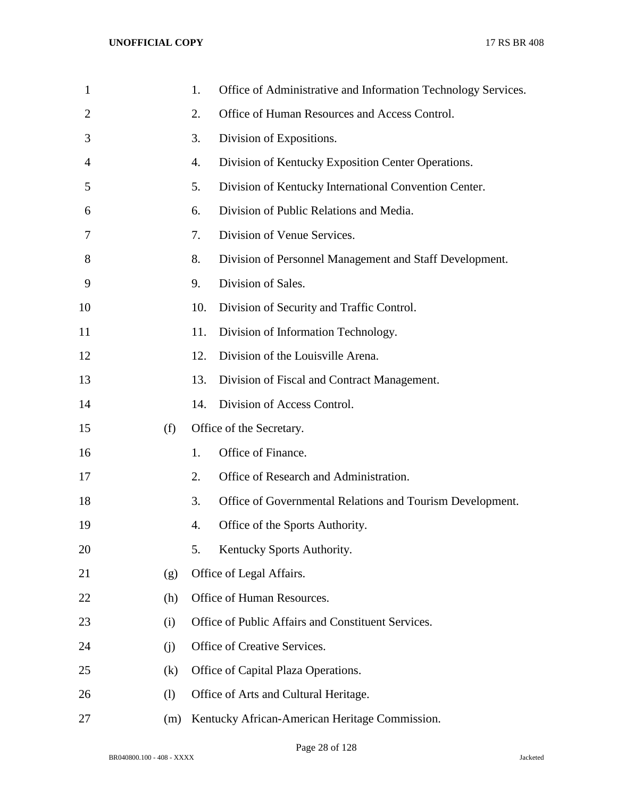| $\mathbf{1}$   |     | 1.  | Office of Administrative and Information Technology Services. |
|----------------|-----|-----|---------------------------------------------------------------|
| $\overline{2}$ |     | 2.  | Office of Human Resources and Access Control.                 |
| 3              |     | 3.  | Division of Expositions.                                      |
| 4              |     | 4.  | Division of Kentucky Exposition Center Operations.            |
| 5              |     | 5.  | Division of Kentucky International Convention Center.         |
| 6              |     | 6.  | Division of Public Relations and Media.                       |
| 7              |     | 7.  | Division of Venue Services.                                   |
| 8              |     | 8.  | Division of Personnel Management and Staff Development.       |
| 9              |     | 9.  | Division of Sales.                                            |
| 10             |     | 10. | Division of Security and Traffic Control.                     |
| 11             |     | 11. | Division of Information Technology.                           |
| 12             |     | 12. | Division of the Louisville Arena.                             |
| 13             |     | 13. | Division of Fiscal and Contract Management.                   |
| 14             |     | 14. | Division of Access Control.                                   |
| 15             | (f) |     | Office of the Secretary.                                      |
| 16             |     | 1.  | Office of Finance.                                            |
| 17             |     | 2.  | Office of Research and Administration.                        |
| 18             |     | 3.  | Office of Governmental Relations and Tourism Development.     |
| 19             |     | 4.  | Office of the Sports Authority.                               |
| 20             |     | 5.  | Kentucky Sports Authority.                                    |
| 21             | (g) |     | Office of Legal Affairs.                                      |
| 22             | (h) |     | Office of Human Resources.                                    |
| 23             | (i) |     | Office of Public Affairs and Constituent Services.            |
| 24             | (j) |     | Office of Creative Services.                                  |
| 25             | (k) |     | Office of Capital Plaza Operations.                           |
| 26             | (1) |     | Office of Arts and Cultural Heritage.                         |
| 27             | (m) |     | Kentucky African-American Heritage Commission.                |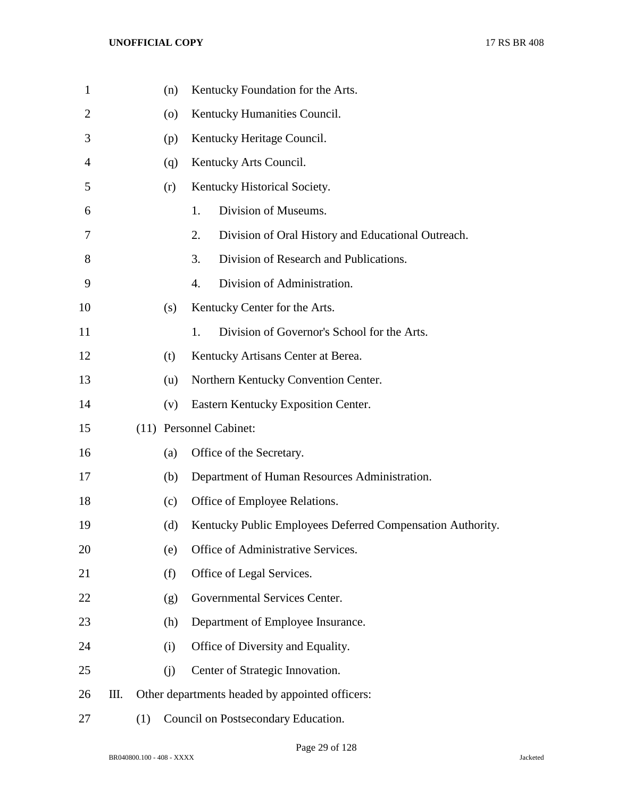| $\mathbf{1}$ |    |     | (n)     | Kentucky Foundation for the Arts.                          |
|--------------|----|-----|---------|------------------------------------------------------------|
| 2            |    |     | $\circ$ | Kentucky Humanities Council.                               |
| 3            |    |     | (p)     | Kentucky Heritage Council.                                 |
| 4            |    |     | (q)     | Kentucky Arts Council.                                     |
| 5            |    |     | (r)     | Kentucky Historical Society.                               |
| 6            |    |     |         | Division of Museums.<br>1.                                 |
| 7            |    |     |         | 2.<br>Division of Oral History and Educational Outreach.   |
| 8            |    |     |         | Division of Research and Publications.<br>3.               |
| 9            |    |     |         | Division of Administration.<br>4.                          |
| 10           |    |     | (s)     | Kentucky Center for the Arts.                              |
| 11           |    |     |         | Division of Governor's School for the Arts.<br>1.          |
| 12           |    |     | (t)     | Kentucky Artisans Center at Berea.                         |
| 13           |    |     | (u)     | Northern Kentucky Convention Center.                       |
| 14           |    |     | (v)     | Eastern Kentucky Exposition Center.                        |
| 15           |    |     |         | (11) Personnel Cabinet:                                    |
| 16           |    |     | (a)     | Office of the Secretary.                                   |
| 17           |    |     | (b)     | Department of Human Resources Administration.              |
| 18           |    |     | (c)     | Office of Employee Relations.                              |
| 19           |    |     | (d)     | Kentucky Public Employees Deferred Compensation Authority. |
| 20           |    |     | (e)     | Office of Administrative Services.                         |
| 21           |    |     | (f)     | Office of Legal Services.                                  |
| 22           |    |     | (g)     | Governmental Services Center.                              |
| 23           |    |     | (h)     | Department of Employee Insurance.                          |
| 24           |    |     | (i)     | Office of Diversity and Equality.                          |
| 25           |    |     | (j)     | Center of Strategic Innovation.                            |
| 26           | Ш. |     |         | Other departments headed by appointed officers:            |
| 27           |    | (1) |         | Council on Postsecondary Education.                        |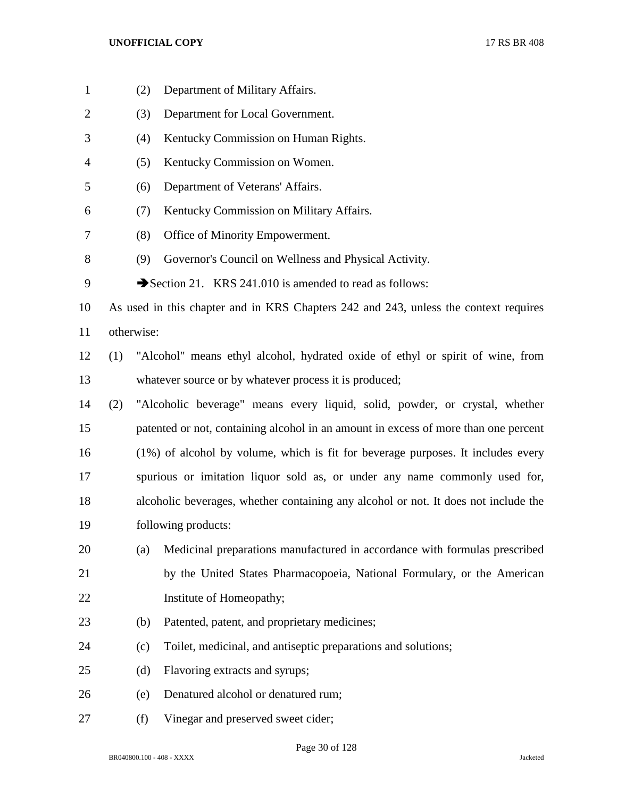| $\mathbf{1}$   |     | (2)                                                                                 | Department of Military Affairs.                                                      |  |  |  |
|----------------|-----|-------------------------------------------------------------------------------------|--------------------------------------------------------------------------------------|--|--|--|
| $\overline{2}$ |     | (3)                                                                                 | Department for Local Government.                                                     |  |  |  |
| 3              |     | (4)                                                                                 | Kentucky Commission on Human Rights.                                                 |  |  |  |
| 4              |     | (5)                                                                                 | Kentucky Commission on Women.                                                        |  |  |  |
| 5              |     | (6)                                                                                 | Department of Veterans' Affairs.                                                     |  |  |  |
| 6              |     | (7)                                                                                 | Kentucky Commission on Military Affairs.                                             |  |  |  |
| 7              |     | (8)                                                                                 | Office of Minority Empowerment.                                                      |  |  |  |
| 8              |     | (9)                                                                                 | Governor's Council on Wellness and Physical Activity.                                |  |  |  |
| 9              |     |                                                                                     | Section 21. KRS 241.010 is amended to read as follows:                               |  |  |  |
| 10             |     |                                                                                     | As used in this chapter and in KRS Chapters 242 and 243, unless the context requires |  |  |  |
| 11             |     | otherwise:                                                                          |                                                                                      |  |  |  |
| 12             | (1) |                                                                                     | "Alcohol" means ethyl alcohol, hydrated oxide of ethyl or spirit of wine, from       |  |  |  |
| 13             |     |                                                                                     | whatever source or by whatever process it is produced;                               |  |  |  |
| 14             | (2) |                                                                                     | "Alcoholic beverage" means every liquid, solid, powder, or crystal, whether          |  |  |  |
| 15             |     | patented or not, containing alcohol in an amount in excess of more than one percent |                                                                                      |  |  |  |
| 16             |     | (1%) of alcohol by volume, which is fit for beverage purposes. It includes every    |                                                                                      |  |  |  |
| 17             |     | spurious or imitation liquor sold as, or under any name commonly used for,          |                                                                                      |  |  |  |
| 18             |     | alcoholic beverages, whether containing any alcohol or not. It does not include the |                                                                                      |  |  |  |
| 19             |     |                                                                                     | following products:                                                                  |  |  |  |
| 20             |     | (a)                                                                                 | Medicinal preparations manufactured in accordance with formulas prescribed           |  |  |  |
| 21             |     |                                                                                     | by the United States Pharmacopoeia, National Formulary, or the American              |  |  |  |
| 22             |     |                                                                                     | Institute of Homeopathy;                                                             |  |  |  |
| 23             |     | (b)                                                                                 | Patented, patent, and proprietary medicines;                                         |  |  |  |
| 24             |     | (c)                                                                                 | Toilet, medicinal, and antiseptic preparations and solutions;                        |  |  |  |
| 25             |     | (d)                                                                                 | Flavoring extracts and syrups;                                                       |  |  |  |
| 26             |     | (e)                                                                                 | Denatured alcohol or denatured rum;                                                  |  |  |  |
| 27             |     | (f)                                                                                 | Vinegar and preserved sweet cider;                                                   |  |  |  |

Page 30 of 128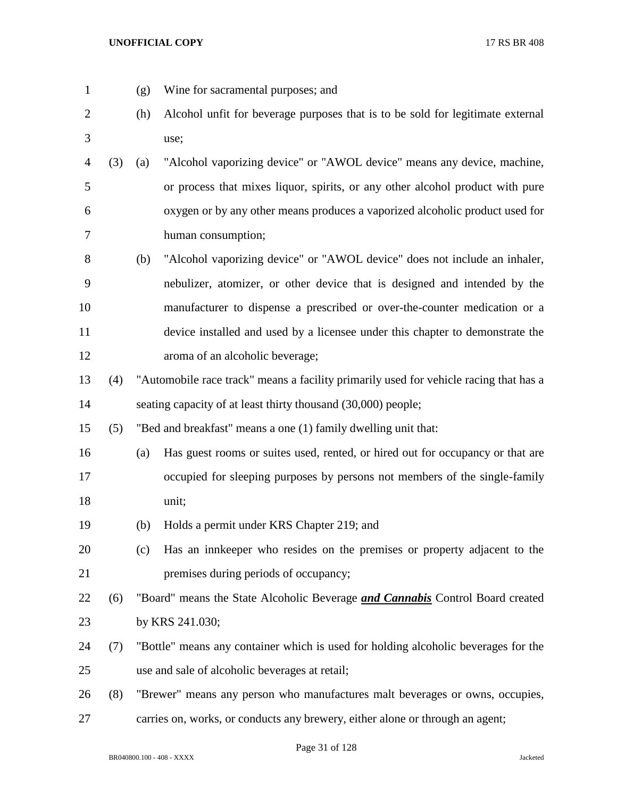- 
- (g) Wine for sacramental purposes; and
- (h) Alcohol unfit for beverage purposes that is to be sold for legitimate external use;
- (3) (a) "Alcohol vaporizing device" or "AWOL device" means any device, machine, or process that mixes liquor, spirits, or any other alcohol product with pure oxygen or by any other means produces a vaporized alcoholic product used for human consumption;
- (b) "Alcohol vaporizing device" or "AWOL device" does not include an inhaler, nebulizer, atomizer, or other device that is designed and intended by the manufacturer to dispense a prescribed or over-the-counter medication or a device installed and used by a licensee under this chapter to demonstrate the aroma of an alcoholic beverage;
- (4) "Automobile race track" means a facility primarily used for vehicle racing that has a seating capacity of at least thirty thousand (30,000) people;

(5) "Bed and breakfast" means a one (1) family dwelling unit that:

- (a) Has guest rooms or suites used, rented, or hired out for occupancy or that are occupied for sleeping purposes by persons not members of the single-family unit;
- (b) Holds a permit under KRS Chapter 219; and
- (c) Has an innkeeper who resides on the premises or property adjacent to the premises during periods of occupancy;
- (6) "Board" means the State Alcoholic Beverage *and Cannabis* Control Board created by KRS 241.030;
- (7) "Bottle" means any container which is used for holding alcoholic beverages for the use and sale of alcoholic beverages at retail;
- (8) "Brewer" means any person who manufactures malt beverages or owns, occupies,
- carries on, works, or conducts any brewery, either alone or through an agent;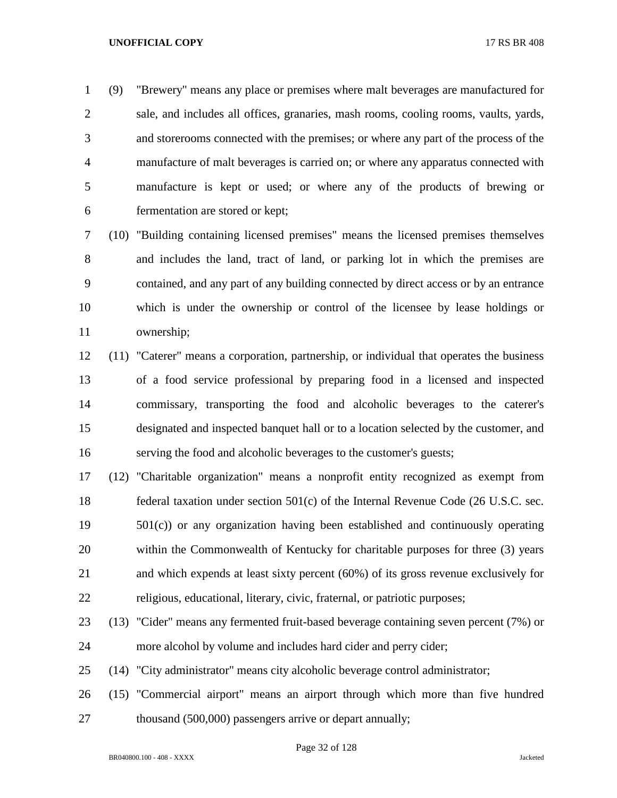(9) "Brewery" means any place or premises where malt beverages are manufactured for sale, and includes all offices, granaries, mash rooms, cooling rooms, vaults, yards, and storerooms connected with the premises; or where any part of the process of the manufacture of malt beverages is carried on; or where any apparatus connected with manufacture is kept or used; or where any of the products of brewing or fermentation are stored or kept;

 (10) "Building containing licensed premises" means the licensed premises themselves and includes the land, tract of land, or parking lot in which the premises are contained, and any part of any building connected by direct access or by an entrance which is under the ownership or control of the licensee by lease holdings or ownership;

- (11) "Caterer" means a corporation, partnership, or individual that operates the business of a food service professional by preparing food in a licensed and inspected commissary, transporting the food and alcoholic beverages to the caterer's designated and inspected banquet hall or to a location selected by the customer, and serving the food and alcoholic beverages to the customer's guests;
- (12) "Charitable organization" means a nonprofit entity recognized as exempt from federal taxation under section 501(c) of the Internal Revenue Code (26 U.S.C. sec. 501(c)) or any organization having been established and continuously operating within the Commonwealth of Kentucky for charitable purposes for three (3) years and which expends at least sixty percent (60%) of its gross revenue exclusively for religious, educational, literary, civic, fraternal, or patriotic purposes;
- (13) "Cider" means any fermented fruit-based beverage containing seven percent (7%) or more alcohol by volume and includes hard cider and perry cider;
- (14) "City administrator" means city alcoholic beverage control administrator;
- (15) "Commercial airport" means an airport through which more than five hundred 27 thousand (500,000) passengers arrive or depart annually;

Page 32 of 128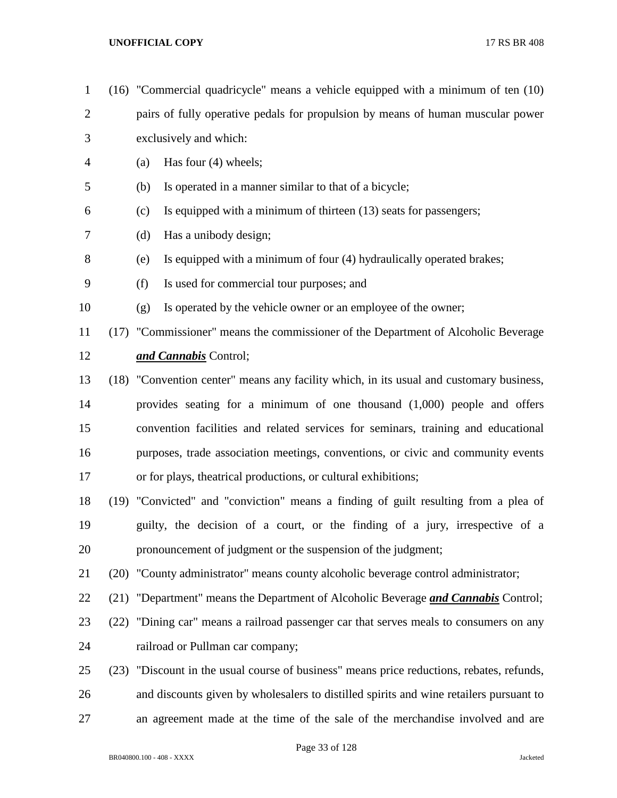| $\mathbf{1}$   |      | $(16)$ "Commercial quadricycle" means a vehicle equipped with a minimum of ten $(10)$   |  |  |  |  |
|----------------|------|-----------------------------------------------------------------------------------------|--|--|--|--|
| $\overline{2}$ |      | pairs of fully operative pedals for propulsion by means of human muscular power         |  |  |  |  |
| 3              |      | exclusively and which:                                                                  |  |  |  |  |
| 4              |      | Has four $(4)$ wheels;<br>(a)                                                           |  |  |  |  |
| 5              |      | Is operated in a manner similar to that of a bicycle;<br>(b)                            |  |  |  |  |
| 6              |      | Is equipped with a minimum of thirteen (13) seats for passengers;<br>(c)                |  |  |  |  |
| 7              |      | Has a unibody design;<br>(d)                                                            |  |  |  |  |
| 8              |      | Is equipped with a minimum of four (4) hydraulically operated brakes;<br>(e)            |  |  |  |  |
| 9              |      | Is used for commercial tour purposes; and<br>(f)                                        |  |  |  |  |
| 10             |      | Is operated by the vehicle owner or an employee of the owner;<br>(g)                    |  |  |  |  |
| 11             |      | (17) "Commissioner" means the commissioner of the Department of Alcoholic Beverage      |  |  |  |  |
| 12             |      | and Cannabis Control;                                                                   |  |  |  |  |
| 13             |      | (18) "Convention center" means any facility which, in its usual and customary business, |  |  |  |  |
| 14             |      | provides seating for a minimum of one thousand $(1,000)$ people and offers              |  |  |  |  |
| 15             |      | convention facilities and related services for seminars, training and educational       |  |  |  |  |
| 16             |      | purposes, trade association meetings, conventions, or civic and community events        |  |  |  |  |
| 17             |      | or for plays, theatrical productions, or cultural exhibitions;                          |  |  |  |  |
| 18             |      | (19) "Convicted" and "conviction" means a finding of guilt resulting from a plea of     |  |  |  |  |
| 19             |      | guilty, the decision of a court, or the finding of a jury, irrespective of a            |  |  |  |  |
| 20             |      | pronouncement of judgment or the suspension of the judgment;                            |  |  |  |  |
| 21             |      | (20) "County administrator" means county alcoholic beverage control administrator;      |  |  |  |  |
| 22             |      | (21) "Department" means the Department of Alcoholic Beverage and Cannabis Control;      |  |  |  |  |
| 23             | (22) | "Dining car" means a railroad passenger car that serves meals to consumers on any       |  |  |  |  |
| 24             |      | railroad or Pullman car company;                                                        |  |  |  |  |
| 25             | (23) | "Discount in the usual course of business" means price reductions, rebates, refunds,    |  |  |  |  |
| 26             |      | and discounts given by wholesalers to distilled spirits and wine retailers pursuant to  |  |  |  |  |
| 27             |      | an agreement made at the time of the sale of the merchandise involved and are           |  |  |  |  |
|                |      |                                                                                         |  |  |  |  |

Page 33 of 128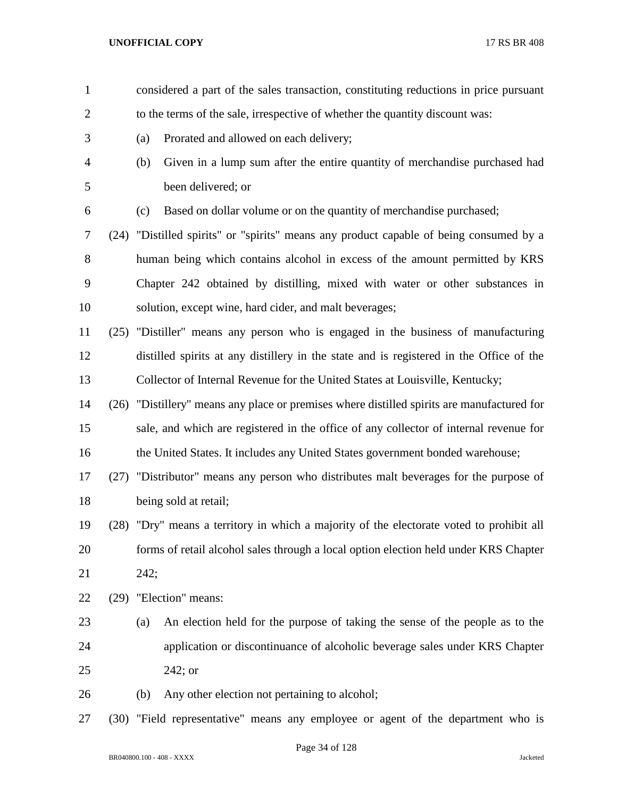considered a part of the sales transaction, constituting reductions in price pursuant 2 to the terms of the sale, irrespective of whether the quantity discount was: (a) Prorated and allowed on each delivery; (b) Given in a lump sum after the entire quantity of merchandise purchased had been delivered; or (c) Based on dollar volume or on the quantity of merchandise purchased; (24) "Distilled spirits" or "spirits" means any product capable of being consumed by a human being which contains alcohol in excess of the amount permitted by KRS Chapter 242 obtained by distilling, mixed with water or other substances in solution, except wine, hard cider, and malt beverages; (25) "Distiller" means any person who is engaged in the business of manufacturing distilled spirits at any distillery in the state and is registered in the Office of the Collector of Internal Revenue for the United States at Louisville, Kentucky; (26) "Distillery" means any place or premises where distilled spirits are manufactured for sale, and which are registered in the office of any collector of internal revenue for 16 the United States. It includes any United States government bonded warehouse; (27) "Distributor" means any person who distributes malt beverages for the purpose of being sold at retail; (28) "Dry" means a territory in which a majority of the electorate voted to prohibit all forms of retail alcohol sales through a local option election held under KRS Chapter 242; (29) "Election" means: (a) An election held for the purpose of taking the sense of the people as to the application or discontinuance of alcoholic beverage sales under KRS Chapter 242; or (b) Any other election not pertaining to alcohol; (30) "Field representative" means any employee or agent of the department who is

Page 34 of 128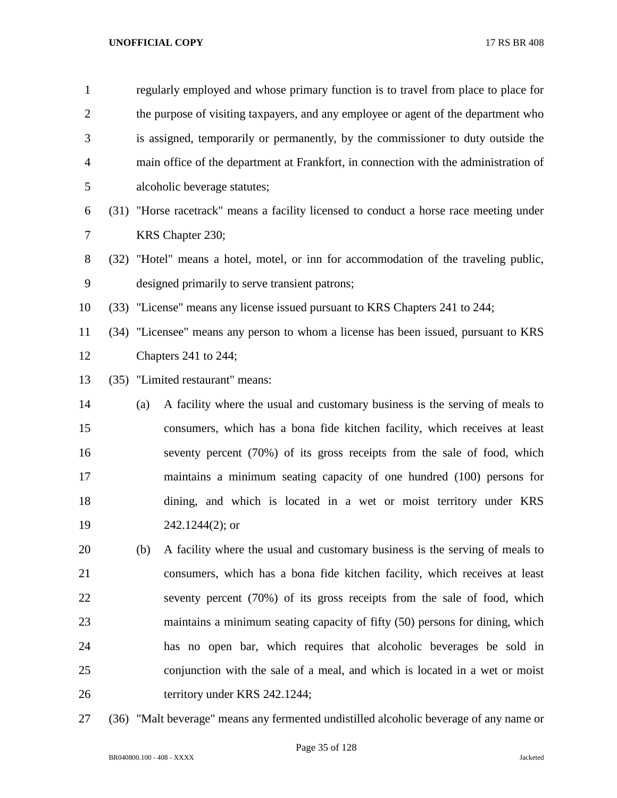| $\mathbf{1}$   |     | regularly employed and whose primary function is to travel from place to place for     |  |  |  |
|----------------|-----|----------------------------------------------------------------------------------------|--|--|--|
| $\overline{2}$ |     | the purpose of visiting taxpayers, and any employee or agent of the department who     |  |  |  |
| 3              |     | is assigned, temporarily or permanently, by the commissioner to duty outside the       |  |  |  |
| $\overline{4}$ |     | main office of the department at Frankfort, in connection with the administration of   |  |  |  |
| 5              |     | alcoholic beverage statutes;                                                           |  |  |  |
| 6              |     | (31) "Horse racetrack" means a facility licensed to conduct a horse race meeting under |  |  |  |
| 7              |     | KRS Chapter 230;                                                                       |  |  |  |
| 8              |     | (32) "Hotel" means a hotel, motel, or inn for accommodation of the traveling public,   |  |  |  |
| 9              |     | designed primarily to serve transient patrons;                                         |  |  |  |
| 10             |     | (33) "License" means any license issued pursuant to KRS Chapters 241 to 244;           |  |  |  |
| 11             |     | (34) "Licensee" means any person to whom a license has been issued, pursuant to KRS    |  |  |  |
| 12             |     | Chapters 241 to 244;                                                                   |  |  |  |
| 13             |     | (35) "Limited restaurant" means:                                                       |  |  |  |
| 14             | (a) | A facility where the usual and customary business is the serving of meals to           |  |  |  |
| 15             |     | consumers, which has a bona fide kitchen facility, which receives at least             |  |  |  |
| 16             |     | seventy percent (70%) of its gross receipts from the sale of food, which               |  |  |  |
| 17             |     | maintains a minimum seating capacity of one hundred (100) persons for                  |  |  |  |
| 18             |     | dining, and which is located in a wet or moist territory under KRS                     |  |  |  |
| 19             |     | $242.1244(2)$ ; or                                                                     |  |  |  |
| 20             | (b) | A facility where the usual and customary business is the serving of meals to           |  |  |  |
| 21             |     | consumers, which has a bona fide kitchen facility, which receives at least             |  |  |  |
| 22             |     | seventy percent (70%) of its gross receipts from the sale of food, which               |  |  |  |
| 23             |     | maintains a minimum seating capacity of fifty (50) persons for dining, which           |  |  |  |
| 24             |     | has no open bar, which requires that alcoholic beverages be sold in                    |  |  |  |
| 25             |     | conjunction with the sale of a meal, and which is located in a wet or moist            |  |  |  |
| 26             |     | territory under KRS 242.1244;                                                          |  |  |  |
|                |     |                                                                                        |  |  |  |

(36) "Malt beverage" means any fermented undistilled alcoholic beverage of any name or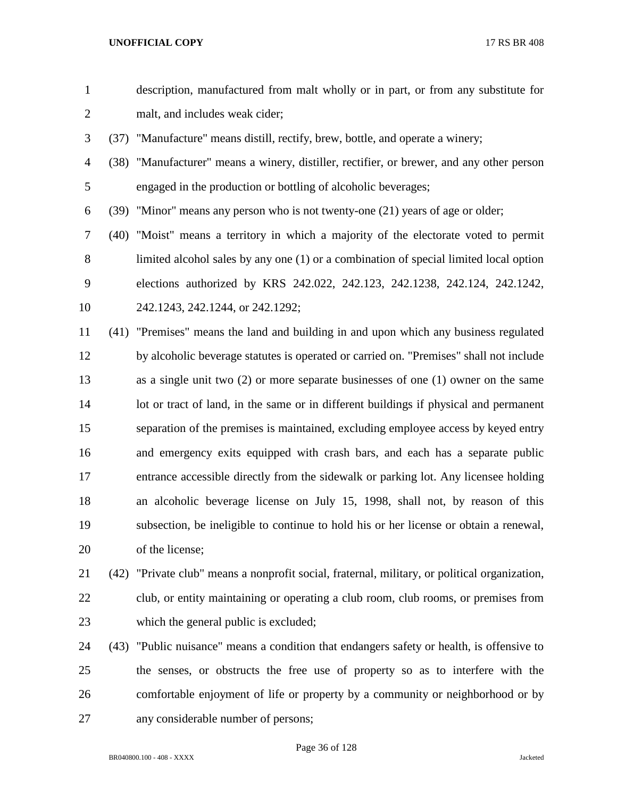| $\mathbf{1}$   |      | description, manufactured from malt wholly or in part, or from any substitute for             |
|----------------|------|-----------------------------------------------------------------------------------------------|
| $\overline{c}$ |      | malt, and includes weak cider;                                                                |
| 3              |      | (37) "Manufacture" means distill, rectify, brew, bottle, and operate a winery;                |
| $\overline{4}$ |      | (38) "Manufacturer" means a winery, distiller, rectifier, or brewer, and any other person     |
| 5              |      | engaged in the production or bottling of alcoholic beverages;                                 |
| 6              | (39) | "Minor" means any person who is not twenty-one (21) years of age or older;                    |
| 7              |      | (40) "Moist" means a territory in which a majority of the electorate voted to permit          |
| 8              |      | limited alcohol sales by any one (1) or a combination of special limited local option         |
| 9              |      | elections authorized by KRS 242.022, 242.123, 242.1238, 242.124, 242.1242,                    |
| 10             |      | 242.1243, 242.1244, or 242.1292;                                                              |
| 11             |      | (41) "Premises" means the land and building in and upon which any business regulated          |
| 12             |      | by alcoholic beverage statutes is operated or carried on. "Premises" shall not include        |
| 13             |      | as a single unit two $(2)$ or more separate businesses of one $(1)$ owner on the same         |
| 14             |      | lot or tract of land, in the same or in different buildings if physical and permanent         |
| 15             |      | separation of the premises is maintained, excluding employee access by keyed entry            |
| 16             |      | and emergency exits equipped with crash bars, and each has a separate public                  |
| 17             |      | entrance accessible directly from the sidewalk or parking lot. Any licensee holding           |
| 18             |      | an alcoholic beverage license on July 15, 1998, shall not, by reason of this                  |
| 19             |      | subsection, be ineligible to continue to hold his or her license or obtain a renewal,         |
| 20             |      | of the license;                                                                               |
| 21             |      | (42) "Private club" means a nonprofit social, fraternal, military, or political organization, |
| 22             |      | club, or entity maintaining or operating a club room, club rooms, or premises from            |
| 23             |      | which the general public is excluded;                                                         |
| 24             |      | (43) "Public nuisance" means a condition that endangers safety or health, is offensive to     |
| 25             |      | the senses, or obstructs the free use of property so as to interfere with the                 |
|                |      |                                                                                               |

 comfortable enjoyment of life or property by a community or neighborhood or by any considerable number of persons;

Page 36 of 128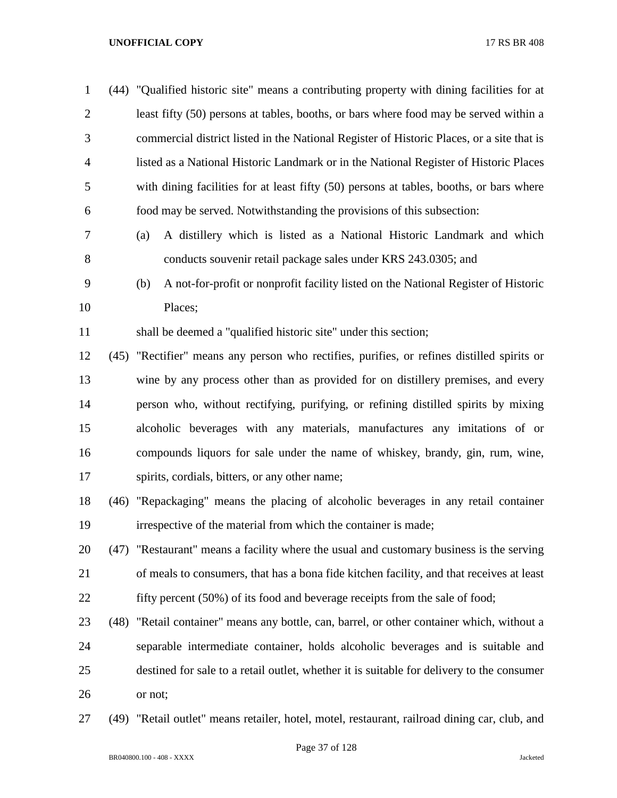(44) "Qualified historic site" means a contributing property with dining facilities for at least fifty (50) persons at tables, booths, or bars where food may be served within a commercial district listed in the National Register of Historic Places, or a site that is listed as a National Historic Landmark or in the National Register of Historic Places with dining facilities for at least fifty (50) persons at tables, booths, or bars where food may be served. Notwithstanding the provisions of this subsection:

- (a) A distillery which is listed as a National Historic Landmark and which conducts souvenir retail package sales under KRS 243.0305; and
- (b) A not-for-profit or nonprofit facility listed on the National Register of Historic Places;

shall be deemed a "qualified historic site" under this section;

 (45) "Rectifier" means any person who rectifies, purifies, or refines distilled spirits or wine by any process other than as provided for on distillery premises, and every person who, without rectifying, purifying, or refining distilled spirits by mixing alcoholic beverages with any materials, manufactures any imitations of or compounds liquors for sale under the name of whiskey, brandy, gin, rum, wine, spirits, cordials, bitters, or any other name;

 (46) "Repackaging" means the placing of alcoholic beverages in any retail container irrespective of the material from which the container is made;

 (47) "Restaurant" means a facility where the usual and customary business is the serving of meals to consumers, that has a bona fide kitchen facility, and that receives at least 22 fifty percent (50%) of its food and beverage receipts from the sale of food;

- 
- (48) "Retail container" means any bottle, can, barrel, or other container which, without a separable intermediate container, holds alcoholic beverages and is suitable and destined for sale to a retail outlet, whether it is suitable for delivery to the consumer or not;
- (49) "Retail outlet" means retailer, hotel, motel, restaurant, railroad dining car, club, and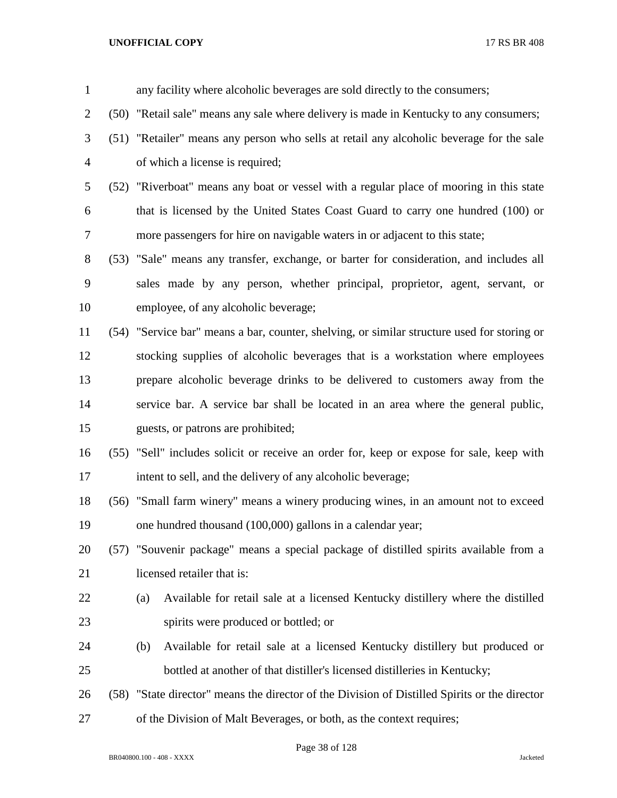| $\mathbf{1}$   | any facility where alcoholic beverages are sold directly to the consumers;                    |
|----------------|-----------------------------------------------------------------------------------------------|
| $\overline{2}$ | (50) "Retail sale" means any sale where delivery is made in Kentucky to any consumers;        |
| 3              | (51) "Retailer" means any person who sells at retail any alcoholic beverage for the sale      |
| 4              | of which a license is required;                                                               |
| 5              | (52) "Riverboat" means any boat or vessel with a regular place of mooring in this state       |
| 6              | that is licensed by the United States Coast Guard to carry one hundred (100) or               |
| 7              | more passengers for hire on navigable waters in or adjacent to this state;                    |
| 8              | (53) "Sale" means any transfer, exchange, or barter for consideration, and includes all       |
| 9              | sales made by any person, whether principal, proprietor, agent, servant, or                   |
| 10             | employee, of any alcoholic beverage;                                                          |
| 11             | (54) "Service bar" means a bar, counter, shelving, or similar structure used for storing or   |
| 12             | stocking supplies of alcoholic beverages that is a workstation where employees                |
| 13             | prepare alcoholic beverage drinks to be delivered to customers away from the                  |
| 14             | service bar. A service bar shall be located in an area where the general public,              |
| 15             | guests, or patrons are prohibited;                                                            |
| 16             | (55) "Sell" includes solicit or receive an order for, keep or expose for sale, keep with      |
| 17             | intent to sell, and the delivery of any alcoholic beverage;                                   |
| 18             | (56) "Small farm winery" means a winery producing wines, in an amount not to exceed           |
| 19             | one hundred thousand (100,000) gallons in a calendar year;                                    |
| 20             | (57) "Souvenir package" means a special package of distilled spirits available from a         |
| 21             | licensed retailer that is:                                                                    |
| 22             | Available for retail sale at a licensed Kentucky distillery where the distilled<br>(a)        |
| 23             | spirits were produced or bottled; or                                                          |
| 24             | Available for retail sale at a licensed Kentucky distillery but produced or<br>(b)            |
| 25             | bottled at another of that distiller's licensed distilleries in Kentucky;                     |
| 26             | (58) "State director" means the director of the Division of Distilled Spirits or the director |
| 27             | of the Division of Malt Beverages, or both, as the context requires;                          |

Page 38 of 128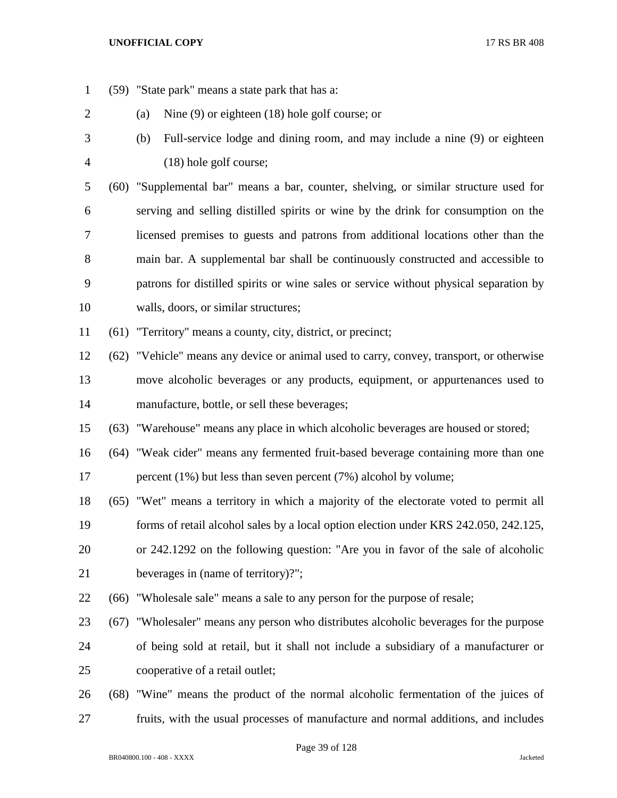(59) "State park" means a state park that has a: (a) Nine (9) or eighteen (18) hole golf course; or (b) Full-service lodge and dining room, and may include a nine (9) or eighteen (18) hole golf course; (60) "Supplemental bar" means a bar, counter, shelving, or similar structure used for serving and selling distilled spirits or wine by the drink for consumption on the licensed premises to guests and patrons from additional locations other than the main bar. A supplemental bar shall be continuously constructed and accessible to patrons for distilled spirits or wine sales or service without physical separation by walls, doors, or similar structures; (61) "Territory" means a county, city, district, or precinct; (62) "Vehicle" means any device or animal used to carry, convey, transport, or otherwise move alcoholic beverages or any products, equipment, or appurtenances used to manufacture, bottle, or sell these beverages; (63) "Warehouse" means any place in which alcoholic beverages are housed or stored; (64) "Weak cider" means any fermented fruit-based beverage containing more than one 17 percent (1%) but less than seven percent (7%) alcohol by volume; (65) "Wet" means a territory in which a majority of the electorate voted to permit all forms of retail alcohol sales by a local option election under KRS 242.050, 242.125, or 242.1292 on the following question: "Are you in favor of the sale of alcoholic beverages in (name of territory)?"; (66) "Wholesale sale" means a sale to any person for the purpose of resale; (67) "Wholesaler" means any person who distributes alcoholic beverages for the purpose of being sold at retail, but it shall not include a subsidiary of a manufacturer or cooperative of a retail outlet; (68) "Wine" means the product of the normal alcoholic fermentation of the juices of fruits, with the usual processes of manufacture and normal additions, and includes

Page 39 of 128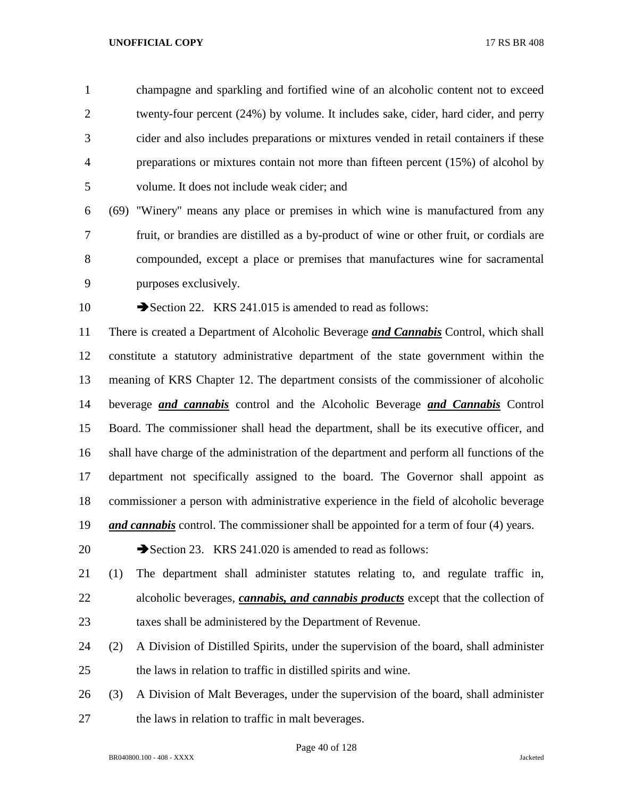champagne and sparkling and fortified wine of an alcoholic content not to exceed twenty-four percent (24%) by volume. It includes sake, cider, hard cider, and perry cider and also includes preparations or mixtures vended in retail containers if these preparations or mixtures contain not more than fifteen percent (15%) of alcohol by volume. It does not include weak cider; and

 (69) "Winery" means any place or premises in which wine is manufactured from any fruit, or brandies are distilled as a by-product of wine or other fruit, or cordials are compounded, except a place or premises that manufactures wine for sacramental purposes exclusively.

10 Section 22. KRS 241.015 is amended to read as follows:

 There is created a Department of Alcoholic Beverage *and Cannabis* Control, which shall constitute a statutory administrative department of the state government within the meaning of KRS Chapter 12. The department consists of the commissioner of alcoholic beverage *and cannabis* control and the Alcoholic Beverage *and Cannabis* Control Board. The commissioner shall head the department, shall be its executive officer, and shall have charge of the administration of the department and perform all functions of the department not specifically assigned to the board. The Governor shall appoint as commissioner a person with administrative experience in the field of alcoholic beverage *and cannabis* control. The commissioner shall be appointed for a term of four (4) years.

20 Section 23. KRS 241.020 is amended to read as follows:

- (1) The department shall administer statutes relating to, and regulate traffic in, alcoholic beverages, *cannabis, and cannabis products* except that the collection of taxes shall be administered by the Department of Revenue.
- (2) A Division of Distilled Spirits, under the supervision of the board, shall administer the laws in relation to traffic in distilled spirits and wine.
- (3) A Division of Malt Beverages, under the supervision of the board, shall administer the laws in relation to traffic in malt beverages.

Page 40 of 128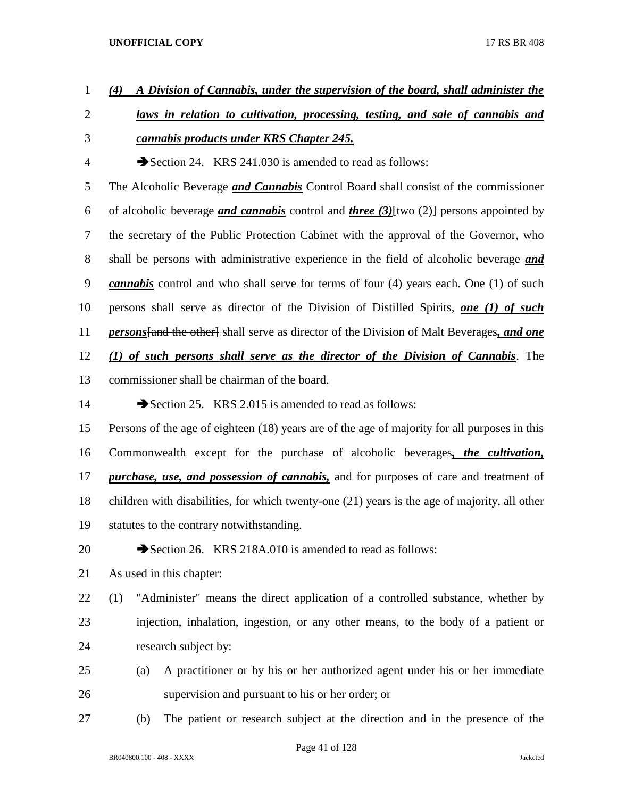- *(4) A Division of Cannabis, under the supervision of the board, shall administer the laws in relation to cultivation, processing, testing, and sale of cannabis and cannabis products under KRS Chapter 245.* 4 Section 24. KRS 241.030 is amended to read as follows: The Alcoholic Beverage *and Cannabis* Control Board shall consist of the commissioner of alcoholic beverage *and cannabis* control and *three (3)*[two (2)] persons appointed by the secretary of the Public Protection Cabinet with the approval of the Governor, who shall be persons with administrative experience in the field of alcoholic beverage *and cannabis* control and who shall serve for terms of four (4) years each. One (1) of such persons shall serve as director of the Division of Distilled Spirits, *one (1) of such persons*[and the other] shall serve as director of the Division of Malt Beverages*, and one (1) of such persons shall serve as the director of the Division of Cannabis*. The commissioner shall be chairman of the board. 14 Section 25. KRS 2.015 is amended to read as follows: Persons of the age of eighteen (18) years are of the age of majority for all purposes in this Commonwealth except for the purchase of alcoholic beverages*, the cultivation, purchase, use, and possession of cannabis,* and for purposes of care and treatment of children with disabilities, for which twenty-one (21) years is the age of majority, all other statutes to the contrary notwithstanding. 20 Section 26. KRS 218A.010 is amended to read as follows: As used in this chapter: (1) "Administer" means the direct application of a controlled substance, whether by injection, inhalation, ingestion, or any other means, to the body of a patient or research subject by: (a) A practitioner or by his or her authorized agent under his or her immediate supervision and pursuant to his or her order; or
- (b) The patient or research subject at the direction and in the presence of the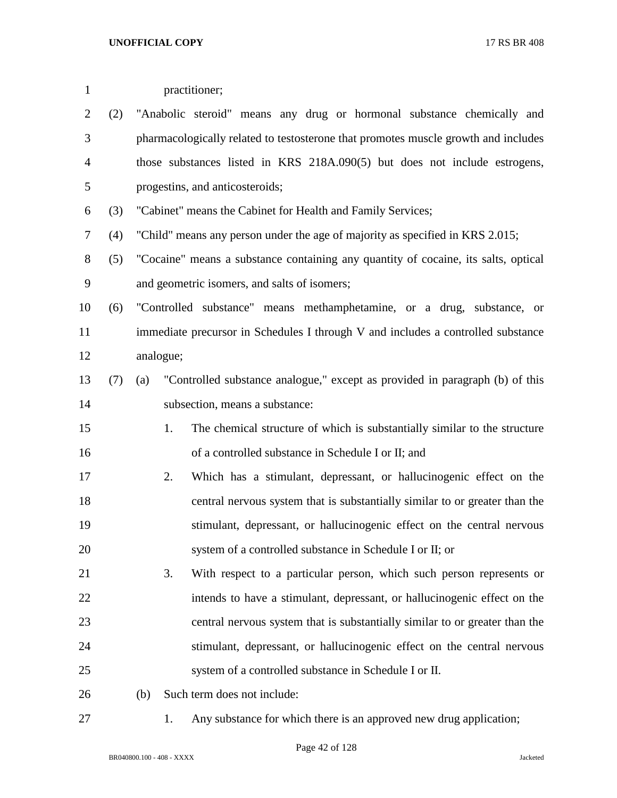| $\mathbf{1}$   |     |           | practitioner;                                                                      |  |
|----------------|-----|-----------|------------------------------------------------------------------------------------|--|
| $\overline{2}$ | (2) |           | "Anabolic steroid" means any drug or hormonal substance chemically and             |  |
| 3              |     |           | pharmacologically related to testosterone that promotes muscle growth and includes |  |
| $\overline{4}$ |     |           | those substances listed in KRS 218A.090(5) but does not include estrogens,         |  |
| 5              |     |           | progestins, and anticosteroids;                                                    |  |
| 6              | (3) |           | "Cabinet" means the Cabinet for Health and Family Services;                        |  |
| 7              | (4) |           | "Child" means any person under the age of majority as specified in KRS 2.015;      |  |
| $8\,$          | (5) |           | "Cocaine" means a substance containing any quantity of cocaine, its salts, optical |  |
| 9              |     |           | and geometric isomers, and salts of isomers;                                       |  |
| 10             | (6) |           | "Controlled substance" means methamphetamine, or a drug, substance, or             |  |
| 11             |     |           | immediate precursor in Schedules I through V and includes a controlled substance   |  |
| 12             |     | analogue; |                                                                                    |  |
| 13             | (7) | (a)       | "Controlled substance analogue," except as provided in paragraph (b) of this       |  |
| 14             |     |           | subsection, means a substance:                                                     |  |
| 15             |     |           | The chemical structure of which is substantially similar to the structure<br>1.    |  |
| 16             |     |           | of a controlled substance in Schedule I or II; and                                 |  |
| 17             |     |           | Which has a stimulant, depressant, or hallucinogenic effect on the<br>2.           |  |
| 18             |     |           | central nervous system that is substantially similar to or greater than the        |  |
| 19             |     |           | stimulant, depressant, or hallucinogenic effect on the central nervous             |  |
| 20             |     |           | system of a controlled substance in Schedule I or II; or                           |  |
| 21             |     |           | 3.<br>With respect to a particular person, which such person represents or         |  |
| 22             |     |           | intends to have a stimulant, depressant, or hallucinogenic effect on the           |  |
| 23             |     |           | central nervous system that is substantially similar to or greater than the        |  |
| 24             |     |           | stimulant, depressant, or hallucinogenic effect on the central nervous             |  |
| 25             |     |           | system of a controlled substance in Schedule I or II.                              |  |
| 26             |     | (b)       | Such term does not include:                                                        |  |
| 27             |     |           | Any substance for which there is an approved new drug application;<br>1.           |  |

BR040800.100 - 408 - XXXX Jacketed

Page 42 of 128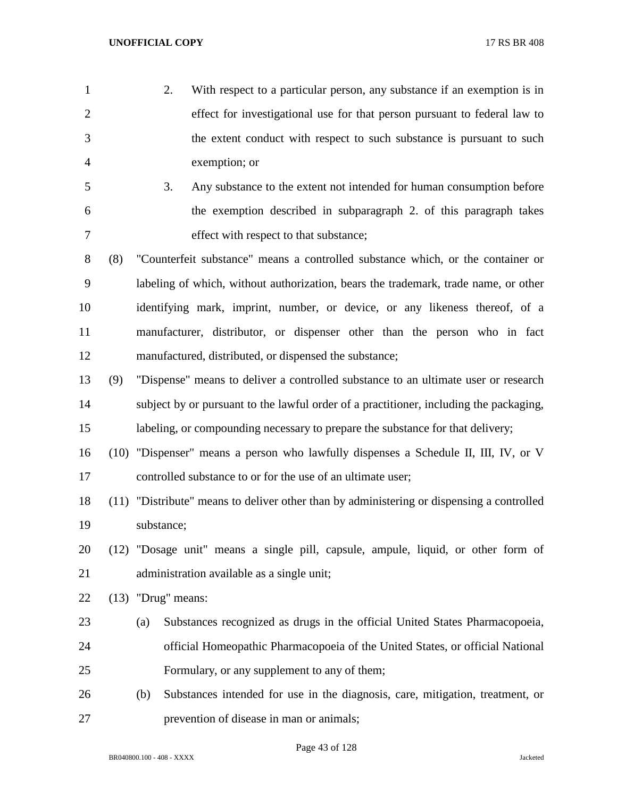- 2. With respect to a particular person, any substance if an exemption is in effect for investigational use for that person pursuant to federal law to the extent conduct with respect to such substance is pursuant to such exemption; or
- 3. Any substance to the extent not intended for human consumption before the exemption described in subparagraph 2. of this paragraph takes effect with respect to that substance;
- (8) "Counterfeit substance" means a controlled substance which, or the container or labeling of which, without authorization, bears the trademark, trade name, or other identifying mark, imprint, number, or device, or any likeness thereof, of a manufacturer, distributor, or dispenser other than the person who in fact manufactured, distributed, or dispensed the substance;
- (9) "Dispense" means to deliver a controlled substance to an ultimate user or research subject by or pursuant to the lawful order of a practitioner, including the packaging, labeling, or compounding necessary to prepare the substance for that delivery;
- (10) "Dispenser" means a person who lawfully dispenses a Schedule II, III, IV, or V controlled substance to or for the use of an ultimate user;
- (11) "Distribute" means to deliver other than by administering or dispensing a controlled substance;
- (12) "Dosage unit" means a single pill, capsule, ampule, liquid, or other form of administration available as a single unit;
- (13) "Drug" means:
- (a) Substances recognized as drugs in the official United States Pharmacopoeia, official Homeopathic Pharmacopoeia of the United States, or official National Formulary, or any supplement to any of them;
- (b) Substances intended for use in the diagnosis, care, mitigation, treatment, or prevention of disease in man or animals;

Page 43 of 128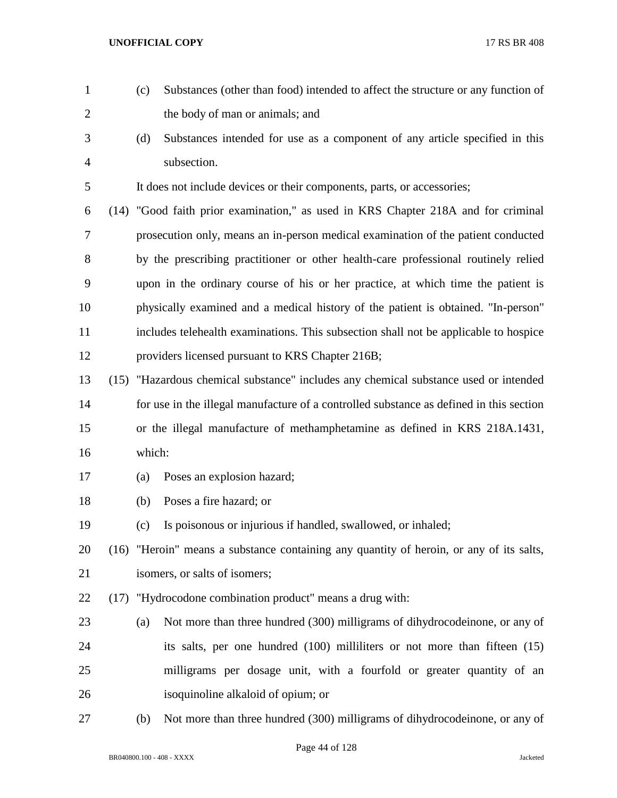- (c) Substances (other than food) intended to affect the structure or any function of 2 the body of man or animals; and (d) Substances intended for use as a component of any article specified in this subsection. It does not include devices or their components, parts, or accessories; (14) "Good faith prior examination," as used in KRS Chapter 218A and for criminal prosecution only, means an in-person medical examination of the patient conducted by the prescribing practitioner or other health-care professional routinely relied upon in the ordinary course of his or her practice, at which time the patient is physically examined and a medical history of the patient is obtained. "In-person" includes telehealth examinations. This subsection shall not be applicable to hospice providers licensed pursuant to KRS Chapter 216B; (15) "Hazardous chemical substance" includes any chemical substance used or intended for use in the illegal manufacture of a controlled substance as defined in this section or the illegal manufacture of methamphetamine as defined in KRS 218A.1431, which: (a) Poses an explosion hazard; (b) Poses a fire hazard; or (c) Is poisonous or injurious if handled, swallowed, or inhaled; (16) "Heroin" means a substance containing any quantity of heroin, or any of its salts, isomers, or salts of isomers; (17) "Hydrocodone combination product" means a drug with: (a) Not more than three hundred (300) milligrams of dihydrocodeinone, or any of its salts, per one hundred (100) milliliters or not more than fifteen (15) milligrams per dosage unit, with a fourfold or greater quantity of an isoquinoline alkaloid of opium; or
- (b) Not more than three hundred (300) milligrams of dihydrocodeinone, or any of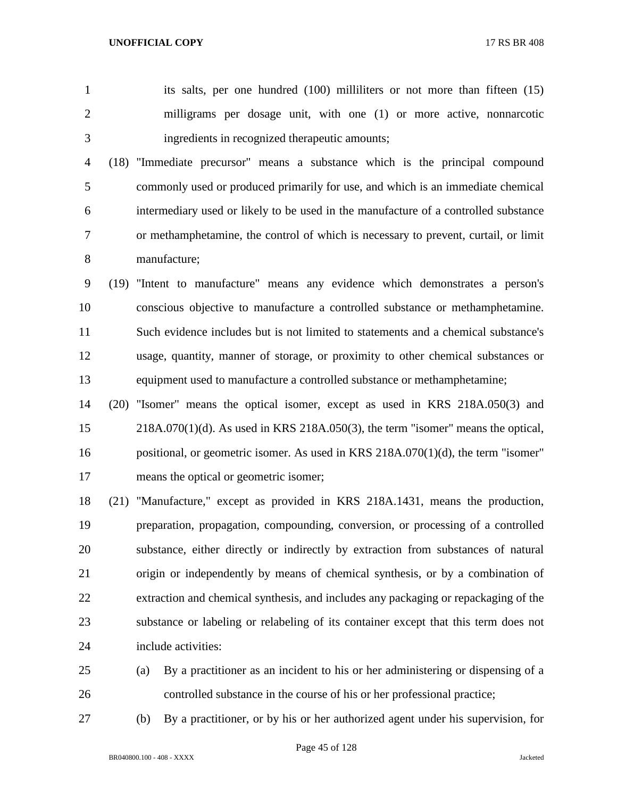its salts, per one hundred (100) milliliters or not more than fifteen (15) milligrams per dosage unit, with one (1) or more active, nonnarcotic ingredients in recognized therapeutic amounts;

 (18) "Immediate precursor" means a substance which is the principal compound commonly used or produced primarily for use, and which is an immediate chemical intermediary used or likely to be used in the manufacture of a controlled substance or methamphetamine, the control of which is necessary to prevent, curtail, or limit manufacture;

 (19) "Intent to manufacture" means any evidence which demonstrates a person's conscious objective to manufacture a controlled substance or methamphetamine. Such evidence includes but is not limited to statements and a chemical substance's usage, quantity, manner of storage, or proximity to other chemical substances or equipment used to manufacture a controlled substance or methamphetamine;

 (20) "Isomer" means the optical isomer, except as used in KRS 218A.050(3) and 218A.070(1)(d). As used in KRS 218A.050(3), the term "isomer" means the optical, positional, or geometric isomer. As used in KRS 218A.070(1)(d), the term "isomer" means the optical or geometric isomer;

 (21) "Manufacture," except as provided in KRS 218A.1431, means the production, preparation, propagation, compounding, conversion, or processing of a controlled substance, either directly or indirectly by extraction from substances of natural origin or independently by means of chemical synthesis, or by a combination of extraction and chemical synthesis, and includes any packaging or repackaging of the substance or labeling or relabeling of its container except that this term does not include activities:

- (a) By a practitioner as an incident to his or her administering or dispensing of a controlled substance in the course of his or her professional practice;
- 

(b) By a practitioner, or by his or her authorized agent under his supervision, for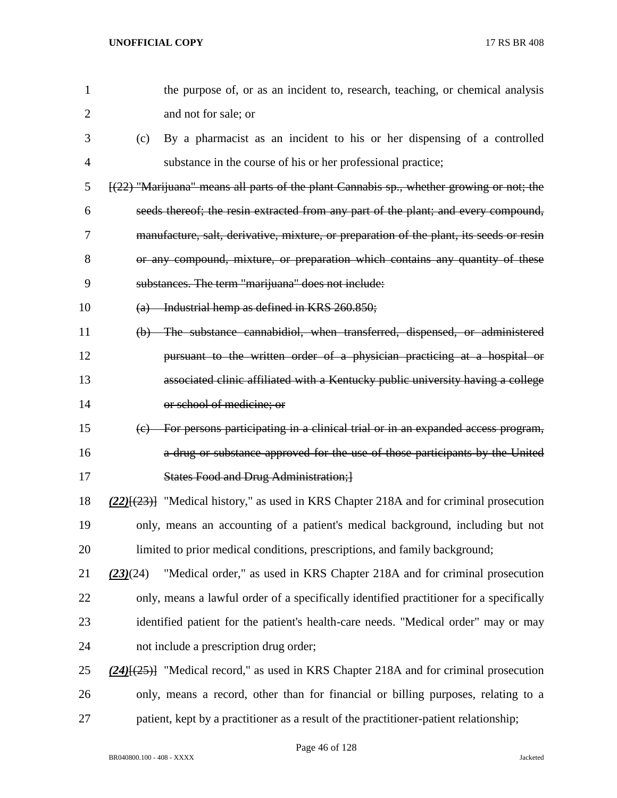| $\mathbf{1}$   | the purpose of, or as an incident to, research, teaching, or chemical analysis                |
|----------------|-----------------------------------------------------------------------------------------------|
| $\overline{2}$ | and not for sale; or                                                                          |
| 3              | By a pharmacist as an incident to his or her dispensing of a controlled<br>(c)                |
| 4              | substance in the course of his or her professional practice;                                  |
| 5              | $[(22)$ "Marijuana" means all parts of the plant Cannabis sp., whether growing or not; the    |
| 6              | seeds thereof; the resin extracted from any part of the plant; and every compound,            |
| 7              | manufacture, salt, derivative, mixture, or preparation of the plant, its seeds or resin       |
| 8              | or any compound, mixture, or preparation which contains any quantity of these                 |
| 9              | substances. The term "marijuana" does not include:                                            |
| 10             | $(a)$ Industrial hemp as defined in KRS 260.850;                                              |
| 11             | (b) The substance cannabidiol, when transferred, dispensed, or administered                   |
| 12             | pursuant to the written order of a physician practicing at a hospital or                      |
| 13             | associated clinic affiliated with a Kentucky public university having a college               |
| 14             | or school of medicine; or                                                                     |
| 15             | (c) For persons participating in a clinical trial or in an expanded access program,           |
| 16             | a drug or substance approved for the use of those participants by the United                  |
| 17             | <b>States Food and Drug Administration; 1</b>                                                 |
| 18             | $(22)$ [ $(23)$ ] "Medical history," as used in KRS Chapter 218A and for criminal prosecution |
| 19             | only, means an accounting of a patient's medical background, including but not                |
| 20             | limited to prior medical conditions, prescriptions, and family background;                    |
| 21             | "Medical order," as used in KRS Chapter 218A and for criminal prosecution<br>(23)(24)         |
| 22             | only, means a lawful order of a specifically identified practitioner for a specifically       |
| 23             | identified patient for the patient's health-care needs. "Medical order" may or may            |
| 24             | not include a prescription drug order;                                                        |
| 25             | $(24)$ [ $(25)$ ] "Medical record," as used in KRS Chapter 218A and for criminal prosecution  |
| 26             | only, means a record, other than for financial or billing purposes, relating to a             |
| 27             | patient, kept by a practitioner as a result of the practitioner-patient relationship;         |

Page 46 of 128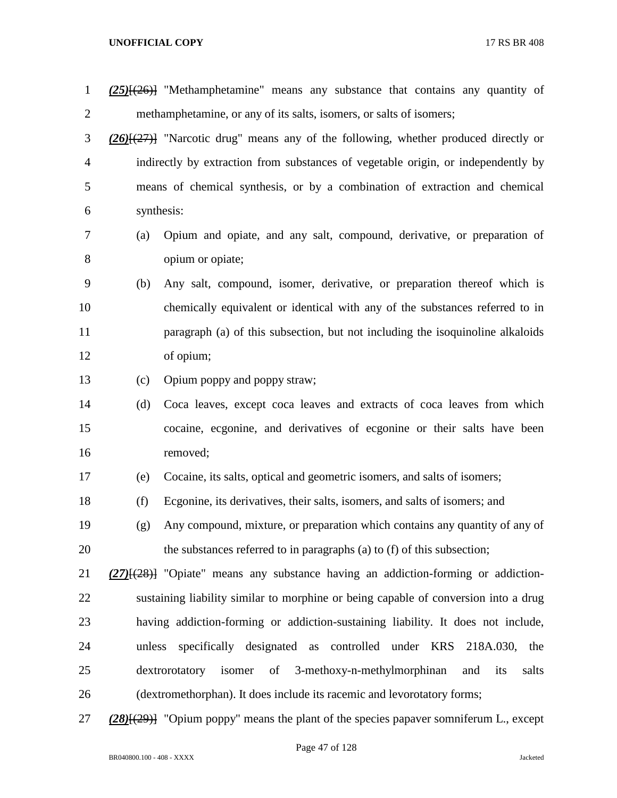| $\mathbf{1}$   |        | $(25)$ [ $(26)$ ] "Methamphetamine" means any substance that contains any quantity of        |
|----------------|--------|----------------------------------------------------------------------------------------------|
| $\overline{2}$ |        | methamphetamine, or any of its salts, isomers, or salts of isomers;                          |
| 3              |        | $(26)$ $(27)$ "Narcotic drug" means any of the following, whether produced directly or       |
| 4              |        | indirectly by extraction from substances of vegetable origin, or independently by            |
| 5              |        | means of chemical synthesis, or by a combination of extraction and chemical                  |
| 6              |        | synthesis:                                                                                   |
| 7              | (a)    | Opium and opiate, and any salt, compound, derivative, or preparation of                      |
| 8              |        | opium or opiate;                                                                             |
| 9              | (b)    | Any salt, compound, isomer, derivative, or preparation thereof which is                      |
| 10             |        | chemically equivalent or identical with any of the substances referred to in                 |
| 11             |        | paragraph (a) of this subsection, but not including the isoquinoline alkaloids               |
| 12             |        | of opium;                                                                                    |
| 13             | (c)    | Opium poppy and poppy straw;                                                                 |
| 14             | (d)    | Coca leaves, except coca leaves and extracts of coca leaves from which                       |
| 15             |        | cocaine, ecgonine, and derivatives of ecgonine or their salts have been                      |
| 16             |        | removed;                                                                                     |
| 17             | (e)    | Cocaine, its salts, optical and geometric isomers, and salts of isomers;                     |
| 18             | (f)    | Ecgonine, its derivatives, their salts, isomers, and salts of isomers; and                   |
| 19             | (g)    | Any compound, mixture, or preparation which contains any quantity of any of                  |
| 20             |        | the substances referred to in paragraphs (a) to (f) of this subsection;                      |
| 21             |        | (27)[(28)] "Opiate" means any substance having an addiction-forming or addiction-            |
| 22             |        | sustaining liability similar to morphine or being capable of conversion into a drug          |
| 23             |        | having addiction-forming or addiction-sustaining liability. It does not include,             |
| 24             | unless | specifically designated as controlled under KRS<br>218A.030, the                             |
| 25             |        | 3-methoxy-n-methylmorphinan<br>dextrorotatory<br>isomer<br>of<br>its<br>salts<br>and         |
| 26             |        | (dextromethorphan). It does include its racemic and levorotatory forms;                      |
| 27             |        | $(28)$ [ $(29)$ ] "Opium poppy" means the plant of the species papaver somniferum L., except |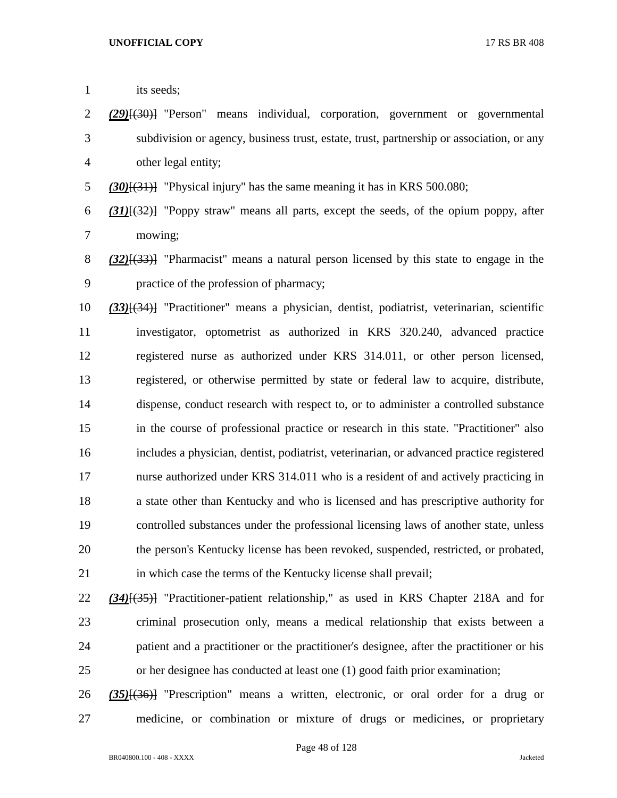| $\mathbf{1}$ | its seeds;                                                                                    |
|--------------|-----------------------------------------------------------------------------------------------|
| 2            | (29)(30) Person" means individual, corporation, government or governmental                    |
| 3            | subdivision or agency, business trust, estate, trust, partnership or association, or any      |
| 4            | other legal entity;                                                                           |
| 5            | $(30)(31)$ "Physical injury" has the same meaning it has in KRS 500.080;                      |
| 6            | $(31)$ [ $(32)$ ] "Poppy straw" means all parts, except the seeds, of the opium poppy, after  |
| 7            | mowing;                                                                                       |
| 8            | $(32)$ [ $(33)$ ] "Pharmacist" means a natural person licensed by this state to engage in the |
| 9            | practice of the profession of pharmacy;                                                       |
| 10           | (33)[(34)] "Practitioner" means a physician, dentist, podiatrist, veterinarian, scientific    |
| 11           | investigator, optometrist as authorized in KRS 320.240, advanced practice                     |
| 12           | registered nurse as authorized under KRS 314.011, or other person licensed,                   |
| 13           | registered, or otherwise permitted by state or federal law to acquire, distribute,            |
| 14           | dispense, conduct research with respect to, or to administer a controlled substance           |
| 15           | in the course of professional practice or research in this state. "Practitioner" also         |
| 16           | includes a physician, dentist, podiatrist, veterinarian, or advanced practice registered      |
| 17           | nurse authorized under KRS 314.011 who is a resident of and actively practicing in            |
| 18           | a state other than Kentucky and who is licensed and has prescriptive authority for            |
| 19           | controlled substances under the professional licensing laws of another state, unless          |
| 20           | the person's Kentucky license has been revoked, suspended, restricted, or probated,           |
| 21           | in which case the terms of the Kentucky license shall prevail;                                |
| 22           | $(34)$ [ $(35)$ ] "Practitioner-patient relationship," as used in KRS Chapter 218A and for    |
| 23           | criminal prosecution only, means a medical relationship that exists between a                 |
| 24           | patient and a practitioner or the practitioner's designee, after the practitioner or his      |
| 25           | or her designee has conducted at least one (1) good faith prior examination;                  |

 *(35)*[(36)] "Prescription" means a written, electronic, or oral order for a drug or medicine, or combination or mixture of drugs or medicines, or proprietary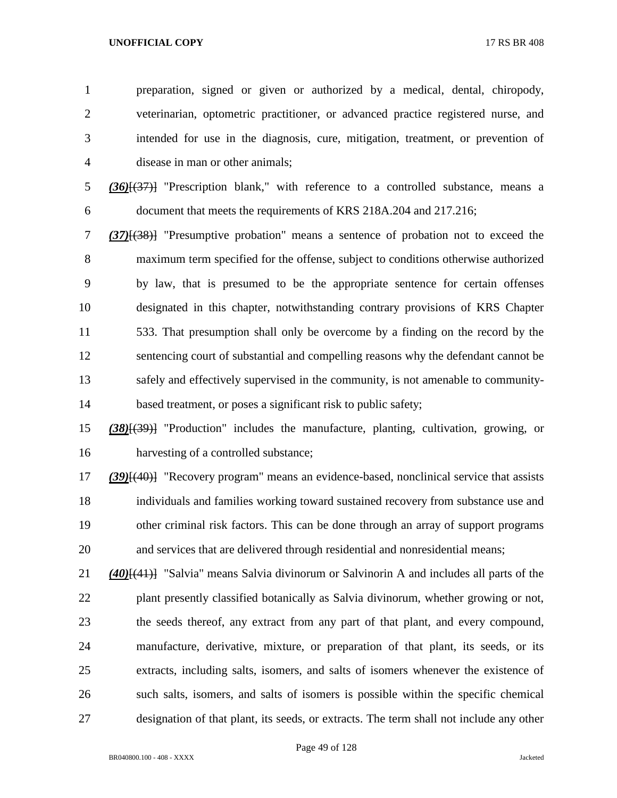preparation, signed or given or authorized by a medical, dental, chiropody, veterinarian, optometric practitioner, or advanced practice registered nurse, and intended for use in the diagnosis, cure, mitigation, treatment, or prevention of disease in man or other animals;

 *(36)*[(37)] "Prescription blank," with reference to a controlled substance, means a document that meets the requirements of KRS 218A.204 and 217.216;

 *(37)*[(38)] "Presumptive probation" means a sentence of probation not to exceed the maximum term specified for the offense, subject to conditions otherwise authorized by law, that is presumed to be the appropriate sentence for certain offenses designated in this chapter, notwithstanding contrary provisions of KRS Chapter 533. That presumption shall only be overcome by a finding on the record by the sentencing court of substantial and compelling reasons why the defendant cannot be safely and effectively supervised in the community, is not amenable to community-14 based treatment, or poses a significant risk to public safety;

 *(38)*[(39)] "Production" includes the manufacture, planting, cultivation, growing, or harvesting of a controlled substance;

 *(39)*[(40)] "Recovery program" means an evidence-based, nonclinical service that assists individuals and families working toward sustained recovery from substance use and other criminal risk factors. This can be done through an array of support programs and services that are delivered through residential and nonresidential means;

 *(40)*[(41)] "Salvia" means Salvia divinorum or Salvinorin A and includes all parts of the plant presently classified botanically as Salvia divinorum, whether growing or not, the seeds thereof, any extract from any part of that plant, and every compound, manufacture, derivative, mixture, or preparation of that plant, its seeds, or its extracts, including salts, isomers, and salts of isomers whenever the existence of such salts, isomers, and salts of isomers is possible within the specific chemical designation of that plant, its seeds, or extracts. The term shall not include any other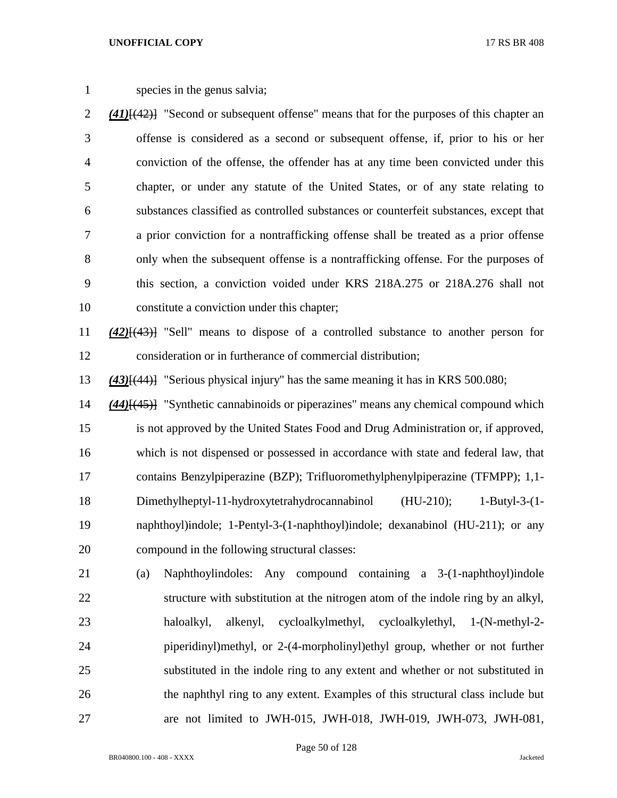species in the genus salvia;

 *(41)*[(42)] "Second or subsequent offense" means that for the purposes of this chapter an offense is considered as a second or subsequent offense, if, prior to his or her conviction of the offense, the offender has at any time been convicted under this chapter, or under any statute of the United States, or of any state relating to substances classified as controlled substances or counterfeit substances, except that a prior conviction for a nontrafficking offense shall be treated as a prior offense only when the subsequent offense is a nontrafficking offense. For the purposes of this section, a conviction voided under KRS 218A.275 or 218A.276 shall not constitute a conviction under this chapter;

 *(42)*[(43)] "Sell" means to dispose of a controlled substance to another person for consideration or in furtherance of commercial distribution;

*(43)*[(44)] "Serious physical injury" has the same meaning it has in KRS 500.080;

 *(44)*[(45)] "Synthetic cannabinoids or piperazines" means any chemical compound which is not approved by the United States Food and Drug Administration or, if approved, which is not dispensed or possessed in accordance with state and federal law, that contains Benzylpiperazine (BZP); Trifluoromethylphenylpiperazine (TFMPP); 1,1- Dimethylheptyl-11-hydroxytetrahydrocannabinol (HU-210); 1-Butyl-3-(1- naphthoyl)indole; 1-Pentyl-3-(1-naphthoyl)indole; dexanabinol (HU-211); or any compound in the following structural classes:

 (a) Naphthoylindoles: Any compound containing a 3-(1-naphthoyl)indole structure with substitution at the nitrogen atom of the indole ring by an alkyl, haloalkyl, alkenyl, cycloalkylmethyl, cycloalkylethyl, 1-(N-methyl-2- piperidinyl)methyl, or 2-(4-morpholinyl)ethyl group, whether or not further substituted in the indole ring to any extent and whether or not substituted in the naphthyl ring to any extent. Examples of this structural class include but are not limited to JWH-015, JWH-018, JWH-019, JWH-073, JWH-081,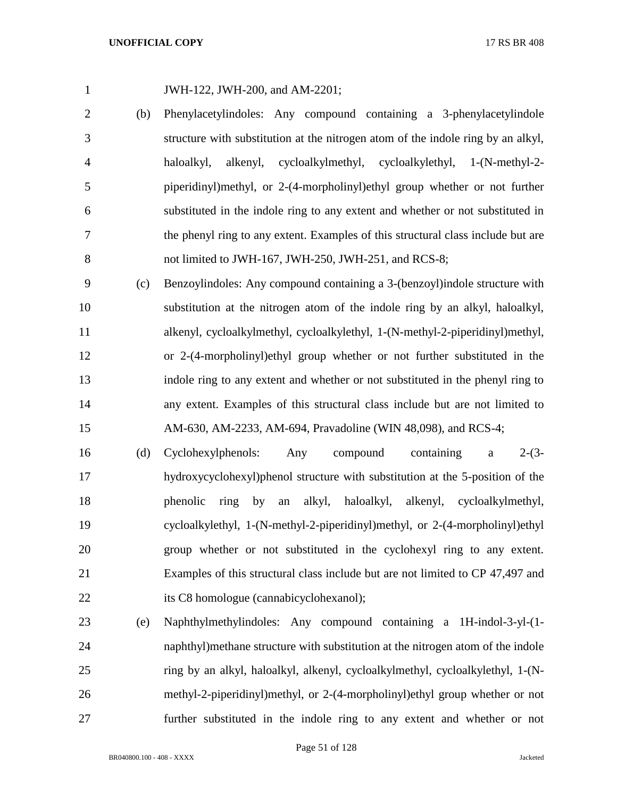|     | J              |
|-----|----------------|
| (h) | $\blacksquare$ |

JWH-122, JWH-200, and AM-2201;

- (b) Phenylacetylindoles: Any compound containing a 3-phenylacetylindole structure with substitution at the nitrogen atom of the indole ring by an alkyl, haloalkyl, alkenyl, cycloalkylmethyl, cycloalkylethyl, 1-(N-methyl-2- piperidinyl)methyl, or 2-(4-morpholinyl)ethyl group whether or not further substituted in the indole ring to any extent and whether or not substituted in the phenyl ring to any extent. Examples of this structural class include but are 8 not limited to JWH-167, JWH-250, JWH-251, and RCS-8;
- (c) Benzoylindoles: Any compound containing a 3-(benzoyl)indole structure with substitution at the nitrogen atom of the indole ring by an alkyl, haloalkyl, alkenyl, cycloalkylmethyl, cycloalkylethyl, 1-(N-methyl-2-piperidinyl)methyl, or 2-(4-morpholinyl)ethyl group whether or not further substituted in the indole ring to any extent and whether or not substituted in the phenyl ring to any extent. Examples of this structural class include but are not limited to AM-630, AM-2233, AM-694, Pravadoline (WIN 48,098), and RCS-4;
- (d) Cyclohexylphenols: Any compound containing a 2-(3- hydroxycyclohexyl)phenol structure with substitution at the 5-position of the phenolic ring by an alkyl, haloalkyl, alkenyl, cycloalkylmethyl, cycloalkylethyl, 1-(N-methyl-2-piperidinyl)methyl, or 2-(4-morpholinyl)ethyl group whether or not substituted in the cyclohexyl ring to any extent. Examples of this structural class include but are not limited to CP 47,497 and its C8 homologue (cannabicyclohexanol);
- (e) Naphthylmethylindoles: Any compound containing a 1H-indol-3-yl-(1- naphthyl)methane structure with substitution at the nitrogen atom of the indole ring by an alkyl, haloalkyl, alkenyl, cycloalkylmethyl, cycloalkylethyl, 1-(N- methyl-2-piperidinyl)methyl, or 2-(4-morpholinyl)ethyl group whether or not further substituted in the indole ring to any extent and whether or not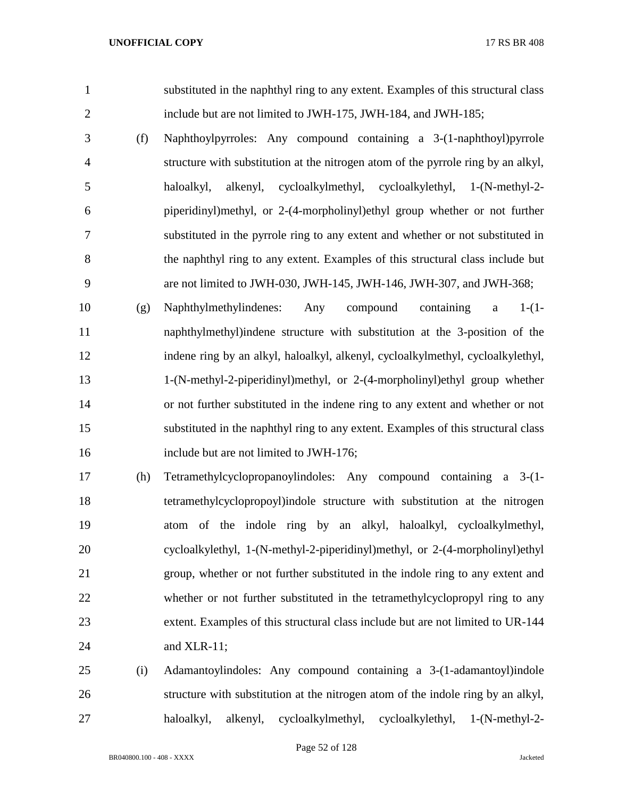substituted in the naphthyl ring to any extent. Examples of this structural class include but are not limited to JWH-175, JWH-184, and JWH-185;

 (f) Naphthoylpyrroles: Any compound containing a 3-(1-naphthoyl)pyrrole structure with substitution at the nitrogen atom of the pyrrole ring by an alkyl, haloalkyl, alkenyl, cycloalkylmethyl, cycloalkylethyl, 1-(N-methyl-2- piperidinyl)methyl, or 2-(4-morpholinyl)ethyl group whether or not further substituted in the pyrrole ring to any extent and whether or not substituted in the naphthyl ring to any extent. Examples of this structural class include but are not limited to JWH-030, JWH-145, JWH-146, JWH-307, and JWH-368;

 (g) Naphthylmethylindenes: Any compound containing a 1-(1- naphthylmethyl)indene structure with substitution at the 3-position of the indene ring by an alkyl, haloalkyl, alkenyl, cycloalkylmethyl, cycloalkylethyl, 1-(N-methyl-2-piperidinyl)methyl, or 2-(4-morpholinyl)ethyl group whether or not further substituted in the indene ring to any extent and whether or not substituted in the naphthyl ring to any extent. Examples of this structural class 16 include but are not limited to JWH-176;

 (h) Tetramethylcyclopropanoylindoles: Any compound containing a 3-(1- tetramethylcyclopropoyl)indole structure with substitution at the nitrogen atom of the indole ring by an alkyl, haloalkyl, cycloalkylmethyl, cycloalkylethyl, 1-(N-methyl-2-piperidinyl)methyl, or 2-(4-morpholinyl)ethyl group, whether or not further substituted in the indole ring to any extent and whether or not further substituted in the tetramethylcyclopropyl ring to any extent. Examples of this structural class include but are not limited to UR-144 and XLR-11;

 (i) Adamantoylindoles: Any compound containing a 3-(1-adamantoyl)indole structure with substitution at the nitrogen atom of the indole ring by an alkyl, haloalkyl, alkenyl, cycloalkylmethyl, cycloalkylethyl, 1-(N-methyl-2-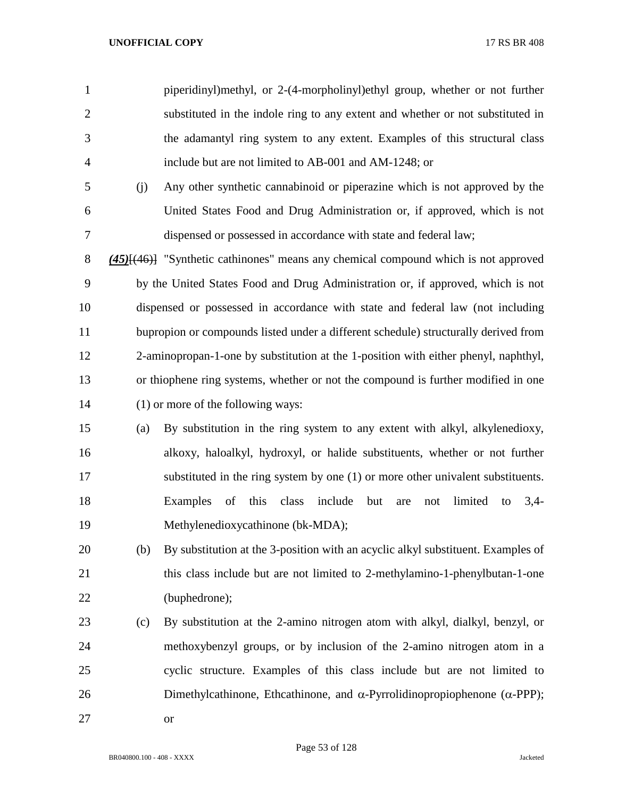piperidinyl)methyl, or 2-(4-morpholinyl)ethyl group, whether or not further substituted in the indole ring to any extent and whether or not substituted in the adamantyl ring system to any extent. Examples of this structural class include but are not limited to AB-001 and AM-1248; or

 (j) Any other synthetic cannabinoid or piperazine which is not approved by the United States Food and Drug Administration or, if approved, which is not dispensed or possessed in accordance with state and federal law;

 *(45)*[(46)] "Synthetic cathinones" means any chemical compound which is not approved by the United States Food and Drug Administration or, if approved, which is not dispensed or possessed in accordance with state and federal law (not including bupropion or compounds listed under a different schedule) structurally derived from 2-aminopropan-1-one by substitution at the 1-position with either phenyl, naphthyl, or thiophene ring systems, whether or not the compound is further modified in one (1) or more of the following ways:

- (a) By substitution in the ring system to any extent with alkyl, alkylenedioxy, alkoxy, haloalkyl, hydroxyl, or halide substituents, whether or not further substituted in the ring system by one (1) or more other univalent substituents. Examples of this class include but are not limited to 3,4- Methylenedioxycathinone (bk-MDA);
- (b) By substitution at the 3-position with an acyclic alkyl substituent. Examples of 21 this class include but are not limited to 2-methylamino-1-phenylbutan-1-one (buphedrone);
- (c) By substitution at the 2-amino nitrogen atom with alkyl, dialkyl, benzyl, or methoxybenzyl groups, or by inclusion of the 2-amino nitrogen atom in a cyclic structure. Examples of this class include but are not limited to 26 Dimethylcathinone, Ethcathinone, and α-Pyrrolidinopropiophenone ( $α$ -PPP); or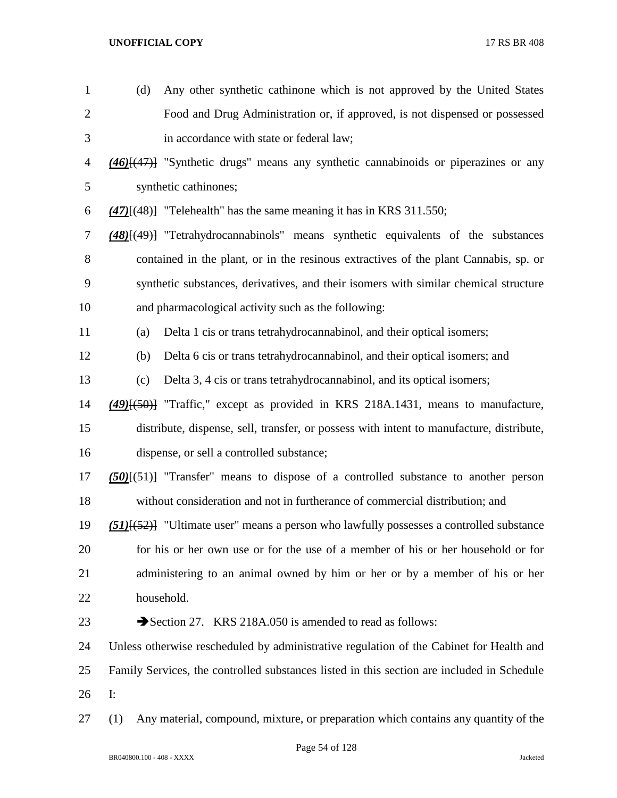| $\mathbf{1}$   | (d)            | Any other synthetic cathinone which is not approved by the United States                   |
|----------------|----------------|--------------------------------------------------------------------------------------------|
| $\overline{c}$ |                | Food and Drug Administration or, if approved, is not dispensed or possessed                |
| 3              |                | in accordance with state or federal law;                                                   |
| $\overline{4}$ |                | $(46)$ $(47)$ "Synthetic drugs" means any synthetic cannabinoids or piperazines or any     |
| 5              |                | synthetic cathinones;                                                                      |
| 6              |                | $(47)$ [ $(48)$ ] "Telehealth" has the same meaning it has in KRS 311.550;                 |
| 7              |                | $(48)$ [ $(49)$ ] "Tetrahydrocannabinols" means synthetic equivalents of the substances    |
| $8\,$          |                | contained in the plant, or in the resinous extractives of the plant Cannabis, sp. or       |
| 9              |                | synthetic substances, derivatives, and their isomers with similar chemical structure       |
| 10             |                | and pharmacological activity such as the following:                                        |
| 11             | (a)            | Delta 1 cis or trans tetrahydrocannabinol, and their optical isomers;                      |
| 12             | (b)            | Delta 6 cis or trans tetrahydrocannabinol, and their optical isomers; and                  |
| 13             | (c)            | Delta 3, 4 cis or trans tetrahydrocannabinol, and its optical isomers;                     |
| 14             |                | $(49)$ [ $(50)$ ] "Traffic," except as provided in KRS 218A.1431, means to manufacture,    |
| 15             |                | distribute, dispense, sell, transfer, or possess with intent to manufacture, distribute,   |
| 16             |                | dispense, or sell a controlled substance;                                                  |
| 17             |                | $(50)(51)$ "Transfer" means to dispose of a controlled substance to another person         |
| 18             |                | without consideration and not in furtherance of commercial distribution; and               |
| 19             |                | (51)[(52)] "Ultimate user" means a person who lawfully possesses a controlled substance    |
| 20             |                | for his or her own use or for the use of a member of his or her household or for           |
| 21             |                | administering to an animal owned by him or her or by a member of his or her                |
| 22             |                | household.                                                                                 |
| 23             |                | Section 27. KRS 218A.050 is amended to read as follows:                                    |
| 24             |                | Unless otherwise rescheduled by administrative regulation of the Cabinet for Health and    |
| 25             |                | Family Services, the controlled substances listed in this section are included in Schedule |
| 26             | $\mathbf{I}$ : |                                                                                            |
| 27             | (1)            | Any material, compound, mixture, or preparation which contains any quantity of the         |

Page 54 of 128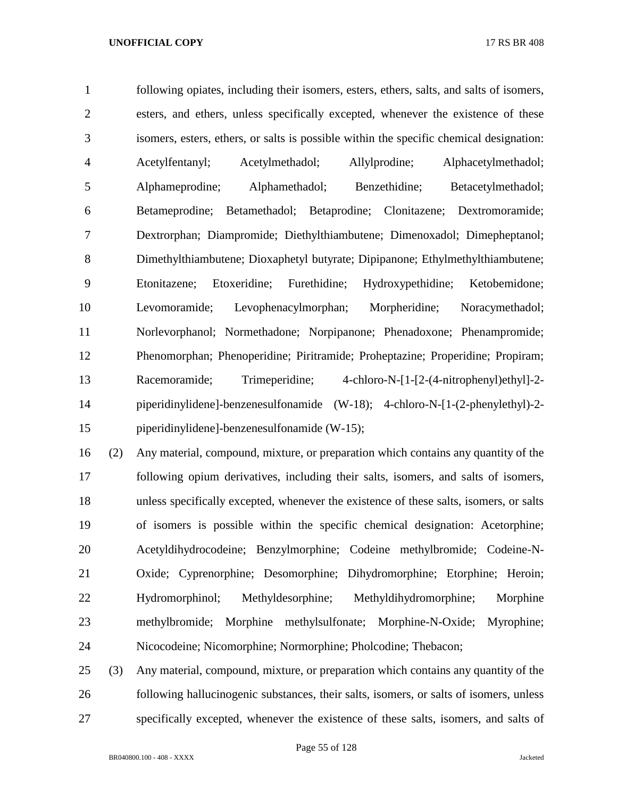following opiates, including their isomers, esters, ethers, salts, and salts of isomers, esters, and ethers, unless specifically excepted, whenever the existence of these isomers, esters, ethers, or salts is possible within the specific chemical designation: Acetylfentanyl; Acetylmethadol; Allylprodine; Alphacetylmethadol; Alphameprodine; Alphamethadol; Benzethidine; Betacetylmethadol; Betameprodine; Betamethadol; Betaprodine; Clonitazene; Dextromoramide; Dextrorphan; Diampromide; Diethylthiambutene; Dimenoxadol; Dimepheptanol; Dimethylthiambutene; Dioxaphetyl butyrate; Dipipanone; Ethylmethylthiambutene; Etonitazene; Etoxeridine; Furethidine; Hydroxypethidine; Ketobemidone; Levomoramide; Levophenacylmorphan; Morpheridine; Noracymethadol; Norlevorphanol; Normethadone; Norpipanone; Phenadoxone; Phenampromide; Phenomorphan; Phenoperidine; Piritramide; Proheptazine; Properidine; Propiram; Racemoramide; Trimeperidine; 4-chloro-N-[1-[2-(4-nitrophenyl)ethyl]-2- piperidinylidene]-benzenesulfonamide (W-18); 4-chloro-N-[1-(2-phenylethyl)-2- piperidinylidene]-benzenesulfonamide (W-15);

 (2) Any material, compound, mixture, or preparation which contains any quantity of the following opium derivatives, including their salts, isomers, and salts of isomers, unless specifically excepted, whenever the existence of these salts, isomers, or salts of isomers is possible within the specific chemical designation: Acetorphine; Acetyldihydrocodeine; Benzylmorphine; Codeine methylbromide; Codeine-N- Oxide; Cyprenorphine; Desomorphine; Dihydromorphine; Etorphine; Heroin; Hydromorphinol; Methyldesorphine; Methyldihydromorphine; Morphine methylbromide; Morphine methylsulfonate; Morphine-N-Oxide; Myrophine; Nicocodeine; Nicomorphine; Normorphine; Pholcodine; Thebacon;

 (3) Any material, compound, mixture, or preparation which contains any quantity of the following hallucinogenic substances, their salts, isomers, or salts of isomers, unless specifically excepted, whenever the existence of these salts, isomers, and salts of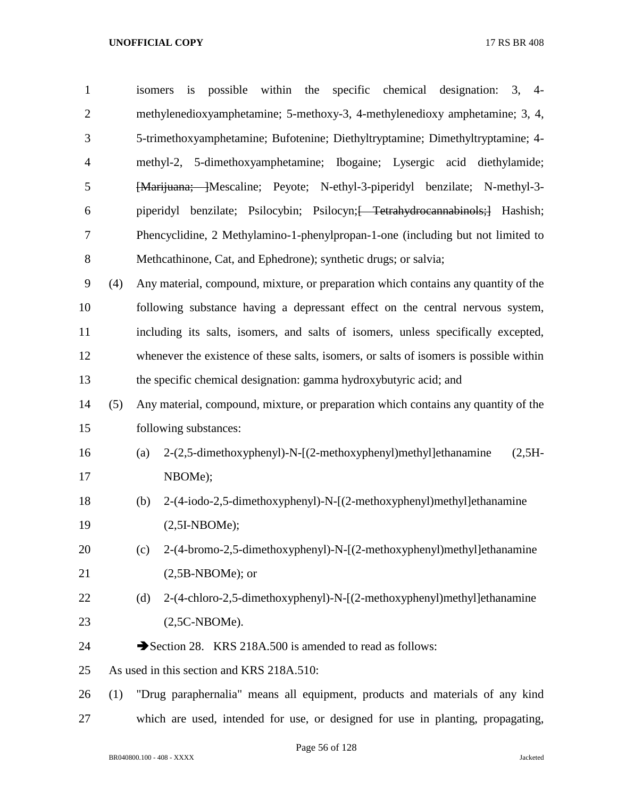| $\mathbf{1}$     |     | isomers | is                    |                     |                                           |  | possible within the specific chemical designation: 3, 4-                               |  |            |  |
|------------------|-----|---------|-----------------------|---------------------|-------------------------------------------|--|----------------------------------------------------------------------------------------|--|------------|--|
| $\mathbf{2}$     |     |         |                       |                     |                                           |  | methylenedioxyamphetamine; 5-methoxy-3, 4-methylenedioxy amphetamine; 3, 4,            |  |            |  |
| 3                |     |         |                       |                     |                                           |  | 5-trimethoxyamphetamine; Bufotenine; Diethyltryptamine; Dimethyltryptamine; 4-         |  |            |  |
| $\overline{4}$   |     |         |                       |                     |                                           |  | methyl-2, 5-dimethoxyamphetamine; Ibogaine; Lysergic acid diethylamide;                |  |            |  |
| 5                |     |         |                       |                     |                                           |  | [Marijuana; ]Mescaline; Peyote; N-ethyl-3-piperidyl benzilate; N-methyl-3-             |  |            |  |
| 6                |     |         |                       |                     |                                           |  | piperidyl benzilate; Psilocybin; Psilocyn; <del>Tetrahydrocannabinols;</del> Hashish;  |  |            |  |
| $\tau$           |     |         |                       |                     |                                           |  | Phencyclidine, 2 Methylamino-1-phenylpropan-1-one (including but not limited to        |  |            |  |
| $8\,$            |     |         |                       |                     |                                           |  | Methcathinone, Cat, and Ephedrone); synthetic drugs; or salvia;                        |  |            |  |
| $\boldsymbol{9}$ | (4) |         |                       |                     |                                           |  | Any material, compound, mixture, or preparation which contains any quantity of the     |  |            |  |
| 10               |     |         |                       |                     |                                           |  | following substance having a depressant effect on the central nervous system,          |  |            |  |
| 11               |     |         |                       |                     |                                           |  | including its salts, isomers, and salts of isomers, unless specifically excepted,      |  |            |  |
| 12               |     |         |                       |                     |                                           |  | whenever the existence of these salts, isomers, or salts of isomers is possible within |  |            |  |
| 13               |     |         |                       |                     |                                           |  | the specific chemical designation: gamma hydroxybutyric acid; and                      |  |            |  |
| 14               | (5) |         |                       |                     |                                           |  | Any material, compound, mixture, or preparation which contains any quantity of the     |  |            |  |
| 15               |     |         | following substances: |                     |                                           |  |                                                                                        |  |            |  |
| 16               |     | (a)     |                       |                     |                                           |  | 2-(2,5-dimethoxyphenyl)-N-[(2-methoxyphenyl)methyl]ethanamine                          |  | $(2, 5H -$ |  |
| 17               |     |         | NBOMe);               |                     |                                           |  |                                                                                        |  |            |  |
| 18               |     | (b)     |                       |                     |                                           |  | 2-(4-iodo-2,5-dimethoxyphenyl)-N-[(2-methoxyphenyl)methyl]ethanamine                   |  |            |  |
| 19               |     |         | $(2,5I-NBOME);$       |                     |                                           |  |                                                                                        |  |            |  |
| 20               |     | (c)     |                       |                     |                                           |  | 2-(4-bromo-2,5-dimethoxyphenyl)-N-[(2-methoxyphenyl)methyl]ethanamine                  |  |            |  |
| 21               |     |         |                       | $(2,5B-NBOME)$ ; or |                                           |  |                                                                                        |  |            |  |
| 22               |     | (d)     |                       |                     |                                           |  | 2-(4-chloro-2,5-dimethoxyphenyl)-N-[(2-methoxyphenyl)methyl]ethanamine                 |  |            |  |
| 23               |     |         | $(2,5C-NBOME).$       |                     |                                           |  |                                                                                        |  |            |  |
| 24               |     |         |                       |                     |                                           |  | Section 28. KRS 218A.500 is amended to read as follows:                                |  |            |  |
| 25               |     |         |                       |                     | As used in this section and KRS 218A.510: |  |                                                                                        |  |            |  |
| 26               | (1) |         |                       |                     |                                           |  | "Drug paraphernalia" means all equipment, products and materials of any kind           |  |            |  |
| 27               |     |         |                       |                     |                                           |  | which are used, intended for use, or designed for use in planting, propagating,        |  |            |  |

Page 56 of 128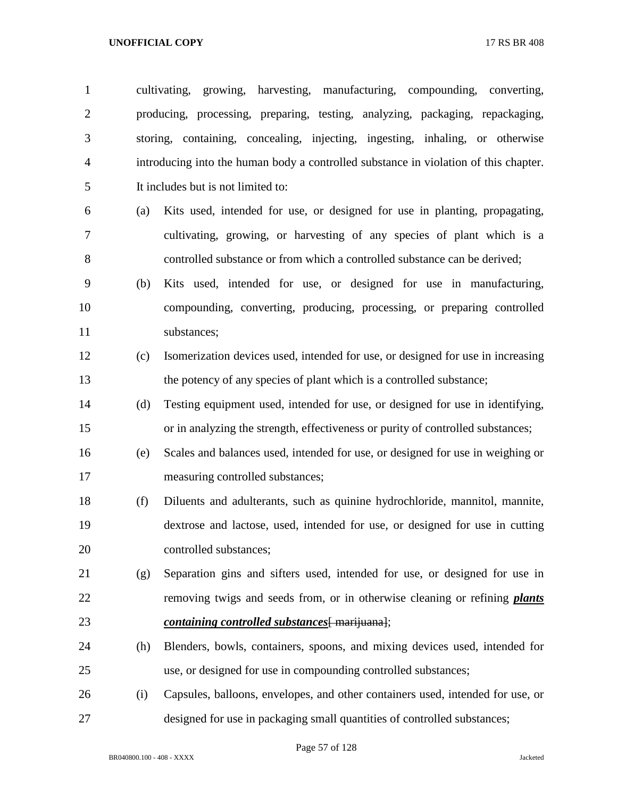| $\mathbf{1}$   |     | cultivating, growing, harvesting, manufacturing, compounding, converting,            |
|----------------|-----|--------------------------------------------------------------------------------------|
| $\overline{2}$ |     | producing, processing, preparing, testing, analyzing, packaging, repackaging,        |
| 3              |     | storing, containing, concealing, injecting, ingesting, inhaling, or otherwise        |
| $\overline{4}$ |     | introducing into the human body a controlled substance in violation of this chapter. |
| 5              |     | It includes but is not limited to:                                                   |
| 6              | (a) | Kits used, intended for use, or designed for use in planting, propagating,           |
| 7              |     | cultivating, growing, or harvesting of any species of plant which is a               |
| 8              |     | controlled substance or from which a controlled substance can be derived;            |
| 9              | (b) | Kits used, intended for use, or designed for use in manufacturing,                   |
| 10             |     | compounding, converting, producing, processing, or preparing controlled              |
| 11             |     | substances;                                                                          |
| 12             | (c) | Isomerization devices used, intended for use, or designed for use in increasing      |
| 13             |     | the potency of any species of plant which is a controlled substance;                 |
| 14             | (d) | Testing equipment used, intended for use, or designed for use in identifying,        |
| 15             |     | or in analyzing the strength, effectiveness or purity of controlled substances;      |
| 16             | (e) | Scales and balances used, intended for use, or designed for use in weighing or       |
| 17             |     | measuring controlled substances;                                                     |
| 18             | (f) | Diluents and adulterants, such as quinine hydrochloride, mannitol, mannite,          |
| 19             |     | dextrose and lactose, used, intended for use, or designed for use in cutting         |
| 20             |     | controlled substances;                                                               |
| 21             | (g) | Separation gins and sifters used, intended for use, or designed for use in           |
| 22             |     | removing twigs and seeds from, or in otherwise cleaning or refining <i>plants</i>    |
| 23             |     | <i>containing controlled substances</i> [ marijuana];                                |
| 24             | (h) | Blenders, bowls, containers, spoons, and mixing devices used, intended for           |
| 25             |     | use, or designed for use in compounding controlled substances;                       |
| 26             | (i) | Capsules, balloons, envelopes, and other containers used, intended for use, or       |
| 27             |     | designed for use in packaging small quantities of controlled substances;             |

Page 57 of 128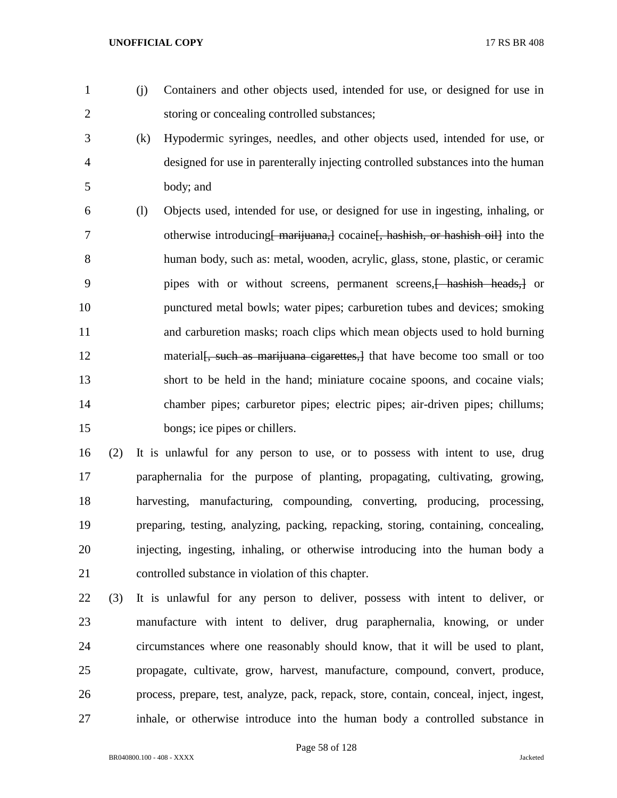- 
- (j) Containers and other objects used, intended for use, or designed for use in storing or concealing controlled substances;
- (k) Hypodermic syringes, needles, and other objects used, intended for use, or designed for use in parenterally injecting controlled substances into the human body; and
- (l) Objects used, intended for use, or designed for use in ingesting, inhaling, or 7 otherwise introducing marijuana, cocaine hashish, or hashish oil into the human body, such as: metal, wooden, acrylic, glass, stone, plastic, or ceramic 9 pipes with or without screens, permanent screens, hashish heads, or punctured metal bowls; water pipes; carburetion tubes and devices; smoking and carburetion masks; roach clips which mean objects used to hold burning 12 material is material, such as marijuana cigarettes, it that have become too small or too short to be held in the hand; miniature cocaine spoons, and cocaine vials; chamber pipes; carburetor pipes; electric pipes; air-driven pipes; chillums; 15 bongs; ice pipes or chillers.
- (2) It is unlawful for any person to use, or to possess with intent to use, drug paraphernalia for the purpose of planting, propagating, cultivating, growing, harvesting, manufacturing, compounding, converting, producing, processing, preparing, testing, analyzing, packing, repacking, storing, containing, concealing, injecting, ingesting, inhaling, or otherwise introducing into the human body a controlled substance in violation of this chapter.
- (3) It is unlawful for any person to deliver, possess with intent to deliver, or manufacture with intent to deliver, drug paraphernalia, knowing, or under circumstances where one reasonably should know, that it will be used to plant, propagate, cultivate, grow, harvest, manufacture, compound, convert, produce, process, prepare, test, analyze, pack, repack, store, contain, conceal, inject, ingest, inhale, or otherwise introduce into the human body a controlled substance in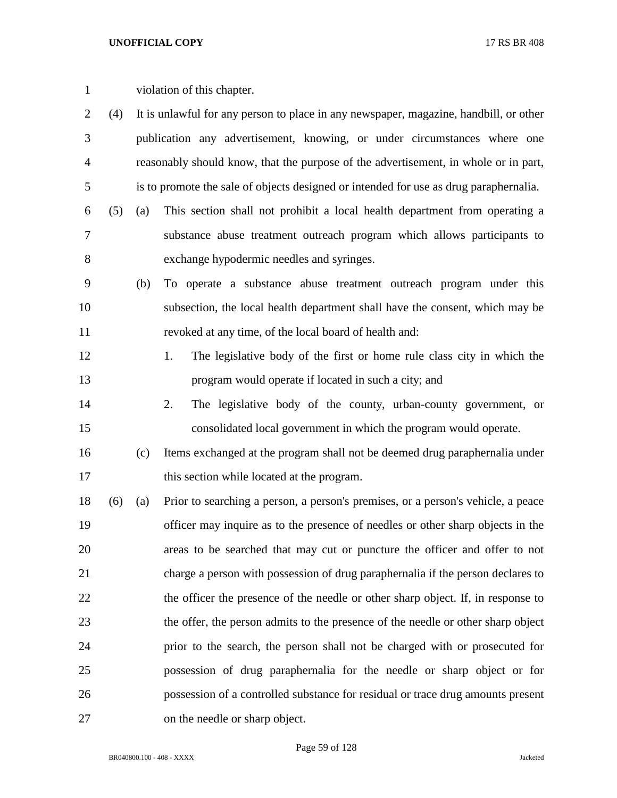| violation of this chapter. |  |
|----------------------------|--|
|                            |  |

- (4) It is unlawful for any person to place in any newspaper, magazine, handbill, or other publication any advertisement, knowing, or under circumstances where one reasonably should know, that the purpose of the advertisement, in whole or in part, is to promote the sale of objects designed or intended for use as drug paraphernalia.
- (5) (a) This section shall not prohibit a local health department from operating a substance abuse treatment outreach program which allows participants to exchange hypodermic needles and syringes.
- (b) To operate a substance abuse treatment outreach program under this subsection, the local health department shall have the consent, which may be revoked at any time, of the local board of health and:
- 1. The legislative body of the first or home rule class city in which the program would operate if located in such a city; and
- 2. The legislative body of the county, urban-county government, or consolidated local government in which the program would operate.
- (c) Items exchanged at the program shall not be deemed drug paraphernalia under 17 this section while located at the program.
- (6) (a) Prior to searching a person, a person's premises, or a person's vehicle, a peace officer may inquire as to the presence of needles or other sharp objects in the areas to be searched that may cut or puncture the officer and offer to not charge a person with possession of drug paraphernalia if the person declares to the officer the presence of the needle or other sharp object. If, in response to the offer, the person admits to the presence of the needle or other sharp object prior to the search, the person shall not be charged with or prosecuted for possession of drug paraphernalia for the needle or sharp object or for possession of a controlled substance for residual or trace drug amounts present on the needle or sharp object.

Page 59 of 128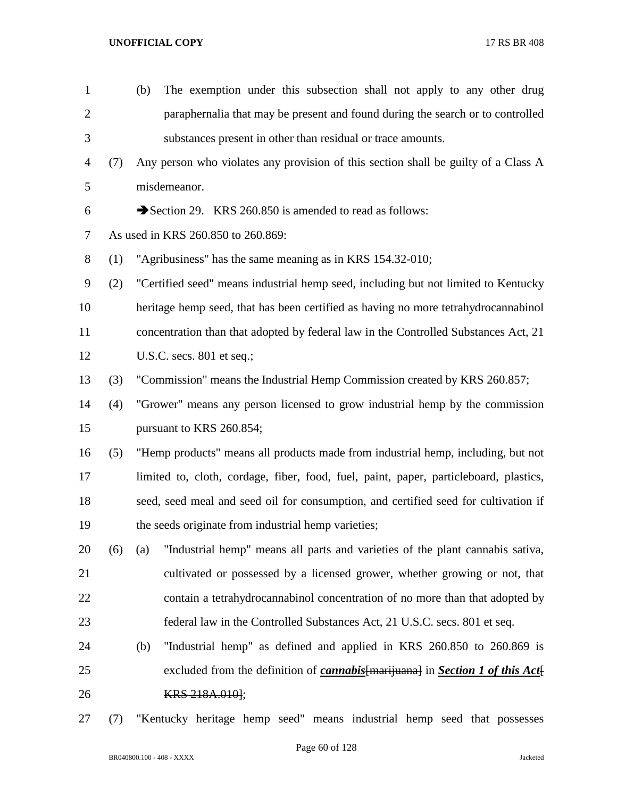| $\mathbf{1}$ |     | The exemption under this subsection shall not apply to any other drug<br>(b)                |
|--------------|-----|---------------------------------------------------------------------------------------------|
| $\mathbf{2}$ |     | paraphernalia that may be present and found during the search or to controlled              |
| 3            |     | substances present in other than residual or trace amounts.                                 |
| 4            | (7) | Any person who violates any provision of this section shall be guilty of a Class A          |
| 5            |     | misdemeanor.                                                                                |
| 6            |     | Section 29. KRS 260.850 is amended to read as follows:                                      |
| $\tau$       |     | As used in KRS 260.850 to 260.869:                                                          |
| $8\,$        | (1) | "Agribusiness" has the same meaning as in KRS 154.32-010;                                   |
| 9            | (2) | "Certified seed" means industrial hemp seed, including but not limited to Kentucky          |
| 10           |     | heritage hemp seed, that has been certified as having no more tetrahydrocannabinol          |
| 11           |     | concentration than that adopted by federal law in the Controlled Substances Act, 21         |
| 12           |     | U.S.C. secs. $801$ et seq.;                                                                 |
| 13           | (3) | "Commission" means the Industrial Hemp Commission created by KRS 260.857;                   |
| 14           | (4) | "Grower" means any person licensed to grow industrial hemp by the commission                |
| 15           |     | pursuant to KRS 260.854;                                                                    |
| 16           | (5) | "Hemp products" means all products made from industrial hemp, including, but not            |
| 17           |     | limited to, cloth, cordage, fiber, food, fuel, paint, paper, particleboard, plastics,       |
| 18           |     | seed, seed meal and seed oil for consumption, and certified seed for cultivation if         |
| 19           |     | the seeds originate from industrial hemp varieties;                                         |
| 20           | (6) | "Industrial hemp" means all parts and varieties of the plant cannabis sativa,<br>(a)        |
| 21           |     | cultivated or possessed by a licensed grower, whether growing or not, that                  |
| 22           |     | contain a tetrahydrocannabinol concentration of no more than that adopted by                |
| 23           |     | federal law in the Controlled Substances Act, 21 U.S.C. secs. 801 et seq.                   |
| 24           |     | "Industrial hemp" as defined and applied in KRS 260.850 to 260.869 is<br>(b)                |
| 25           |     | excluded from the definition of <i>cannabis</i> [marijuana] in <i>Section 1 of this Act</i> |
| 26           |     | KRS 218A.0101;                                                                              |
| 27           | (7) | "Kentucky heritage hemp seed" means industrial hemp seed that possesses                     |

Page 60 of 128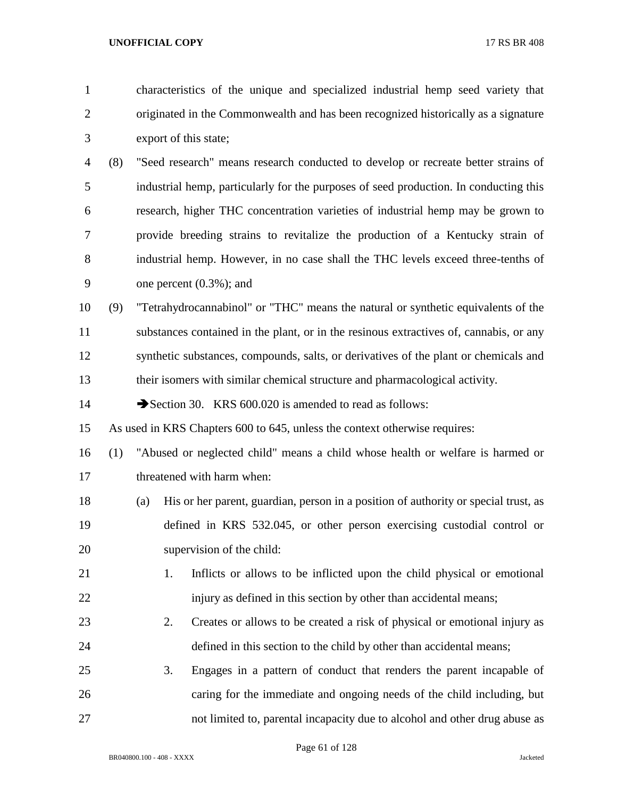- characteristics of the unique and specialized industrial hemp seed variety that originated in the Commonwealth and has been recognized historically as a signature export of this state;
- (8) "Seed research" means research conducted to develop or recreate better strains of industrial hemp, particularly for the purposes of seed production. In conducting this research, higher THC concentration varieties of industrial hemp may be grown to provide breeding strains to revitalize the production of a Kentucky strain of industrial hemp. However, in no case shall the THC levels exceed three-tenths of one percent (0.3%); and
- (9) "Tetrahydrocannabinol" or "THC" means the natural or synthetic equivalents of the substances contained in the plant, or in the resinous extractives of, cannabis, or any synthetic substances, compounds, salts, or derivatives of the plant or chemicals and their isomers with similar chemical structure and pharmacological activity.

14 Section 30. KRS 600.020 is amended to read as follows:

As used in KRS Chapters 600 to 645, unless the context otherwise requires:

- (1) "Abused or neglected child" means a child whose health or welfare is harmed or threatened with harm when:
- (a) His or her parent, guardian, person in a position of authority or special trust, as defined in KRS 532.045, or other person exercising custodial control or supervision of the child:
- 1. Inflicts or allows to be inflicted upon the child physical or emotional 22 injury as defined in this section by other than accidental means;
- 2. Creates or allows to be created a risk of physical or emotional injury as defined in this section to the child by other than accidental means;
- 3. Engages in a pattern of conduct that renders the parent incapable of caring for the immediate and ongoing needs of the child including, but not limited to, parental incapacity due to alcohol and other drug abuse as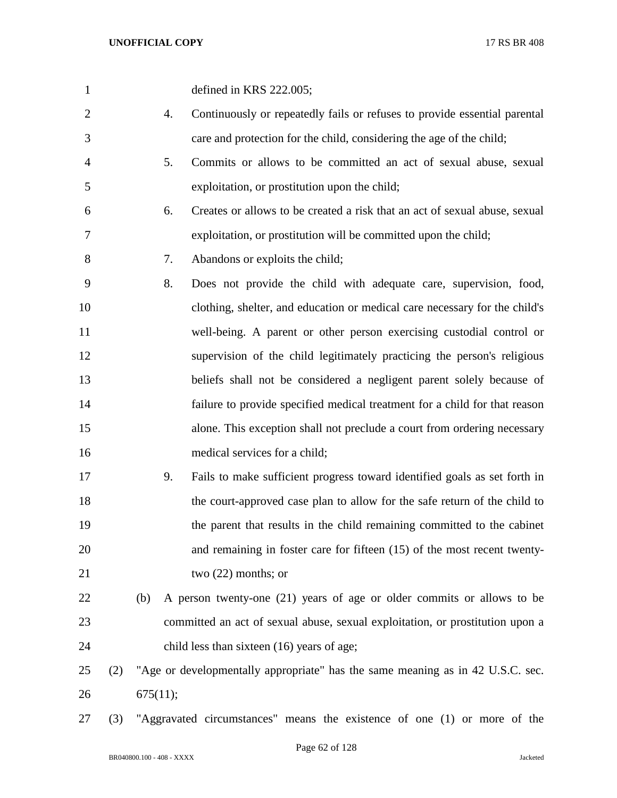| $\mathbf{1}$   |     |          |    | defined in KRS 222.005;                                                        |
|----------------|-----|----------|----|--------------------------------------------------------------------------------|
| $\overline{2}$ |     |          | 4. | Continuously or repeatedly fails or refuses to provide essential parental      |
| 3              |     |          |    | care and protection for the child, considering the age of the child;           |
| 4              |     |          | 5. | Commits or allows to be committed an act of sexual abuse, sexual               |
| 5              |     |          |    | exploitation, or prostitution upon the child;                                  |
| 6              |     |          | 6. | Creates or allows to be created a risk that an act of sexual abuse, sexual     |
| 7              |     |          |    | exploitation, or prostitution will be committed upon the child;                |
| 8              |     |          | 7. | Abandons or exploits the child;                                                |
| 9              |     |          | 8. | Does not provide the child with adequate care, supervision, food,              |
| 10             |     |          |    | clothing, shelter, and education or medical care necessary for the child's     |
| 11             |     |          |    | well-being. A parent or other person exercising custodial control or           |
| 12             |     |          |    | supervision of the child legitimately practicing the person's religious        |
| 13             |     |          |    | beliefs shall not be considered a negligent parent solely because of           |
| 14             |     |          |    | failure to provide specified medical treatment for a child for that reason     |
| 15             |     |          |    | alone. This exception shall not preclude a court from ordering necessary       |
| 16             |     |          |    | medical services for a child;                                                  |
| 17             |     |          | 9. | Fails to make sufficient progress toward identified goals as set forth in      |
| 18             |     |          |    | the court-approved case plan to allow for the safe return of the child to      |
| 19             |     |          |    | the parent that results in the child remaining committed to the cabinet        |
| 20             |     |          |    | and remaining in foster care for fifteen (15) of the most recent twenty-       |
| 21             |     |          |    | two $(22)$ months; or                                                          |
| 22             |     | (b)      |    | A person twenty-one (21) years of age or older commits or allows to be         |
| 23             |     |          |    | committed an act of sexual abuse, sexual exploitation, or prostitution upon a  |
| 24             |     |          |    | child less than sixteen (16) years of age;                                     |
| 25             | (2) |          |    | "Age or developmentally appropriate" has the same meaning as in 42 U.S.C. sec. |
| 26             |     | 675(11); |    |                                                                                |
|                |     |          |    |                                                                                |

(3) "Aggravated circumstances" means the existence of one (1) or more of the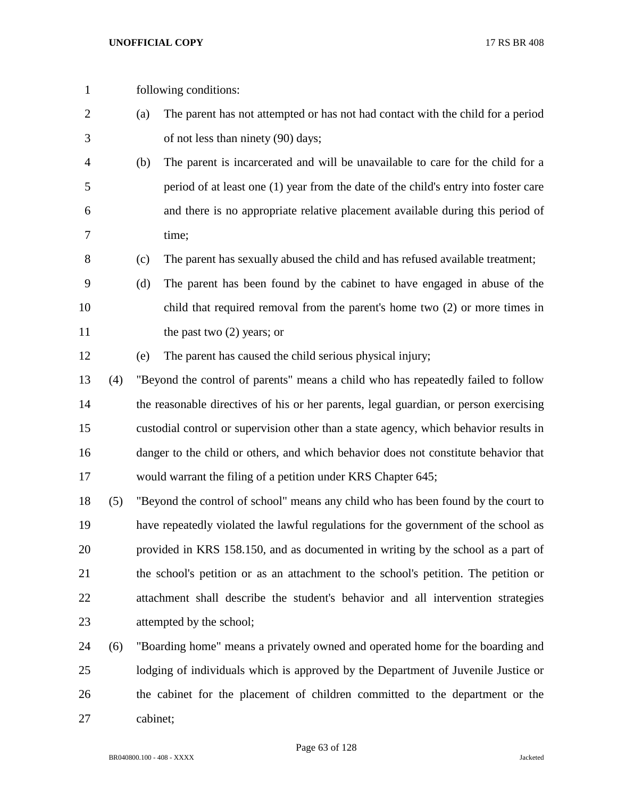- following conditions:
- (a) The parent has not attempted or has not had contact with the child for a period of not less than ninety (90) days;
- (b) The parent is incarcerated and will be unavailable to care for the child for a period of at least one (1) year from the date of the child's entry into foster care and there is no appropriate relative placement available during this period of time;
- (c) The parent has sexually abused the child and has refused available treatment;
- (d) The parent has been found by the cabinet to have engaged in abuse of the child that required removal from the parent's home two (2) or more times in 11 the past two (2) years; or
- (e) The parent has caused the child serious physical injury;
- (4) "Beyond the control of parents" means a child who has repeatedly failed to follow 14 the reasonable directives of his or her parents, legal guardian, or person exercising custodial control or supervision other than a state agency, which behavior results in danger to the child or others, and which behavior does not constitute behavior that would warrant the filing of a petition under KRS Chapter 645;
- (5) "Beyond the control of school" means any child who has been found by the court to have repeatedly violated the lawful regulations for the government of the school as provided in KRS 158.150, and as documented in writing by the school as a part of the school's petition or as an attachment to the school's petition. The petition or attachment shall describe the student's behavior and all intervention strategies attempted by the school;
- (6) "Boarding home" means a privately owned and operated home for the boarding and lodging of individuals which is approved by the Department of Juvenile Justice or the cabinet for the placement of children committed to the department or the cabinet;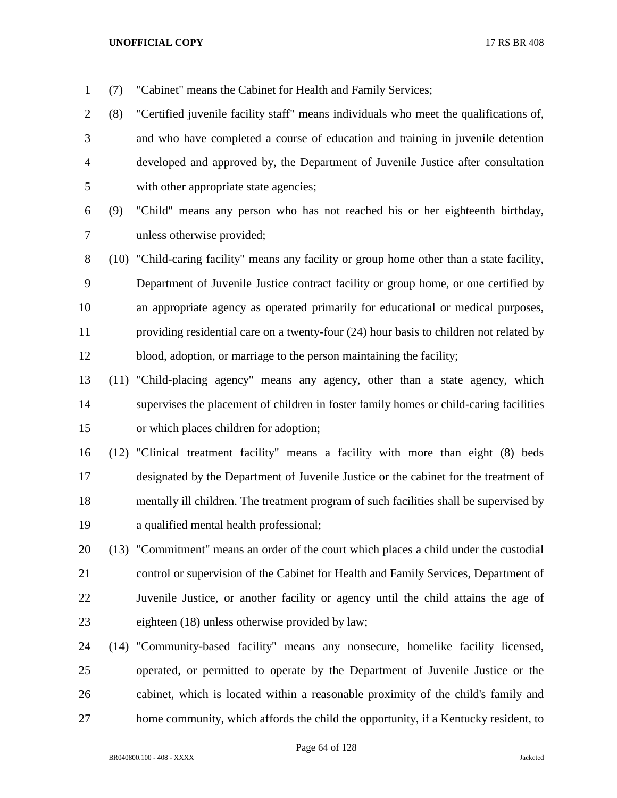(7) "Cabinet" means the Cabinet for Health and Family Services;

 (8) "Certified juvenile facility staff" means individuals who meet the qualifications of, and who have completed a course of education and training in juvenile detention developed and approved by, the Department of Juvenile Justice after consultation with other appropriate state agencies;

 (9) "Child" means any person who has not reached his or her eighteenth birthday, unless otherwise provided;

 (10) "Child-caring facility" means any facility or group home other than a state facility, Department of Juvenile Justice contract facility or group home, or one certified by an appropriate agency as operated primarily for educational or medical purposes, providing residential care on a twenty-four (24) hour basis to children not related by blood, adoption, or marriage to the person maintaining the facility;

 (11) "Child-placing agency" means any agency, other than a state agency, which supervises the placement of children in foster family homes or child-caring facilities or which places children for adoption;

 (12) "Clinical treatment facility" means a facility with more than eight (8) beds designated by the Department of Juvenile Justice or the cabinet for the treatment of mentally ill children. The treatment program of such facilities shall be supervised by a qualified mental health professional;

- (13) "Commitment" means an order of the court which places a child under the custodial control or supervision of the Cabinet for Health and Family Services, Department of Juvenile Justice, or another facility or agency until the child attains the age of eighteen (18) unless otherwise provided by law;
- (14) "Community-based facility" means any nonsecure, homelike facility licensed, operated, or permitted to operate by the Department of Juvenile Justice or the cabinet, which is located within a reasonable proximity of the child's family and home community, which affords the child the opportunity, if a Kentucky resident, to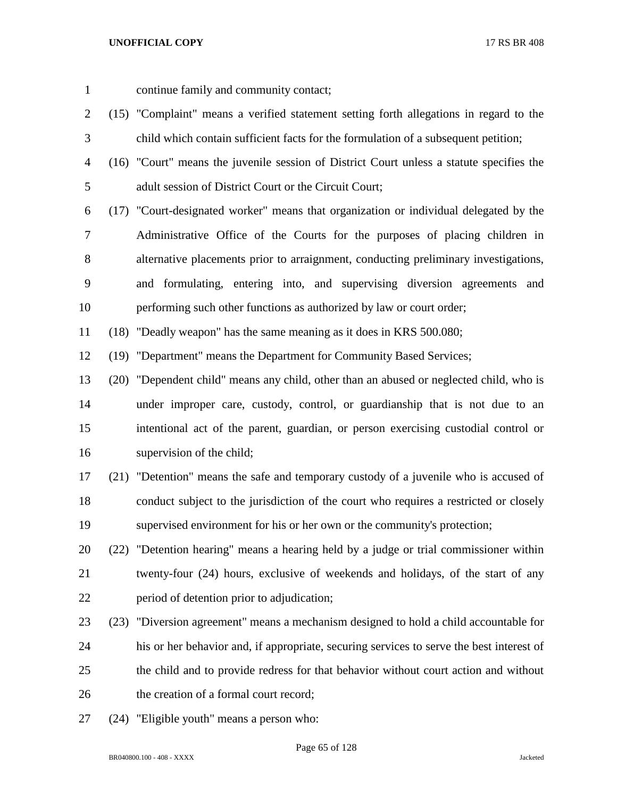- continue family and community contact;
- (15) "Complaint" means a verified statement setting forth allegations in regard to the child which contain sufficient facts for the formulation of a subsequent petition;
- (16) "Court" means the juvenile session of District Court unless a statute specifies the adult session of District Court or the Circuit Court;
- (17) "Court-designated worker" means that organization or individual delegated by the Administrative Office of the Courts for the purposes of placing children in alternative placements prior to arraignment, conducting preliminary investigations, and formulating, entering into, and supervising diversion agreements and performing such other functions as authorized by law or court order;

(18) "Deadly weapon" has the same meaning as it does in KRS 500.080;

(19) "Department" means the Department for Community Based Services;

- (20) "Dependent child" means any child, other than an abused or neglected child, who is under improper care, custody, control, or guardianship that is not due to an intentional act of the parent, guardian, or person exercising custodial control or supervision of the child;
- (21) "Detention" means the safe and temporary custody of a juvenile who is accused of conduct subject to the jurisdiction of the court who requires a restricted or closely supervised environment for his or her own or the community's protection;
- (22) "Detention hearing" means a hearing held by a judge or trial commissioner within twenty-four (24) hours, exclusive of weekends and holidays, of the start of any period of detention prior to adjudication;
- (23) "Diversion agreement" means a mechanism designed to hold a child accountable for his or her behavior and, if appropriate, securing services to serve the best interest of the child and to provide redress for that behavior without court action and without 26 the creation of a formal court record:
- (24) "Eligible youth" means a person who: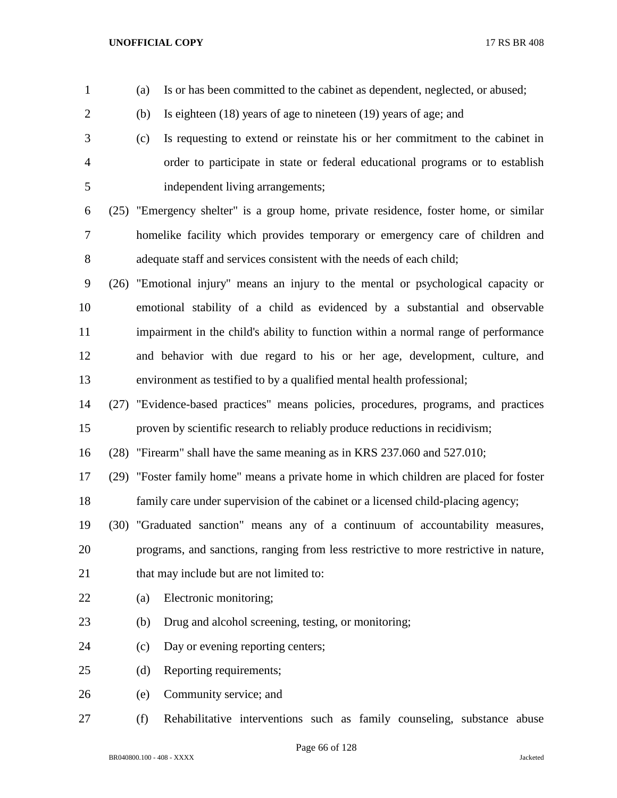| $\overline{2}$ |      | (b) | Is eighteen $(18)$ years of age to nineteen $(19)$ years of age; and                   |
|----------------|------|-----|----------------------------------------------------------------------------------------|
| 3              |      | (c) | Is requesting to extend or reinstate his or her commitment to the cabinet in           |
| 4              |      |     | order to participate in state or federal educational programs or to establish          |
| 5              |      |     | independent living arrangements;                                                       |
| 6              |      |     | (25) "Emergency shelter" is a group home, private residence, foster home, or similar   |
| 7              |      |     | homelike facility which provides temporary or emergency care of children and           |
| 8              |      |     | adequate staff and services consistent with the needs of each child;                   |
| 9              | (26) |     | "Emotional injury" means an injury to the mental or psychological capacity or          |
| 10             |      |     | emotional stability of a child as evidenced by a substantial and observable            |
| 11             |      |     | impairment in the child's ability to function within a normal range of performance     |
| 12             |      |     | and behavior with due regard to his or her age, development, culture, and              |
| 13             |      |     | environment as testified to by a qualified mental health professional;                 |
| 14             |      |     | (27) "Evidence-based practices" means policies, procedures, programs, and practices    |
| 15             |      |     | proven by scientific research to reliably produce reductions in recidivism;            |
| 16             | (28) |     | "Firearm" shall have the same meaning as in KRS 237.060 and 527.010;                   |
| 17             |      |     | (29) "Foster family home" means a private home in which children are placed for foster |
| 18             |      |     | family care under supervision of the cabinet or a licensed child-placing agency;       |
| 19             |      |     | (30) "Graduated sanction" means any of a continuum of accountability measures,         |
| 20             |      |     | programs, and sanctions, ranging from less restrictive to more restrictive in nature,  |
| 21             |      |     | that may include but are not limited to:                                               |
| 22             |      | (a) | Electronic monitoring;                                                                 |
| 23             |      | (b) | Drug and alcohol screening, testing, or monitoring;                                    |
| 24             |      | (c) | Day or evening reporting centers;                                                      |
| 25             |      | (d) | Reporting requirements;                                                                |
| 26             |      | (e) | Community service; and                                                                 |
| 27             |      | (f) | Rehabilitative interventions such as family counseling, substance abuse                |

(a) Is or has been committed to the cabinet as dependent, neglected, or abused;

Page 66 of 128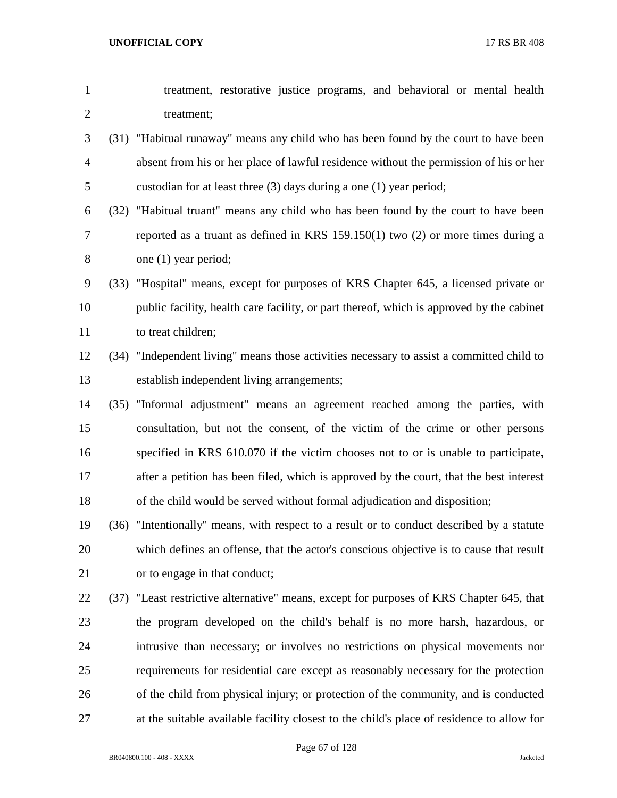| $\mathbf{1}$   | treatment, restorative justice programs, and behavioral or mental health                  |
|----------------|-------------------------------------------------------------------------------------------|
| $\overline{2}$ | treatment;                                                                                |
| 3              | (31) "Habitual runaway" means any child who has been found by the court to have been      |
| $\overline{4}$ | absent from his or her place of lawful residence without the permission of his or her     |
| 5              | custodian for at least three $(3)$ days during a one $(1)$ year period;                   |
| 6              | (32) "Habitual truant" means any child who has been found by the court to have been       |
| $\overline{7}$ | reported as a truant as defined in KRS $159.150(1)$ two $(2)$ or more times during a      |
| 8              | one (1) year period;                                                                      |
| 9              | (33) "Hospital" means, except for purposes of KRS Chapter 645, a licensed private or      |
| 10             | public facility, health care facility, or part thereof, which is approved by the cabinet  |
| 11             | to treat children;                                                                        |
| 12             | (34) "Independent living" means those activities necessary to assist a committed child to |
| 13             | establish independent living arrangements;                                                |
| 14             | (35) "Informal adjustment" means an agreement reached among the parties, with             |
| 15             | consultation, but not the consent, of the victim of the crime or other persons            |
| 16             | specified in KRS 610.070 if the victim chooses not to or is unable to participate,        |
| 17             | after a petition has been filed, which is approved by the court, that the best interest   |
| 18             | of the child would be served without formal adjudication and disposition;                 |
| 19             | (36) "Intentionally" means, with respect to a result or to conduct described by a statute |
| 20             | which defines an offense, that the actor's conscious objective is to cause that result    |
| 21             | or to engage in that conduct;                                                             |
| 22             | (37) "Least restrictive alternative" means, except for purposes of KRS Chapter 645, that  |
| 23             | the program developed on the child's behalf is no more harsh, hazardous, or               |
| 24             | intrusive than necessary; or involves no restrictions on physical movements nor           |
| 25             | requirements for residential care except as reasonably necessary for the protection       |
| 26             | of the child from physical injury; or protection of the community, and is conducted       |

at the suitable available facility closest to the child's place of residence to allow for

Page 67 of 128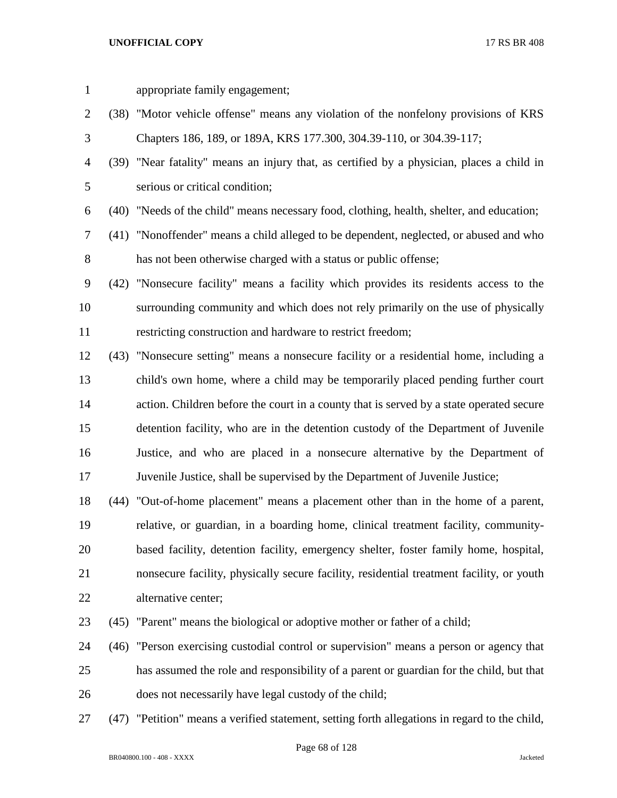appropriate family engagement; (38) "Motor vehicle offense" means any violation of the nonfelony provisions of KRS Chapters 186, 189, or 189A, KRS 177.300, 304.39-110, or 304.39-117; (39) "Near fatality" means an injury that, as certified by a physician, places a child in serious or critical condition; (40) "Needs of the child" means necessary food, clothing, health, shelter, and education; (41) "Nonoffender" means a child alleged to be dependent, neglected, or abused and who has not been otherwise charged with a status or public offense; (42) "Nonsecure facility" means a facility which provides its residents access to the surrounding community and which does not rely primarily on the use of physically restricting construction and hardware to restrict freedom; (43) "Nonsecure setting" means a nonsecure facility or a residential home, including a child's own home, where a child may be temporarily placed pending further court action. Children before the court in a county that is served by a state operated secure detention facility, who are in the detention custody of the Department of Juvenile Justice, and who are placed in a nonsecure alternative by the Department of Juvenile Justice, shall be supervised by the Department of Juvenile Justice; (44) "Out-of-home placement" means a placement other than in the home of a parent, relative, or guardian, in a boarding home, clinical treatment facility, community- based facility, detention facility, emergency shelter, foster family home, hospital, nonsecure facility, physically secure facility, residential treatment facility, or youth alternative center; (45) "Parent" means the biological or adoptive mother or father of a child; (46) "Person exercising custodial control or supervision" means a person or agency that has assumed the role and responsibility of a parent or guardian for the child, but that does not necessarily have legal custody of the child; (47) "Petition" means a verified statement, setting forth allegations in regard to the child,

Page 68 of 128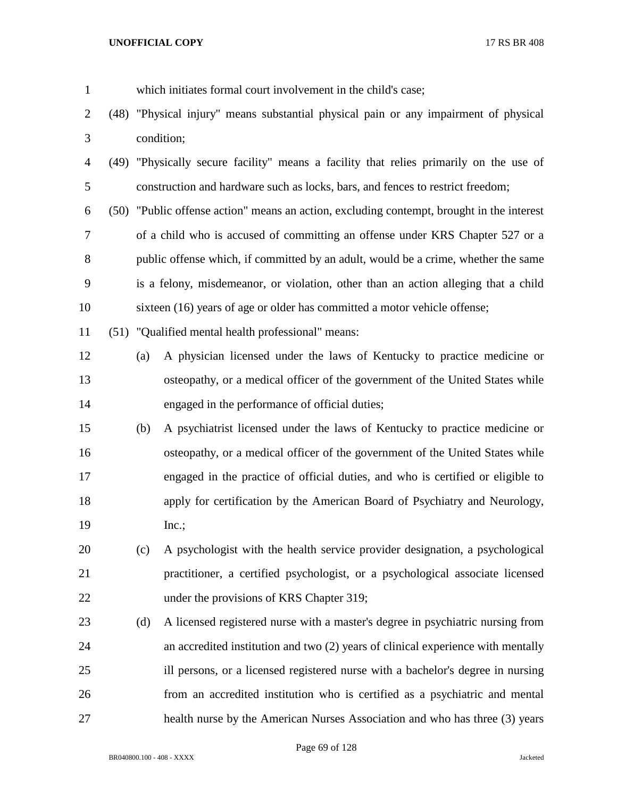| $\mathbf{1}$   |     | which initiates formal court involvement in the child's case;                             |  |  |  |
|----------------|-----|-------------------------------------------------------------------------------------------|--|--|--|
| $\overline{2}$ |     | (48) "Physical injury" means substantial physical pain or any impairment of physical      |  |  |  |
| 3              |     | condition;                                                                                |  |  |  |
| $\overline{4}$ |     | (49) "Physically secure facility" means a facility that relies primarily on the use of    |  |  |  |
| 5              |     | construction and hardware such as locks, bars, and fences to restrict freedom;            |  |  |  |
| 6              |     | (50) "Public offense action" means an action, excluding contempt, brought in the interest |  |  |  |
| 7              |     | of a child who is accused of committing an offense under KRS Chapter 527 or a             |  |  |  |
| 8              |     | public offense which, if committed by an adult, would be a crime, whether the same        |  |  |  |
| 9              |     | is a felony, misdemeanor, or violation, other than an action alleging that a child        |  |  |  |
| 10             |     | sixteen (16) years of age or older has committed a motor vehicle offense;                 |  |  |  |
| 11             |     | (51) "Qualified mental health professional" means:                                        |  |  |  |
| 12             | (a) | A physician licensed under the laws of Kentucky to practice medicine or                   |  |  |  |
| 13             |     | osteopathy, or a medical officer of the government of the United States while             |  |  |  |
| 14             |     | engaged in the performance of official duties;                                            |  |  |  |
| 15             | (b) | A psychiatrist licensed under the laws of Kentucky to practice medicine or                |  |  |  |
| 16             |     | osteopathy, or a medical officer of the government of the United States while             |  |  |  |
| 17             |     | engaged in the practice of official duties, and who is certified or eligible to           |  |  |  |
| 18             |     | apply for certification by the American Board of Psychiatry and Neurology,                |  |  |  |
| 19             |     | $Inc$ .;                                                                                  |  |  |  |
| 20             | (c) | A psychologist with the health service provider designation, a psychological              |  |  |  |
| 21             |     | practitioner, a certified psychologist, or a psychological associate licensed             |  |  |  |
| 22             |     | under the provisions of KRS Chapter 319;                                                  |  |  |  |
| 23             | (d) | A licensed registered nurse with a master's degree in psychiatric nursing from            |  |  |  |
| 24             |     | an accredited institution and two (2) years of clinical experience with mentally          |  |  |  |
| 25             |     | ill persons, or a licensed registered nurse with a bachelor's degree in nursing           |  |  |  |
| 26             |     | from an accredited institution who is certified as a psychiatric and mental               |  |  |  |
| 27             |     | health nurse by the American Nurses Association and who has three (3) years               |  |  |  |

Page 69 of 128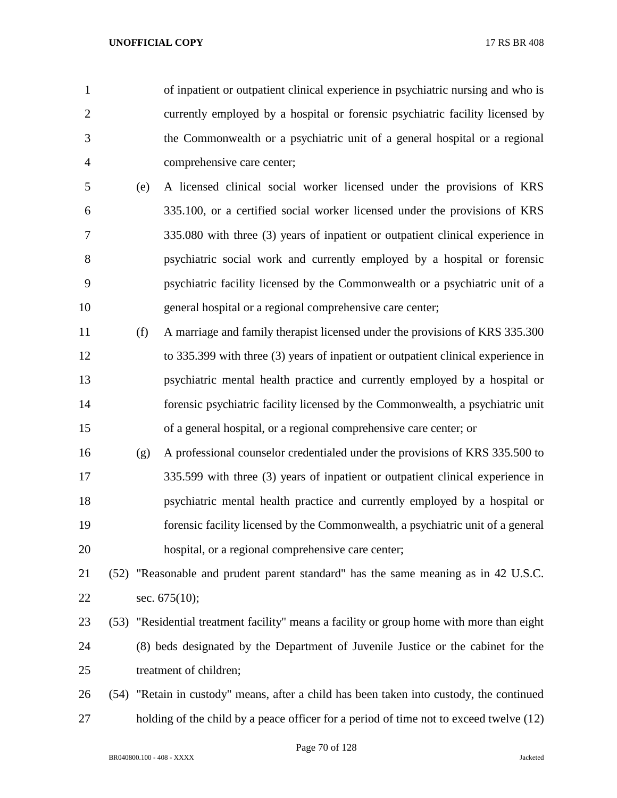of inpatient or outpatient clinical experience in psychiatric nursing and who is currently employed by a hospital or forensic psychiatric facility licensed by the Commonwealth or a psychiatric unit of a general hospital or a regional comprehensive care center;

- (e) A licensed clinical social worker licensed under the provisions of KRS 335.100, or a certified social worker licensed under the provisions of KRS 335.080 with three (3) years of inpatient or outpatient clinical experience in psychiatric social work and currently employed by a hospital or forensic psychiatric facility licensed by the Commonwealth or a psychiatric unit of a general hospital or a regional comprehensive care center;
- (f) A marriage and family therapist licensed under the provisions of KRS 335.300 to 335.399 with three (3) years of inpatient or outpatient clinical experience in psychiatric mental health practice and currently employed by a hospital or forensic psychiatric facility licensed by the Commonwealth, a psychiatric unit of a general hospital, or a regional comprehensive care center; or
- (g) A professional counselor credentialed under the provisions of KRS 335.500 to 335.599 with three (3) years of inpatient or outpatient clinical experience in psychiatric mental health practice and currently employed by a hospital or forensic facility licensed by the Commonwealth, a psychiatric unit of a general hospital, or a regional comprehensive care center;
- (52) "Reasonable and prudent parent standard" has the same meaning as in 42 U.S.C. sec. 675(10);
- (53) "Residential treatment facility" means a facility or group home with more than eight (8) beds designated by the Department of Juvenile Justice or the cabinet for the treatment of children;
- (54) "Retain in custody" means, after a child has been taken into custody, the continued 27 holding of the child by a peace officer for a period of time not to exceed twelve (12)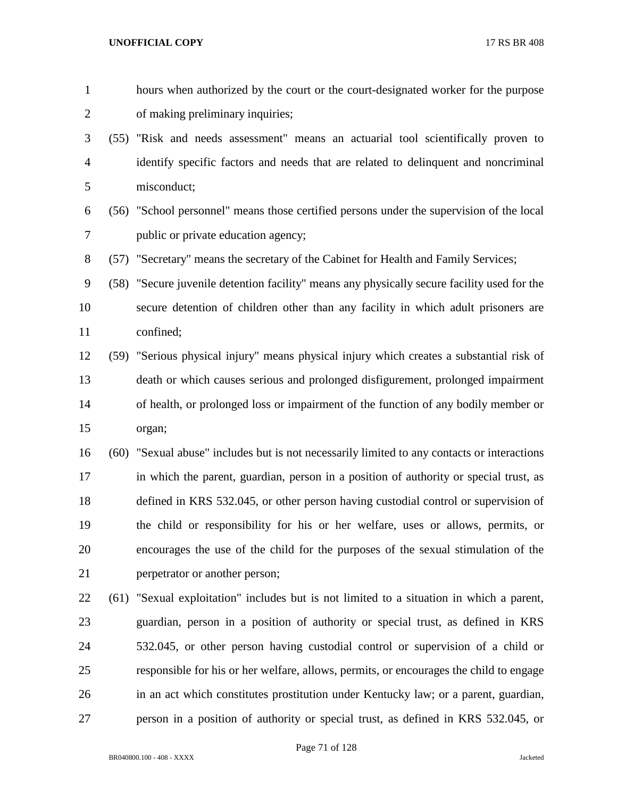hours when authorized by the court or the court-designated worker for the purpose of making preliminary inquiries;

- (55) "Risk and needs assessment" means an actuarial tool scientifically proven to identify specific factors and needs that are related to delinquent and noncriminal misconduct;
- (56) "School personnel" means those certified persons under the supervision of the local public or private education agency;

(57) "Secretary" means the secretary of the Cabinet for Health and Family Services;

 (58) "Secure juvenile detention facility" means any physically secure facility used for the secure detention of children other than any facility in which adult prisoners are confined;

 (59) "Serious physical injury" means physical injury which creates a substantial risk of death or which causes serious and prolonged disfigurement, prolonged impairment of health, or prolonged loss or impairment of the function of any bodily member or organ;

 (60) "Sexual abuse" includes but is not necessarily limited to any contacts or interactions in which the parent, guardian, person in a position of authority or special trust, as defined in KRS 532.045, or other person having custodial control or supervision of the child or responsibility for his or her welfare, uses or allows, permits, or encourages the use of the child for the purposes of the sexual stimulation of the perpetrator or another person;

 (61) "Sexual exploitation" includes but is not limited to a situation in which a parent, guardian, person in a position of authority or special trust, as defined in KRS 532.045, or other person having custodial control or supervision of a child or responsible for his or her welfare, allows, permits, or encourages the child to engage in an act which constitutes prostitution under Kentucky law; or a parent, guardian, person in a position of authority or special trust, as defined in KRS 532.045, or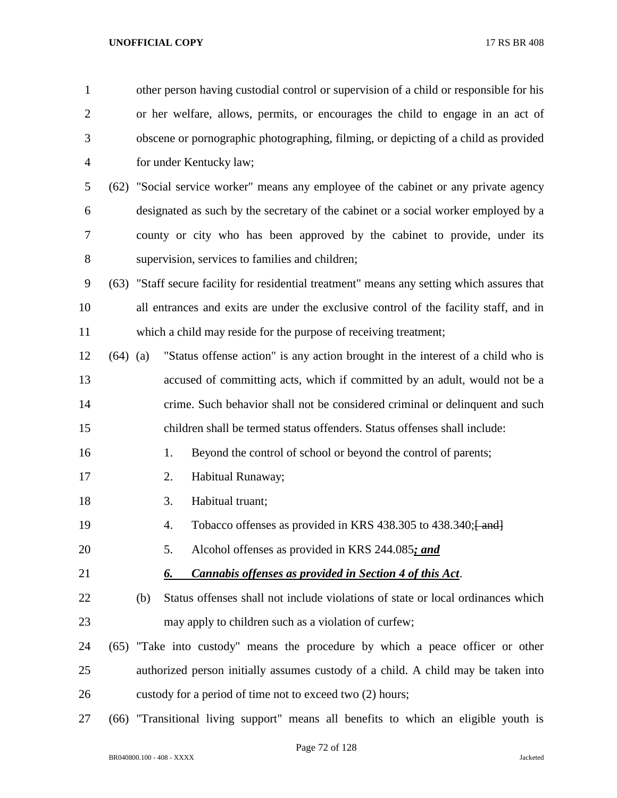| $\mathbf{1}$   |                                                           | other person having custodial control or supervision of a child or responsible for his      |                                                                                      |                                                                                       |  |  |  |  |  |
|----------------|-----------------------------------------------------------|---------------------------------------------------------------------------------------------|--------------------------------------------------------------------------------------|---------------------------------------------------------------------------------------|--|--|--|--|--|
| $\overline{2}$ |                                                           |                                                                                             | or her welfare, allows, permits, or encourages the child to engage in an act of      |                                                                                       |  |  |  |  |  |
| 3              |                                                           |                                                                                             | obscene or pornographic photographing, filming, or depicting of a child as provided  |                                                                                       |  |  |  |  |  |
| 4              |                                                           |                                                                                             | for under Kentucky law;                                                              |                                                                                       |  |  |  |  |  |
| 5              |                                                           |                                                                                             | (62) "Social service worker" means any employee of the cabinet or any private agency |                                                                                       |  |  |  |  |  |
| 6              |                                                           |                                                                                             |                                                                                      | designated as such by the secretary of the cabinet or a social worker employed by a   |  |  |  |  |  |
| 7              |                                                           |                                                                                             |                                                                                      | county or city who has been approved by the cabinet to provide, under its             |  |  |  |  |  |
| 8              |                                                           |                                                                                             | supervision, services to families and children;                                      |                                                                                       |  |  |  |  |  |
| 9              |                                                           | (63) "Staff secure facility for residential treatment" means any setting which assures that |                                                                                      |                                                                                       |  |  |  |  |  |
| 10             |                                                           |                                                                                             |                                                                                      | all entrances and exits are under the exclusive control of the facility staff, and in |  |  |  |  |  |
| 11             |                                                           |                                                                                             |                                                                                      | which a child may reside for the purpose of receiving treatment;                      |  |  |  |  |  |
| 12             | $(64)$ (a)                                                |                                                                                             |                                                                                      | "Status offense action" is any action brought in the interest of a child who is       |  |  |  |  |  |
| 13             |                                                           |                                                                                             |                                                                                      | accused of committing acts, which if committed by an adult, would not be a            |  |  |  |  |  |
| 14             |                                                           |                                                                                             |                                                                                      | crime. Such behavior shall not be considered criminal or delinquent and such          |  |  |  |  |  |
| 15             |                                                           |                                                                                             |                                                                                      | children shall be termed status offenders. Status offenses shall include:             |  |  |  |  |  |
| 16             |                                                           |                                                                                             | 1.                                                                                   | Beyond the control of school or beyond the control of parents;                        |  |  |  |  |  |
| 17             |                                                           |                                                                                             | 2.                                                                                   | Habitual Runaway;                                                                     |  |  |  |  |  |
| 18             |                                                           |                                                                                             | 3.                                                                                   | Habitual truant;                                                                      |  |  |  |  |  |
| 19             |                                                           |                                                                                             | 4.                                                                                   | Tobacco offenses as provided in KRS 438.305 to 438.340; [and]                         |  |  |  |  |  |
| 20             |                                                           |                                                                                             | 5.                                                                                   | Alcohol offenses as provided in KRS 244.085; and                                      |  |  |  |  |  |
| 21             |                                                           |                                                                                             | 6.                                                                                   | <b>Cannabis offenses as provided in Section 4 of this Act.</b>                        |  |  |  |  |  |
| 22             |                                                           | (b)                                                                                         |                                                                                      | Status offenses shall not include violations of state or local ordinances which       |  |  |  |  |  |
| 23             |                                                           |                                                                                             |                                                                                      | may apply to children such as a violation of curfew;                                  |  |  |  |  |  |
| 24             |                                                           |                                                                                             |                                                                                      | (65) "Take into custody" means the procedure by which a peace officer or other        |  |  |  |  |  |
| 25             |                                                           |                                                                                             |                                                                                      | authorized person initially assumes custody of a child. A child may be taken into     |  |  |  |  |  |
| 26             | custody for a period of time not to exceed two (2) hours; |                                                                                             |                                                                                      |                                                                                       |  |  |  |  |  |
| 27             | (66)                                                      | "Transitional living support" means all benefits to which an eligible youth is              |                                                                                      |                                                                                       |  |  |  |  |  |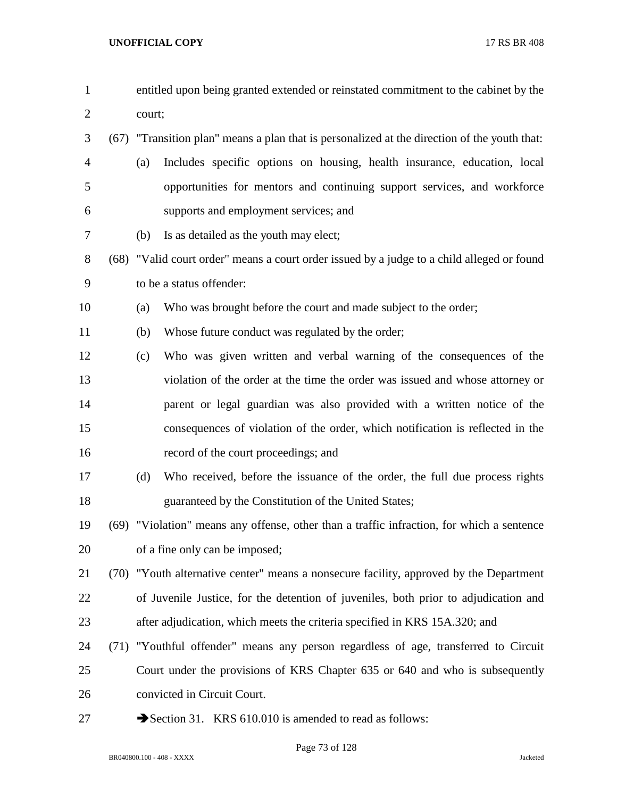| $\mathbf{1}$   |      | entitled upon being granted extended or reinstated commitment to the cabinet by the          |
|----------------|------|----------------------------------------------------------------------------------------------|
| $\overline{2}$ |      | court;                                                                                       |
| 3              |      | (67) "Transition plan" means a plan that is personalized at the direction of the youth that: |
| $\overline{4}$ |      | Includes specific options on housing, health insurance, education, local<br>(a)              |
| 5              |      | opportunities for mentors and continuing support services, and workforce                     |
| 6              |      | supports and employment services; and                                                        |
| 7              |      | Is as detailed as the youth may elect;<br>(b)                                                |
| $8\,$          | (68) | "Valid court order" means a court order issued by a judge to a child alleged or found        |
| 9              |      | to be a status offender:                                                                     |
| 10             |      | Who was brought before the court and made subject to the order;<br>(a)                       |
| 11             |      | Whose future conduct was regulated by the order;<br>(b)                                      |
| 12             |      | Who was given written and verbal warning of the consequences of the<br>(c)                   |
| 13             |      | violation of the order at the time the order was issued and whose attorney or                |
| 14             |      | parent or legal guardian was also provided with a written notice of the                      |
| 15             |      | consequences of violation of the order, which notification is reflected in the               |
| 16             |      | record of the court proceedings; and                                                         |
| 17             |      | Who received, before the issuance of the order, the full due process rights<br>(d)           |
| 18             |      | guaranteed by the Constitution of the United States;                                         |
| 19             |      | (69) "Violation" means any offense, other than a traffic infraction, for which a sentence    |
| 20             |      | of a fine only can be imposed;                                                               |
| 21             |      | (70) "Youth alternative center" means a nonsecure facility, approved by the Department       |
| 22             |      | of Juvenile Justice, for the detention of juveniles, both prior to adjudication and          |
| 23             |      | after adjudication, which meets the criteria specified in KRS 15A.320; and                   |
| 24             |      | (71) "Youthful offender" means any person regardless of age, transferred to Circuit          |
| 25             |      | Court under the provisions of KRS Chapter 635 or 640 and who is subsequently                 |
| 26             |      | convicted in Circuit Court.                                                                  |
| 27             |      | Section 31. KRS 610.010 is amended to read as follows:                                       |

BR040800.100 - 408 - XXXX Jacketed

Page 73 of 128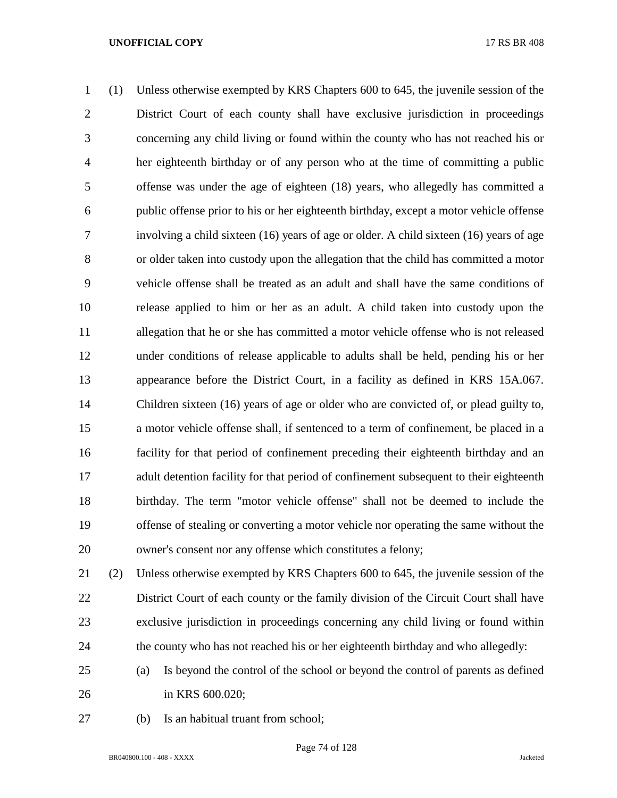(1) Unless otherwise exempted by KRS Chapters 600 to 645, the juvenile session of the District Court of each county shall have exclusive jurisdiction in proceedings concerning any child living or found within the county who has not reached his or her eighteenth birthday or of any person who at the time of committing a public offense was under the age of eighteen (18) years, who allegedly has committed a public offense prior to his or her eighteenth birthday, except a motor vehicle offense involving a child sixteen (16) years of age or older. A child sixteen (16) years of age or older taken into custody upon the allegation that the child has committed a motor vehicle offense shall be treated as an adult and shall have the same conditions of release applied to him or her as an adult. A child taken into custody upon the allegation that he or she has committed a motor vehicle offense who is not released under conditions of release applicable to adults shall be held, pending his or her appearance before the District Court, in a facility as defined in KRS 15A.067. Children sixteen (16) years of age or older who are convicted of, or plead guilty to, a motor vehicle offense shall, if sentenced to a term of confinement, be placed in a facility for that period of confinement preceding their eighteenth birthday and an adult detention facility for that period of confinement subsequent to their eighteenth birthday. The term "motor vehicle offense" shall not be deemed to include the offense of stealing or converting a motor vehicle nor operating the same without the owner's consent nor any offense which constitutes a felony;

 (2) Unless otherwise exempted by KRS Chapters 600 to 645, the juvenile session of the District Court of each county or the family division of the Circuit Court shall have exclusive jurisdiction in proceedings concerning any child living or found within the county who has not reached his or her eighteenth birthday and who allegedly:

- (a) Is beyond the control of the school or beyond the control of parents as defined in KRS 600.020;
- (b) Is an habitual truant from school;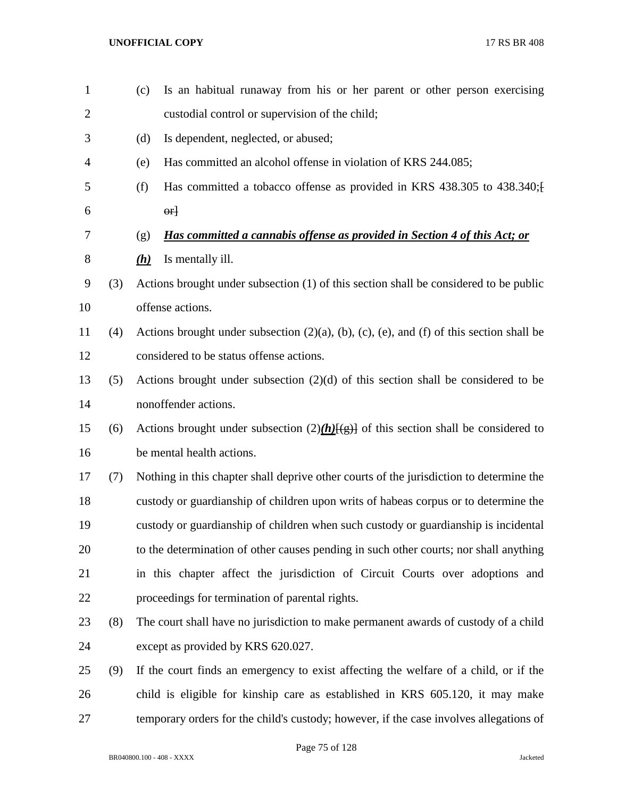(c) Is an habitual runaway from his or her parent or other person exercising custodial control or supervision of the child; (d) Is dependent, neglected, or abused; (e) Has committed an alcohol offense in violation of KRS 244.085; (f) Has committed a tobacco offense as provided in KRS 438.305 to 438.340;[  $\begin{array}{ccc} 6 & & \text{or} \end{array}$  (g) *Has committed a cannabis offense as provided in Section 4 of this Act; or (h)* Is mentally ill. (3) Actions brought under subsection (1) of this section shall be considered to be public offense actions. (4) Actions brought under subsection (2)(a), (b), (c), (e), and (f) of this section shall be considered to be status offense actions. (5) Actions brought under subsection (2)(d) of this section shall be considered to be nonoffender actions. 15 (6) Actions brought under subsection  $(2)$ (h) $\{(\pm)\}$  of this section shall be considered to be mental health actions. (7) Nothing in this chapter shall deprive other courts of the jurisdiction to determine the custody or guardianship of children upon writs of habeas corpus or to determine the custody or guardianship of children when such custody or guardianship is incidental to the determination of other causes pending in such other courts; nor shall anything in this chapter affect the jurisdiction of Circuit Courts over adoptions and proceedings for termination of parental rights. (8) The court shall have no jurisdiction to make permanent awards of custody of a child except as provided by KRS 620.027. (9) If the court finds an emergency to exist affecting the welfare of a child, or if the child is eligible for kinship care as established in KRS 605.120, it may make temporary orders for the child's custody; however, if the case involves allegations of

Page 75 of 128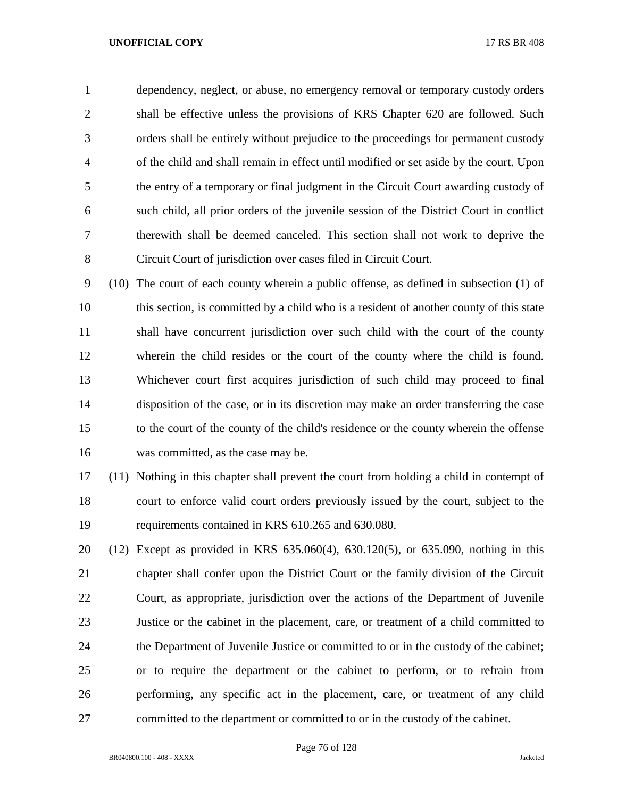dependency, neglect, or abuse, no emergency removal or temporary custody orders shall be effective unless the provisions of KRS Chapter 620 are followed. Such orders shall be entirely without prejudice to the proceedings for permanent custody of the child and shall remain in effect until modified or set aside by the court. Upon the entry of a temporary or final judgment in the Circuit Court awarding custody of such child, all prior orders of the juvenile session of the District Court in conflict therewith shall be deemed canceled. This section shall not work to deprive the Circuit Court of jurisdiction over cases filed in Circuit Court.

 (10) The court of each county wherein a public offense, as defined in subsection (1) of this section, is committed by a child who is a resident of another county of this state shall have concurrent jurisdiction over such child with the court of the county wherein the child resides or the court of the county where the child is found. Whichever court first acquires jurisdiction of such child may proceed to final disposition of the case, or in its discretion may make an order transferring the case to the court of the county of the child's residence or the county wherein the offense was committed, as the case may be.

 (11) Nothing in this chapter shall prevent the court from holding a child in contempt of court to enforce valid court orders previously issued by the court, subject to the requirements contained in KRS 610.265 and 630.080.

 (12) Except as provided in KRS 635.060(4), 630.120(5), or 635.090, nothing in this chapter shall confer upon the District Court or the family division of the Circuit Court, as appropriate, jurisdiction over the actions of the Department of Juvenile Justice or the cabinet in the placement, care, or treatment of a child committed to the Department of Juvenile Justice or committed to or in the custody of the cabinet; or to require the department or the cabinet to perform, or to refrain from performing, any specific act in the placement, care, or treatment of any child committed to the department or committed to or in the custody of the cabinet.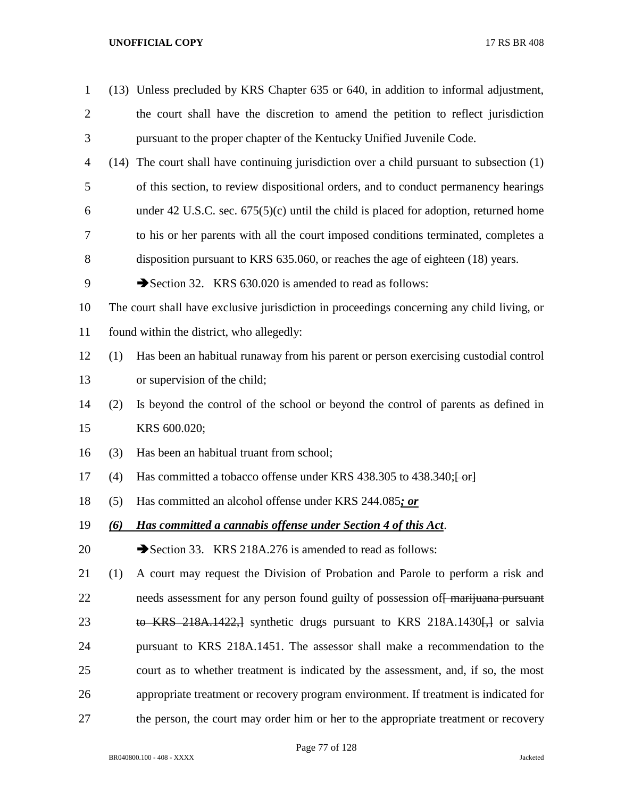| $\mathbf{1}$   |      | (13) Unless precluded by KRS Chapter 635 or 640, in addition to informal adjustment,        |
|----------------|------|---------------------------------------------------------------------------------------------|
| $\overline{2}$ |      | the court shall have the discretion to amend the petition to reflect jurisdiction           |
| 3              |      | pursuant to the proper chapter of the Kentucky Unified Juvenile Code.                       |
| 4              | (14) | The court shall have continuing jurisdiction over a child pursuant to subsection (1)        |
| 5              |      | of this section, to review dispositional orders, and to conduct permanency hearings         |
| 6              |      | under 42 U.S.C. sec. $675(5)(c)$ until the child is placed for adoption, returned home      |
| 7              |      | to his or her parents with all the court imposed conditions terminated, completes a         |
| 8              |      | disposition pursuant to KRS 635.060, or reaches the age of eighteen (18) years.             |
| 9              |      | Section 32. KRS 630.020 is amended to read as follows:                                      |
| 10             |      | The court shall have exclusive jurisdiction in proceedings concerning any child living, or  |
| 11             |      | found within the district, who allegedly:                                                   |
| 12             | (1)  | Has been an habitual runaway from his parent or person exercising custodial control         |
| 13             |      | or supervision of the child;                                                                |
| 14             | (2)  | Is beyond the control of the school or beyond the control of parents as defined in          |
| 15             |      | KRS 600.020;                                                                                |
| 16             | (3)  | Has been an habitual truant from school;                                                    |
| 17             | (4)  | Has committed a tobacco offense under KRS 438.305 to 438.340; [-or]                         |
| 18             | (5)  | Has committed an alcohol offense under KRS 244.085; or                                      |
| 19             | (6)  | Has committed a cannabis offense under Section 4 of this Act.                               |
| 20             |      | Section 33. KRS 218A.276 is amended to read as follows:                                     |
| 21             | (1)  | A court may request the Division of Probation and Parole to perform a risk and              |
| 22             |      | needs assessment for any person found guilty of possession of <del>marijuana pursuant</del> |
| 23             |      | to KRS 218A.1422, synthetic drugs pursuant to KRS 218A.1430 $\leftrightarrow$ or salvia     |
| 24             |      | pursuant to KRS 218A.1451. The assessor shall make a recommendation to the                  |
| 25             |      | court as to whether treatment is indicated by the assessment, and, if so, the most          |
| 26             |      | appropriate treatment or recovery program environment. If treatment is indicated for        |
| 27             |      | the person, the court may order him or her to the appropriate treatment or recovery         |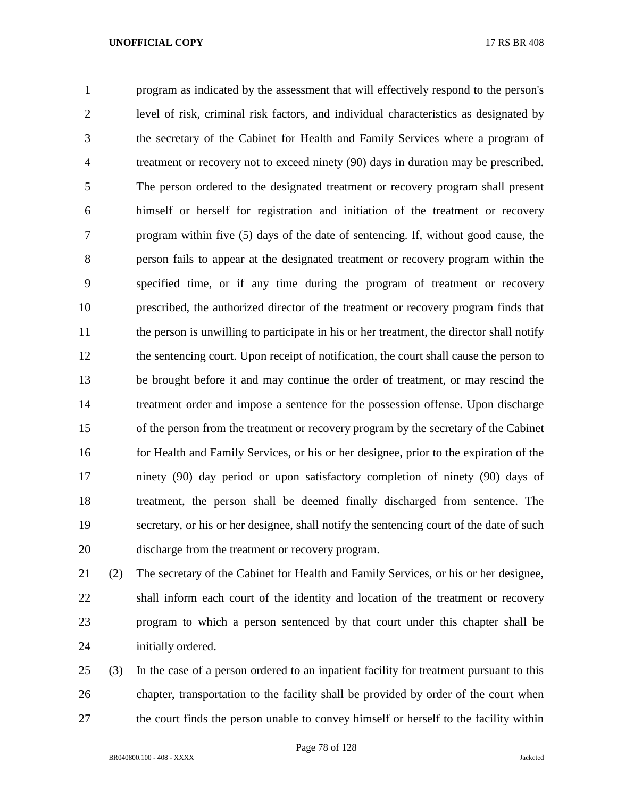program as indicated by the assessment that will effectively respond to the person's level of risk, criminal risk factors, and individual characteristics as designated by the secretary of the Cabinet for Health and Family Services where a program of treatment or recovery not to exceed ninety (90) days in duration may be prescribed. The person ordered to the designated treatment or recovery program shall present himself or herself for registration and initiation of the treatment or recovery program within five (5) days of the date of sentencing. If, without good cause, the person fails to appear at the designated treatment or recovery program within the specified time, or if any time during the program of treatment or recovery prescribed, the authorized director of the treatment or recovery program finds that 11 the person is unwilling to participate in his or her treatment, the director shall notify the sentencing court. Upon receipt of notification, the court shall cause the person to be brought before it and may continue the order of treatment, or may rescind the treatment order and impose a sentence for the possession offense. Upon discharge of the person from the treatment or recovery program by the secretary of the Cabinet for Health and Family Services, or his or her designee, prior to the expiration of the ninety (90) day period or upon satisfactory completion of ninety (90) days of treatment, the person shall be deemed finally discharged from sentence. The secretary, or his or her designee, shall notify the sentencing court of the date of such discharge from the treatment or recovery program.

 (2) The secretary of the Cabinet for Health and Family Services, or his or her designee, shall inform each court of the identity and location of the treatment or recovery program to which a person sentenced by that court under this chapter shall be initially ordered.

 (3) In the case of a person ordered to an inpatient facility for treatment pursuant to this chapter, transportation to the facility shall be provided by order of the court when the court finds the person unable to convey himself or herself to the facility within

Page 78 of 128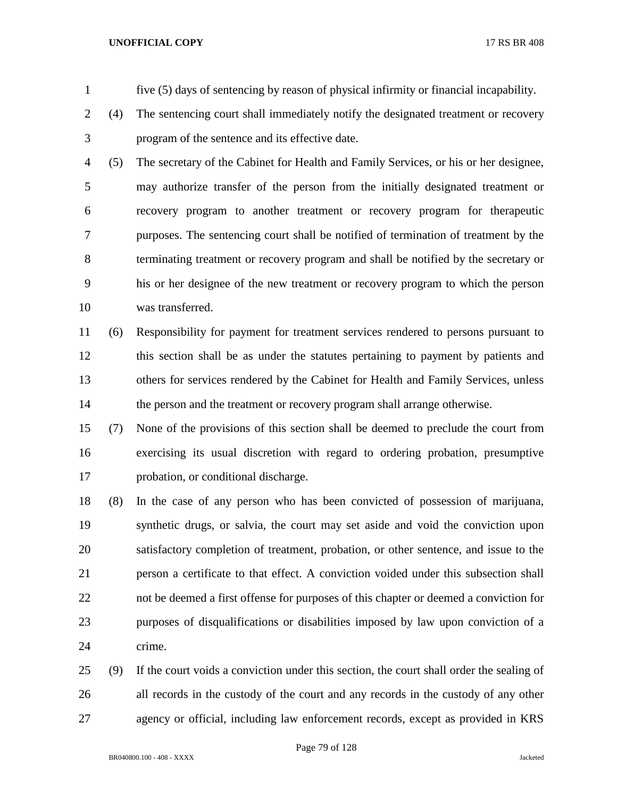- five (5) days of sentencing by reason of physical infirmity or financial incapability.
- (4) The sentencing court shall immediately notify the designated treatment or recovery program of the sentence and its effective date.
- (5) The secretary of the Cabinet for Health and Family Services, or his or her designee, may authorize transfer of the person from the initially designated treatment or recovery program to another treatment or recovery program for therapeutic purposes. The sentencing court shall be notified of termination of treatment by the terminating treatment or recovery program and shall be notified by the secretary or his or her designee of the new treatment or recovery program to which the person was transferred.
- (6) Responsibility for payment for treatment services rendered to persons pursuant to this section shall be as under the statutes pertaining to payment by patients and others for services rendered by the Cabinet for Health and Family Services, unless 14 the person and the treatment or recovery program shall arrange otherwise.
- (7) None of the provisions of this section shall be deemed to preclude the court from exercising its usual discretion with regard to ordering probation, presumptive probation, or conditional discharge.
- (8) In the case of any person who has been convicted of possession of marijuana, synthetic drugs, or salvia, the court may set aside and void the conviction upon satisfactory completion of treatment, probation, or other sentence, and issue to the person a certificate to that effect. A conviction voided under this subsection shall not be deemed a first offense for purposes of this chapter or deemed a conviction for purposes of disqualifications or disabilities imposed by law upon conviction of a crime.
- (9) If the court voids a conviction under this section, the court shall order the sealing of all records in the custody of the court and any records in the custody of any other agency or official, including law enforcement records, except as provided in KRS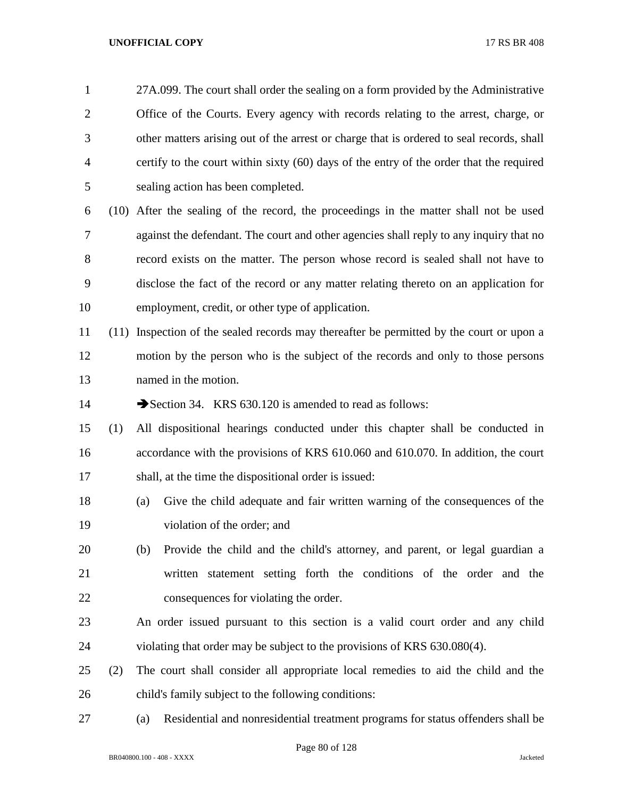| $\mathbf{1}$ |     | 27A.099. The court shall order the sealing on a form provided by the Administrative      |
|--------------|-----|------------------------------------------------------------------------------------------|
| 2            |     | Office of the Courts. Every agency with records relating to the arrest, charge, or       |
| 3            |     | other matters arising out of the arrest or charge that is ordered to seal records, shall |
| 4            |     | certify to the court within sixty (60) days of the entry of the order that the required  |
| 5            |     | sealing action has been completed.                                                       |
| 6            |     | (10) After the sealing of the record, the proceedings in the matter shall not be used    |
| 7            |     | against the defendant. The court and other agencies shall reply to any inquiry that no   |
| 8            |     | record exists on the matter. The person whose record is sealed shall not have to         |
| 9            |     | disclose the fact of the record or any matter relating thereto on an application for     |
| 10           |     | employment, credit, or other type of application.                                        |
| 11           |     | (11) Inspection of the sealed records may thereafter be permitted by the court or upon a |
| 12           |     | motion by the person who is the subject of the records and only to those persons         |
| 13           |     | named in the motion.                                                                     |
| 14           |     | Section 34. KRS 630.120 is amended to read as follows:                                   |
| 15           | (1) | All dispositional hearings conducted under this chapter shall be conducted in            |
| 16           |     | accordance with the provisions of KRS 610.060 and 610.070. In addition, the court        |
| 17           |     | shall, at the time the dispositional order is issued:                                    |
| 18           |     | Give the child adequate and fair written warning of the consequences of the<br>(a)       |
| 19           |     | violation of the order; and                                                              |
| 20           |     | Provide the child and the child's attorney, and parent, or legal guardian a<br>(b)       |
| 21           |     | written statement setting forth the conditions of the order and the                      |
| 22           |     | consequences for violating the order.                                                    |
| 23           |     | An order issued pursuant to this section is a valid court order and any child            |
| 24           |     | violating that order may be subject to the provisions of KRS 630.080(4).                 |
| 25           | (2) | The court shall consider all appropriate local remedies to aid the child and the         |
| 26           |     | child's family subject to the following conditions:                                      |
| 27           |     | Residential and nonresidential treatment programs for status offenders shall be<br>(a)   |

Page 80 of 128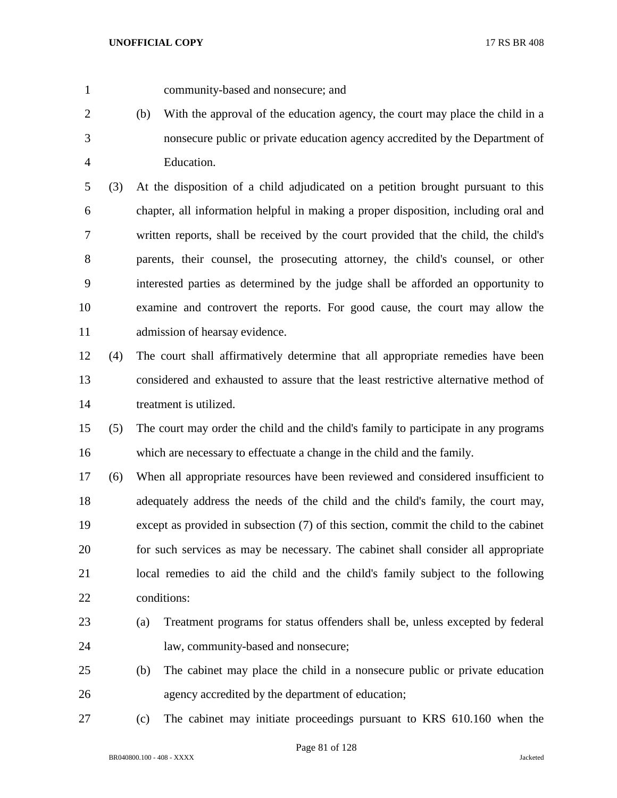community-based and nonsecure; and

 (b) With the approval of the education agency, the court may place the child in a nonsecure public or private education agency accredited by the Department of Education.

 (3) At the disposition of a child adjudicated on a petition brought pursuant to this chapter, all information helpful in making a proper disposition, including oral and written reports, shall be received by the court provided that the child, the child's parents, their counsel, the prosecuting attorney, the child's counsel, or other interested parties as determined by the judge shall be afforded an opportunity to examine and controvert the reports. For good cause, the court may allow the admission of hearsay evidence.

 (4) The court shall affirmatively determine that all appropriate remedies have been considered and exhausted to assure that the least restrictive alternative method of treatment is utilized.

 (5) The court may order the child and the child's family to participate in any programs which are necessary to effectuate a change in the child and the family.

 (6) When all appropriate resources have been reviewed and considered insufficient to adequately address the needs of the child and the child's family, the court may, except as provided in subsection (7) of this section, commit the child to the cabinet for such services as may be necessary. The cabinet shall consider all appropriate local remedies to aid the child and the child's family subject to the following conditions:

- (a) Treatment programs for status offenders shall be, unless excepted by federal law, community-based and nonsecure;
- (b) The cabinet may place the child in a nonsecure public or private education agency accredited by the department of education;
- (c) The cabinet may initiate proceedings pursuant to KRS 610.160 when the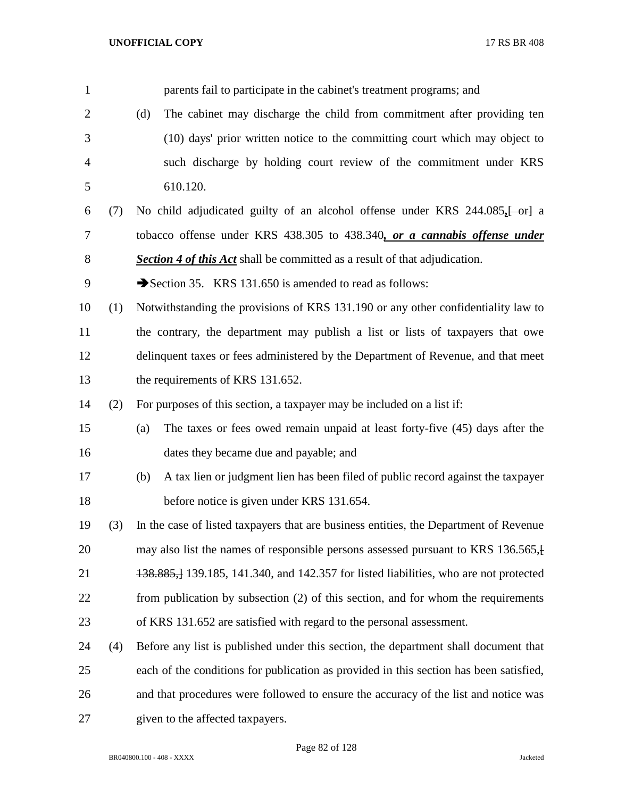parents fail to participate in the cabinet's treatment programs; and (d) The cabinet may discharge the child from commitment after providing ten (10) days' prior written notice to the committing court which may object to such discharge by holding court review of the commitment under KRS 610.120. (7) No child adjudicated guilty of an alcohol offense under KRS 244.085*,*[ or] a tobacco offense under KRS 438.305 to 438.340*, or a cannabis offense under Section 4 of this Act* shall be committed as a result of that adjudication. 9 Section 35. KRS 131.650 is amended to read as follows: (1) Notwithstanding the provisions of KRS 131.190 or any other confidentiality law to the contrary, the department may publish a list or lists of taxpayers that owe delinquent taxes or fees administered by the Department of Revenue, and that meet 13 the requirements of KRS 131.652. (2) For purposes of this section, a taxpayer may be included on a list if: (a) The taxes or fees owed remain unpaid at least forty-five (45) days after the dates they became due and payable; and (b) A tax lien or judgment lien has been filed of public record against the taxpayer before notice is given under KRS 131.654. (3) In the case of listed taxpayers that are business entities, the Department of Revenue 20 may also list the names of responsible persons assessed pursuant to KRS 136.565. 138.885,] 139.185, 141.340, and 142.357 for listed liabilities, who are not protected from publication by subsection (2) of this section, and for whom the requirements of KRS 131.652 are satisfied with regard to the personal assessment. (4) Before any list is published under this section, the department shall document that each of the conditions for publication as provided in this section has been satisfied, and that procedures were followed to ensure the accuracy of the list and notice was given to the affected taxpayers.

Page 82 of 128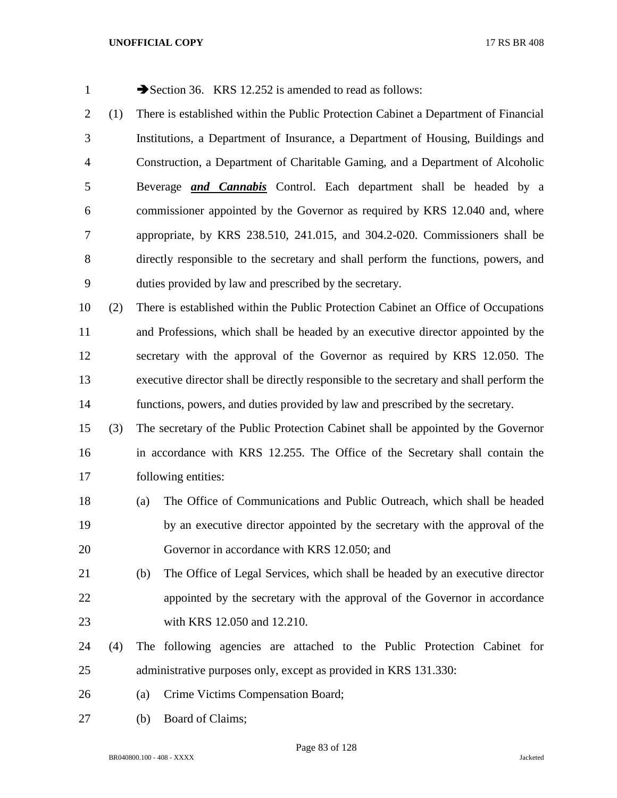| 1              |     | Section 36. KRS 12.252 is amended to read as follows:                                   |
|----------------|-----|-----------------------------------------------------------------------------------------|
| $\overline{2}$ | (1) | There is established within the Public Protection Cabinet a Department of Financial     |
| 3              |     | Institutions, a Department of Insurance, a Department of Housing, Buildings and         |
| $\overline{4}$ |     | Construction, a Department of Charitable Gaming, and a Department of Alcoholic          |
| 5              |     | Beverage <i>and Cannabis</i> Control. Each department shall be headed by a              |
| 6              |     | commissioner appointed by the Governor as required by KRS 12.040 and, where             |
| 7              |     | appropriate, by KRS 238.510, 241.015, and 304.2-020. Commissioners shall be             |
| 8              |     | directly responsible to the secretary and shall perform the functions, powers, and      |
| 9              |     | duties provided by law and prescribed by the secretary.                                 |
| 10             | (2) | There is established within the Public Protection Cabinet an Office of Occupations      |
| 11             |     | and Professions, which shall be headed by an executive director appointed by the        |
| 12             |     | secretary with the approval of the Governor as required by KRS 12.050. The              |
| 13             |     | executive director shall be directly responsible to the secretary and shall perform the |
| 14             |     | functions, powers, and duties provided by law and prescribed by the secretary.          |
| 15             | (3) | The secretary of the Public Protection Cabinet shall be appointed by the Governor       |
| 16             |     | in accordance with KRS 12.255. The Office of the Secretary shall contain the            |
| 17             |     | following entities:                                                                     |
| 18             |     | The Office of Communications and Public Outreach, which shall be headed<br>(a)          |
| 19             |     | by an executive director appointed by the secretary with the approval of the            |
| 20             |     | Governor in accordance with KRS 12.050; and                                             |
| 21             |     | The Office of Legal Services, which shall be headed by an executive director<br>(b)     |
| 22             |     | appointed by the secretary with the approval of the Governor in accordance              |
| 23             |     | with KRS 12.050 and 12.210.                                                             |
| 24             | (4) | The following agencies are attached to the Public Protection Cabinet for                |
| 25             |     | administrative purposes only, except as provided in KRS 131.330:                        |
| 26             |     | Crime Victims Compensation Board;<br>(a)                                                |

(b) Board of Claims;

Page 83 of 128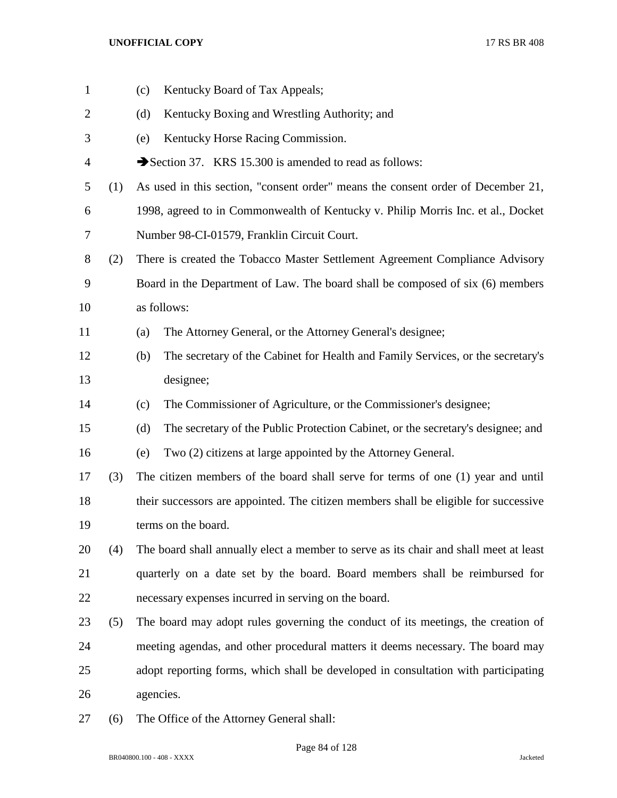| $\mathbf{1}$   |     | Kentucky Board of Tax Appeals;<br>(c)                                                   |
|----------------|-----|-----------------------------------------------------------------------------------------|
| $\overline{2}$ |     | Kentucky Boxing and Wrestling Authority; and<br>(d)                                     |
| 3              |     | Kentucky Horse Racing Commission.<br>(e)                                                |
| 4              |     | Section 37. KRS 15.300 is amended to read as follows:                                   |
| 5              | (1) | As used in this section, "consent order" means the consent order of December 21,        |
| 6              |     | 1998, agreed to in Commonwealth of Kentucky v. Philip Morris Inc. et al., Docket        |
| 7              |     | Number 98-CI-01579, Franklin Circuit Court.                                             |
| 8              | (2) | There is created the Tobacco Master Settlement Agreement Compliance Advisory            |
| 9              |     | Board in the Department of Law. The board shall be composed of six (6) members          |
| 10             |     | as follows:                                                                             |
| 11             |     | The Attorney General, or the Attorney General's designee;<br>(a)                        |
| 12             |     | The secretary of the Cabinet for Health and Family Services, or the secretary's<br>(b)  |
| 13             |     | designee;                                                                               |
| 14             |     | The Commissioner of Agriculture, or the Commissioner's designee;<br>(c)                 |
| 15             |     | The secretary of the Public Protection Cabinet, or the secretary's designee; and<br>(d) |
| 16             |     | Two (2) citizens at large appointed by the Attorney General.<br>(e)                     |
| 17             | (3) | The citizen members of the board shall serve for terms of one (1) year and until        |
| 18             |     | their successors are appointed. The citizen members shall be eligible for successive    |
| 19             |     | terms on the board.                                                                     |
| 20             | (4) | The board shall annually elect a member to serve as its chair and shall meet at least   |
| 21             |     | quarterly on a date set by the board. Board members shall be reimbursed for             |
| 22             |     | necessary expenses incurred in serving on the board.                                    |
| 23             | (5) | The board may adopt rules governing the conduct of its meetings, the creation of        |
| 24             |     | meeting agendas, and other procedural matters it deems necessary. The board may         |
| 25             |     | adopt reporting forms, which shall be developed in consultation with participating      |
| 26             |     | agencies.                                                                               |
| $27\,$         | (6) | The Office of the Attorney General shall:                                               |

Page 84 of 128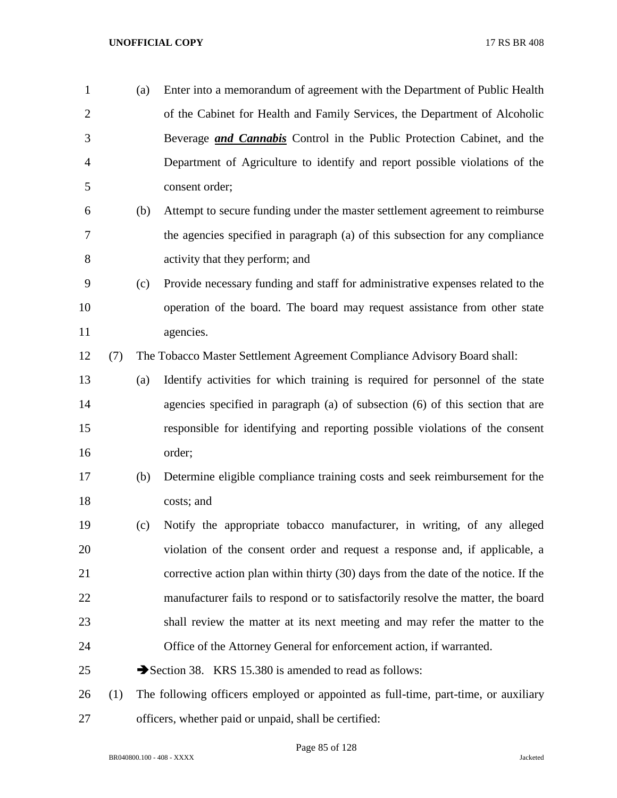| $\mathbf{1}$   |     | (a) | Enter into a memorandum of agreement with the Department of Public Health          |
|----------------|-----|-----|------------------------------------------------------------------------------------|
| $\overline{2}$ |     |     | of the Cabinet for Health and Family Services, the Department of Alcoholic         |
| 3              |     |     | Beverage <i>and Cannabis</i> Control in the Public Protection Cabinet, and the     |
| $\overline{4}$ |     |     | Department of Agriculture to identify and report possible violations of the        |
| 5              |     |     | consent order;                                                                     |
| 6              |     | (b) | Attempt to secure funding under the master settlement agreement to reimburse       |
| 7              |     |     | the agencies specified in paragraph (a) of this subsection for any compliance      |
| 8              |     |     | activity that they perform; and                                                    |
| 9              |     | (c) | Provide necessary funding and staff for administrative expenses related to the     |
| 10             |     |     | operation of the board. The board may request assistance from other state          |
| 11             |     |     | agencies.                                                                          |
| 12             | (7) |     | The Tobacco Master Settlement Agreement Compliance Advisory Board shall:           |
| 13             |     | (a) | Identify activities for which training is required for personnel of the state      |
| 14             |     |     | agencies specified in paragraph (a) of subsection (6) of this section that are     |
| 15             |     |     | responsible for identifying and reporting possible violations of the consent       |
| 16             |     |     | order;                                                                             |
| 17             |     | (b) | Determine eligible compliance training costs and seek reimbursement for the        |
| 18             |     |     | costs; and                                                                         |
| 19             |     | (c) | Notify the appropriate tobacco manufacturer, in writing, of any alleged            |
| 20             |     |     | violation of the consent order and request a response and, if applicable, a        |
| 21             |     |     | corrective action plan within thirty (30) days from the date of the notice. If the |
| 22             |     |     | manufacturer fails to respond or to satisfactorily resolve the matter, the board   |
| 23             |     |     | shall review the matter at its next meeting and may refer the matter to the        |
| 24             |     |     | Office of the Attorney General for enforcement action, if warranted.               |
| 25             |     |     | Section 38. KRS 15.380 is amended to read as follows:                              |
| 26             | (1) |     | The following officers employed or appointed as full-time, part-time, or auxiliary |
| 27             |     |     | officers, whether paid or unpaid, shall be certified:                              |

Page 85 of 128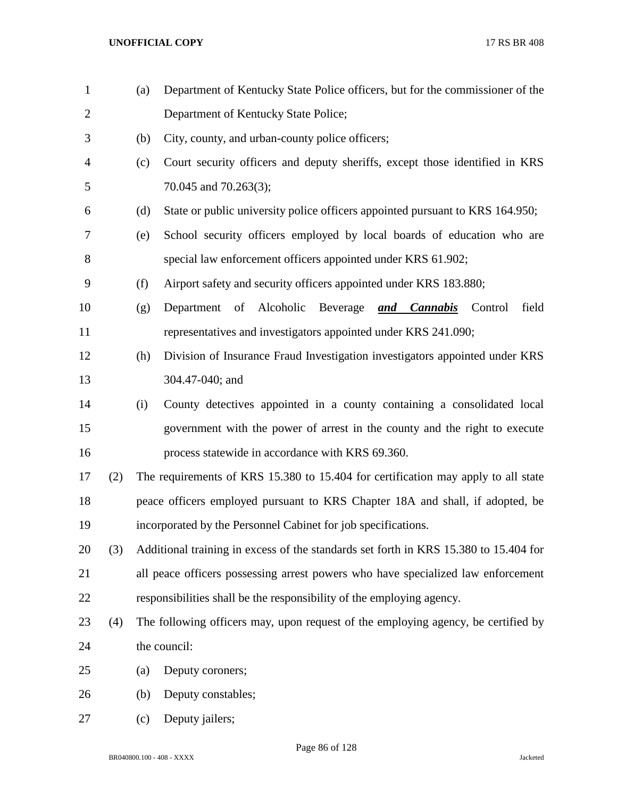| $\mathbf{1}$   |     | (a) | Department of Kentucky State Police officers, but for the commissioner of the        |
|----------------|-----|-----|--------------------------------------------------------------------------------------|
| $\overline{2}$ |     |     | Department of Kentucky State Police;                                                 |
| 3              |     | (b) | City, county, and urban-county police officers;                                      |
| $\overline{4}$ |     | (c) | Court security officers and deputy sheriffs, except those identified in KRS          |
| 5              |     |     | 70.045 and 70.263(3);                                                                |
| 6              |     | (d) | State or public university police officers appointed pursuant to KRS 164.950;        |
| 7              |     | (e) | School security officers employed by local boards of education who are               |
| $8\,$          |     |     | special law enforcement officers appointed under KRS 61.902;                         |
| 9              |     | (f) | Airport safety and security officers appointed under KRS 183.880;                    |
| 10             |     | (g) | Department of Alcoholic<br>field<br>Beverage and Cannabis<br>Control                 |
| 11             |     |     | representatives and investigators appointed under KRS 241.090;                       |
| 12             |     | (h) | Division of Insurance Fraud Investigation investigators appointed under KRS          |
| 13             |     |     | 304.47-040; and                                                                      |
| 14             |     | (i) | County detectives appointed in a county containing a consolidated local              |
| 15             |     |     | government with the power of arrest in the county and the right to execute           |
| 16             |     |     | process statewide in accordance with KRS 69.360.                                     |
| 17             | (2) |     | The requirements of KRS 15.380 to 15.404 for certification may apply to all state    |
| 18             |     |     | peace officers employed pursuant to KRS Chapter 18A and shall, if adopted, be        |
| 19             |     |     | incorporated by the Personnel Cabinet for job specifications.                        |
| 20             | (3) |     | Additional training in excess of the standards set forth in KRS 15.380 to 15.404 for |
| 21             |     |     | all peace officers possessing arrest powers who have specialized law enforcement     |
| 22             |     |     | responsibilities shall be the responsibility of the employing agency.                |
| 23             | (4) |     | The following officers may, upon request of the employing agency, be certified by    |
| 24             |     |     | the council:                                                                         |
| 25             |     | (a) | Deputy coroners;                                                                     |
| 26             |     | (b) | Deputy constables;                                                                   |
| 27             |     | (c) | Deputy jailers;                                                                      |

Page 86 of 128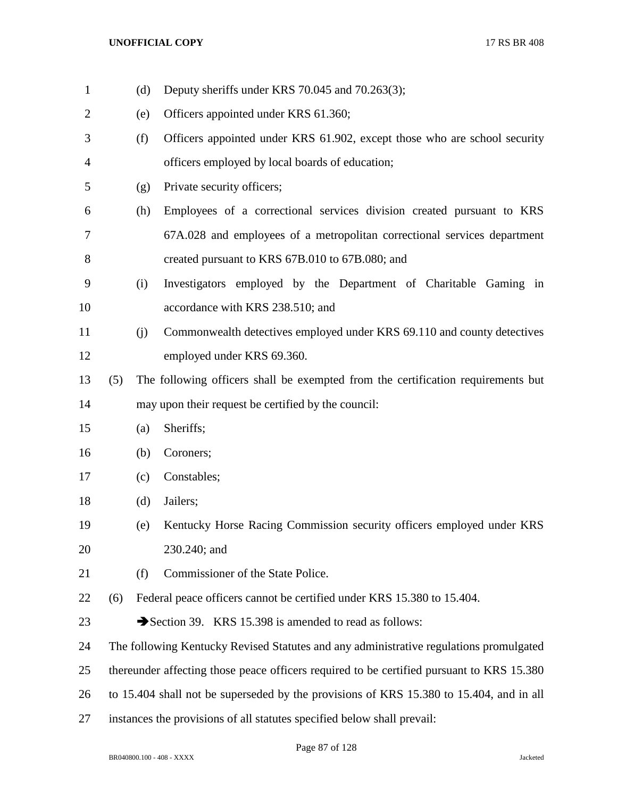(d) Deputy sheriffs under KRS 70.045 and 70.263(3); (e) Officers appointed under KRS 61.360; (f) Officers appointed under KRS 61.902, except those who are school security officers employed by local boards of education; (g) Private security officers; (h) Employees of a correctional services division created pursuant to KRS 67A.028 and employees of a metropolitan correctional services department created pursuant to KRS 67B.010 to 67B.080; and (i) Investigators employed by the Department of Charitable Gaming in 10 accordance with KRS 238.510; and (j) Commonwealth detectives employed under KRS 69.110 and county detectives employed under KRS 69.360. (5) The following officers shall be exempted from the certification requirements but may upon their request be certified by the council: (a) Sheriffs; (b) Coroners; (c) Constables; (d) Jailers; (e) Kentucky Horse Racing Commission security officers employed under KRS 230.240; and (f) Commissioner of the State Police. (6) Federal peace officers cannot be certified under KRS 15.380 to 15.404. 23 Section 39. KRS 15.398 is amended to read as follows: The following Kentucky Revised Statutes and any administrative regulations promulgated thereunder affecting those peace officers required to be certified pursuant to KRS 15.380 to 15.404 shall not be superseded by the provisions of KRS 15.380 to 15.404, and in all instances the provisions of all statutes specified below shall prevail: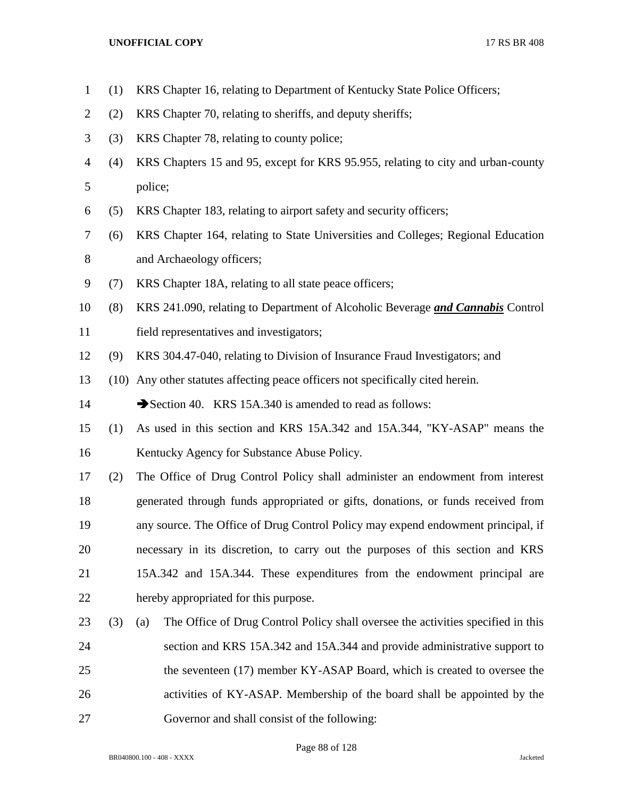- (1) KRS Chapter 16, relating to Department of Kentucky State Police Officers;
- (2) KRS Chapter 70, relating to sheriffs, and deputy sheriffs;
- (3) KRS Chapter 78, relating to county police;
- (4) KRS Chapters 15 and 95, except for KRS 95.955, relating to city and urban-county police;
- (5) KRS Chapter 183, relating to airport safety and security officers;
- (6) KRS Chapter 164, relating to State Universities and Colleges; Regional Education 8 and Archaeology officers;
- (7) KRS Chapter 18A, relating to all state peace officers;
- (8) KRS 241.090, relating to Department of Alcoholic Beverage *and Cannabis* Control field representatives and investigators;
- (9) KRS 304.47-040, relating to Division of Insurance Fraud Investigators; and
- (10) Any other statutes affecting peace officers not specifically cited herein.

14 Section 40. KRS 15A.340 is amended to read as follows:

- (1) As used in this section and KRS 15A.342 and 15A.344, "KY-ASAP" means the Kentucky Agency for Substance Abuse Policy.
- (2) The Office of Drug Control Policy shall administer an endowment from interest generated through funds appropriated or gifts, donations, or funds received from any source. The Office of Drug Control Policy may expend endowment principal, if necessary in its discretion, to carry out the purposes of this section and KRS 15A.342 and 15A.344. These expenditures from the endowment principal are hereby appropriated for this purpose.
- (3) (a) The Office of Drug Control Policy shall oversee the activities specified in this section and KRS 15A.342 and 15A.344 and provide administrative support to 25 the seventeen (17) member KY-ASAP Board, which is created to oversee the activities of KY-ASAP. Membership of the board shall be appointed by the Governor and shall consist of the following:

Page 88 of 128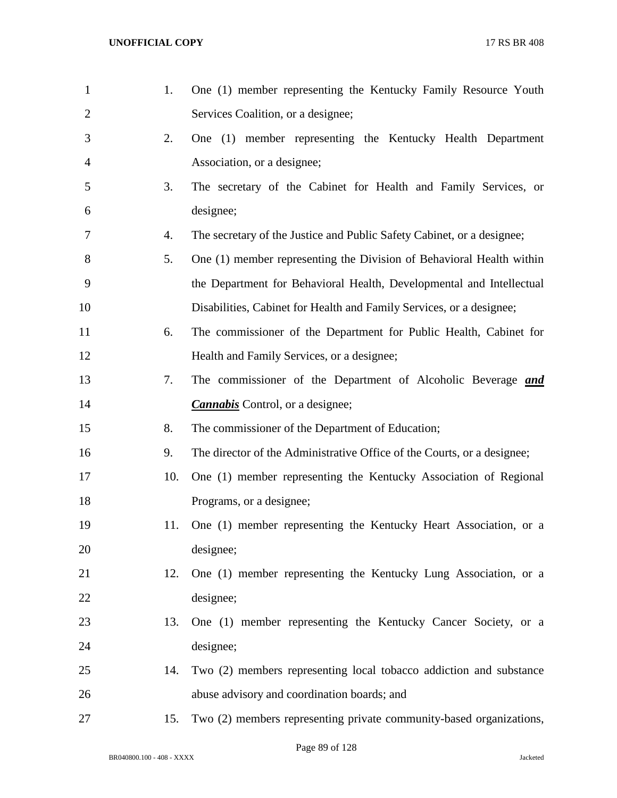| $\mathbf{1}$   | 1.  | One (1) member representing the Kentucky Family Resource Youth          |
|----------------|-----|-------------------------------------------------------------------------|
| $\overline{2}$ |     | Services Coalition, or a designee;                                      |
| 3              | 2.  | One (1) member representing the Kentucky Health Department              |
| 4              |     | Association, or a designee;                                             |
| 5              | 3.  | The secretary of the Cabinet for Health and Family Services, or         |
| 6              |     | designee;                                                               |
| 7              | 4.  | The secretary of the Justice and Public Safety Cabinet, or a designee;  |
| 8              | 5.  | One (1) member representing the Division of Behavioral Health within    |
| 9              |     | the Department for Behavioral Health, Developmental and Intellectual    |
| 10             |     | Disabilities, Cabinet for Health and Family Services, or a designee;    |
| 11             | 6.  | The commissioner of the Department for Public Health, Cabinet for       |
| 12             |     | Health and Family Services, or a designee;                              |
| 13             | 7.  | The commissioner of the Department of Alcoholic Beverage and            |
| 14             |     | <b>Cannabis</b> Control, or a designee;                                 |
| 15             | 8.  | The commissioner of the Department of Education;                        |
| 16             | 9.  | The director of the Administrative Office of the Courts, or a designee; |
| 17             | 10. | One (1) member representing the Kentucky Association of Regional        |
| 18             |     | Programs, or a designee;                                                |
| 19             | 11. | One (1) member representing the Kentucky Heart Association, or a        |
| 20             |     | designee;                                                               |
| 21             | 12. | One (1) member representing the Kentucky Lung Association, or a         |
| 22             |     | designee;                                                               |
| 23             | 13. | One (1) member representing the Kentucky Cancer Society, or a           |
| 24             |     | designee;                                                               |
| 25             | 14. | Two (2) members representing local tobacco addiction and substance      |
| 26             |     | abuse advisory and coordination boards; and                             |
| 27             | 15. | Two (2) members representing private community-based organizations,     |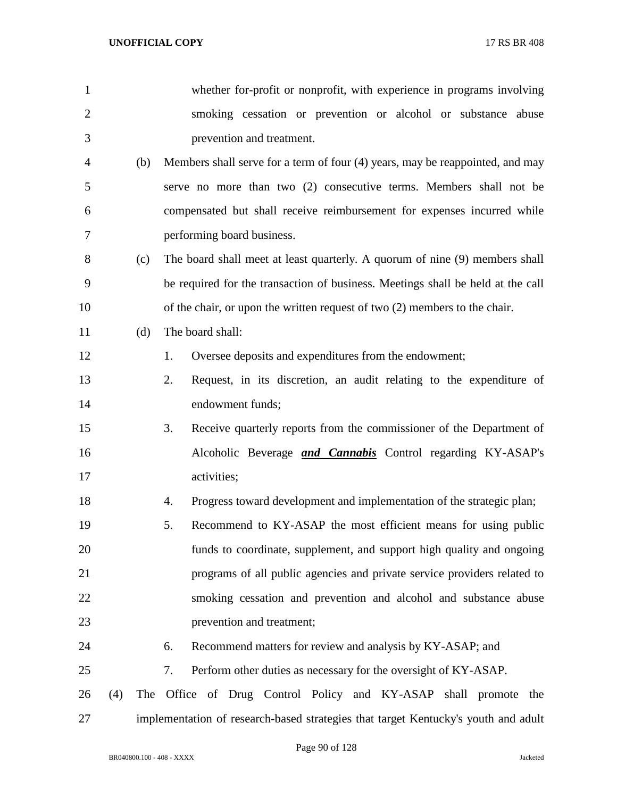| $\mathbf{1}$   |     |     | whether for-profit or nonprofit, with experience in programs involving             |
|----------------|-----|-----|------------------------------------------------------------------------------------|
| $\overline{2}$ |     |     | smoking cessation or prevention or alcohol or substance abuse                      |
| 3              |     |     | prevention and treatment.                                                          |
| 4              |     | (b) | Members shall serve for a term of four (4) years, may be reappointed, and may      |
| 5              |     |     | serve no more than two (2) consecutive terms. Members shall not be                 |
| 6              |     |     | compensated but shall receive reimbursement for expenses incurred while            |
| 7              |     |     | performing board business.                                                         |
| 8              |     | (c) | The board shall meet at least quarterly. A quorum of nine (9) members shall        |
| 9              |     |     | be required for the transaction of business. Meetings shall be held at the call    |
| 10             |     |     | of the chair, or upon the written request of two $(2)$ members to the chair.       |
| 11             |     | (d) | The board shall:                                                                   |
| 12             |     |     | Oversee deposits and expenditures from the endowment;<br>1.                        |
| 13             |     |     | Request, in its discretion, an audit relating to the expenditure of<br>2.          |
| 14             |     |     | endowment funds;                                                                   |
| 15             |     |     | 3.<br>Receive quarterly reports from the commissioner of the Department of         |
| 16             |     |     | Alcoholic Beverage <i>and Cannabis</i> Control regarding KY-ASAP's                 |
| 17             |     |     | activities;                                                                        |
| 18             |     |     | Progress toward development and implementation of the strategic plan;<br>4.        |
| 19             |     |     | Recommend to KY-ASAP the most efficient means for using public<br>5.               |
| 20             |     |     | funds to coordinate, supplement, and support high quality and ongoing              |
| 21             |     |     | programs of all public agencies and private service providers related to           |
| 22             |     |     | smoking cessation and prevention and alcohol and substance abuse                   |
| 23             |     |     | prevention and treatment;                                                          |
| 24             |     |     | Recommend matters for review and analysis by KY-ASAP; and<br>6.                    |
| 25             |     |     | Perform other duties as necessary for the oversight of KY-ASAP.<br>7.              |
| 26             | (4) |     | The Office of Drug Control Policy and KY-ASAP shall promote the                    |
| 27             |     |     | implementation of research-based strategies that target Kentucky's youth and adult |

Page 90 of 128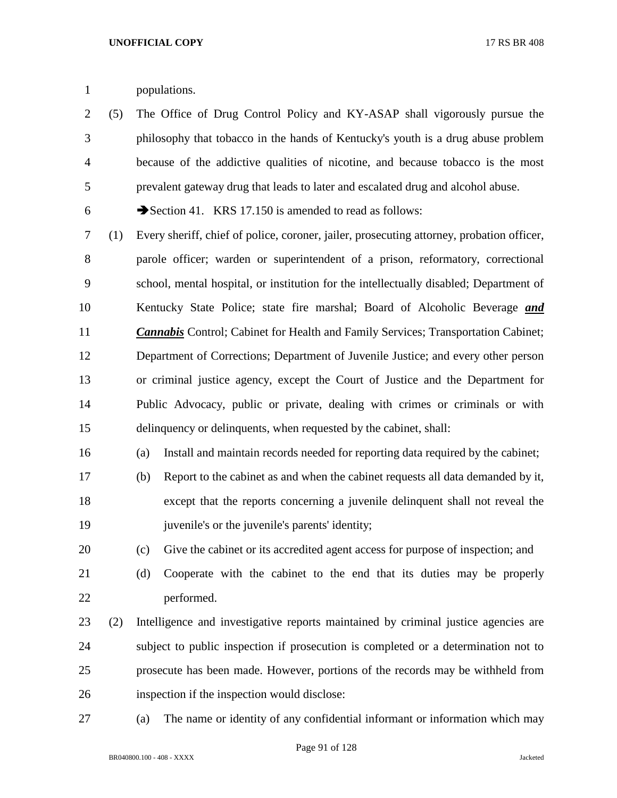populations.

 (5) The Office of Drug Control Policy and KY-ASAP shall vigorously pursue the philosophy that tobacco in the hands of Kentucky's youth is a drug abuse problem because of the addictive qualities of nicotine, and because tobacco is the most prevalent gateway drug that leads to later and escalated drug and alcohol abuse.

6  $\rightarrow$  Section 41. KRS 17.150 is amended to read as follows:

 (1) Every sheriff, chief of police, coroner, jailer, prosecuting attorney, probation officer, parole officer; warden or superintendent of a prison, reformatory, correctional school, mental hospital, or institution for the intellectually disabled; Department of Kentucky State Police; state fire marshal; Board of Alcoholic Beverage *and Cannabis* Control; Cabinet for Health and Family Services; Transportation Cabinet; Department of Corrections; Department of Juvenile Justice; and every other person or criminal justice agency, except the Court of Justice and the Department for Public Advocacy, public or private, dealing with crimes or criminals or with delinquency or delinquents, when requested by the cabinet, shall:

(a) Install and maintain records needed for reporting data required by the cabinet;

- (b) Report to the cabinet as and when the cabinet requests all data demanded by it, except that the reports concerning a juvenile delinquent shall not reveal the juvenile's or the juvenile's parents' identity;
- (c) Give the cabinet or its accredited agent access for purpose of inspection; and
- (d) Cooperate with the cabinet to the end that its duties may be properly performed.
- (2) Intelligence and investigative reports maintained by criminal justice agencies are subject to public inspection if prosecution is completed or a determination not to prosecute has been made. However, portions of the records may be withheld from inspection if the inspection would disclose:
- 

(a) The name or identity of any confidential informant or information which may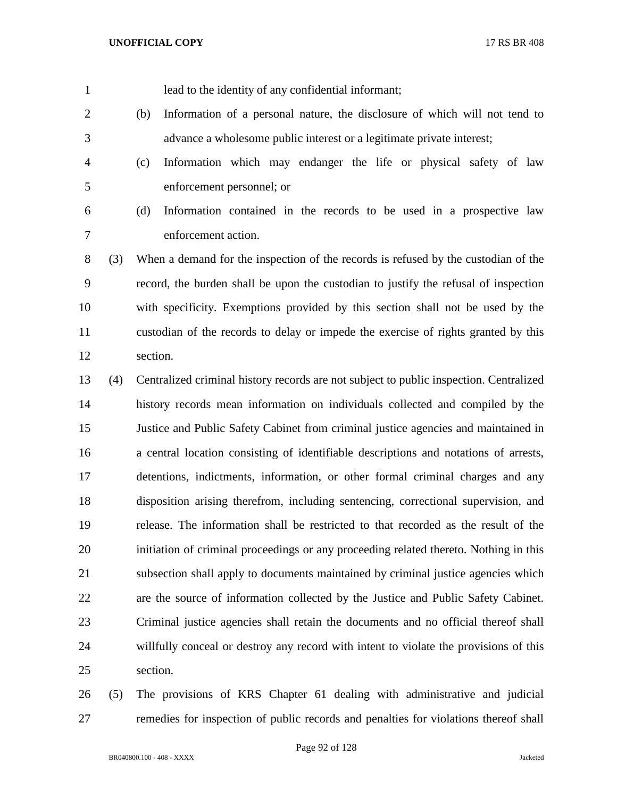lead to the identity of any confidential informant;

- (b) Information of a personal nature, the disclosure of which will not tend to advance a wholesome public interest or a legitimate private interest;
- (c) Information which may endanger the life or physical safety of law enforcement personnel; or
- 
- (d) Information contained in the records to be used in a prospective law enforcement action.
- (3) When a demand for the inspection of the records is refused by the custodian of the record, the burden shall be upon the custodian to justify the refusal of inspection with specificity. Exemptions provided by this section shall not be used by the custodian of the records to delay or impede the exercise of rights granted by this section.
- (4) Centralized criminal history records are not subject to public inspection. Centralized history records mean information on individuals collected and compiled by the Justice and Public Safety Cabinet from criminal justice agencies and maintained in a central location consisting of identifiable descriptions and notations of arrests, detentions, indictments, information, or other formal criminal charges and any disposition arising therefrom, including sentencing, correctional supervision, and release. The information shall be restricted to that recorded as the result of the initiation of criminal proceedings or any proceeding related thereto. Nothing in this subsection shall apply to documents maintained by criminal justice agencies which are the source of information collected by the Justice and Public Safety Cabinet. Criminal justice agencies shall retain the documents and no official thereof shall willfully conceal or destroy any record with intent to violate the provisions of this section.
- (5) The provisions of KRS Chapter 61 dealing with administrative and judicial remedies for inspection of public records and penalties for violations thereof shall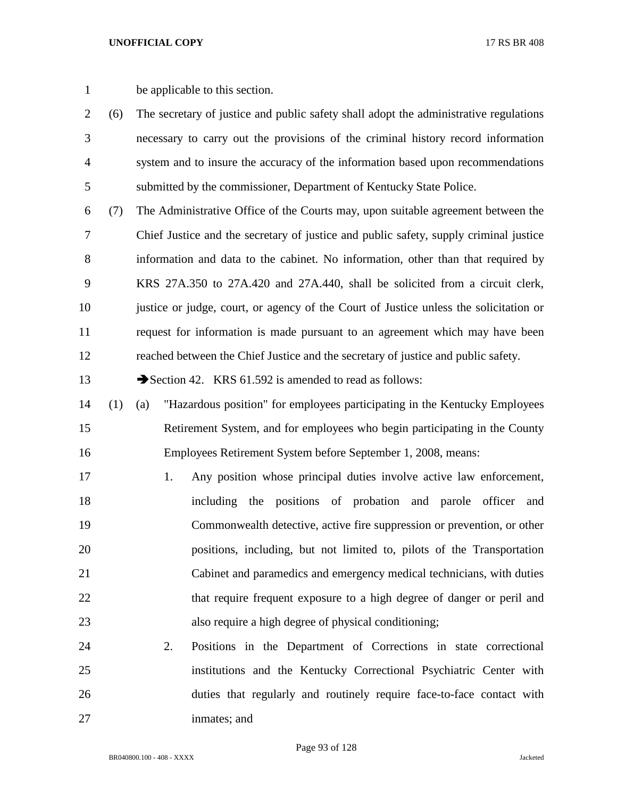- be applicable to this section.
- (6) The secretary of justice and public safety shall adopt the administrative regulations necessary to carry out the provisions of the criminal history record information system and to insure the accuracy of the information based upon recommendations submitted by the commissioner, Department of Kentucky State Police.
- (7) The Administrative Office of the Courts may, upon suitable agreement between the Chief Justice and the secretary of justice and public safety, supply criminal justice information and data to the cabinet. No information, other than that required by KRS 27A.350 to 27A.420 and 27A.440, shall be solicited from a circuit clerk, justice or judge, court, or agency of the Court of Justice unless the solicitation or request for information is made pursuant to an agreement which may have been reached between the Chief Justice and the secretary of justice and public safety.

13 Section 42. KRS 61.592 is amended to read as follows:

- (1) (a) "Hazardous position" for employees participating in the Kentucky Employees Retirement System, and for employees who begin participating in the County Employees Retirement System before September 1, 2008, means:
- 1. Any position whose principal duties involve active law enforcement, including the positions of probation and parole officer and Commonwealth detective, active fire suppression or prevention, or other positions, including, but not limited to, pilots of the Transportation Cabinet and paramedics and emergency medical technicians, with duties 22 that require frequent exposure to a high degree of danger or peril and also require a high degree of physical conditioning;
- 2. Positions in the Department of Corrections in state correctional institutions and the Kentucky Correctional Psychiatric Center with duties that regularly and routinely require face-to-face contact with inmates; and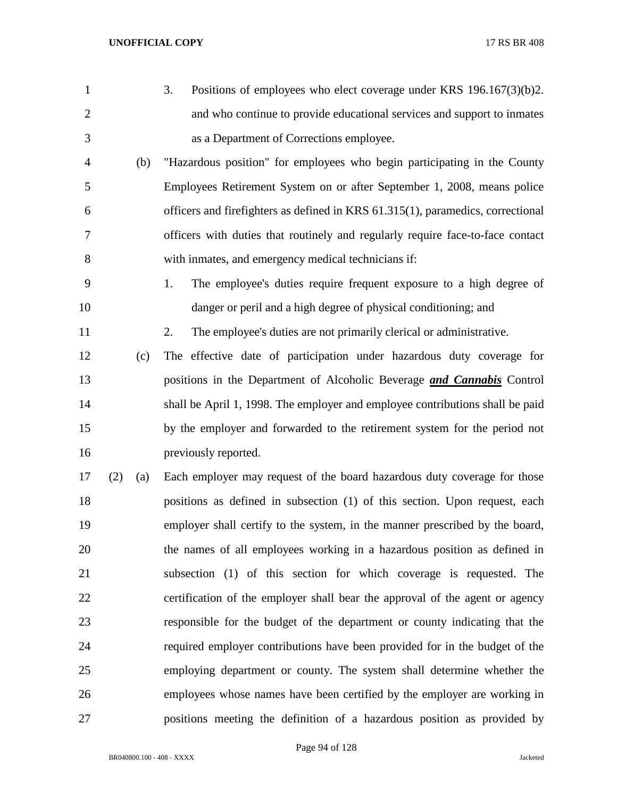| 1              |     |     | 3.<br>Positions of employees who elect coverage under KRS $196.167(3)(b)2$ .    |
|----------------|-----|-----|---------------------------------------------------------------------------------|
| $\overline{2}$ |     |     | and who continue to provide educational services and support to inmates         |
| 3              |     |     | as a Department of Corrections employee.                                        |
| $\overline{4}$ |     | (b) | "Hazardous position" for employees who begin participating in the County        |
| 5              |     |     | Employees Retirement System on or after September 1, 2008, means police         |
| 6              |     |     | officers and firefighters as defined in KRS 61.315(1), paramedics, correctional |
| 7              |     |     | officers with duties that routinely and regularly require face-to-face contact  |
| 8              |     |     | with inmates, and emergency medical technicians if:                             |
| 9              |     |     | The employee's duties require frequent exposure to a high degree of<br>1.       |
| 10             |     |     | danger or peril and a high degree of physical conditioning; and                 |
| 11             |     |     | 2.<br>The employee's duties are not primarily clerical or administrative.       |
| 12             |     | (c) | The effective date of participation under hazardous duty coverage for           |
| 13             |     |     | positions in the Department of Alcoholic Beverage and Cannabis Control          |
| 14             |     |     | shall be April 1, 1998. The employer and employee contributions shall be paid   |
| 15             |     |     | by the employer and forwarded to the retirement system for the period not       |
| 16             |     |     | previously reported.                                                            |
| 17             | (2) | (a) | Each employer may request of the board hazardous duty coverage for those        |
| 18             |     |     | positions as defined in subsection (1) of this section. Upon request, each      |
| 19             |     |     | employer shall certify to the system, in the manner prescribed by the board,    |
| 20             |     |     | the names of all employees working in a hazardous position as defined in        |
| 21             |     |     | subsection (1) of this section for which coverage is requested. The             |
| 22             |     |     | certification of the employer shall bear the approval of the agent or agency    |
| 23             |     |     | responsible for the budget of the department or county indicating that the      |
| 24             |     |     | required employer contributions have been provided for in the budget of the     |
| 25             |     |     | employing department or county. The system shall determine whether the          |
| 26             |     |     | employees whose names have been certified by the employer are working in        |
| 27             |     |     | positions meeting the definition of a hazardous position as provided by         |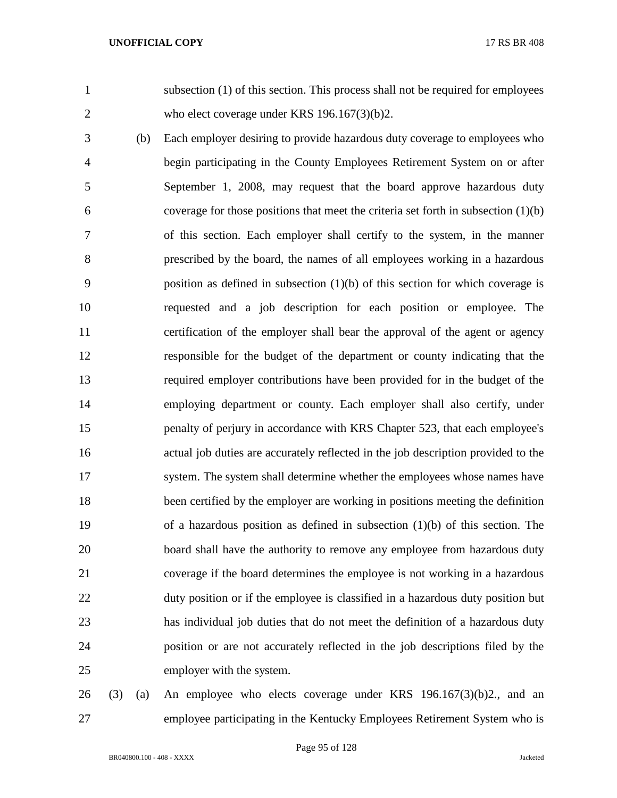subsection (1) of this section. This process shall not be required for employees 2 who elect coverage under KRS 196.167(3)(b)2.

 (b) Each employer desiring to provide hazardous duty coverage to employees who begin participating in the County Employees Retirement System on or after September 1, 2008, may request that the board approve hazardous duty coverage for those positions that meet the criteria set forth in subsection (1)(b) of this section. Each employer shall certify to the system, in the manner prescribed by the board, the names of all employees working in a hazardous position as defined in subsection (1)(b) of this section for which coverage is requested and a job description for each position or employee. The certification of the employer shall bear the approval of the agent or agency responsible for the budget of the department or county indicating that the required employer contributions have been provided for in the budget of the employing department or county. Each employer shall also certify, under penalty of perjury in accordance with KRS Chapter 523, that each employee's actual job duties are accurately reflected in the job description provided to the system. The system shall determine whether the employees whose names have been certified by the employer are working in positions meeting the definition of a hazardous position as defined in subsection (1)(b) of this section. The board shall have the authority to remove any employee from hazardous duty coverage if the board determines the employee is not working in a hazardous duty position or if the employee is classified in a hazardous duty position but has individual job duties that do not meet the definition of a hazardous duty position or are not accurately reflected in the job descriptions filed by the employer with the system.

 (3) (a) An employee who elects coverage under KRS 196.167(3)(b)2., and an employee participating in the Kentucky Employees Retirement System who is

Page 95 of 128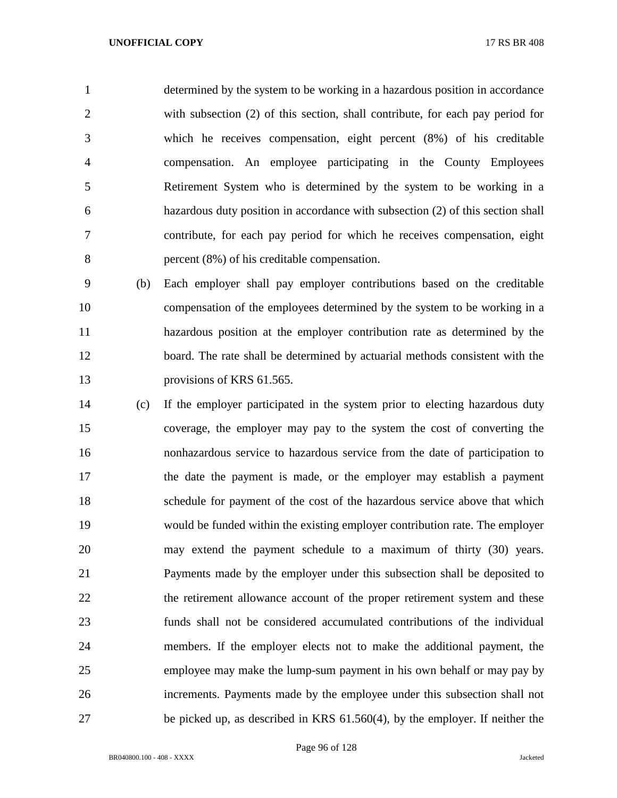determined by the system to be working in a hazardous position in accordance with subsection (2) of this section, shall contribute, for each pay period for which he receives compensation, eight percent (8%) of his creditable compensation. An employee participating in the County Employees Retirement System who is determined by the system to be working in a hazardous duty position in accordance with subsection (2) of this section shall contribute, for each pay period for which he receives compensation, eight percent (8%) of his creditable compensation.

 (b) Each employer shall pay employer contributions based on the creditable compensation of the employees determined by the system to be working in a hazardous position at the employer contribution rate as determined by the board. The rate shall be determined by actuarial methods consistent with the 13 provisions of KRS 61.565.

 (c) If the employer participated in the system prior to electing hazardous duty coverage, the employer may pay to the system the cost of converting the nonhazardous service to hazardous service from the date of participation to the date the payment is made, or the employer may establish a payment schedule for payment of the cost of the hazardous service above that which would be funded within the existing employer contribution rate. The employer may extend the payment schedule to a maximum of thirty (30) years. Payments made by the employer under this subsection shall be deposited to 22 the retirement allowance account of the proper retirement system and these funds shall not be considered accumulated contributions of the individual members. If the employer elects not to make the additional payment, the employee may make the lump-sum payment in his own behalf or may pay by increments. Payments made by the employee under this subsection shall not be picked up, as described in KRS 61.560(4), by the employer. If neither the

Page 96 of 128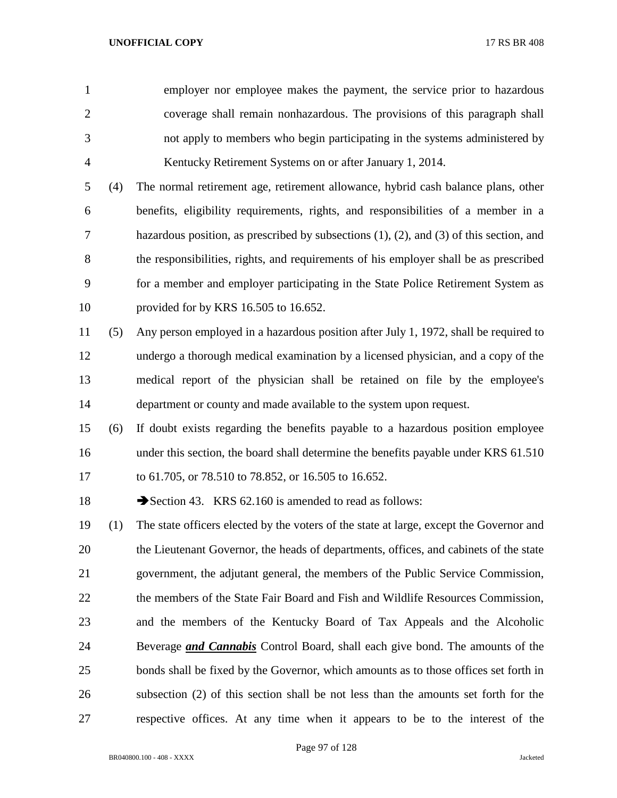employer nor employee makes the payment, the service prior to hazardous coverage shall remain nonhazardous. The provisions of this paragraph shall not apply to members who begin participating in the systems administered by Kentucky Retirement Systems on or after January 1, 2014.

 (4) The normal retirement age, retirement allowance, hybrid cash balance plans, other benefits, eligibility requirements, rights, and responsibilities of a member in a hazardous position, as prescribed by subsections (1), (2), and (3) of this section, and the responsibilities, rights, and requirements of his employer shall be as prescribed for a member and employer participating in the State Police Retirement System as provided for by KRS 16.505 to 16.652.

- (5) Any person employed in a hazardous position after July 1, 1972, shall be required to undergo a thorough medical examination by a licensed physician, and a copy of the medical report of the physician shall be retained on file by the employee's department or county and made available to the system upon request.
- (6) If doubt exists regarding the benefits payable to a hazardous position employee 16 under this section, the board shall determine the benefits payable under KRS 61.510 to 61.705, or 78.510 to 78.852, or 16.505 to 16.652.

18 Section 43. KRS 62.160 is amended to read as follows:

 (1) The state officers elected by the voters of the state at large, except the Governor and the Lieutenant Governor, the heads of departments, offices, and cabinets of the state government, the adjutant general, the members of the Public Service Commission, the members of the State Fair Board and Fish and Wildlife Resources Commission, and the members of the Kentucky Board of Tax Appeals and the Alcoholic Beverage *and Cannabis* Control Board, shall each give bond. The amounts of the bonds shall be fixed by the Governor, which amounts as to those offices set forth in subsection (2) of this section shall be not less than the amounts set forth for the respective offices. At any time when it appears to be to the interest of the

BR040800.100 - 408 - XXXX Jacketed

Page 97 of 128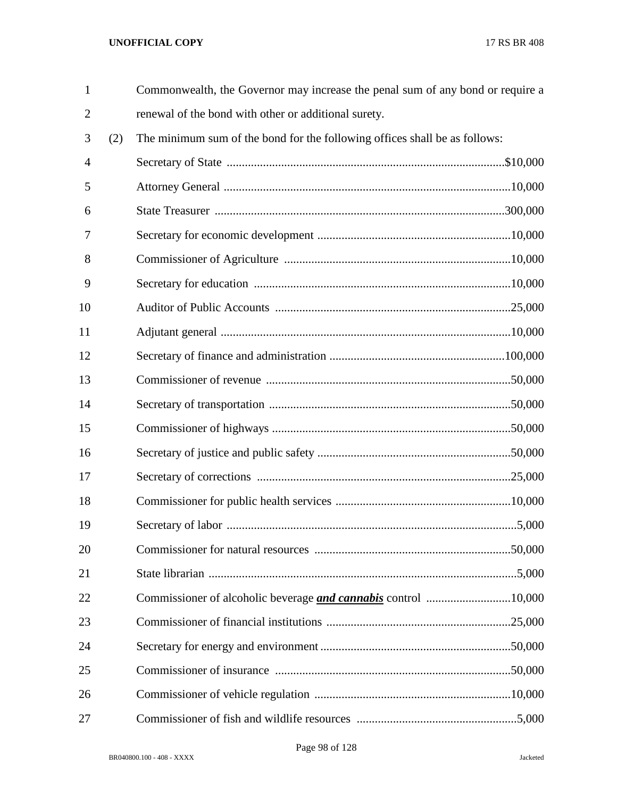| $\mathbf{1}$   |     | Commonwealth, the Governor may increase the penal sum of any bond or require a |  |
|----------------|-----|--------------------------------------------------------------------------------|--|
| $\overline{2}$ |     | renewal of the bond with other or additional surety.                           |  |
| 3              | (2) | The minimum sum of the bond for the following offices shall be as follows:     |  |
| 4              |     |                                                                                |  |
| 5              |     |                                                                                |  |
| 6              |     |                                                                                |  |
| 7              |     |                                                                                |  |
| 8              |     |                                                                                |  |
| 9              |     |                                                                                |  |
| 10             |     |                                                                                |  |
| 11             |     |                                                                                |  |
| 12             |     |                                                                                |  |
| 13             |     |                                                                                |  |
| 14             |     |                                                                                |  |
| 15             |     |                                                                                |  |
| 16             |     |                                                                                |  |
| 17             |     |                                                                                |  |
| 18             |     |                                                                                |  |
| 19             |     |                                                                                |  |
| 20             |     |                                                                                |  |
| 21             |     |                                                                                |  |
| 22             |     |                                                                                |  |
| 23             |     |                                                                                |  |
| 24             |     |                                                                                |  |
| 25             |     |                                                                                |  |
| 26             |     |                                                                                |  |
| 27             |     |                                                                                |  |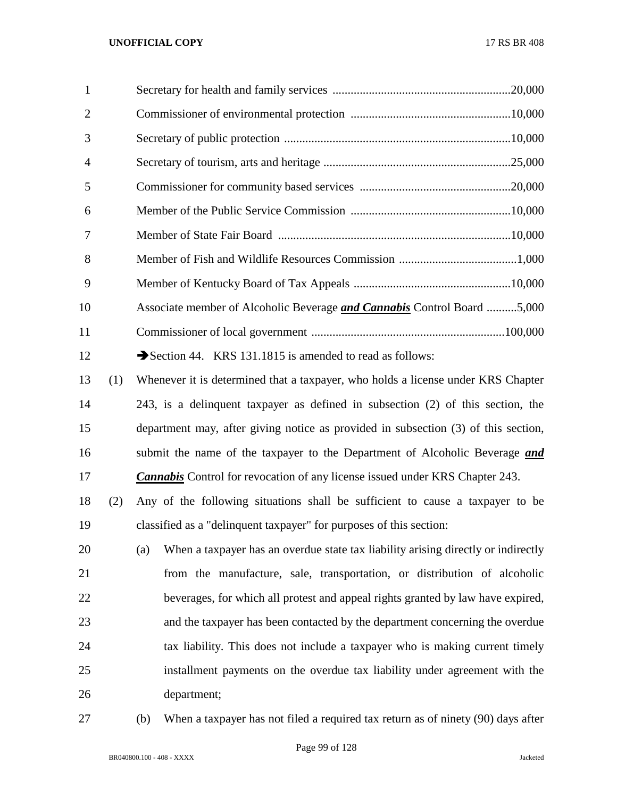| 1              |                                                                                |
|----------------|--------------------------------------------------------------------------------|
| $\overline{2}$ |                                                                                |
| 3              |                                                                                |
| $\overline{4}$ |                                                                                |
| 5              |                                                                                |
| 6              |                                                                                |
| 7              |                                                                                |
| 8              |                                                                                |
| 9              |                                                                                |
| 10             | Associate member of Alcoholic Beverage <i>and Cannabis</i> Control Board 5,000 |
| 11             |                                                                                |
| 12             | Section 44. KRS 131.1815 is amended to read as follows:                        |
|                |                                                                                |

 (1) Whenever it is determined that a taxpayer, who holds a license under KRS Chapter 243, is a delinquent taxpayer as defined in subsection (2) of this section, the department may, after giving notice as provided in subsection (3) of this section, submit the name of the taxpayer to the Department of Alcoholic Beverage *and Cannabis* Control for revocation of any license issued under KRS Chapter 243.

 (2) Any of the following situations shall be sufficient to cause a taxpayer to be classified as a "delinquent taxpayer" for purposes of this section:

 (a) When a taxpayer has an overdue state tax liability arising directly or indirectly from the manufacture, sale, transportation, or distribution of alcoholic beverages, for which all protest and appeal rights granted by law have expired, and the taxpayer has been contacted by the department concerning the overdue tax liability. This does not include a taxpayer who is making current timely installment payments on the overdue tax liability under agreement with the department;

(b) When a taxpayer has not filed a required tax return as of ninety (90) days after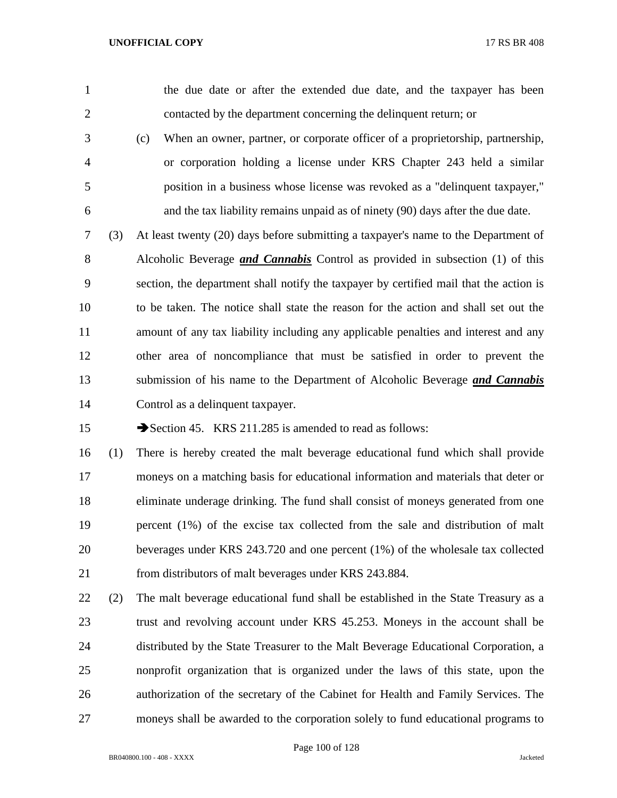the due date or after the extended due date, and the taxpayer has been contacted by the department concerning the delinquent return; or

- (c) When an owner, partner, or corporate officer of a proprietorship, partnership, or corporation holding a license under KRS Chapter 243 held a similar position in a business whose license was revoked as a "delinquent taxpayer," and the tax liability remains unpaid as of ninety (90) days after the due date.
- (3) At least twenty (20) days before submitting a taxpayer's name to the Department of Alcoholic Beverage *and Cannabis* Control as provided in subsection (1) of this section, the department shall notify the taxpayer by certified mail that the action is to be taken. The notice shall state the reason for the action and shall set out the amount of any tax liability including any applicable penalties and interest and any other area of noncompliance that must be satisfied in order to prevent the submission of his name to the Department of Alcoholic Beverage *and Cannabis* Control as a delinquent taxpayer.

15 Section 45. KRS 211.285 is amended to read as follows:

 (1) There is hereby created the malt beverage educational fund which shall provide moneys on a matching basis for educational information and materials that deter or eliminate underage drinking. The fund shall consist of moneys generated from one percent (1%) of the excise tax collected from the sale and distribution of malt beverages under KRS 243.720 and one percent (1%) of the wholesale tax collected from distributors of malt beverages under KRS 243.884.

 (2) The malt beverage educational fund shall be established in the State Treasury as a trust and revolving account under KRS 45.253. Moneys in the account shall be distributed by the State Treasurer to the Malt Beverage Educational Corporation, a nonprofit organization that is organized under the laws of this state, upon the authorization of the secretary of the Cabinet for Health and Family Services. The moneys shall be awarded to the corporation solely to fund educational programs to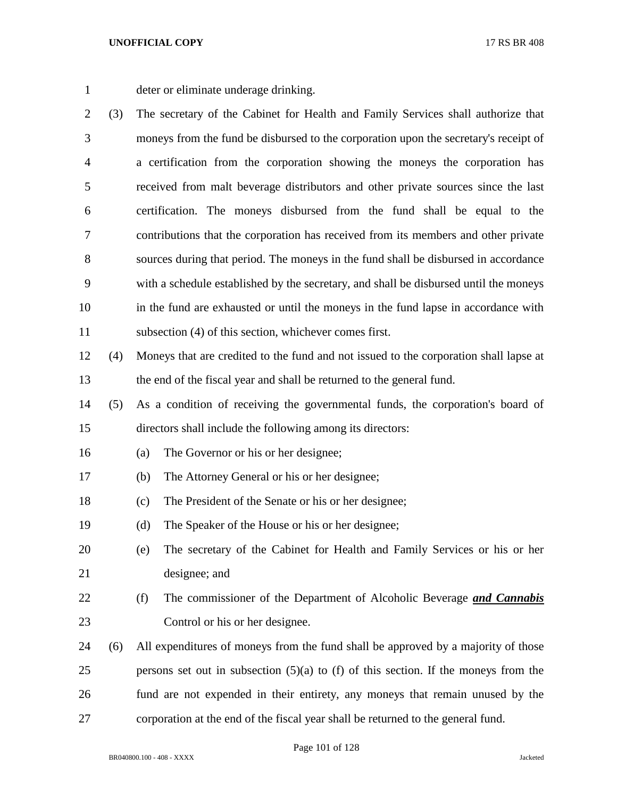deter or eliminate underage drinking.

- (3) The secretary of the Cabinet for Health and Family Services shall authorize that moneys from the fund be disbursed to the corporation upon the secretary's receipt of a certification from the corporation showing the moneys the corporation has received from malt beverage distributors and other private sources since the last certification. The moneys disbursed from the fund shall be equal to the contributions that the corporation has received from its members and other private sources during that period. The moneys in the fund shall be disbursed in accordance with a schedule established by the secretary, and shall be disbursed until the moneys in the fund are exhausted or until the moneys in the fund lapse in accordance with subsection (4) of this section, whichever comes first. (4) Moneys that are credited to the fund and not issued to the corporation shall lapse at the end of the fiscal year and shall be returned to the general fund. (5) As a condition of receiving the governmental funds, the corporation's board of directors shall include the following among its directors: (a) The Governor or his or her designee; (b) The Attorney General or his or her designee; (c) The President of the Senate or his or her designee; (d) The Speaker of the House or his or her designee; (e) The secretary of the Cabinet for Health and Family Services or his or her designee; and (f) The commissioner of the Department of Alcoholic Beverage *and Cannabis* Control or his or her designee. (6) All expenditures of moneys from the fund shall be approved by a majority of those persons set out in subsection (5)(a) to (f) of this section. If the moneys from the
- corporation at the end of the fiscal year shall be returned to the general fund.

fund are not expended in their entirety, any moneys that remain unused by the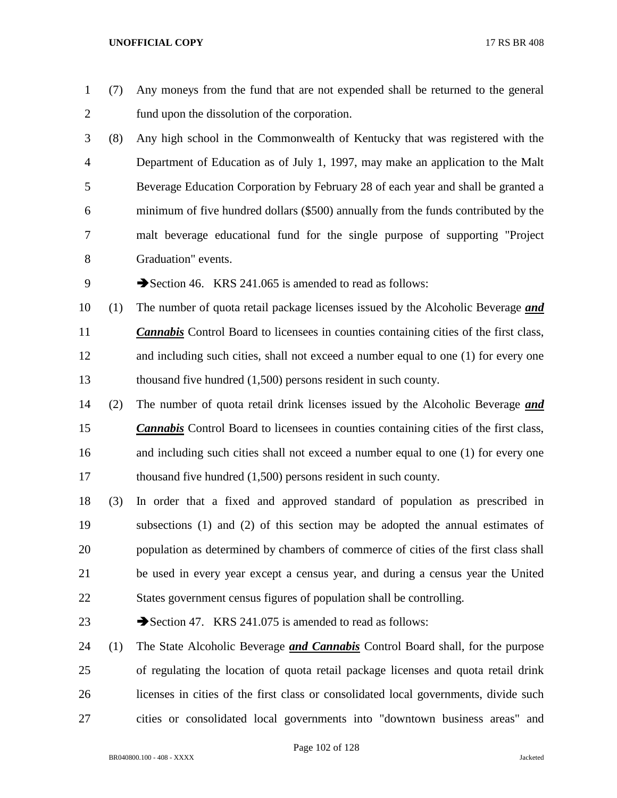- (7) Any moneys from the fund that are not expended shall be returned to the general fund upon the dissolution of the corporation.
- (8) Any high school in the Commonwealth of Kentucky that was registered with the Department of Education as of July 1, 1997, may make an application to the Malt Beverage Education Corporation by February 28 of each year and shall be granted a minimum of five hundred dollars (\$500) annually from the funds contributed by the malt beverage educational fund for the single purpose of supporting "Project Graduation" events.
- 9 Section 46. KRS 241.065 is amended to read as follows:
- (1) The number of quota retail package licenses issued by the Alcoholic Beverage *and Cannabis* Control Board to licensees in counties containing cities of the first class, and including such cities, shall not exceed a number equal to one (1) for every one thousand five hundred (1,500) persons resident in such county.
- (2) The number of quota retail drink licenses issued by the Alcoholic Beverage *and Cannabis* Control Board to licensees in counties containing cities of the first class, and including such cities shall not exceed a number equal to one (1) for every one thousand five hundred (1,500) persons resident in such county.
- (3) In order that a fixed and approved standard of population as prescribed in subsections (1) and (2) of this section may be adopted the annual estimates of population as determined by chambers of commerce of cities of the first class shall be used in every year except a census year, and during a census year the United States government census figures of population shall be controlling.
- 23 Section 47. KRS 241.075 is amended to read as follows:
- (1) The State Alcoholic Beverage *and Cannabis* Control Board shall, for the purpose of regulating the location of quota retail package licenses and quota retail drink licenses in cities of the first class or consolidated local governments, divide such cities or consolidated local governments into "downtown business areas" and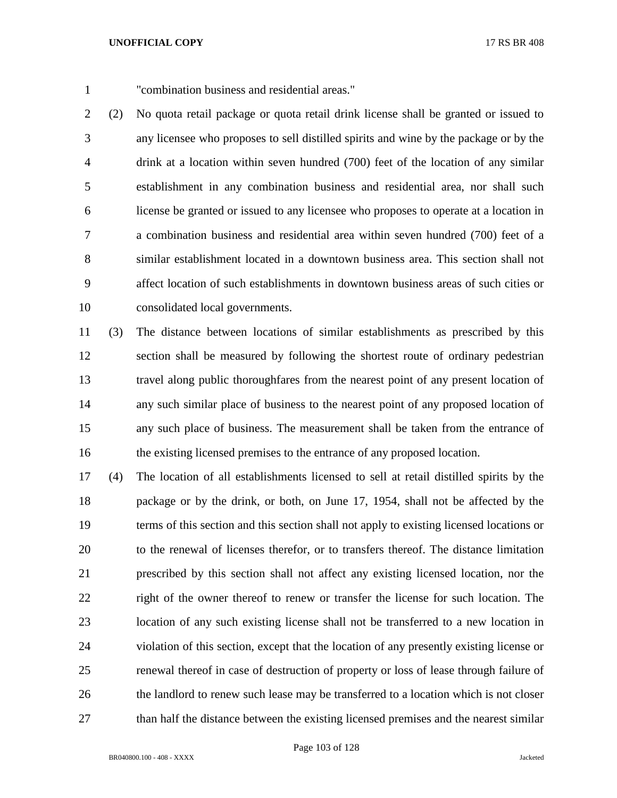"combination business and residential areas."

 (2) No quota retail package or quota retail drink license shall be granted or issued to any licensee who proposes to sell distilled spirits and wine by the package or by the drink at a location within seven hundred (700) feet of the location of any similar establishment in any combination business and residential area, nor shall such license be granted or issued to any licensee who proposes to operate at a location in a combination business and residential area within seven hundred (700) feet of a similar establishment located in a downtown business area. This section shall not affect location of such establishments in downtown business areas of such cities or consolidated local governments.

 (3) The distance between locations of similar establishments as prescribed by this section shall be measured by following the shortest route of ordinary pedestrian travel along public thoroughfares from the nearest point of any present location of any such similar place of business to the nearest point of any proposed location of any such place of business. The measurement shall be taken from the entrance of the existing licensed premises to the entrance of any proposed location.

 (4) The location of all establishments licensed to sell at retail distilled spirits by the package or by the drink, or both, on June 17, 1954, shall not be affected by the terms of this section and this section shall not apply to existing licensed locations or to the renewal of licenses therefor, or to transfers thereof. The distance limitation prescribed by this section shall not affect any existing licensed location, nor the right of the owner thereof to renew or transfer the license for such location. The location of any such existing license shall not be transferred to a new location in violation of this section, except that the location of any presently existing license or renewal thereof in case of destruction of property or loss of lease through failure of the landlord to renew such lease may be transferred to a location which is not closer 27 than half the distance between the existing licensed premises and the nearest similar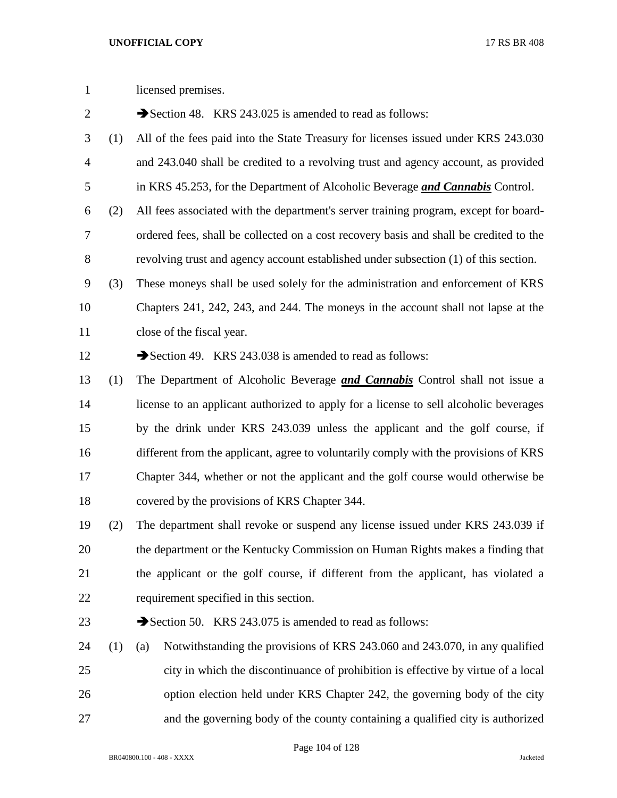| $\mathbf{1}$   |     | licensed premises.                                                                     |  |  |
|----------------|-----|----------------------------------------------------------------------------------------|--|--|
| $\overline{2}$ |     | Section 48. KRS 243.025 is amended to read as follows:                                 |  |  |
| 3              | (1) | All of the fees paid into the State Treasury for licenses issued under KRS 243.030     |  |  |
| 4              |     | and 243.040 shall be credited to a revolving trust and agency account, as provided     |  |  |
| 5              |     | in KRS 45.253, for the Department of Alcoholic Beverage and Cannabis Control.          |  |  |
| 6              | (2) | All fees associated with the department's server training program, except for board-   |  |  |
| 7              |     | ordered fees, shall be collected on a cost recovery basis and shall be credited to the |  |  |
| 8              |     | revolving trust and agency account established under subsection (1) of this section.   |  |  |
| 9              | (3) | These moneys shall be used solely for the administration and enforcement of KRS        |  |  |
| 10             |     | Chapters 241, 242, 243, and 244. The moneys in the account shall not lapse at the      |  |  |
| 11             |     | close of the fiscal year.                                                              |  |  |
| 12             |     | Section 49. KRS 243.038 is amended to read as follows:                                 |  |  |
| 13             | (1) | The Department of Alcoholic Beverage <i>and Cannabis</i> Control shall not issue a     |  |  |
| 14             |     | license to an applicant authorized to apply for a license to sell alcoholic beverages  |  |  |
| 15             |     | by the drink under KRS 243.039 unless the applicant and the golf course, if            |  |  |
| 16             |     | different from the applicant, agree to voluntarily comply with the provisions of KRS   |  |  |
| 17             |     | Chapter 344, whether or not the applicant and the golf course would otherwise be       |  |  |
| 18             |     | covered by the provisions of KRS Chapter 344.                                          |  |  |
| 19             | (2) | The department shall revoke or suspend any license issued under KRS 243.039 if         |  |  |
| 20             |     | the department or the Kentucky Commission on Human Rights makes a finding that         |  |  |
| 21             |     | the applicant or the golf course, if different from the applicant, has violated a      |  |  |
| 22             |     | requirement specified in this section.                                                 |  |  |
| 23             |     | Section 50. KRS 243.075 is amended to read as follows:                                 |  |  |
| 24             | (1) | Notwithstanding the provisions of KRS 243.060 and 243.070, in any qualified<br>(a)     |  |  |
| 25             |     | city in which the discontinuance of prohibition is effective by virtue of a local      |  |  |
| 26             |     | option election held under KRS Chapter 242, the governing body of the city             |  |  |
| 27             |     | and the governing body of the county containing a qualified city is authorized         |  |  |

Page 104 of 128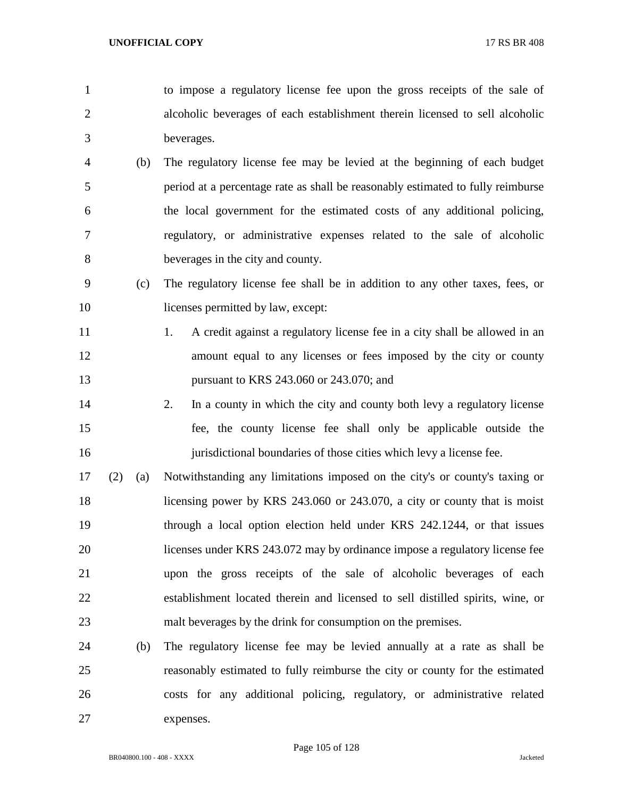to impose a regulatory license fee upon the gross receipts of the sale of alcoholic beverages of each establishment therein licensed to sell alcoholic beverages.

- (b) The regulatory license fee may be levied at the beginning of each budget period at a percentage rate as shall be reasonably estimated to fully reimburse the local government for the estimated costs of any additional policing, regulatory, or administrative expenses related to the sale of alcoholic beverages in the city and county.
- (c) The regulatory license fee shall be in addition to any other taxes, fees, or 10 licenses permitted by law, except:
- 11 1. A credit against a regulatory license fee in a city shall be allowed in an 12 amount equal to any licenses or fees imposed by the city or county pursuant to KRS 243.060 or 243.070; and
- 2. In a county in which the city and county both levy a regulatory license fee, the county license fee shall only be applicable outside the 16 iurisdictional boundaries of those cities which levy a license fee.
- (2) (a) Notwithstanding any limitations imposed on the city's or county's taxing or licensing power by KRS 243.060 or 243.070, a city or county that is moist through a local option election held under KRS 242.1244, or that issues licenses under KRS 243.072 may by ordinance impose a regulatory license fee upon the gross receipts of the sale of alcoholic beverages of each establishment located therein and licensed to sell distilled spirits, wine, or malt beverages by the drink for consumption on the premises.
- (b) The regulatory license fee may be levied annually at a rate as shall be reasonably estimated to fully reimburse the city or county for the estimated costs for any additional policing, regulatory, or administrative related expenses.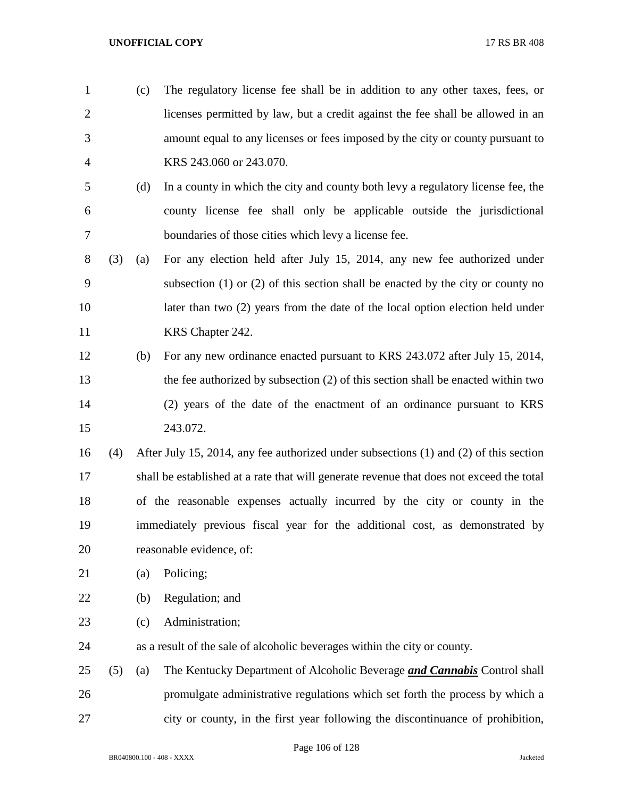- (c) The regulatory license fee shall be in addition to any other taxes, fees, or licenses permitted by law, but a credit against the fee shall be allowed in an amount equal to any licenses or fees imposed by the city or county pursuant to KRS 243.060 or 243.070.
- (d) In a county in which the city and county both levy a regulatory license fee, the county license fee shall only be applicable outside the jurisdictional boundaries of those cities which levy a license fee.
- (3) (a) For any election held after July 15, 2014, any new fee authorized under subsection (1) or (2) of this section shall be enacted by the city or county no later than two (2) years from the date of the local option election held under 11 KRS Chapter 242.
- (b) For any new ordinance enacted pursuant to KRS 243.072 after July 15, 2014, the fee authorized by subsection (2) of this section shall be enacted within two (2) years of the date of the enactment of an ordinance pursuant to KRS 243.072.
- (4) After July 15, 2014, any fee authorized under subsections (1) and (2) of this section shall be established at a rate that will generate revenue that does not exceed the total of the reasonable expenses actually incurred by the city or county in the immediately previous fiscal year for the additional cost, as demonstrated by reasonable evidence, of:
- (a) Policing;
- (b) Regulation; and
- (c) Administration;
- as a result of the sale of alcoholic beverages within the city or county.
- (5) (a) The Kentucky Department of Alcoholic Beverage *and Cannabis* Control shall promulgate administrative regulations which set forth the process by which a city or county, in the first year following the discontinuance of prohibition,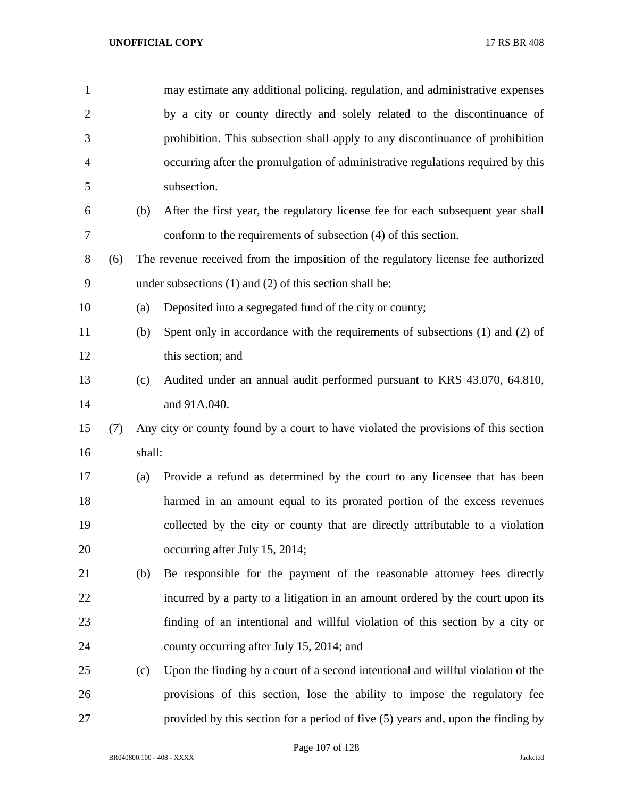| $\mathbf{1}$   |     |        | may estimate any additional policing, regulation, and administrative expenses       |
|----------------|-----|--------|-------------------------------------------------------------------------------------|
| $\overline{2}$ |     |        | by a city or county directly and solely related to the discontinuance of            |
| 3              |     |        | prohibition. This subsection shall apply to any discontinuance of prohibition       |
| $\overline{4}$ |     |        | occurring after the promulgation of administrative regulations required by this     |
| 5              |     |        | subsection.                                                                         |
| 6              |     | (b)    | After the first year, the regulatory license fee for each subsequent year shall     |
| 7              |     |        | conform to the requirements of subsection (4) of this section.                      |
| 8              | (6) |        | The revenue received from the imposition of the regulatory license fee authorized   |
| 9              |     |        | under subsections $(1)$ and $(2)$ of this section shall be:                         |
| 10             |     | (a)    | Deposited into a segregated fund of the city or county;                             |
| 11             |     | (b)    | Spent only in accordance with the requirements of subsections (1) and (2) of        |
| 12             |     |        | this section; and                                                                   |
| 13             |     | (c)    | Audited under an annual audit performed pursuant to KRS 43.070, 64.810,             |
| 14             |     |        | and 91A.040.                                                                        |
| 15             | (7) |        | Any city or county found by a court to have violated the provisions of this section |
| 16             |     | shall: |                                                                                     |
| 17             |     | (a)    | Provide a refund as determined by the court to any licensee that has been           |
| 18             |     |        | harmed in an amount equal to its prorated portion of the excess revenues            |
| 19             |     |        | collected by the city or county that are directly attributable to a violation       |
| 20             |     |        | occurring after July 15, 2014;                                                      |
| 21             |     | (b)    | Be responsible for the payment of the reasonable attorney fees directly             |
| 22             |     |        | incurred by a party to a litigation in an amount ordered by the court upon its      |
| 23             |     |        | finding of an intentional and willful violation of this section by a city or        |
| 24             |     |        | county occurring after July 15, 2014; and                                           |
| 25             |     | (c)    | Upon the finding by a court of a second intentional and willful violation of the    |
| 26             |     |        | provisions of this section, lose the ability to impose the regulatory fee           |
| 27             |     |        | provided by this section for a period of five (5) years and, upon the finding by    |

Page 107 of 128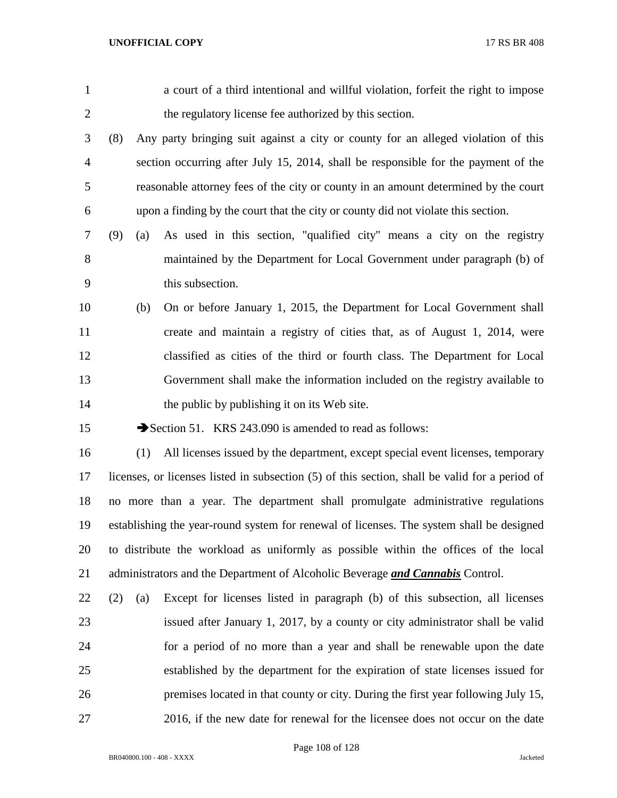| $\mathbf{1}$   |                                                                                          | a court of a third intentional and willful violation, forfeit the right to impose              |  |  |  |  |
|----------------|------------------------------------------------------------------------------------------|------------------------------------------------------------------------------------------------|--|--|--|--|
| $\overline{c}$ |                                                                                          | the regulatory license fee authorized by this section.                                         |  |  |  |  |
| 3              | (8)                                                                                      | Any party bringing suit against a city or county for an alleged violation of this              |  |  |  |  |
| $\overline{4}$ |                                                                                          | section occurring after July 15, 2014, shall be responsible for the payment of the             |  |  |  |  |
| 5              |                                                                                          | reasonable attorney fees of the city or county in an amount determined by the court            |  |  |  |  |
| 6              |                                                                                          | upon a finding by the court that the city or county did not violate this section.              |  |  |  |  |
| 7              | (9)<br>(a)                                                                               | As used in this section, "qualified city" means a city on the registry                         |  |  |  |  |
| 8              |                                                                                          | maintained by the Department for Local Government under paragraph (b) of                       |  |  |  |  |
| 9              |                                                                                          | this subsection.                                                                               |  |  |  |  |
| 10             | (b)                                                                                      | On or before January 1, 2015, the Department for Local Government shall                        |  |  |  |  |
| 11             |                                                                                          | create and maintain a registry of cities that, as of August 1, 2014, were                      |  |  |  |  |
| 12             |                                                                                          | classified as cities of the third or fourth class. The Department for Local                    |  |  |  |  |
| 13             |                                                                                          | Government shall make the information included on the registry available to                    |  |  |  |  |
| 14             |                                                                                          | the public by publishing it on its Web site.                                                   |  |  |  |  |
| 15             | Section 51. KRS 243.090 is amended to read as follows:                                   |                                                                                                |  |  |  |  |
| 16             | (1)                                                                                      | All licenses issued by the department, except special event licenses, temporary                |  |  |  |  |
| 17             |                                                                                          | licenses, or licenses listed in subsection (5) of this section, shall be valid for a period of |  |  |  |  |
| 18             |                                                                                          | no more than a year. The department shall promulgate administrative regulations                |  |  |  |  |
| 19             | establishing the year-round system for renewal of licenses. The system shall be designed |                                                                                                |  |  |  |  |
| 20             |                                                                                          | to distribute the workload as uniformly as possible within the offices of the local            |  |  |  |  |
| 21             |                                                                                          | administrators and the Department of Alcoholic Beverage and Cannabis Control.                  |  |  |  |  |
| 22             | (2)<br>(a)                                                                               | Except for licenses listed in paragraph (b) of this subsection, all licenses                   |  |  |  |  |
| 23             |                                                                                          | issued after January 1, 2017, by a county or city administrator shall be valid                 |  |  |  |  |
| 24             |                                                                                          | for a period of no more than a year and shall be renewable upon the date                       |  |  |  |  |
| 25             |                                                                                          | established by the department for the expiration of state licenses issued for                  |  |  |  |  |
| 26             |                                                                                          | premises located in that county or city. During the first year following July 15,              |  |  |  |  |
| 27             |                                                                                          | 2016, if the new date for renewal for the licensee does not occur on the date                  |  |  |  |  |
|                |                                                                                          |                                                                                                |  |  |  |  |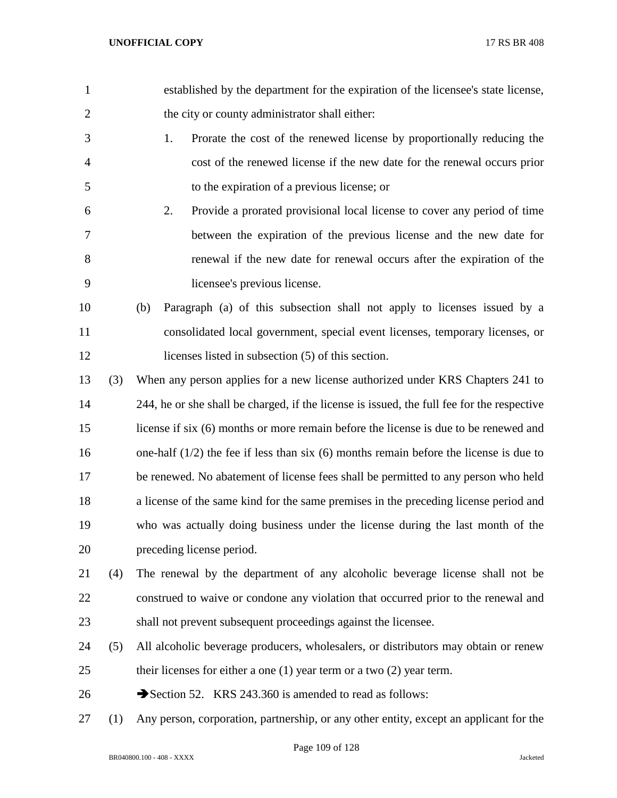| $\mathbf{1}$   |     | established by the department for the expiration of the licensee's state license,          |  |  |
|----------------|-----|--------------------------------------------------------------------------------------------|--|--|
| $\overline{2}$ |     | the city or county administrator shall either:                                             |  |  |
| 3              |     | Prorate the cost of the renewed license by proportionally reducing the<br>1.               |  |  |
| 4              |     | cost of the renewed license if the new date for the renewal occurs prior                   |  |  |
| 5              |     | to the expiration of a previous license; or                                                |  |  |
| 6              |     | 2.<br>Provide a prorated provisional local license to cover any period of time             |  |  |
| 7              |     | between the expiration of the previous license and the new date for                        |  |  |
| 8              |     | renewal if the new date for renewal occurs after the expiration of the                     |  |  |
| 9              |     | licensee's previous license.                                                               |  |  |
| 10             |     | Paragraph (a) of this subsection shall not apply to licenses issued by a<br>(b)            |  |  |
| 11             |     | consolidated local government, special event licenses, temporary licenses, or              |  |  |
| 12             |     | licenses listed in subsection (5) of this section.                                         |  |  |
| 13             | (3) | When any person applies for a new license authorized under KRS Chapters 241 to             |  |  |
| 14             |     | 244, he or she shall be charged, if the license is issued, the full fee for the respective |  |  |
| 15             |     | license if six (6) months or more remain before the license is due to be renewed and       |  |  |
| 16             |     | one-half $(1/2)$ the fee if less than six $(6)$ months remain before the license is due to |  |  |
| 17             |     | be renewed. No abatement of license fees shall be permitted to any person who held         |  |  |
| 18             |     | a license of the same kind for the same premises in the preceding license period and       |  |  |
| 19             |     | who was actually doing business under the license during the last month of the             |  |  |
| 20             |     | preceding license period.                                                                  |  |  |
| 21             | (4) | The renewal by the department of any alcoholic beverage license shall not be               |  |  |
| 22             |     | construed to waive or condone any violation that occurred prior to the renewal and         |  |  |
| 23             |     | shall not prevent subsequent proceedings against the licensee.                             |  |  |
| 24             | (5) | All alcoholic beverage producers, wholesalers, or distributors may obtain or renew         |  |  |
| 25             |     | their licenses for either a one $(1)$ year term or a two $(2)$ year term.                  |  |  |
| 26             |     | Section 52. KRS 243.360 is amended to read as follows:                                     |  |  |
| 27             | (1) | Any person, corporation, partnership, or any other entity, except an applicant for the     |  |  |

Page 109 of 128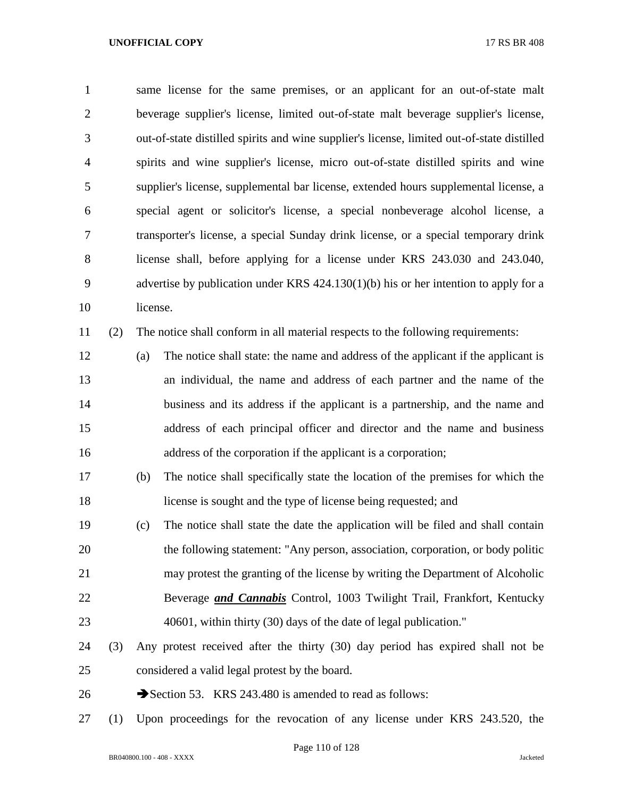same license for the same premises, or an applicant for an out-of-state malt beverage supplier's license, limited out-of-state malt beverage supplier's license, out-of-state distilled spirits and wine supplier's license, limited out-of-state distilled spirits and wine supplier's license, micro out-of-state distilled spirits and wine supplier's license, supplemental bar license, extended hours supplemental license, a special agent or solicitor's license, a special nonbeverage alcohol license, a transporter's license, a special Sunday drink license, or a special temporary drink license shall, before applying for a license under KRS 243.030 and 243.040, advertise by publication under KRS 424.130(1)(b) his or her intention to apply for a license.

(2) The notice shall conform in all material respects to the following requirements:

- (a) The notice shall state: the name and address of the applicant if the applicant is an individual, the name and address of each partner and the name of the business and its address if the applicant is a partnership, and the name and address of each principal officer and director and the name and business 16 address of the corporation if the applicant is a corporation;
- (b) The notice shall specifically state the location of the premises for which the license is sought and the type of license being requested; and
- (c) The notice shall state the date the application will be filed and shall contain the following statement: "Any person, association, corporation, or body politic may protest the granting of the license by writing the Department of Alcoholic Beverage *and Cannabis* Control, 1003 Twilight Trail, Frankfort, Kentucky 40601, within thirty (30) days of the date of legal publication."
- (3) Any protest received after the thirty (30) day period has expired shall not be considered a valid legal protest by the board.
- 26 Section 53. KRS 243.480 is amended to read as follows:
- (1) Upon proceedings for the revocation of any license under KRS 243.520, the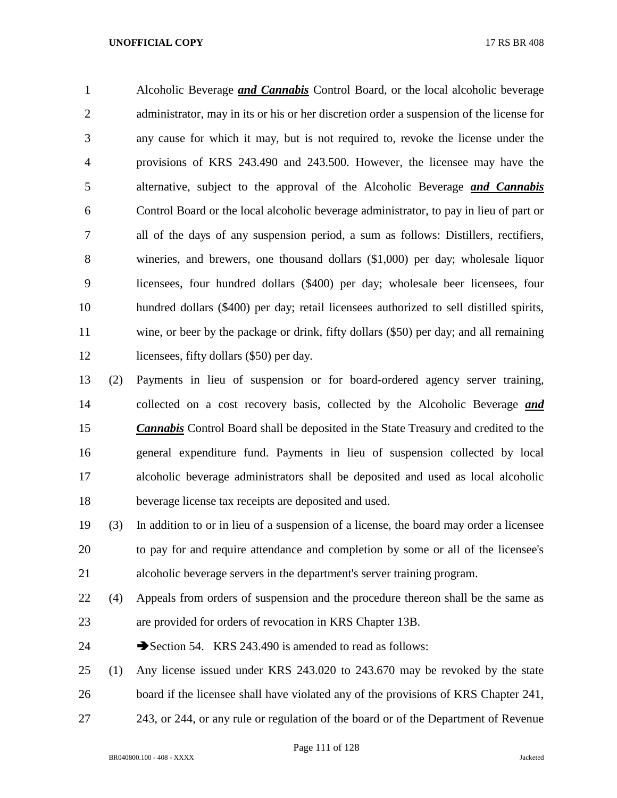Alcoholic Beverage *and Cannabis* Control Board, or the local alcoholic beverage administrator, may in its or his or her discretion order a suspension of the license for any cause for which it may, but is not required to, revoke the license under the provisions of KRS 243.490 and 243.500. However, the licensee may have the alternative, subject to the approval of the Alcoholic Beverage *and Cannabis*  Control Board or the local alcoholic beverage administrator, to pay in lieu of part or all of the days of any suspension period, a sum as follows: Distillers, rectifiers, wineries, and brewers, one thousand dollars (\$1,000) per day; wholesale liquor licensees, four hundred dollars (\$400) per day; wholesale beer licensees, four hundred dollars (\$400) per day; retail licensees authorized to sell distilled spirits, wine, or beer by the package or drink, fifty dollars (\$50) per day; and all remaining 12 licensees, fifty dollars (\$50) per day.

 (2) Payments in lieu of suspension or for board-ordered agency server training, collected on a cost recovery basis, collected by the Alcoholic Beverage *and Cannabis* Control Board shall be deposited in the State Treasury and credited to the general expenditure fund. Payments in lieu of suspension collected by local alcoholic beverage administrators shall be deposited and used as local alcoholic beverage license tax receipts are deposited and used.

 (3) In addition to or in lieu of a suspension of a license, the board may order a licensee to pay for and require attendance and completion by some or all of the licensee's alcoholic beverage servers in the department's server training program.

 (4) Appeals from orders of suspension and the procedure thereon shall be the same as are provided for orders of revocation in KRS Chapter 13B.

24 Section 54. KRS 243.490 is amended to read as follows:

 (1) Any license issued under KRS 243.020 to 243.670 may be revoked by the state board if the licensee shall have violated any of the provisions of KRS Chapter 241, 243, or 244, or any rule or regulation of the board or of the Department of Revenue

BR040800.100 - 408 - XXXX Jacketed

Page 111 of 128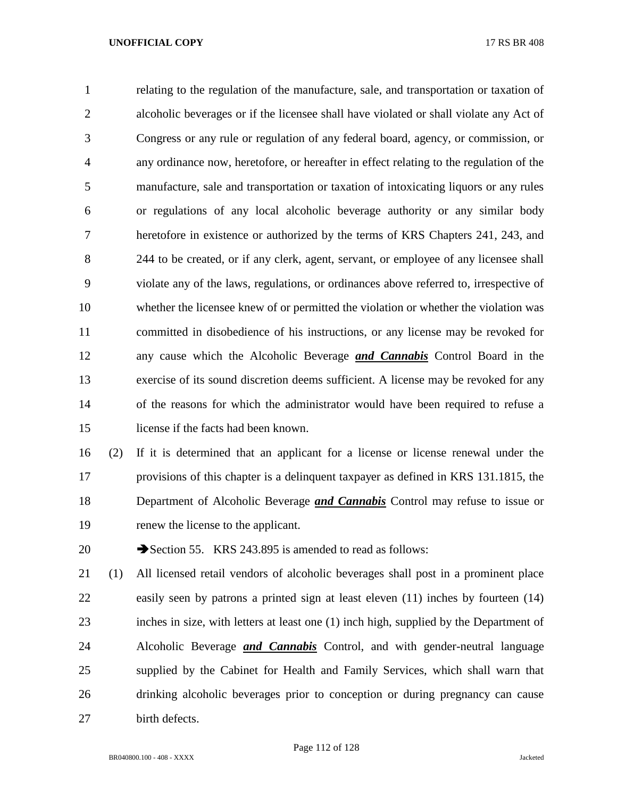relating to the regulation of the manufacture, sale, and transportation or taxation of alcoholic beverages or if the licensee shall have violated or shall violate any Act of Congress or any rule or regulation of any federal board, agency, or commission, or any ordinance now, heretofore, or hereafter in effect relating to the regulation of the manufacture, sale and transportation or taxation of intoxicating liquors or any rules or regulations of any local alcoholic beverage authority or any similar body heretofore in existence or authorized by the terms of KRS Chapters 241, 243, and 244 to be created, or if any clerk, agent, servant, or employee of any licensee shall violate any of the laws, regulations, or ordinances above referred to, irrespective of whether the licensee knew of or permitted the violation or whether the violation was committed in disobedience of his instructions, or any license may be revoked for any cause which the Alcoholic Beverage *and Cannabis* Control Board in the exercise of its sound discretion deems sufficient. A license may be revoked for any of the reasons for which the administrator would have been required to refuse a license if the facts had been known.

 (2) If it is determined that an applicant for a license or license renewal under the provisions of this chapter is a delinquent taxpayer as defined in KRS 131.1815, the Department of Alcoholic Beverage *and Cannabis* Control may refuse to issue or renew the license to the applicant.

20 Section 55. KRS 243.895 is amended to read as follows:

 (1) All licensed retail vendors of alcoholic beverages shall post in a prominent place easily seen by patrons a printed sign at least eleven (11) inches by fourteen (14) inches in size, with letters at least one (1) inch high, supplied by the Department of Alcoholic Beverage *and Cannabis* Control, and with gender-neutral language supplied by the Cabinet for Health and Family Services, which shall warn that drinking alcoholic beverages prior to conception or during pregnancy can cause birth defects.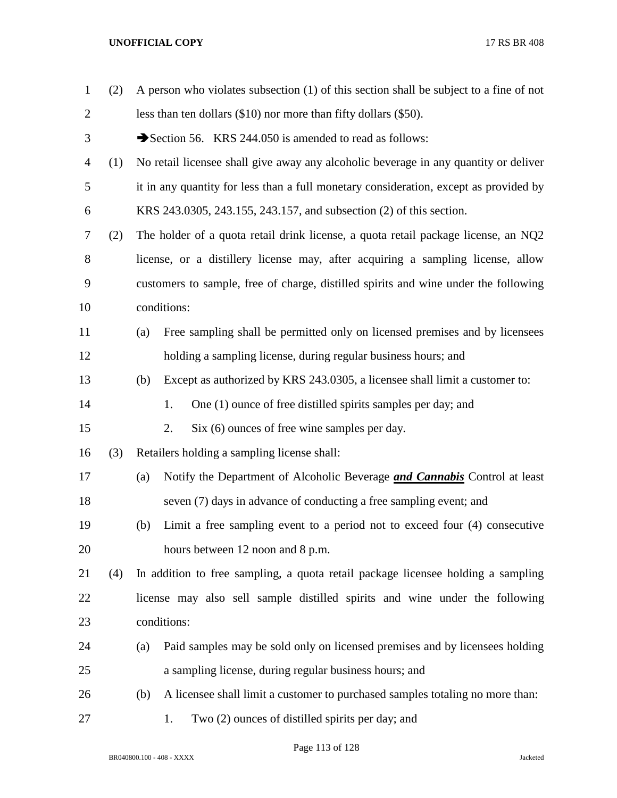| $\mathbf{1}$   | (2) | A person who violates subsection (1) of this section shall be subject to a fine of not |                                                                                     |  |
|----------------|-----|----------------------------------------------------------------------------------------|-------------------------------------------------------------------------------------|--|
| $\overline{2}$ |     | less than ten dollars $(\$10)$ nor more than fifty dollars $(\$50)$ .                  |                                                                                     |  |
| 3              |     | Section 56. KRS 244.050 is amended to read as follows:                                 |                                                                                     |  |
| $\overline{4}$ | (1) | No retail licensee shall give away any alcoholic beverage in any quantity or deliver   |                                                                                     |  |
| 5              |     | it in any quantity for less than a full monetary consideration, except as provided by  |                                                                                     |  |
| 6              |     | KRS 243.0305, 243.155, 243.157, and subsection (2) of this section.                    |                                                                                     |  |
| 7              | (2) | The holder of a quota retail drink license, a quota retail package license, an NQ2     |                                                                                     |  |
| 8              |     | license, or a distillery license may, after acquiring a sampling license, allow        |                                                                                     |  |
| 9              |     |                                                                                        | customers to sample, free of charge, distilled spirits and wine under the following |  |
| 10             |     |                                                                                        | conditions:                                                                         |  |
| 11             |     | (a)                                                                                    | Free sampling shall be permitted only on licensed premises and by licensees         |  |
| 12             |     |                                                                                        | holding a sampling license, during regular business hours; and                      |  |
| 13             |     | (b)                                                                                    | Except as authorized by KRS 243.0305, a licensee shall limit a customer to:         |  |
| 14             |     |                                                                                        | One (1) ounce of free distilled spirits samples per day; and<br>1.                  |  |
| 15             |     |                                                                                        | Six (6) ounces of free wine samples per day.<br>2.                                  |  |
| 16             | (3) |                                                                                        | Retailers holding a sampling license shall:                                         |  |
| 17             |     | (a)                                                                                    | Notify the Department of Alcoholic Beverage <i>and Cannabis</i> Control at least    |  |
| 18             |     |                                                                                        | seven (7) days in advance of conducting a free sampling event; and                  |  |
| 19             |     | (b)                                                                                    | Limit a free sampling event to a period not to exceed four (4) consecutive          |  |
| 20             |     |                                                                                        | hours between 12 noon and 8 p.m.                                                    |  |
| 21             | (4) | In addition to free sampling, a quota retail package licensee holding a sampling       |                                                                                     |  |
| 22             |     | license may also sell sample distilled spirits and wine under the following            |                                                                                     |  |
| 23             |     | conditions:                                                                            |                                                                                     |  |
| 24             |     | (a)                                                                                    | Paid samples may be sold only on licensed premises and by licensees holding         |  |
| 25             |     |                                                                                        | a sampling license, during regular business hours; and                              |  |
| 26             |     | (b)                                                                                    | A licensee shall limit a customer to purchased samples totaling no more than:       |  |
| 27             |     |                                                                                        | Two (2) ounces of distilled spirits per day; and<br>1.                              |  |

Page 113 of 128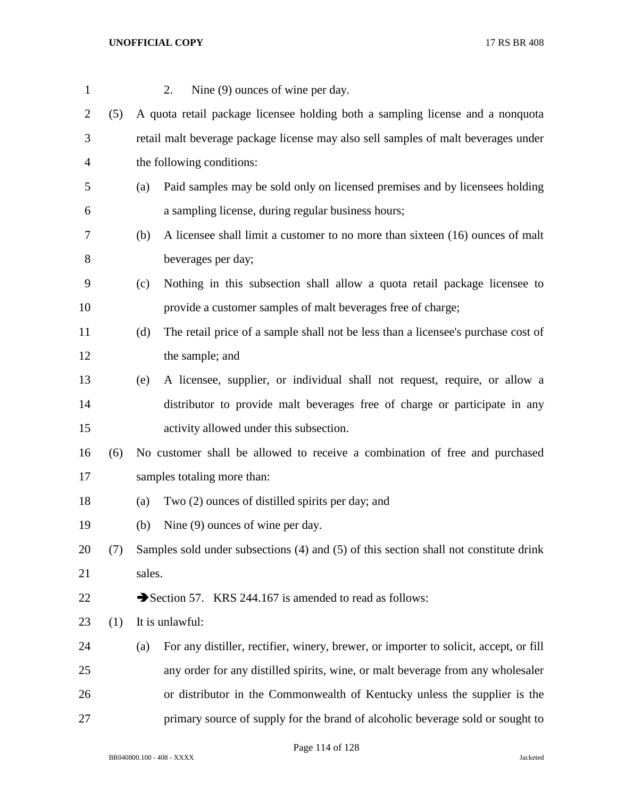| $\mathbf{1}$   |     | Nine (9) ounces of wine per day.<br>2.                                                       |  |  |
|----------------|-----|----------------------------------------------------------------------------------------------|--|--|
| $\overline{2}$ | (5) | A quota retail package licensee holding both a sampling license and a nonquota               |  |  |
| 3              |     | retail malt beverage package license may also sell samples of malt beverages under           |  |  |
| $\overline{4}$ |     | the following conditions:                                                                    |  |  |
| 5              |     | Paid samples may be sold only on licensed premises and by licensees holding<br>(a)           |  |  |
| 6              |     | a sampling license, during regular business hours;                                           |  |  |
| 7              |     | A licensee shall limit a customer to no more than sixteen (16) ounces of malt<br>(b)         |  |  |
| $8\,$          |     | beverages per day;                                                                           |  |  |
| 9              |     | Nothing in this subsection shall allow a quota retail package licensee to<br>(c)             |  |  |
| 10             |     | provide a customer samples of malt beverages free of charge;                                 |  |  |
| 11             |     | The retail price of a sample shall not be less than a licensee's purchase cost of<br>(d)     |  |  |
| 12             |     | the sample; and                                                                              |  |  |
| 13             |     | A licensee, supplier, or individual shall not request, require, or allow a<br>(e)            |  |  |
| 14             |     | distributor to provide malt beverages free of charge or participate in any                   |  |  |
| 15             |     | activity allowed under this subsection.                                                      |  |  |
| 16             | (6) | No customer shall be allowed to receive a combination of free and purchased                  |  |  |
| 17             |     | samples totaling more than:                                                                  |  |  |
| 18             |     | Two (2) ounces of distilled spirits per day; and<br>(a)                                      |  |  |
| 19             |     | Nine (9) ounces of wine per day.<br>(b)                                                      |  |  |
| 20             | (7) | Samples sold under subsections (4) and (5) of this section shall not constitute drink        |  |  |
| 21             |     | sales.                                                                                       |  |  |
| 22             |     | Section 57. KRS 244.167 is amended to read as follows:                                       |  |  |
| 23             | (1) | It is unlawful:                                                                              |  |  |
| 24             |     | For any distiller, rectifier, winery, brewer, or importer to solicit, accept, or fill<br>(a) |  |  |
| 25             |     | any order for any distilled spirits, wine, or malt beverage from any wholesaler              |  |  |
| 26             |     | or distributor in the Commonwealth of Kentucky unless the supplier is the                    |  |  |
| 27             |     | primary source of supply for the brand of alcoholic beverage sold or sought to               |  |  |

Page 114 of 128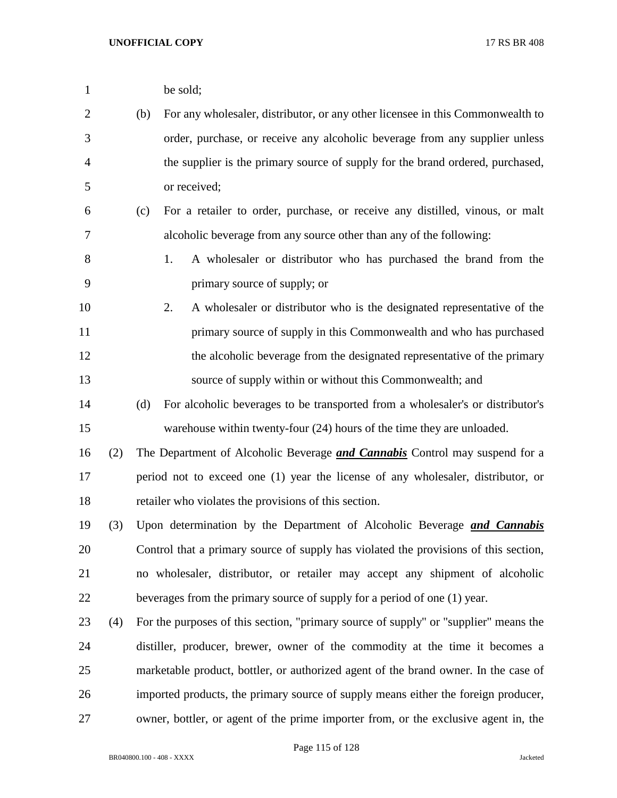| $\mathbf{1}$   |     |                                                                                      | be sold;                                                                             |  |
|----------------|-----|--------------------------------------------------------------------------------------|--------------------------------------------------------------------------------------|--|
| $\overline{c}$ |     | (b)                                                                                  | For any wholesaler, distributor, or any other licensee in this Commonwealth to       |  |
| 3              |     |                                                                                      | order, purchase, or receive any alcoholic beverage from any supplier unless          |  |
| $\overline{4}$ |     |                                                                                      | the supplier is the primary source of supply for the brand ordered, purchased,       |  |
| 5              |     |                                                                                      | or received;                                                                         |  |
| 6              |     | (c)                                                                                  | For a retailer to order, purchase, or receive any distilled, vinous, or malt         |  |
| 7              |     |                                                                                      | alcoholic beverage from any source other than any of the following:                  |  |
| $8\,$          |     |                                                                                      | A wholesaler or distributor who has purchased the brand from the<br>1.               |  |
| 9              |     |                                                                                      | primary source of supply; or                                                         |  |
| 10             |     |                                                                                      | A wholesaler or distributor who is the designated representative of the<br>2.        |  |
| 11             |     |                                                                                      | primary source of supply in this Commonwealth and who has purchased                  |  |
| 12             |     |                                                                                      | the alcoholic beverage from the designated representative of the primary             |  |
| 13             |     |                                                                                      | source of supply within or without this Commonwealth; and                            |  |
| 14             |     | (d)                                                                                  | For alcoholic beverages to be transported from a wholesaler's or distributor's       |  |
| 15             |     |                                                                                      | warehouse within twenty-four (24) hours of the time they are unloaded.               |  |
| 16             | (2) |                                                                                      | The Department of Alcoholic Beverage <i>and Cannabis</i> Control may suspend for a   |  |
| 17             |     | period not to exceed one (1) year the license of any wholesaler, distributor, or     |                                                                                      |  |
| 18             |     |                                                                                      | retailer who violates the provisions of this section.                                |  |
| 19             | (3) |                                                                                      | Upon determination by the Department of Alcoholic Beverage and Cannabis              |  |
| 20             |     | Control that a primary source of supply has violated the provisions of this section, |                                                                                      |  |
| 21             |     |                                                                                      | no wholesaler, distributor, or retailer may accept any shipment of alcoholic         |  |
| 22             |     |                                                                                      | beverages from the primary source of supply for a period of one (1) year.            |  |
| 23             | (4) |                                                                                      | For the purposes of this section, "primary source of supply" or "supplier" means the |  |
| 24             |     | distiller, producer, brewer, owner of the commodity at the time it becomes a         |                                                                                      |  |
| 25             |     | marketable product, bottler, or authorized agent of the brand owner. In the case of  |                                                                                      |  |
| 26             |     |                                                                                      | imported products, the primary source of supply means either the foreign producer,   |  |
| 27             |     |                                                                                      | owner, bottler, or agent of the prime importer from, or the exclusive agent in, the  |  |
|                |     |                                                                                      |                                                                                      |  |

Page 115 of 128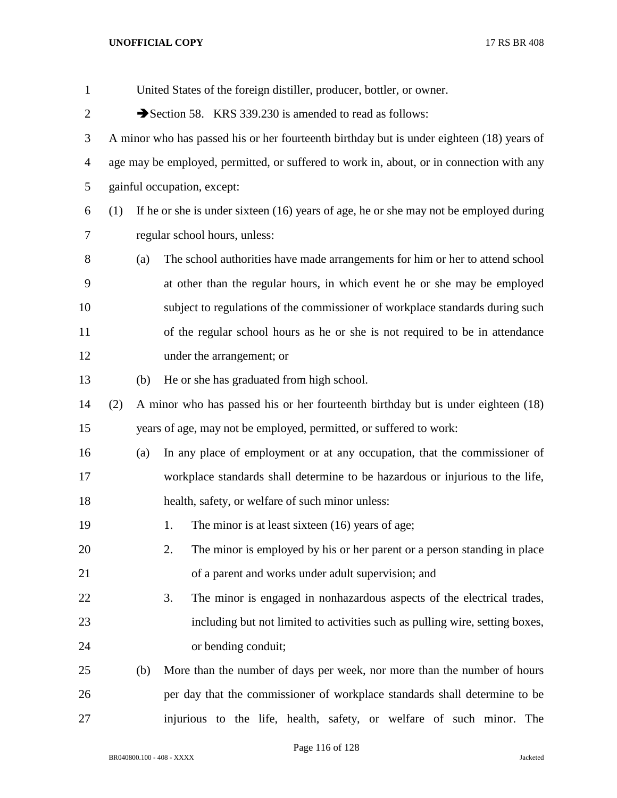| $\mathbf{1}$   | United States of the foreign distiller, producer, bottler, or owner.                           |     |                                                                                  |  |
|----------------|------------------------------------------------------------------------------------------------|-----|----------------------------------------------------------------------------------|--|
| $\overline{2}$ | Section 58. KRS 339.230 is amended to read as follows:                                         |     |                                                                                  |  |
| 3              | A minor who has passed his or her fourteenth birthday but is under eighteen (18) years of      |     |                                                                                  |  |
| 4              | age may be employed, permitted, or suffered to work in, about, or in connection with any       |     |                                                                                  |  |
| 5              | gainful occupation, except:                                                                    |     |                                                                                  |  |
| 6              | If he or she is under sixteen $(16)$ years of age, he or she may not be employed during<br>(1) |     |                                                                                  |  |
| 7              | regular school hours, unless:                                                                  |     |                                                                                  |  |
| 8              |                                                                                                | (a) | The school authorities have made arrangements for him or her to attend school    |  |
| 9              |                                                                                                |     | at other than the regular hours, in which event he or she may be employed        |  |
| 10             |                                                                                                |     | subject to regulations of the commissioner of workplace standards during such    |  |
| 11             |                                                                                                |     | of the regular school hours as he or she is not required to be in attendance     |  |
| 12             |                                                                                                |     | under the arrangement; or                                                        |  |
| 13             |                                                                                                | (b) | He or she has graduated from high school.                                        |  |
| 14             | (2)                                                                                            |     | A minor who has passed his or her fourteenth birthday but is under eighteen (18) |  |
| 15             |                                                                                                |     | years of age, may not be employed, permitted, or suffered to work:               |  |
| 16             |                                                                                                | (a) | In any place of employment or at any occupation, that the commissioner of        |  |
| 17             |                                                                                                |     | workplace standards shall determine to be hazardous or injurious to the life,    |  |
| 18             | health, safety, or welfare of such minor unless:                                               |     |                                                                                  |  |
| 19             |                                                                                                |     | 1.<br>The minor is at least sixteen $(16)$ years of age;                         |  |
| 20             |                                                                                                |     | 2.<br>The minor is employed by his or her parent or a person standing in place   |  |
| 21             |                                                                                                |     | of a parent and works under adult supervision; and                               |  |
| 22             |                                                                                                |     | 3.<br>The minor is engaged in nonhazardous aspects of the electrical trades,     |  |
| 23             |                                                                                                |     | including but not limited to activities such as pulling wire, setting boxes,     |  |
| 24             |                                                                                                |     | or bending conduit;                                                              |  |
| 25             |                                                                                                | (b) | More than the number of days per week, nor more than the number of hours         |  |
| 26             |                                                                                                |     | per day that the commissioner of workplace standards shall determine to be       |  |
| 27             |                                                                                                |     | injurious to the life, health, safety, or welfare of such minor. The             |  |

Page 116 of 128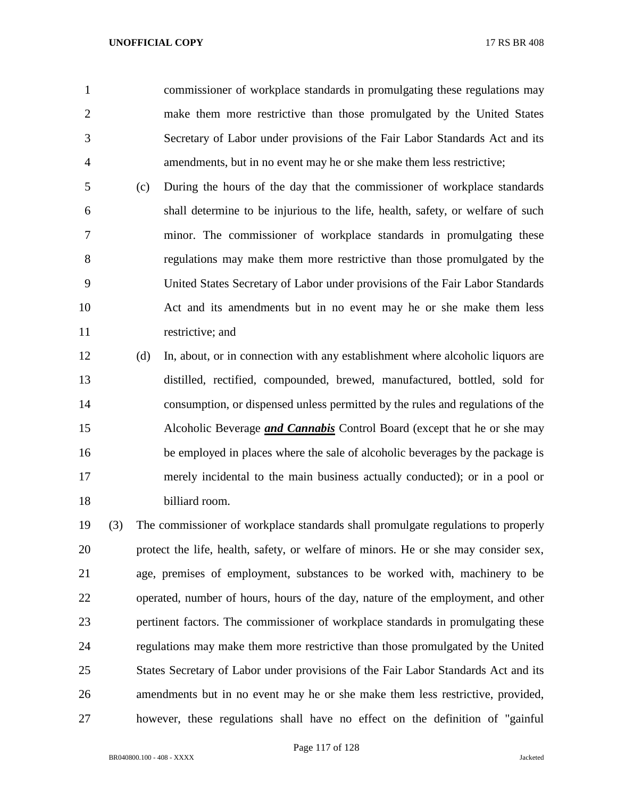commissioner of workplace standards in promulgating these regulations may make them more restrictive than those promulgated by the United States Secretary of Labor under provisions of the Fair Labor Standards Act and its amendments, but in no event may he or she make them less restrictive;

 (c) During the hours of the day that the commissioner of workplace standards shall determine to be injurious to the life, health, safety, or welfare of such minor. The commissioner of workplace standards in promulgating these regulations may make them more restrictive than those promulgated by the United States Secretary of Labor under provisions of the Fair Labor Standards Act and its amendments but in no event may he or she make them less restrictive; and

 (d) In, about, or in connection with any establishment where alcoholic liquors are distilled, rectified, compounded, brewed, manufactured, bottled, sold for consumption, or dispensed unless permitted by the rules and regulations of the Alcoholic Beverage *and Cannabis* Control Board (except that he or she may be employed in places where the sale of alcoholic beverages by the package is merely incidental to the main business actually conducted); or in a pool or billiard room.

 (3) The commissioner of workplace standards shall promulgate regulations to properly protect the life, health, safety, or welfare of minors. He or she may consider sex, age, premises of employment, substances to be worked with, machinery to be operated, number of hours, hours of the day, nature of the employment, and other pertinent factors. The commissioner of workplace standards in promulgating these regulations may make them more restrictive than those promulgated by the United States Secretary of Labor under provisions of the Fair Labor Standards Act and its amendments but in no event may he or she make them less restrictive, provided, however, these regulations shall have no effect on the definition of "gainful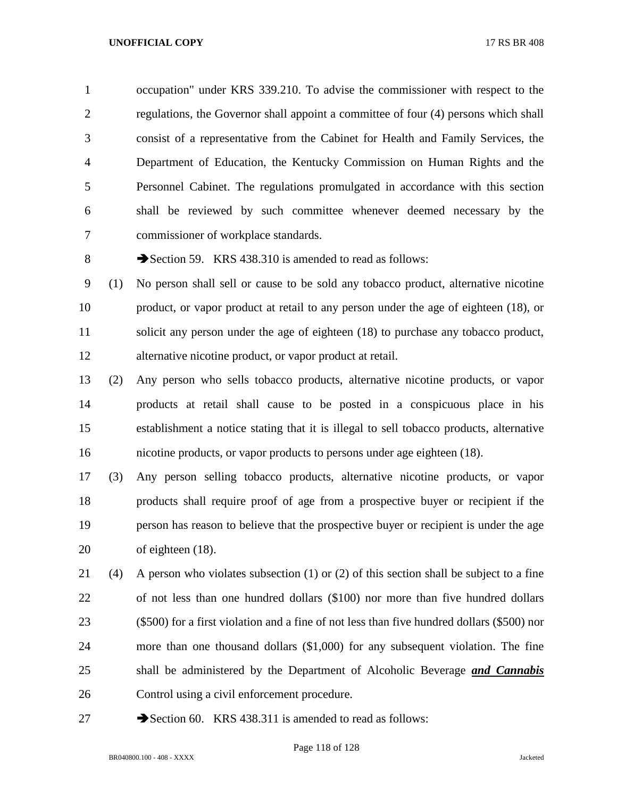occupation" under KRS 339.210. To advise the commissioner with respect to the regulations, the Governor shall appoint a committee of four (4) persons which shall consist of a representative from the Cabinet for Health and Family Services, the Department of Education, the Kentucky Commission on Human Rights and the Personnel Cabinet. The regulations promulgated in accordance with this section shall be reviewed by such committee whenever deemed necessary by the commissioner of workplace standards.

8 Section 59. KRS 438.310 is amended to read as follows:

 (1) No person shall sell or cause to be sold any tobacco product, alternative nicotine product, or vapor product at retail to any person under the age of eighteen (18), or solicit any person under the age of eighteen (18) to purchase any tobacco product, alternative nicotine product, or vapor product at retail.

 (2) Any person who sells tobacco products, alternative nicotine products, or vapor products at retail shall cause to be posted in a conspicuous place in his establishment a notice stating that it is illegal to sell tobacco products, alternative nicotine products, or vapor products to persons under age eighteen (18).

 (3) Any person selling tobacco products, alternative nicotine products, or vapor products shall require proof of age from a prospective buyer or recipient if the person has reason to believe that the prospective buyer or recipient is under the age of eighteen (18).

 (4) A person who violates subsection (1) or (2) of this section shall be subject to a fine of not less than one hundred dollars (\$100) nor more than five hundred dollars (\$500) for a first violation and a fine of not less than five hundred dollars (\$500) nor more than one thousand dollars (\$1,000) for any subsequent violation. The fine shall be administered by the Department of Alcoholic Beverage *and Cannabis* Control using a civil enforcement procedure.

27 Section 60. KRS 438.311 is amended to read as follows:

Page 118 of 128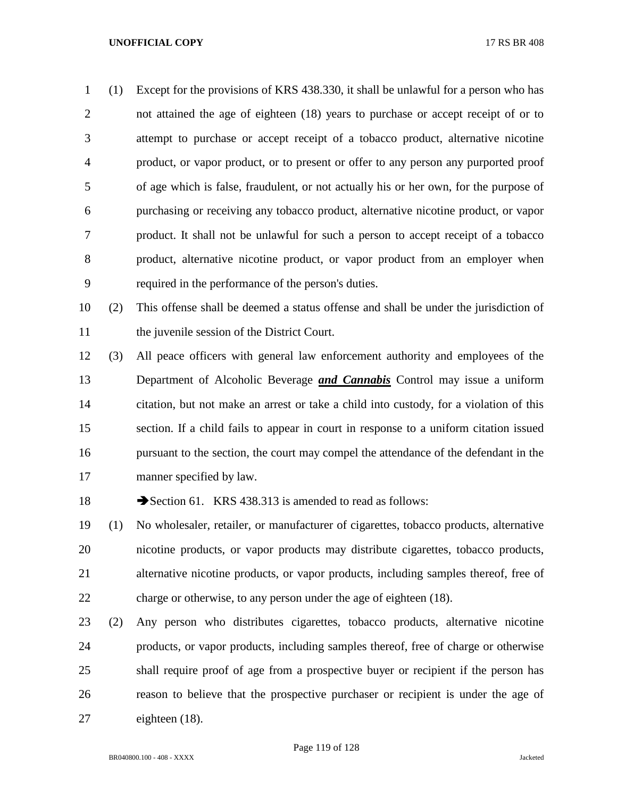(1) Except for the provisions of KRS 438.330, it shall be unlawful for a person who has not attained the age of eighteen (18) years to purchase or accept receipt of or to attempt to purchase or accept receipt of a tobacco product, alternative nicotine product, or vapor product, or to present or offer to any person any purported proof of age which is false, fraudulent, or not actually his or her own, for the purpose of purchasing or receiving any tobacco product, alternative nicotine product, or vapor product. It shall not be unlawful for such a person to accept receipt of a tobacco product, alternative nicotine product, or vapor product from an employer when required in the performance of the person's duties.

 (2) This offense shall be deemed a status offense and shall be under the jurisdiction of the juvenile session of the District Court.

 (3) All peace officers with general law enforcement authority and employees of the Department of Alcoholic Beverage *and Cannabis* Control may issue a uniform citation, but not make an arrest or take a child into custody, for a violation of this section. If a child fails to appear in court in response to a uniform citation issued pursuant to the section, the court may compel the attendance of the defendant in the manner specified by law.

18 Section 61. KRS 438.313 is amended to read as follows:

 (1) No wholesaler, retailer, or manufacturer of cigarettes, tobacco products, alternative nicotine products, or vapor products may distribute cigarettes, tobacco products, alternative nicotine products, or vapor products, including samples thereof, free of charge or otherwise, to any person under the age of eighteen (18).

 (2) Any person who distributes cigarettes, tobacco products, alternative nicotine products, or vapor products, including samples thereof, free of charge or otherwise shall require proof of age from a prospective buyer or recipient if the person has reason to believe that the prospective purchaser or recipient is under the age of eighteen (18).

Page 119 of 128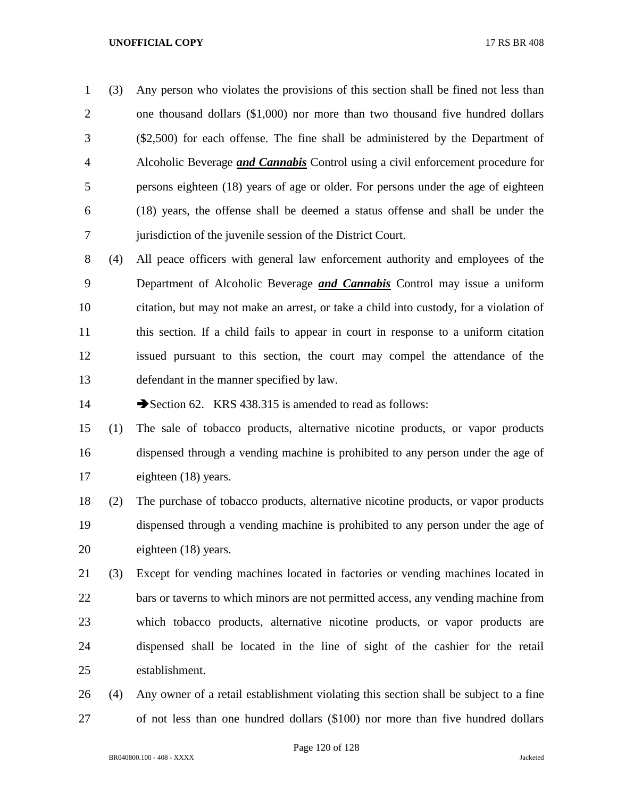(3) Any person who violates the provisions of this section shall be fined not less than one thousand dollars (\$1,000) nor more than two thousand five hundred dollars (\$2,500) for each offense. The fine shall be administered by the Department of Alcoholic Beverage *and Cannabis* Control using a civil enforcement procedure for persons eighteen (18) years of age or older. For persons under the age of eighteen (18) years, the offense shall be deemed a status offense and shall be under the jurisdiction of the juvenile session of the District Court.

 (4) All peace officers with general law enforcement authority and employees of the Department of Alcoholic Beverage *and Cannabis* Control may issue a uniform citation, but may not make an arrest, or take a child into custody, for a violation of this section. If a child fails to appear in court in response to a uniform citation issued pursuant to this section, the court may compel the attendance of the defendant in the manner specified by law.

14 Section 62. KRS 438.315 is amended to read as follows:

 (1) The sale of tobacco products, alternative nicotine products, or vapor products dispensed through a vending machine is prohibited to any person under the age of eighteen (18) years.

 (2) The purchase of tobacco products, alternative nicotine products, or vapor products dispensed through a vending machine is prohibited to any person under the age of eighteen (18) years.

 (3) Except for vending machines located in factories or vending machines located in bars or taverns to which minors are not permitted access, any vending machine from which tobacco products, alternative nicotine products, or vapor products are dispensed shall be located in the line of sight of the cashier for the retail establishment.

 (4) Any owner of a retail establishment violating this section shall be subject to a fine of not less than one hundred dollars (\$100) nor more than five hundred dollars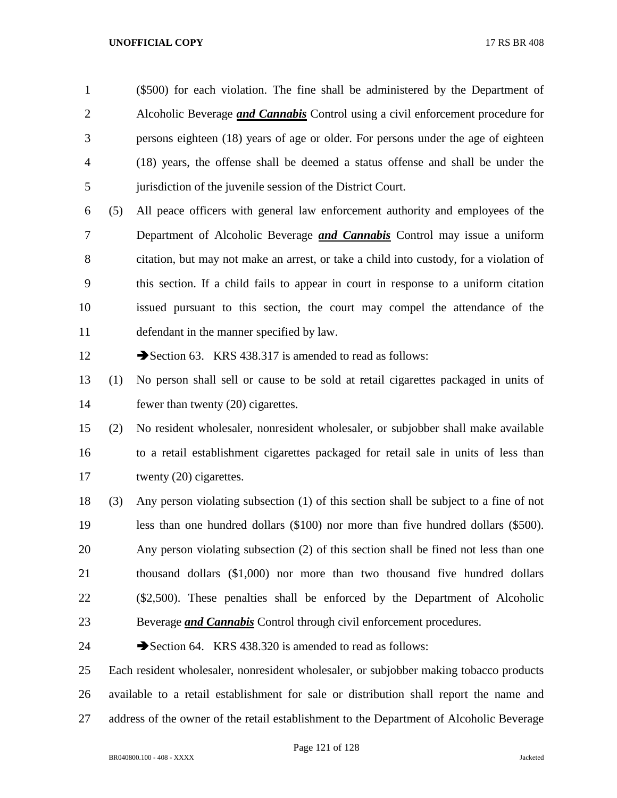(\$500) for each violation. The fine shall be administered by the Department of Alcoholic Beverage *and Cannabis* Control using a civil enforcement procedure for persons eighteen (18) years of age or older. For persons under the age of eighteen (18) years, the offense shall be deemed a status offense and shall be under the jurisdiction of the juvenile session of the District Court.

 (5) All peace officers with general law enforcement authority and employees of the Department of Alcoholic Beverage *and Cannabis* Control may issue a uniform citation, but may not make an arrest, or take a child into custody, for a violation of this section. If a child fails to appear in court in response to a uniform citation issued pursuant to this section, the court may compel the attendance of the defendant in the manner specified by law.

12 Section 63. KRS 438.317 is amended to read as follows:

 (1) No person shall sell or cause to be sold at retail cigarettes packaged in units of 14 fewer than twenty (20) cigarettes.

 (2) No resident wholesaler, nonresident wholesaler, or subjobber shall make available to a retail establishment cigarettes packaged for retail sale in units of less than 17 twenty (20) cigarettes.

 (3) Any person violating subsection (1) of this section shall be subject to a fine of not less than one hundred dollars (\$100) nor more than five hundred dollars (\$500). Any person violating subsection (2) of this section shall be fined not less than one thousand dollars (\$1,000) nor more than two thousand five hundred dollars (\$2,500). These penalties shall be enforced by the Department of Alcoholic Beverage *and Cannabis* Control through civil enforcement procedures.

24 Section 64. KRS 438.320 is amended to read as follows:

 Each resident wholesaler, nonresident wholesaler, or subjobber making tobacco products available to a retail establishment for sale or distribution shall report the name and address of the owner of the retail establishment to the Department of Alcoholic Beverage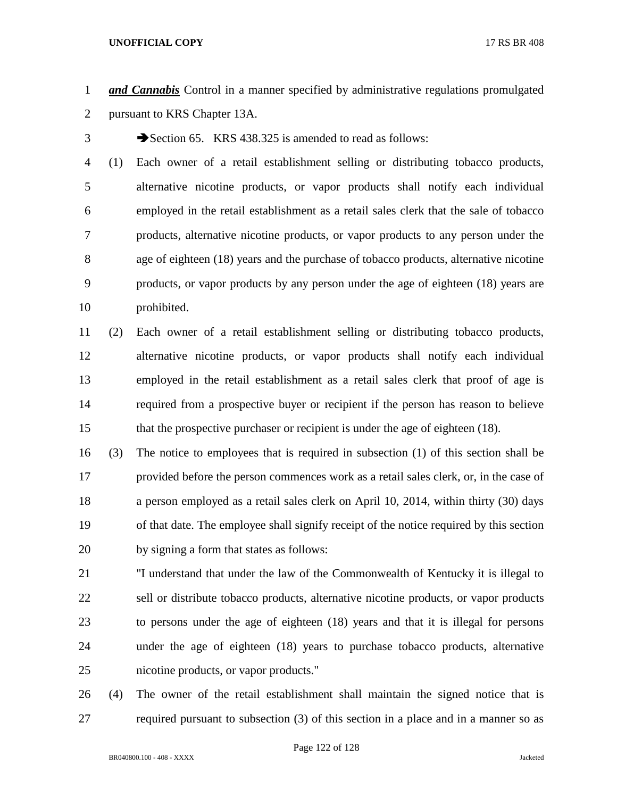*and Cannabis* Control in a manner specified by administrative regulations promulgated pursuant to KRS Chapter 13A.

3 Section 65. KRS 438.325 is amended to read as follows:

 (1) Each owner of a retail establishment selling or distributing tobacco products, alternative nicotine products, or vapor products shall notify each individual employed in the retail establishment as a retail sales clerk that the sale of tobacco products, alternative nicotine products, or vapor products to any person under the age of eighteen (18) years and the purchase of tobacco products, alternative nicotine products, or vapor products by any person under the age of eighteen (18) years are prohibited.

 (2) Each owner of a retail establishment selling or distributing tobacco products, alternative nicotine products, or vapor products shall notify each individual employed in the retail establishment as a retail sales clerk that proof of age is required from a prospective buyer or recipient if the person has reason to believe 15 that the prospective purchaser or recipient is under the age of eighteen (18).

 (3) The notice to employees that is required in subsection (1) of this section shall be provided before the person commences work as a retail sales clerk, or, in the case of a person employed as a retail sales clerk on April 10, 2014, within thirty (30) days of that date. The employee shall signify receipt of the notice required by this section by signing a form that states as follows:

 "I understand that under the law of the Commonwealth of Kentucky it is illegal to sell or distribute tobacco products, alternative nicotine products, or vapor products to persons under the age of eighteen (18) years and that it is illegal for persons under the age of eighteen (18) years to purchase tobacco products, alternative nicotine products, or vapor products."

 (4) The owner of the retail establishment shall maintain the signed notice that is required pursuant to subsection (3) of this section in a place and in a manner so as

Page 122 of 128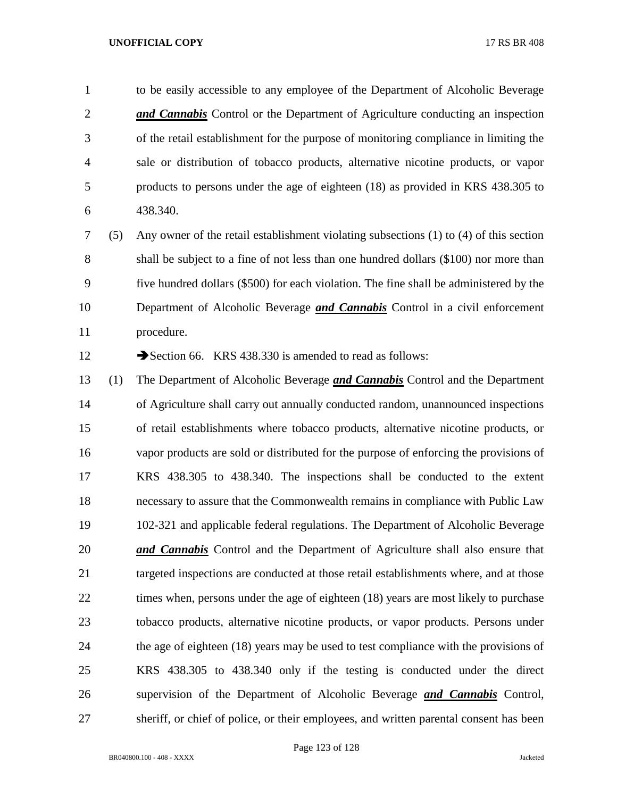to be easily accessible to any employee of the Department of Alcoholic Beverage *and Cannabis* Control or the Department of Agriculture conducting an inspection of the retail establishment for the purpose of monitoring compliance in limiting the sale or distribution of tobacco products, alternative nicotine products, or vapor products to persons under the age of eighteen (18) as provided in KRS 438.305 to 438.340.

 (5) Any owner of the retail establishment violating subsections (1) to (4) of this section shall be subject to a fine of not less than one hundred dollars (\$100) nor more than five hundred dollars (\$500) for each violation. The fine shall be administered by the Department of Alcoholic Beverage *and Cannabis* Control in a civil enforcement procedure.

12 Section 66. KRS 438.330 is amended to read as follows:

 (1) The Department of Alcoholic Beverage *and Cannabis* Control and the Department of Agriculture shall carry out annually conducted random, unannounced inspections of retail establishments where tobacco products, alternative nicotine products, or vapor products are sold or distributed for the purpose of enforcing the provisions of KRS 438.305 to 438.340. The inspections shall be conducted to the extent necessary to assure that the Commonwealth remains in compliance with Public Law 102-321 and applicable federal regulations. The Department of Alcoholic Beverage *and Cannabis* Control and the Department of Agriculture shall also ensure that 21 targeted inspections are conducted at those retail establishments where, and at those 22 times when, persons under the age of eighteen (18) years are most likely to purchase tobacco products, alternative nicotine products, or vapor products. Persons under the age of eighteen (18) years may be used to test compliance with the provisions of KRS 438.305 to 438.340 only if the testing is conducted under the direct supervision of the Department of Alcoholic Beverage *and Cannabis* Control, sheriff, or chief of police, or their employees, and written parental consent has been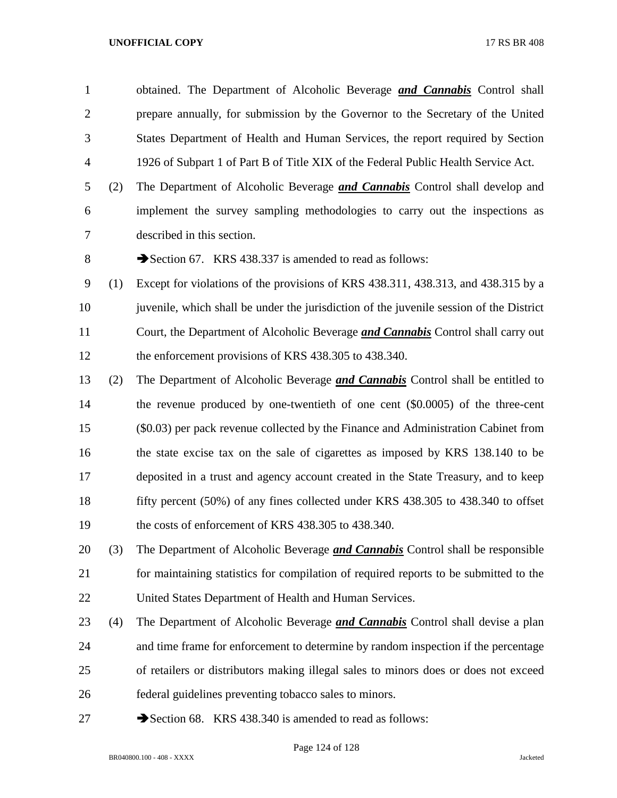obtained. The Department of Alcoholic Beverage *and Cannabis* Control shall prepare annually, for submission by the Governor to the Secretary of the United States Department of Health and Human Services, the report required by Section 1926 of Subpart 1 of Part B of Title XIX of the Federal Public Health Service Act.

- (2) The Department of Alcoholic Beverage *and Cannabis* Control shall develop and implement the survey sampling methodologies to carry out the inspections as described in this section.
- 8 Section 67. KRS 438.337 is amended to read as follows:
- (1) Except for violations of the provisions of KRS 438.311, 438.313, and 438.315 by a juvenile, which shall be under the jurisdiction of the juvenile session of the District Court, the Department of Alcoholic Beverage *and Cannabis* Control shall carry out the enforcement provisions of KRS 438.305 to 438.340.
- (2) The Department of Alcoholic Beverage *and Cannabis* Control shall be entitled to the revenue produced by one-twentieth of one cent (\$0.0005) of the three-cent (\$0.03) per pack revenue collected by the Finance and Administration Cabinet from the state excise tax on the sale of cigarettes as imposed by KRS 138.140 to be deposited in a trust and agency account created in the State Treasury, and to keep fifty percent (50%) of any fines collected under KRS 438.305 to 438.340 to offset the costs of enforcement of KRS 438.305 to 438.340.
- (3) The Department of Alcoholic Beverage *and Cannabis* Control shall be responsible for maintaining statistics for compilation of required reports to be submitted to the United States Department of Health and Human Services.
- (4) The Department of Alcoholic Beverage *and Cannabis* Control shall devise a plan and time frame for enforcement to determine by random inspection if the percentage of retailers or distributors making illegal sales to minors does or does not exceed federal guidelines preventing tobacco sales to minors.
- 27 Section 68. KRS 438.340 is amended to read as follows: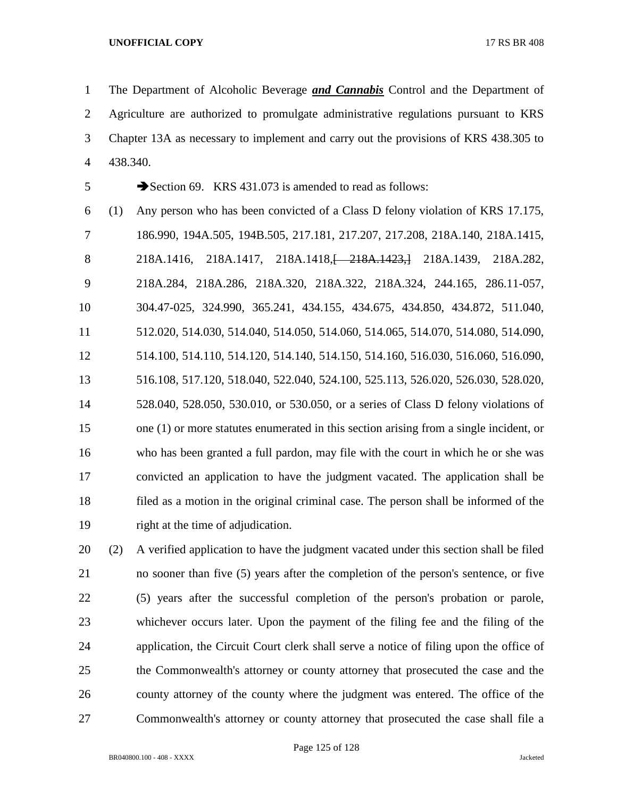The Department of Alcoholic Beverage *and Cannabis* Control and the Department of Agriculture are authorized to promulgate administrative regulations pursuant to KRS Chapter 13A as necessary to implement and carry out the provisions of KRS 438.305 to 438.340.

5 Section 69. KRS 431.073 is amended to read as follows:

 (1) Any person who has been convicted of a Class D felony violation of KRS 17.175, 186.990, 194A.505, 194B.505, 217.181, 217.207, 217.208, 218A.140, 218A.1415, 218A.1416, 218A.1417, 218A.1418,[ 218A.1423,] 218A.1439, 218A.282, 218A.284, 218A.286, 218A.320, 218A.322, 218A.324, 244.165, 286.11-057, 304.47-025, 324.990, 365.241, 434.155, 434.675, 434.850, 434.872, 511.040, 512.020, 514.030, 514.040, 514.050, 514.060, 514.065, 514.070, 514.080, 514.090, 514.100, 514.110, 514.120, 514.140, 514.150, 514.160, 516.030, 516.060, 516.090, 516.108, 517.120, 518.040, 522.040, 524.100, 525.113, 526.020, 526.030, 528.020, 528.040, 528.050, 530.010, or 530.050, or a series of Class D felony violations of one (1) or more statutes enumerated in this section arising from a single incident, or who has been granted a full pardon, may file with the court in which he or she was convicted an application to have the judgment vacated. The application shall be filed as a motion in the original criminal case. The person shall be informed of the right at the time of adjudication.

 (2) A verified application to have the judgment vacated under this section shall be filed no sooner than five (5) years after the completion of the person's sentence, or five (5) years after the successful completion of the person's probation or parole, whichever occurs later. Upon the payment of the filing fee and the filing of the application, the Circuit Court clerk shall serve a notice of filing upon the office of the Commonwealth's attorney or county attorney that prosecuted the case and the county attorney of the county where the judgment was entered. The office of the Commonwealth's attorney or county attorney that prosecuted the case shall file a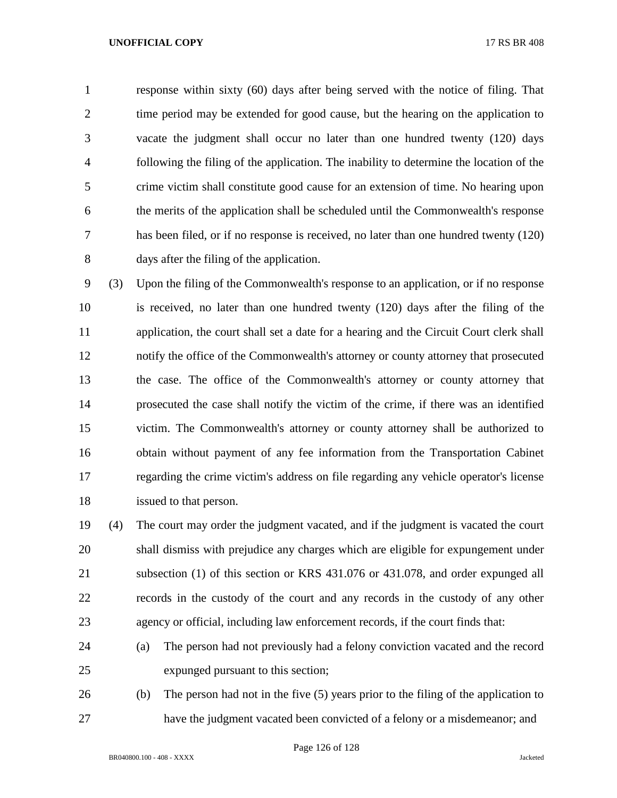response within sixty (60) days after being served with the notice of filing. That time period may be extended for good cause, but the hearing on the application to vacate the judgment shall occur no later than one hundred twenty (120) days following the filing of the application. The inability to determine the location of the crime victim shall constitute good cause for an extension of time. No hearing upon the merits of the application shall be scheduled until the Commonwealth's response has been filed, or if no response is received, no later than one hundred twenty (120) days after the filing of the application.

 (3) Upon the filing of the Commonwealth's response to an application, or if no response is received, no later than one hundred twenty (120) days after the filing of the 11 application, the court shall set a date for a hearing and the Circuit Court clerk shall notify the office of the Commonwealth's attorney or county attorney that prosecuted the case. The office of the Commonwealth's attorney or county attorney that prosecuted the case shall notify the victim of the crime, if there was an identified victim. The Commonwealth's attorney or county attorney shall be authorized to obtain without payment of any fee information from the Transportation Cabinet regarding the crime victim's address on file regarding any vehicle operator's license issued to that person.

 (4) The court may order the judgment vacated, and if the judgment is vacated the court shall dismiss with prejudice any charges which are eligible for expungement under subsection (1) of this section or KRS 431.076 or 431.078, and order expunged all records in the custody of the court and any records in the custody of any other agency or official, including law enforcement records, if the court finds that:

- (a) The person had not previously had a felony conviction vacated and the record expunged pursuant to this section;
- (b) The person had not in the five (5) years prior to the filing of the application to have the judgment vacated been convicted of a felony or a misdemeanor; and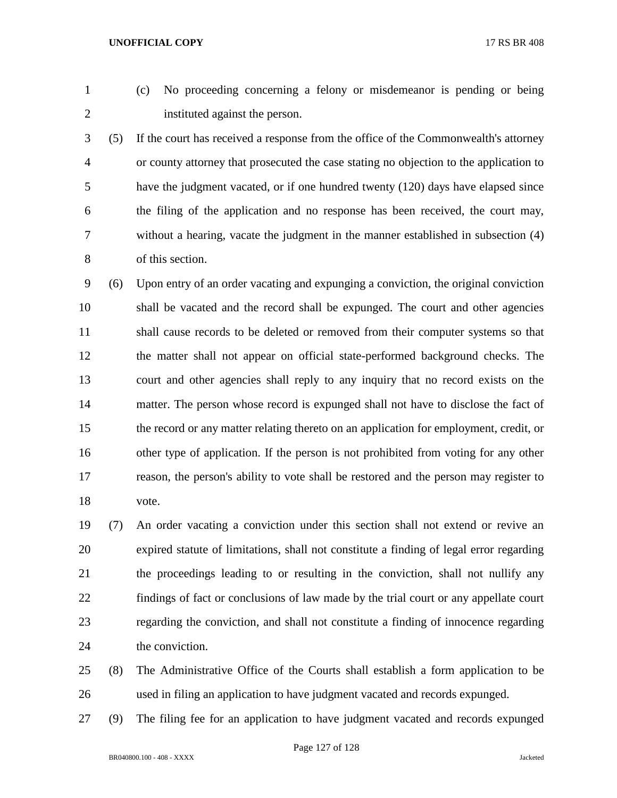- 
- (c) No proceeding concerning a felony or misdemeanor is pending or being instituted against the person.
- (5) If the court has received a response from the office of the Commonwealth's attorney or county attorney that prosecuted the case stating no objection to the application to have the judgment vacated, or if one hundred twenty (120) days have elapsed since the filing of the application and no response has been received, the court may, without a hearing, vacate the judgment in the manner established in subsection (4) of this section.
- (6) Upon entry of an order vacating and expunging a conviction, the original conviction shall be vacated and the record shall be expunged. The court and other agencies shall cause records to be deleted or removed from their computer systems so that the matter shall not appear on official state-performed background checks. The court and other agencies shall reply to any inquiry that no record exists on the matter. The person whose record is expunged shall not have to disclose the fact of the record or any matter relating thereto on an application for employment, credit, or other type of application. If the person is not prohibited from voting for any other reason, the person's ability to vote shall be restored and the person may register to vote.
- (7) An order vacating a conviction under this section shall not extend or revive an expired statute of limitations, shall not constitute a finding of legal error regarding the proceedings leading to or resulting in the conviction, shall not nullify any findings of fact or conclusions of law made by the trial court or any appellate court regarding the conviction, and shall not constitute a finding of innocence regarding the conviction.
- (8) The Administrative Office of the Courts shall establish a form application to be used in filing an application to have judgment vacated and records expunged.
- (9) The filing fee for an application to have judgment vacated and records expunged